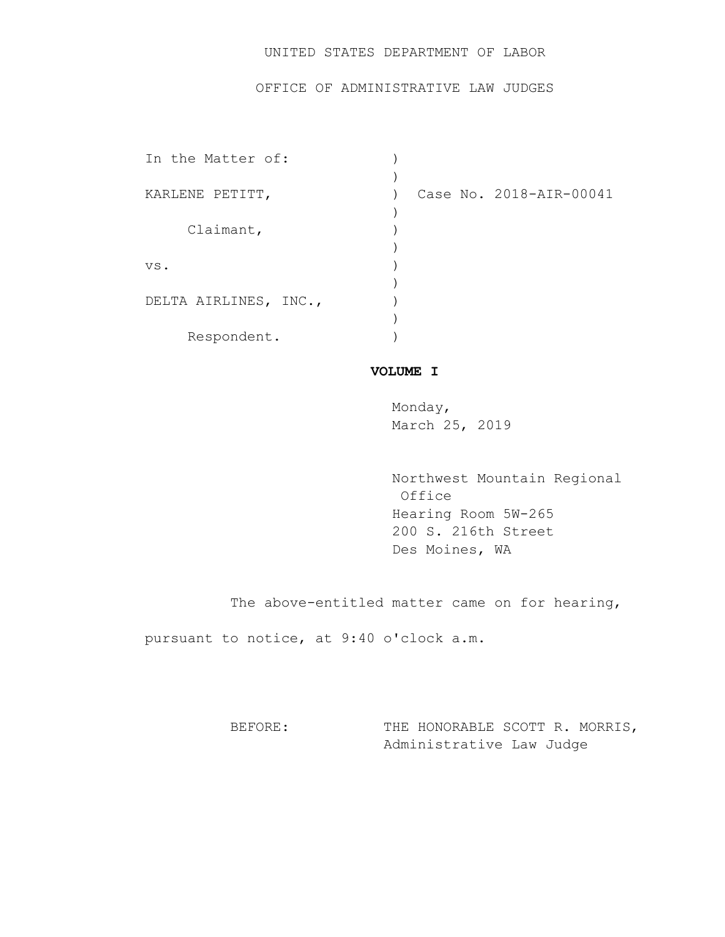# UNITED STATES DEPARTMENT OF LABOR

## OFFICE OF ADMINISTRATIVE LAW JUDGES

| In the Matter of:     |                         |
|-----------------------|-------------------------|
|                       |                         |
| KARLENE PETITT,       | Case No. 2018-AIR-00041 |
|                       |                         |
| Claimant,             |                         |
|                       |                         |
| VS.                   |                         |
|                       |                         |
| DELTA AIRLINES, INC., |                         |
|                       |                         |
| Respondent.           |                         |

## **VOLUME I**

Monday, March 25, 2019

 Northwest Mountain Regional Office Hearing Room 5W-265 200 S. 216th Street Des Moines, WA

The above-entitled matter came on for hearing,

pursuant to notice, at 9:40 o'clock a.m.

BEFORE: THE HONORABLE SCOTT R. MORRIS, Administrative Law Judge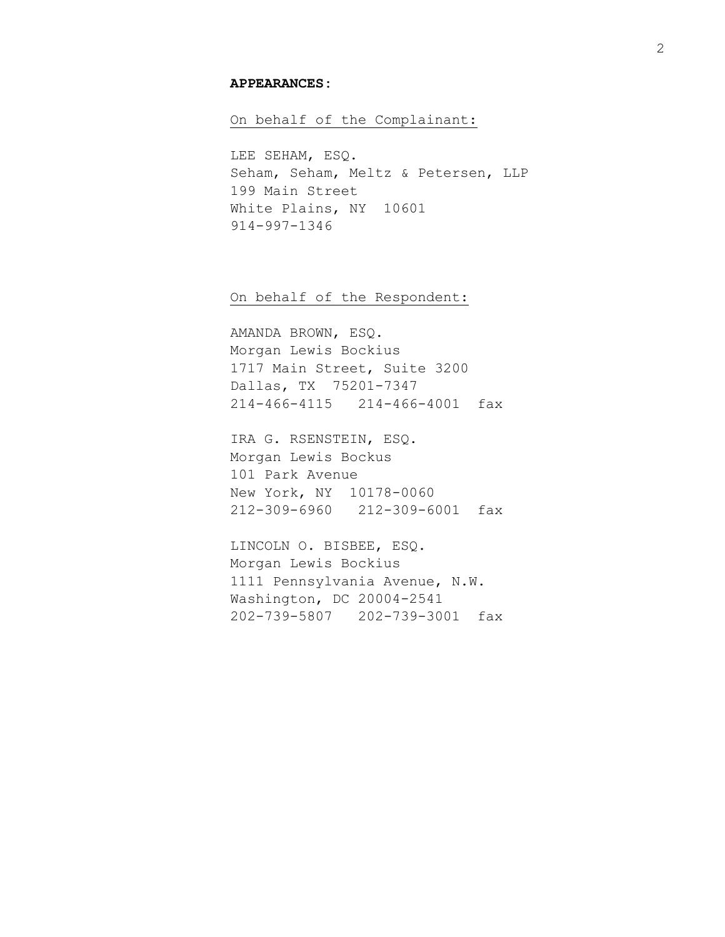#### **APPEARANCES:**

On behalf of the Complainant:

LEE SEHAM, ESQ. Seham, Seham, Meltz & Petersen, LLP 199 Main Street White Plains, NY 10601 914-997-1346

On behalf of the Respondent:

AMANDA BROWN, ESQ. Morgan Lewis Bockius 1717 Main Street, Suite 3200 Dallas, TX 75201-7347 214-466-4115 214-466-4001 fax

IRA G. RSENSTEIN, ESQ. Morgan Lewis Bockus 101 Park Avenue New York, NY 10178-0060 212-309-6960 212-309-6001 fax

LINCOLN O. BISBEE, ESQ. Morgan Lewis Bockius 1111 Pennsylvania Avenue, N.W. Washington, DC 20004-2541 202-739-5807 202-739-3001 fax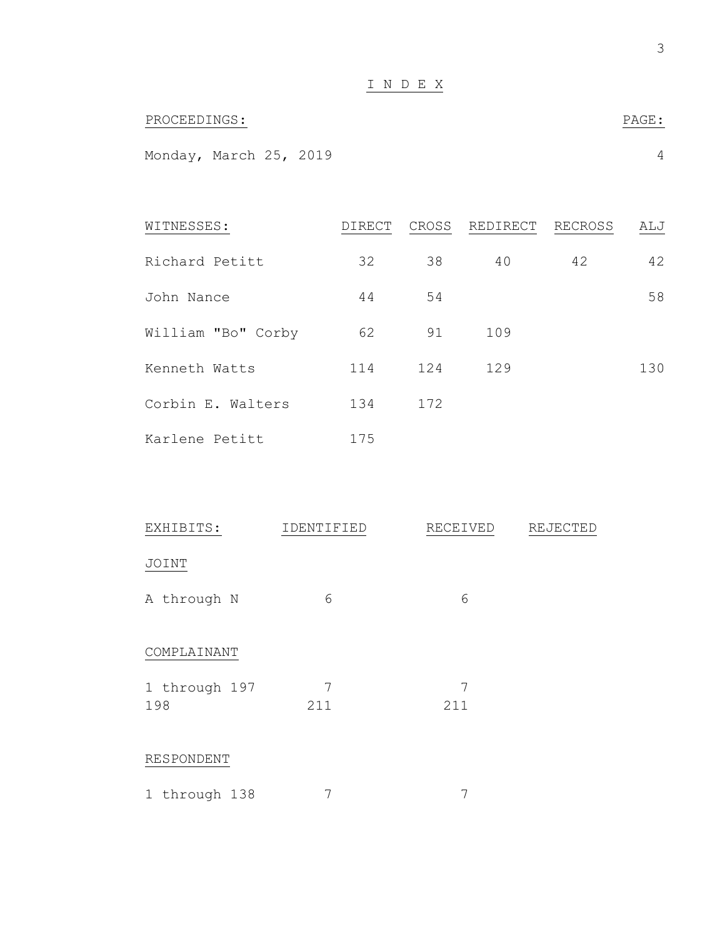| PROCEEDINGS:           |  |  | PAGE: |  |
|------------------------|--|--|-------|--|
|                        |  |  |       |  |
| Monday, March 25, 2019 |  |  |       |  |

| WITNESSES:         | DIRECT | CROSS | REDIRECT | RECROSS | ALJ |
|--------------------|--------|-------|----------|---------|-----|
| Richard Petitt     | 32     | 38    | 40       | 42      | 42  |
| John Nance         | 44     | 54    |          |         | 58  |
| William "Bo" Corby | 62     | 91    | 109      |         |     |
| Kenneth Watts      | 114    | 124   | 129      |         | 130 |
| Corbin E. Walters  | 134    | 172   |          |         |     |
| Karlene Petitt     | 175    |       |          |         |     |

| EXHIBITS:            | IDENTIFIED | RECEIVED | REJECTED |
|----------------------|------------|----------|----------|
| JOINT                |            |          |          |
| A through N          | 6          | 6        |          |
| COMPLAINANT          |            |          |          |
| 1 through 197<br>198 | 7<br>211   | 7<br>211 |          |
| RESPONDENT           |            |          |          |
| 1 through 138        | 7          | 7        |          |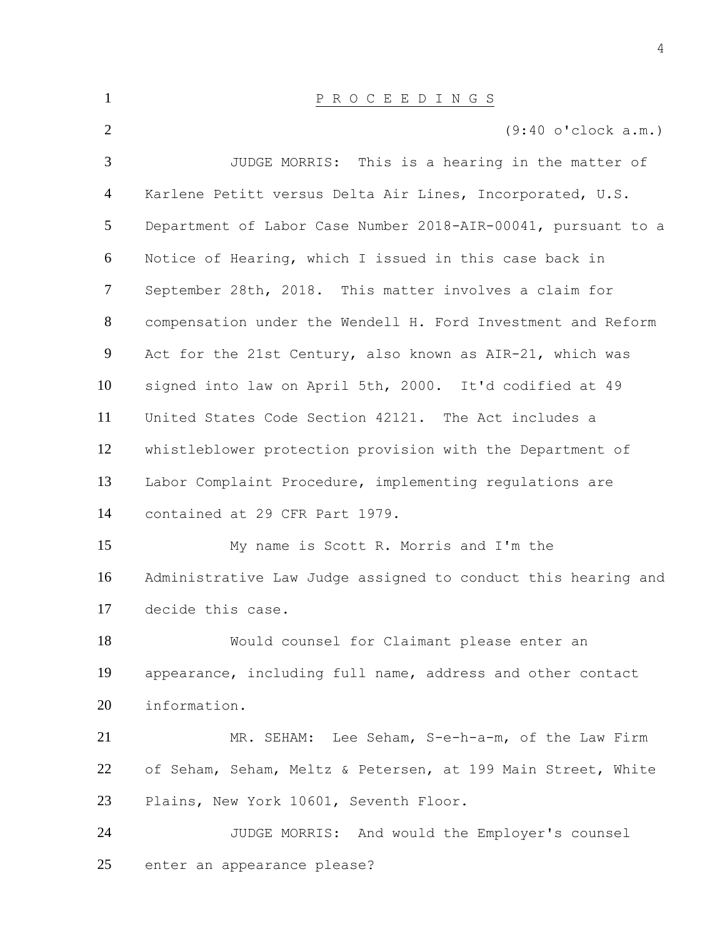| $\mathbf{1}$   | P R O C E E D I N G S                                         |
|----------------|---------------------------------------------------------------|
| 2              | $(9:40 \text{ o'}clock a.m.)$                                 |
| 3              | JUDGE MORRIS: This is a hearing in the matter of              |
| $\overline{4}$ | Karlene Petitt versus Delta Air Lines, Incorporated, U.S.     |
| $\mathfrak{S}$ | Department of Labor Case Number 2018-AIR-00041, pursuant to a |
| 6              | Notice of Hearing, which I issued in this case back in        |
| $\tau$         | September 28th, 2018. This matter involves a claim for        |
| 8              | compensation under the Wendell H. Ford Investment and Reform  |
| 9              | Act for the 21st Century, also known as AIR-21, which was     |
| 10             | signed into law on April 5th, 2000. It'd codified at 49       |
| 11             | United States Code Section 42121. The Act includes a          |
| 12             | whistleblower protection provision with the Department of     |
| 13             | Labor Complaint Procedure, implementing regulations are       |
| 14             | contained at 29 CFR Part 1979.                                |
| 15             | My name is Scott R. Morris and I'm the                        |
| 16             | Administrative Law Judge assigned to conduct this hearing and |
| 17             | decide this case.                                             |
| 18             | Would counsel for Claimant please enter an                    |
| 19             | appearance, including full name, address and other contact    |
| 20             | information.                                                  |
| 21             | MR. SEHAM: Lee Seham, S-e-h-a-m, of the Law Firm              |
| 22             | of Seham, Seham, Meltz & Petersen, at 199 Main Street, White  |
| 23             | Plains, New York 10601, Seventh Floor.                        |
| 24             | JUDGE MORRIS: And would the Employer's counsel                |
| 25             | enter an appearance please?                                   |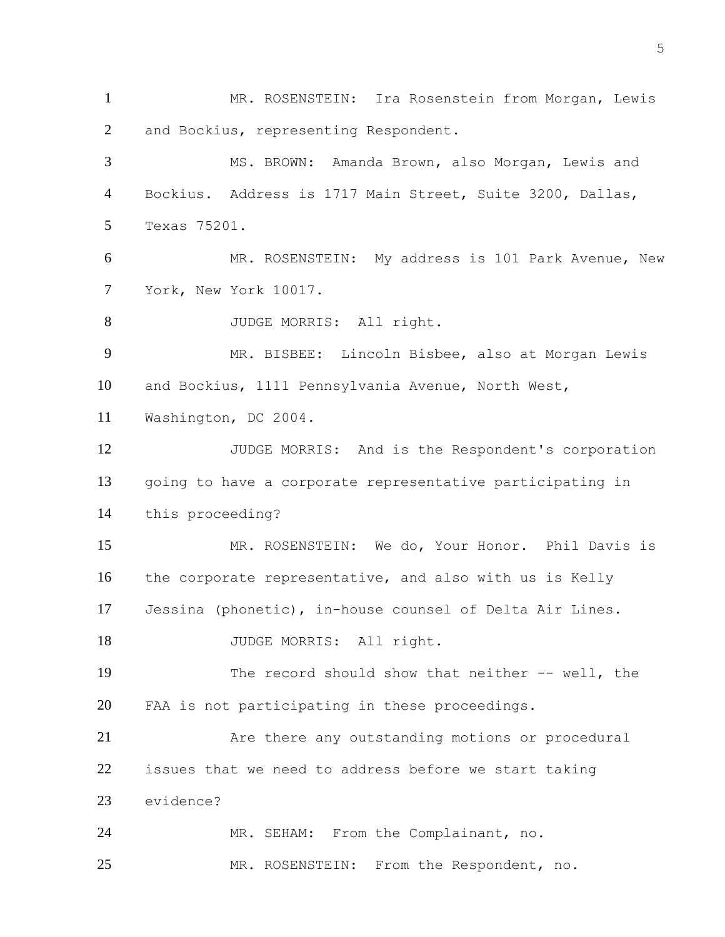MR. ROSENSTEIN: Ira Rosenstein from Morgan, Lewis and Bockius, representing Respondent. MS. BROWN: Amanda Brown, also Morgan, Lewis and Bockius. Address is 1717 Main Street, Suite 3200, Dallas, Texas 75201. MR. ROSENSTEIN: My address is 101 Park Avenue, New York, New York 10017. 8 JUDGE MORRIS: All right. MR. BISBEE: Lincoln Bisbee, also at Morgan Lewis and Bockius, 1111 Pennsylvania Avenue, North West, Washington, DC 2004. 12 JUDGE MORRIS: And is the Respondent's corporation going to have a corporate representative participating in this proceeding? MR. ROSENSTEIN: We do, Your Honor. Phil Davis is the corporate representative, and also with us is Kelly Jessina (phonetic), in-house counsel of Delta Air Lines. 18 JUDGE MORRIS: All right. The record should show that neither -- well, the FAA is not participating in these proceedings. Are there any outstanding motions or procedural issues that we need to address before we start taking evidence? MR. SEHAM: From the Complainant, no. MR. ROSENSTEIN: From the Respondent, no.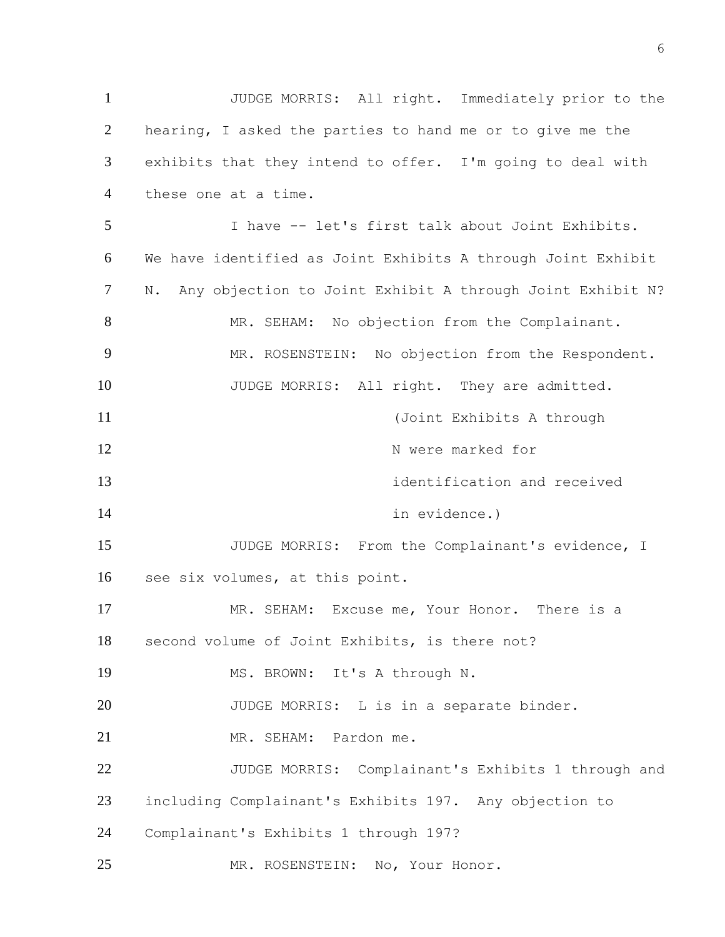JUDGE MORRIS: All right. Immediately prior to the hearing, I asked the parties to hand me or to give me the exhibits that they intend to offer. I'm going to deal with these one at a time. I have -- let's first talk about Joint Exhibits. We have identified as Joint Exhibits A through Joint Exhibit N. Any objection to Joint Exhibit A through Joint Exhibit N? 8 MR. SEHAM: No objection from the Complainant. MR. ROSENSTEIN: No objection from the Respondent. 10 JUDGE MORRIS: All right. They are admitted. (Joint Exhibits A through 12 N were marked for identification and received 14 in evidence.) JUDGE MORRIS: From the Complainant's evidence, I see six volumes, at this point. MR. SEHAM: Excuse me, Your Honor. There is a second volume of Joint Exhibits, is there not? MS. BROWN: It's A through N. 20 JUDGE MORRIS: L is in a separate binder. MR. SEHAM: Pardon me. 22 JUDGE MORRIS: Complainant's Exhibits 1 through and including Complainant's Exhibits 197. Any objection to Complainant's Exhibits 1 through 197? MR. ROSENSTEIN: No, Your Honor.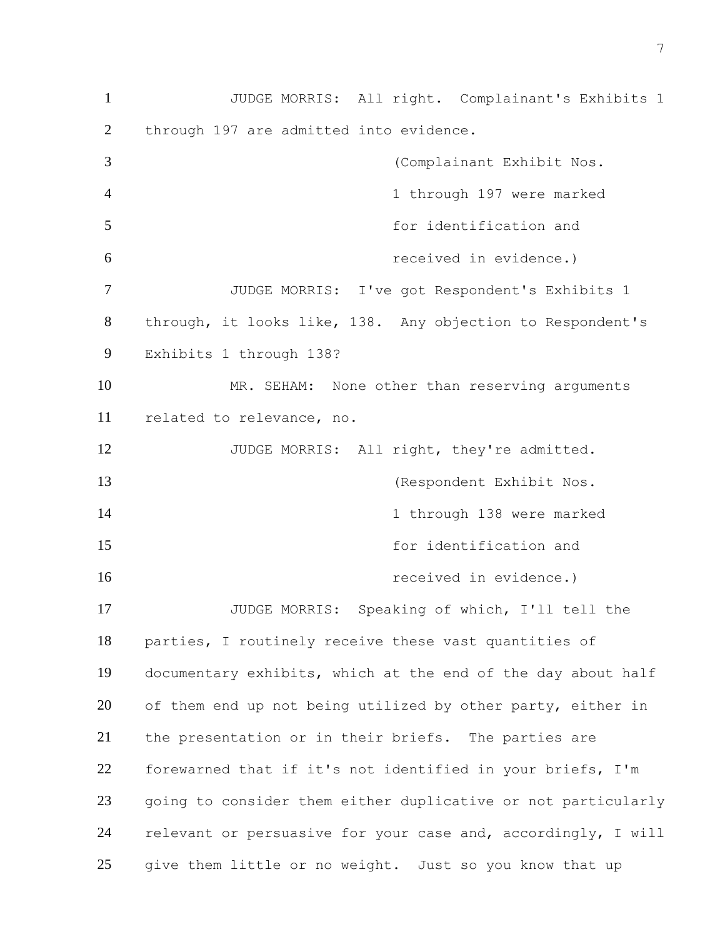JUDGE MORRIS: All right. Complainant's Exhibits 1 through 197 are admitted into evidence. (Complainant Exhibit Nos. 4 1 through 197 were marked for identification and received in evidence.) JUDGE MORRIS: I've got Respondent's Exhibits 1 through, it looks like, 138. Any objection to Respondent's Exhibits 1 through 138? MR. SEHAM: None other than reserving arguments related to relevance, no. 12 JUDGE MORRIS: All right, they're admitted. (Respondent Exhibit Nos. 14 14 1 through 138 were marked for identification and **16 received in evidence.**) JUDGE MORRIS: Speaking of which, I'll tell the parties, I routinely receive these vast quantities of documentary exhibits, which at the end of the day about half 20 of them end up not being utilized by other party, either in the presentation or in their briefs. The parties are forewarned that if it's not identified in your briefs, I'm going to consider them either duplicative or not particularly relevant or persuasive for your case and, accordingly, I will give them little or no weight. Just so you know that up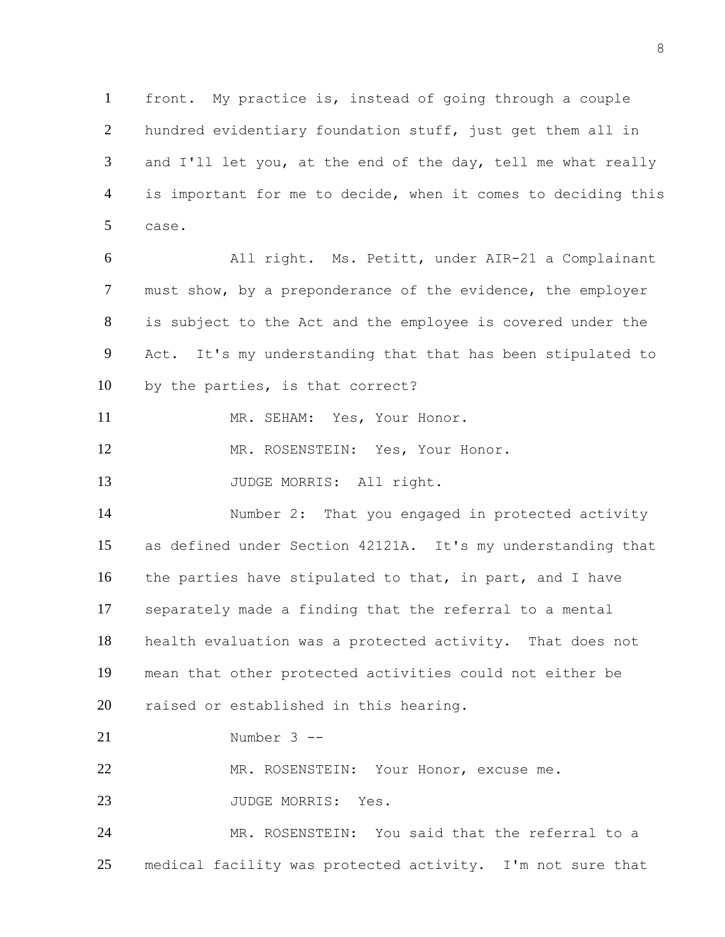front. My practice is, instead of going through a couple hundred evidentiary foundation stuff, just get them all in 3 and I'll let you, at the end of the day, tell me what really is important for me to decide, when it comes to deciding this case.

 All right. Ms. Petitt, under AIR-21 a Complainant must show, by a preponderance of the evidence, the employer is subject to the Act and the employee is covered under the Act. It's my understanding that that has been stipulated to by the parties, is that correct?

11 MR. SEHAM: Yes, Your Honor.

12 MR. ROSENSTEIN: Yes, Your Honor.

13 JUDGE MORRIS: All right.

 Number 2: That you engaged in protected activity as defined under Section 42121A. It's my understanding that the parties have stipulated to that, in part, and I have separately made a finding that the referral to a mental health evaluation was a protected activity. That does not mean that other protected activities could not either be raised or established in this hearing.

Number 3 --

MR. ROSENSTEIN: Your Honor, excuse me.

23 JUDGE MORRIS: Yes.

 MR. ROSENSTEIN: You said that the referral to a medical facility was protected activity. I'm not sure that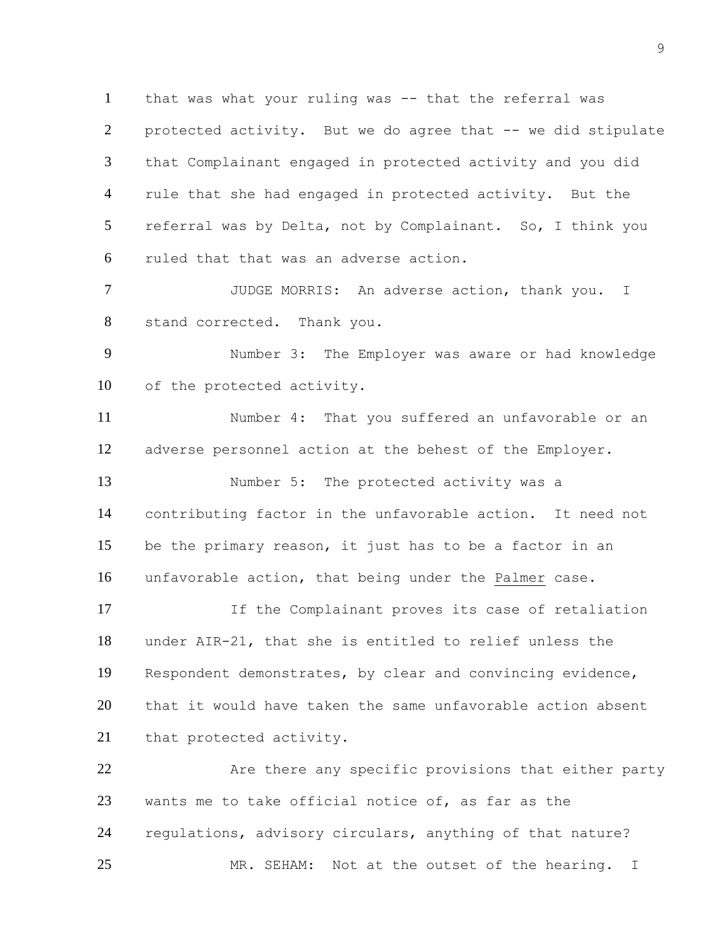that was what your ruling was -- that the referral was protected activity. But we do agree that -- we did stipulate that Complainant engaged in protected activity and you did rule that she had engaged in protected activity. But the referral was by Delta, not by Complainant. So, I think you ruled that that was an adverse action.

 JUDGE MORRIS: An adverse action, thank you. I stand corrected. Thank you.

 Number 3: The Employer was aware or had knowledge of the protected activity.

 Number 4: That you suffered an unfavorable or an adverse personnel action at the behest of the Employer.

 Number 5: The protected activity was a contributing factor in the unfavorable action. It need not be the primary reason, it just has to be a factor in an unfavorable action, that being under the Palmer case.

 If the Complainant proves its case of retaliation under AIR-21, that she is entitled to relief unless the Respondent demonstrates, by clear and convincing evidence, that it would have taken the same unfavorable action absent that protected activity.

22 Are there any specific provisions that either party wants me to take official notice of, as far as the regulations, advisory circulars, anything of that nature? MR. SEHAM: Not at the outset of the hearing. I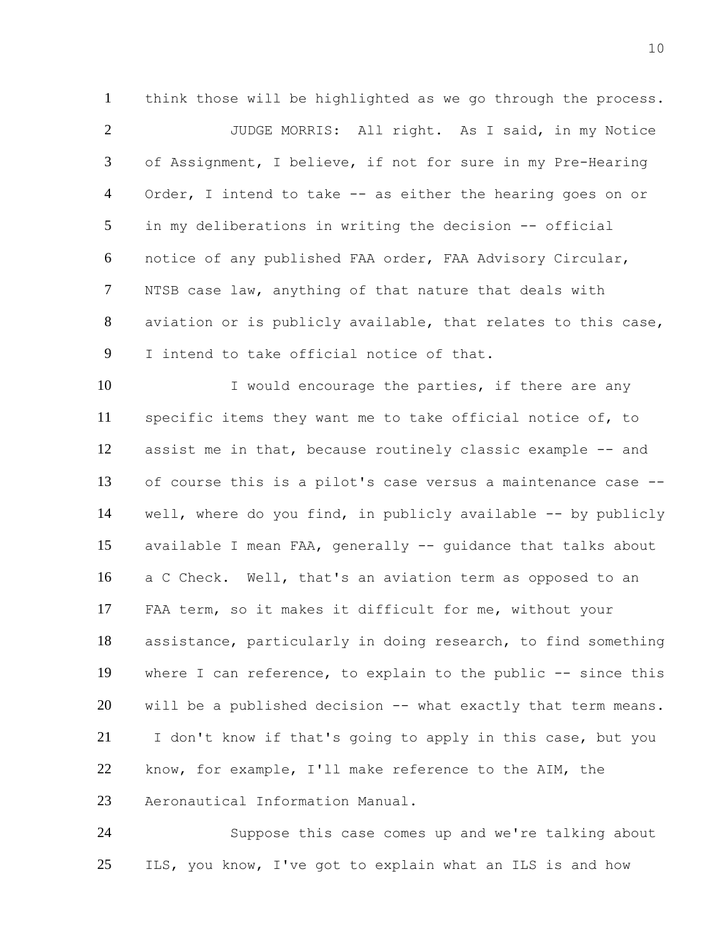think those will be highlighted as we go through the process. JUDGE MORRIS: All right. As I said, in my Notice of Assignment, I believe, if not for sure in my Pre-Hearing Order, I intend to take -- as either the hearing goes on or in my deliberations in writing the decision -- official notice of any published FAA order, FAA Advisory Circular, NTSB case law, anything of that nature that deals with aviation or is publicly available, that relates to this case, I intend to take official notice of that.

10 I would encourage the parties, if there are any specific items they want me to take official notice of, to assist me in that, because routinely classic example -- and of course this is a pilot's case versus a maintenance case -- well, where do you find, in publicly available -- by publicly available I mean FAA, generally -- guidance that talks about a C Check. Well, that's an aviation term as opposed to an FAA term, so it makes it difficult for me, without your assistance, particularly in doing research, to find something where I can reference, to explain to the public -- since this will be a published decision -- what exactly that term means. I don't know if that's going to apply in this case, but you know, for example, I'll make reference to the AIM, the Aeronautical Information Manual.

 Suppose this case comes up and we're talking about 25 ILS, you know, I've got to explain what an ILS is and how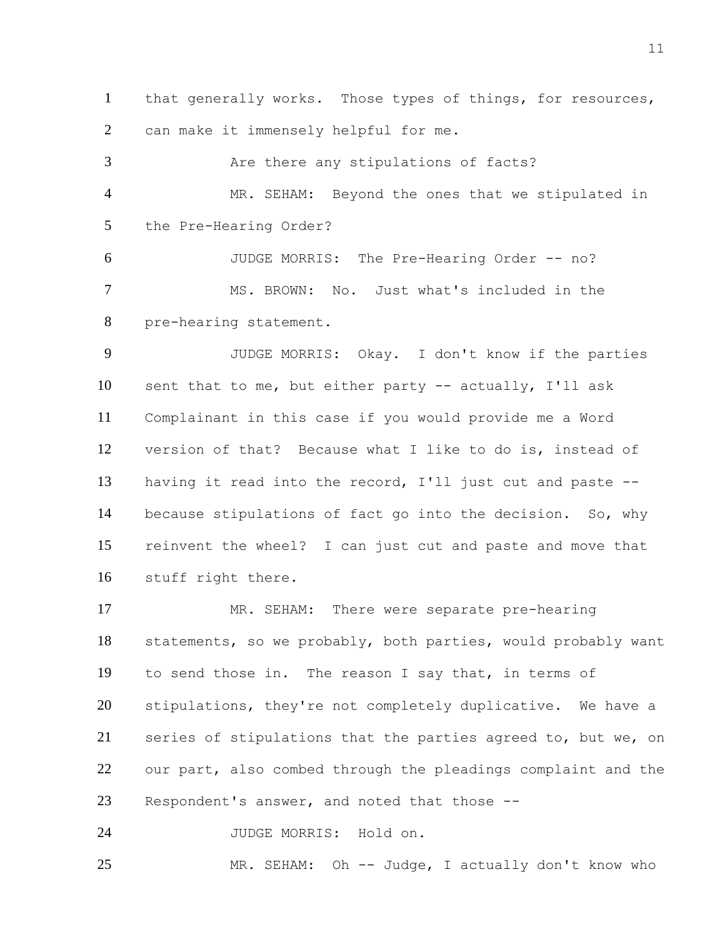that generally works. Those types of things, for resources, can make it immensely helpful for me.

3 Are there any stipulations of facts? MR. SEHAM: Beyond the ones that we stipulated in the Pre-Hearing Order? JUDGE MORRIS: The Pre-Hearing Order -- no? MS. BROWN: No. Just what's included in the

pre-hearing statement.

 JUDGE MORRIS: Okay. I don't know if the parties sent that to me, but either party -- actually, I'll ask Complainant in this case if you would provide me a Word version of that? Because what I like to do is, instead of having it read into the record, I'll just cut and paste -- because stipulations of fact go into the decision. So, why reinvent the wheel? I can just cut and paste and move that stuff right there.

 MR. SEHAM: There were separate pre-hearing statements, so we probably, both parties, would probably want to send those in. The reason I say that, in terms of stipulations, they're not completely duplicative. We have a series of stipulations that the parties agreed to, but we, on our part, also combed through the pleadings complaint and the Respondent's answer, and noted that those --

JUDGE MORRIS: Hold on.

MR. SEHAM: Oh -- Judge, I actually don't know who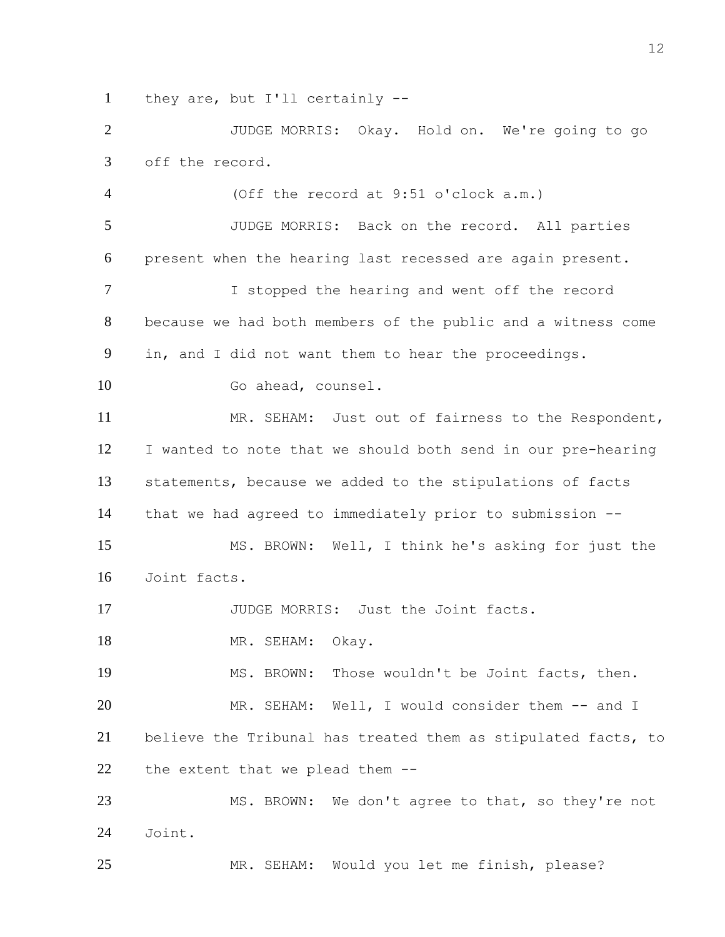they are, but I'll certainly --

 JUDGE MORRIS: Okay. Hold on. We're going to go off the record.

 (Off the record at 9:51 o'clock a.m.) JUDGE MORRIS: Back on the record. All parties present when the hearing last recessed are again present. I stopped the hearing and went off the record because we had both members of the public and a witness come in, and I did not want them to hear the proceedings. 10 Go ahead, counsel. MR. SEHAM: Just out of fairness to the Respondent, I wanted to note that we should both send in our pre-hearing statements, because we added to the stipulations of facts that we had agreed to immediately prior to submission -- MS. BROWN: Well, I think he's asking for just the Joint facts. 17 JUDGE MORRIS: Just the Joint facts. 18 MR. SEHAM: Okay. MS. BROWN: Those wouldn't be Joint facts, then. MR. SEHAM: Well, I would consider them -- and I believe the Tribunal has treated them as stipulated facts, to the extent that we plead them -- MS. BROWN: We don't agree to that, so they're not Joint.

MR. SEHAM: Would you let me finish, please?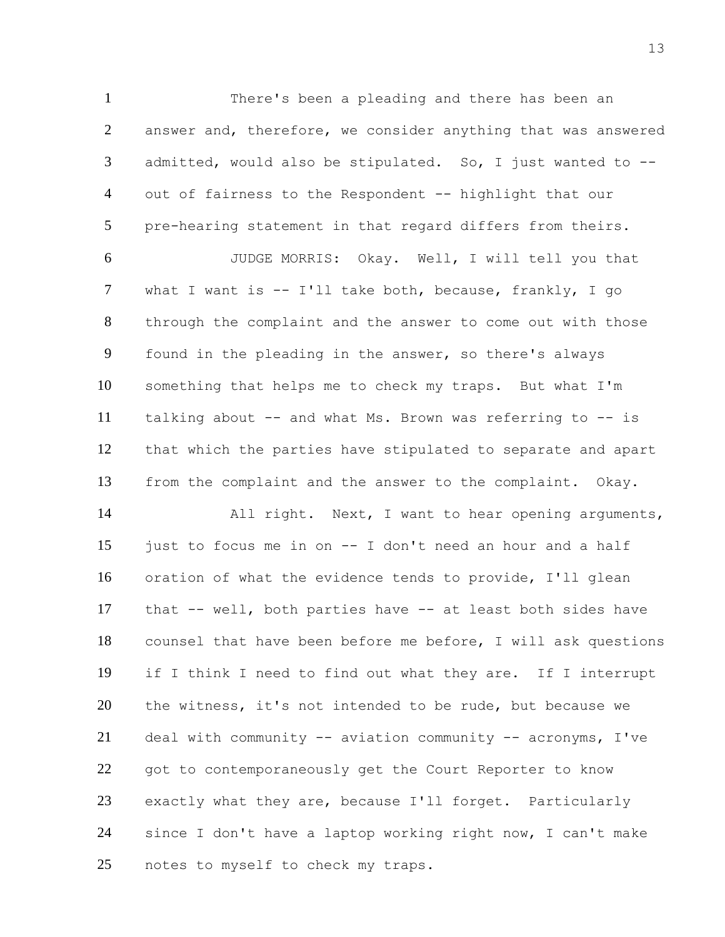There's been a pleading and there has been an answer and, therefore, we consider anything that was answered admitted, would also be stipulated. So, I just wanted to -- out of fairness to the Respondent -- highlight that our pre-hearing statement in that regard differs from theirs.

 JUDGE MORRIS: Okay. Well, I will tell you that what I want is -- I'll take both, because, frankly, I go through the complaint and the answer to come out with those found in the pleading in the answer, so there's always something that helps me to check my traps. But what I'm talking about -- and what Ms. Brown was referring to -- is that which the parties have stipulated to separate and apart from the complaint and the answer to the complaint. Okay.

14 All right. Next, I want to hear opening arguments, just to focus me in on -- I don't need an hour and a half oration of what the evidence tends to provide, I'll glean that -- well, both parties have -- at least both sides have counsel that have been before me before, I will ask questions if I think I need to find out what they are. If I interrupt the witness, it's not intended to be rude, but because we deal with community -- aviation community -- acronyms, I've got to contemporaneously get the Court Reporter to know exactly what they are, because I'll forget. Particularly since I don't have a laptop working right now, I can't make notes to myself to check my traps.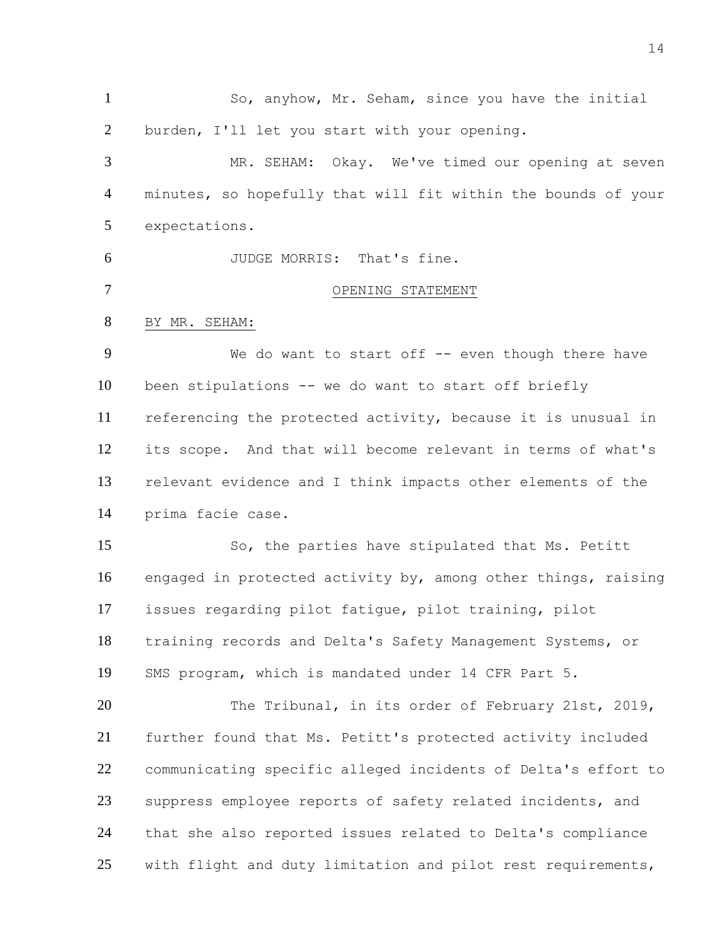So, anyhow, Mr. Seham, since you have the initial burden, I'll let you start with your opening.

 MR. SEHAM: Okay. We've timed our opening at seven minutes, so hopefully that will fit within the bounds of your expectations.

JUDGE MORRIS: That's fine.

- OPENING STATEMENT
- BY MR. SEHAM:

9 We do want to start off -- even though there have been stipulations -- we do want to start off briefly referencing the protected activity, because it is unusual in its scope. And that will become relevant in terms of what's relevant evidence and I think impacts other elements of the prima facie case.

 So, the parties have stipulated that Ms. Petitt engaged in protected activity by, among other things, raising issues regarding pilot fatigue, pilot training, pilot training records and Delta's Safety Management Systems, or SMS program, which is mandated under 14 CFR Part 5.

20 The Tribunal, in its order of February 21st, 2019, further found that Ms. Petitt's protected activity included communicating specific alleged incidents of Delta's effort to suppress employee reports of safety related incidents, and that she also reported issues related to Delta's compliance with flight and duty limitation and pilot rest requirements,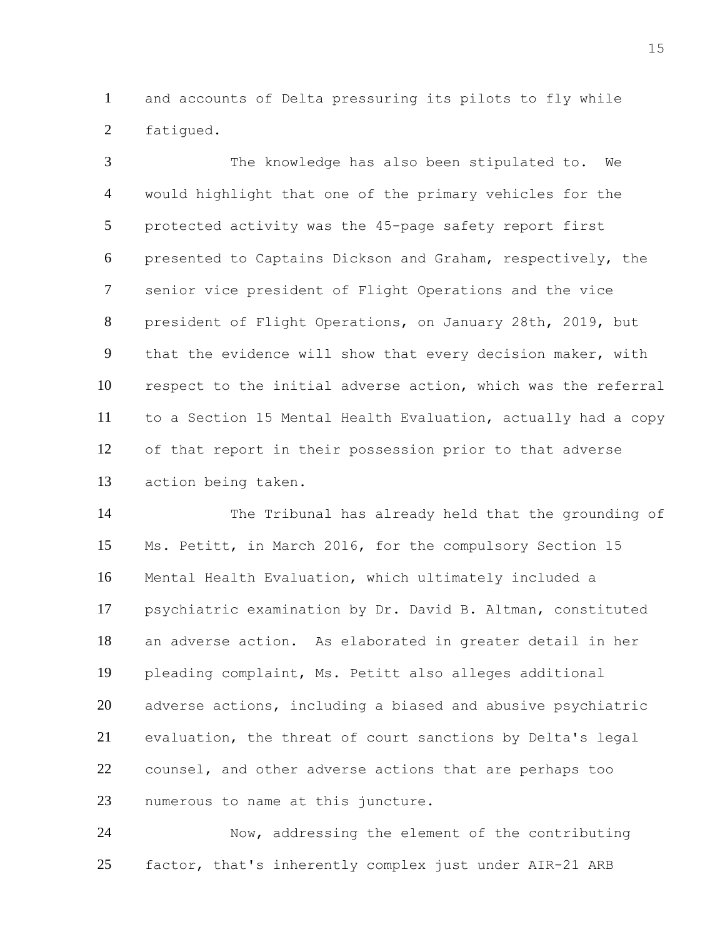and accounts of Delta pressuring its pilots to fly while fatigued.

 The knowledge has also been stipulated to. We would highlight that one of the primary vehicles for the protected activity was the 45-page safety report first presented to Captains Dickson and Graham, respectively, the senior vice president of Flight Operations and the vice president of Flight Operations, on January 28th, 2019, but that the evidence will show that every decision maker, with respect to the initial adverse action, which was the referral to a Section 15 Mental Health Evaluation, actually had a copy of that report in their possession prior to that adverse action being taken.

 The Tribunal has already held that the grounding of Ms. Petitt, in March 2016, for the compulsory Section 15 Mental Health Evaluation, which ultimately included a psychiatric examination by Dr. David B. Altman, constituted an adverse action. As elaborated in greater detail in her pleading complaint, Ms. Petitt also alleges additional adverse actions, including a biased and abusive psychiatric evaluation, the threat of court sanctions by Delta's legal counsel, and other adverse actions that are perhaps too numerous to name at this juncture.

 Now, addressing the element of the contributing factor, that's inherently complex just under AIR-21 ARB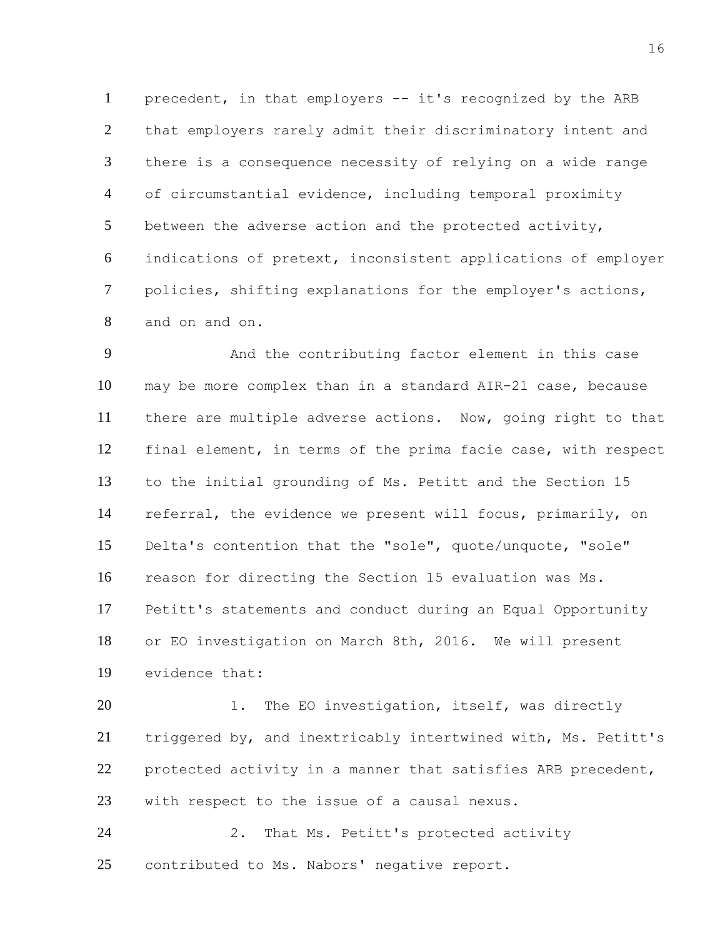precedent, in that employers -- it's recognized by the ARB that employers rarely admit their discriminatory intent and there is a consequence necessity of relying on a wide range of circumstantial evidence, including temporal proximity between the adverse action and the protected activity, indications of pretext, inconsistent applications of employer policies, shifting explanations for the employer's actions, and on and on.

 And the contributing factor element in this case may be more complex than in a standard AIR-21 case, because there are multiple adverse actions. Now, going right to that final element, in terms of the prima facie case, with respect to the initial grounding of Ms. Petitt and the Section 15 referral, the evidence we present will focus, primarily, on Delta's contention that the "sole", quote/unquote, "sole" reason for directing the Section 15 evaluation was Ms. Petitt's statements and conduct during an Equal Opportunity or EO investigation on March 8th, 2016. We will present evidence that:

20 1. The EO investigation, itself, was directly triggered by, and inextricably intertwined with, Ms. Petitt's protected activity in a manner that satisfies ARB precedent, with respect to the issue of a causal nexus.

 2. That Ms. Petitt's protected activity contributed to Ms. Nabors' negative report.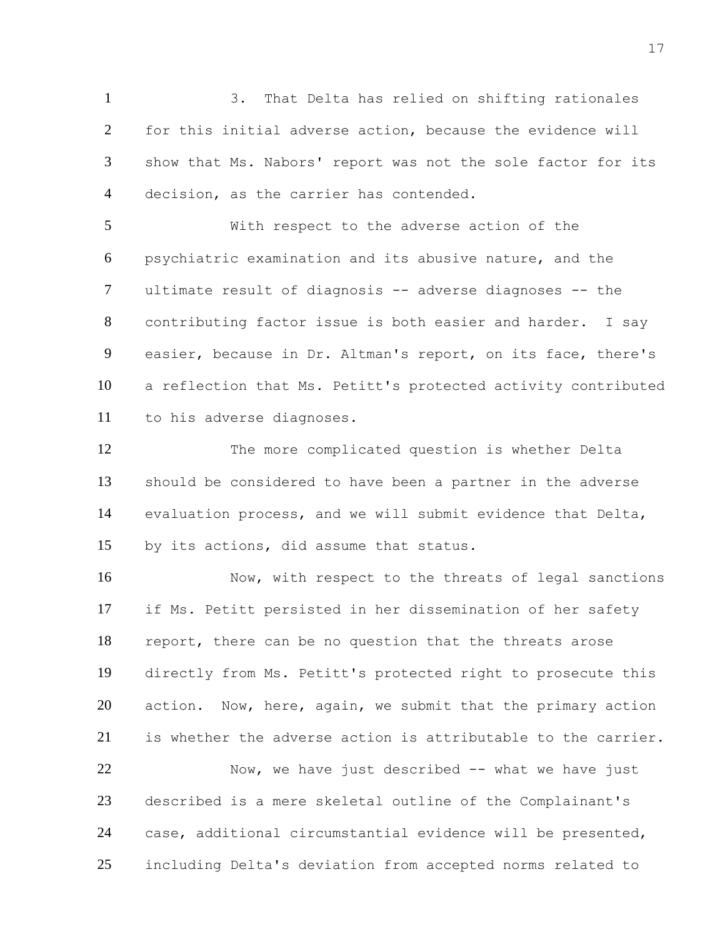3. That Delta has relied on shifting rationales for this initial adverse action, because the evidence will show that Ms. Nabors' report was not the sole factor for its decision, as the carrier has contended.

 With respect to the adverse action of the psychiatric examination and its abusive nature, and the ultimate result of diagnosis -- adverse diagnoses -- the contributing factor issue is both easier and harder. I say easier, because in Dr. Altman's report, on its face, there's a reflection that Ms. Petitt's protected activity contributed to his adverse diagnoses.

 The more complicated question is whether Delta should be considered to have been a partner in the adverse evaluation process, and we will submit evidence that Delta, by its actions, did assume that status.

16 Now, with respect to the threats of legal sanctions if Ms. Petitt persisted in her dissemination of her safety report, there can be no question that the threats arose directly from Ms. Petitt's protected right to prosecute this 20 action. Now, here, again, we submit that the primary action is whether the adverse action is attributable to the carrier.

22 Now, we have just described -- what we have just described is a mere skeletal outline of the Complainant's case, additional circumstantial evidence will be presented, including Delta's deviation from accepted norms related to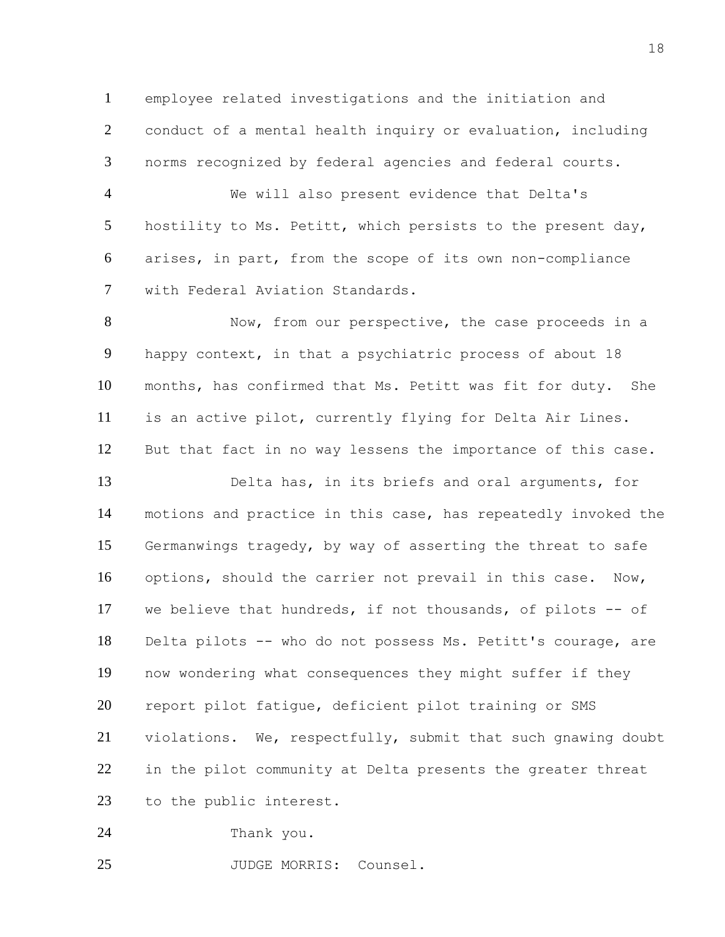employee related investigations and the initiation and conduct of a mental health inquiry or evaluation, including norms recognized by federal agencies and federal courts.

 We will also present evidence that Delta's hostility to Ms. Petitt, which persists to the present day, arises, in part, from the scope of its own non-compliance with Federal Aviation Standards.

8 Now, from our perspective, the case proceeds in a happy context, in that a psychiatric process of about 18 months, has confirmed that Ms. Petitt was fit for duty. She is an active pilot, currently flying for Delta Air Lines. But that fact in no way lessens the importance of this case.

 Delta has, in its briefs and oral arguments, for motions and practice in this case, has repeatedly invoked the Germanwings tragedy, by way of asserting the threat to safe options, should the carrier not prevail in this case. Now, we believe that hundreds, if not thousands, of pilots -- of Delta pilots -- who do not possess Ms. Petitt's courage, are now wondering what consequences they might suffer if they report pilot fatigue, deficient pilot training or SMS violations. We, respectfully, submit that such gnawing doubt in the pilot community at Delta presents the greater threat to the public interest.

Thank you.

25 JUDGE MORRIS: Counsel.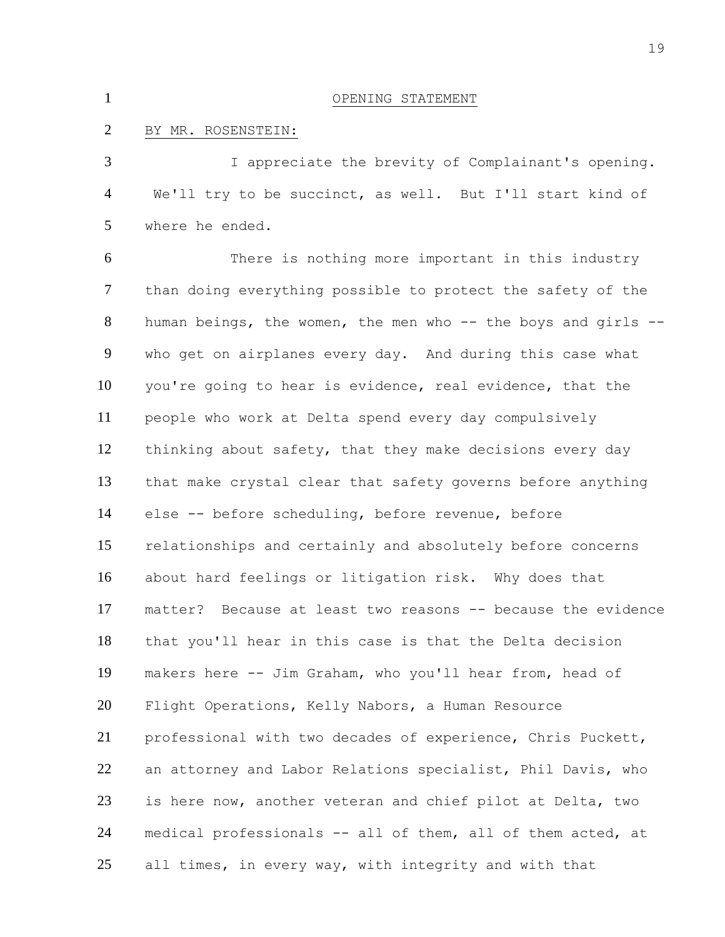| $\mathbf{1}$   | OPENING STATEMENT                                             |
|----------------|---------------------------------------------------------------|
| $\overline{2}$ | BY MR. ROSENSTEIN:                                            |
| 3              | I appreciate the brevity of Complainant's opening.            |
| 4              | We'll try to be succinct, as well. But I'll start kind of     |
| 5              | where he ended.                                               |
| 6              | There is nothing more important in this industry              |
| $\tau$         | than doing everything possible to protect the safety of the   |
| 8              | human beings, the women, the men who -- the boys and girls -- |
| 9              | who get on airplanes every day. And during this case what     |
| 10             | you're going to hear is evidence, real evidence, that the     |
| 11             | people who work at Delta spend every day compulsively         |
| 12             | thinking about safety, that they make decisions every day     |
| 13             | that make crystal clear that safety governs before anything   |
| 14             | else -- before scheduling, before revenue, before             |
| 15             | relationships and certainly and absolutely before concerns    |
| 16             | about hard feelings or litigation risk. Why does that         |
| 17             | matter? Because at least two reasons -- because the evidence  |
| 18             | that you'll hear in this case is that the Delta decision      |
| 19             | makers here -- Jim Graham, who you'll hear from, head of      |
| 20             | Flight Operations, Kelly Nabors, a Human Resource             |
| 21             | professional with two decades of experience, Chris Puckett,   |
| 22             | an attorney and Labor Relations specialist, Phil Davis, who   |
| 23             | is here now, another veteran and chief pilot at Delta, two    |
| 24             | medical professionals -- all of them, all of them acted, at   |
| 25             | all times, in every way, with integrity and with that         |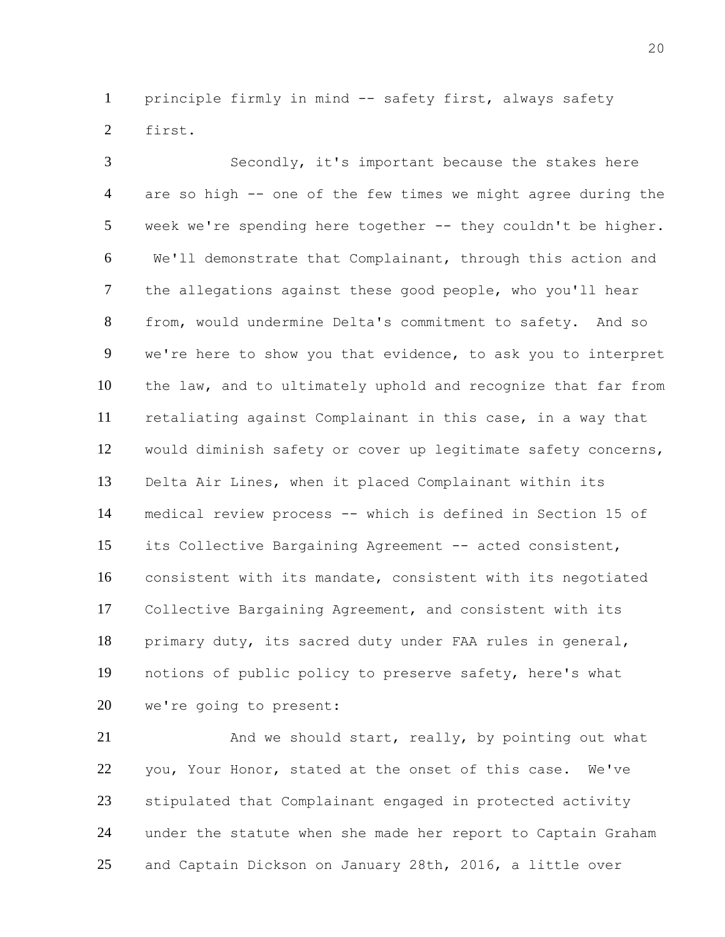principle firmly in mind -- safety first, always safety first.

 Secondly, it's important because the stakes here are so high -- one of the few times we might agree during the week we're spending here together -- they couldn't be higher. We'll demonstrate that Complainant, through this action and the allegations against these good people, who you'll hear from, would undermine Delta's commitment to safety. And so we're here to show you that evidence, to ask you to interpret the law, and to ultimately uphold and recognize that far from retaliating against Complainant in this case, in a way that would diminish safety or cover up legitimate safety concerns, Delta Air Lines, when it placed Complainant within its medical review process -- which is defined in Section 15 of its Collective Bargaining Agreement -- acted consistent, consistent with its mandate, consistent with its negotiated Collective Bargaining Agreement, and consistent with its primary duty, its sacred duty under FAA rules in general, notions of public policy to preserve safety, here's what we're going to present:

21 And we should start, really, by pointing out what you, Your Honor, stated at the onset of this case. We've stipulated that Complainant engaged in protected activity under the statute when she made her report to Captain Graham and Captain Dickson on January 28th, 2016, a little over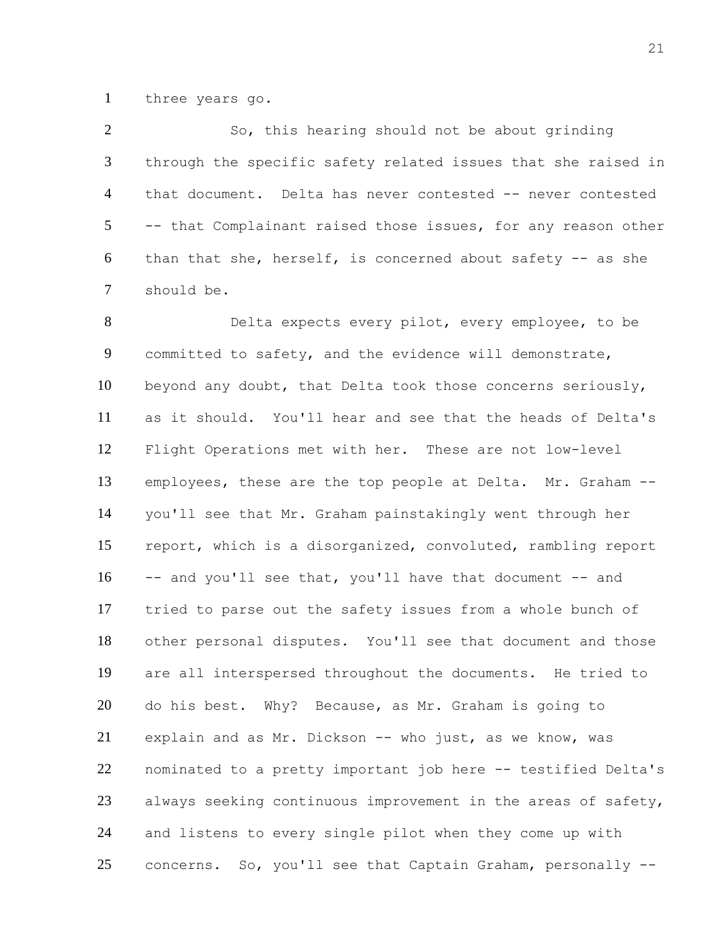three years go.

 So, this hearing should not be about grinding through the specific safety related issues that she raised in that document. Delta has never contested -- never contested -- that Complainant raised those issues, for any reason other 6 than that she, herself, is concerned about safety  $-$  as she should be.

 Delta expects every pilot, every employee, to be committed to safety, and the evidence will demonstrate, beyond any doubt, that Delta took those concerns seriously, as it should. You'll hear and see that the heads of Delta's Flight Operations met with her. These are not low-level employees, these are the top people at Delta. Mr. Graham -- you'll see that Mr. Graham painstakingly went through her report, which is a disorganized, convoluted, rambling report -- and you'll see that, you'll have that document -- and tried to parse out the safety issues from a whole bunch of other personal disputes. You'll see that document and those are all interspersed throughout the documents. He tried to do his best. Why? Because, as Mr. Graham is going to explain and as Mr. Dickson -- who just, as we know, was nominated to a pretty important job here -- testified Delta's always seeking continuous improvement in the areas of safety, and listens to every single pilot when they come up with concerns. So, you'll see that Captain Graham, personally --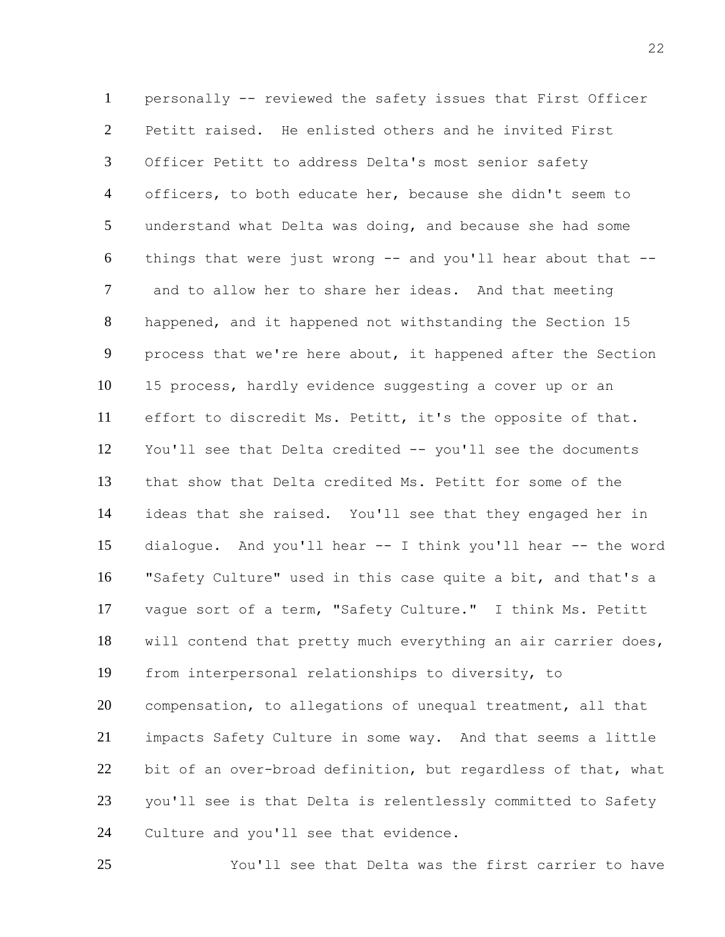personally -- reviewed the safety issues that First Officer Petitt raised. He enlisted others and he invited First Officer Petitt to address Delta's most senior safety officers, to both educate her, because she didn't seem to understand what Delta was doing, and because she had some things that were just wrong -- and you'll hear about that -- and to allow her to share her ideas. And that meeting happened, and it happened not withstanding the Section 15 process that we're here about, it happened after the Section 15 process, hardly evidence suggesting a cover up or an effort to discredit Ms. Petitt, it's the opposite of that. You'll see that Delta credited -- you'll see the documents that show that Delta credited Ms. Petitt for some of the ideas that she raised. You'll see that they engaged her in dialogue. And you'll hear -- I think you'll hear -- the word "Safety Culture" used in this case quite a bit, and that's a vague sort of a term, "Safety Culture." I think Ms. Petitt will contend that pretty much everything an air carrier does, from interpersonal relationships to diversity, to compensation, to allegations of unequal treatment, all that impacts Safety Culture in some way. And that seems a little bit of an over-broad definition, but regardless of that, what you'll see is that Delta is relentlessly committed to Safety Culture and you'll see that evidence.

You'll see that Delta was the first carrier to have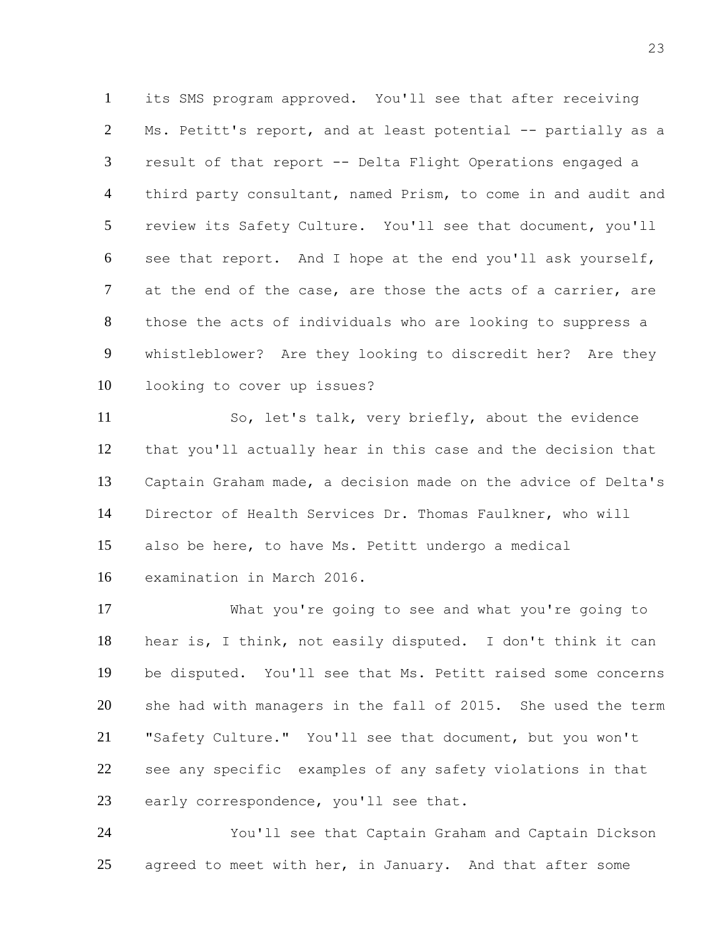its SMS program approved. You'll see that after receiving Ms. Petitt's report, and at least potential -- partially as a result of that report -- Delta Flight Operations engaged a third party consultant, named Prism, to come in and audit and review its Safety Culture. You'll see that document, you'll see that report. And I hope at the end you'll ask yourself, 7 at the end of the case, are those the acts of a carrier, are those the acts of individuals who are looking to suppress a whistleblower? Are they looking to discredit her? Are they looking to cover up issues?

 So, let's talk, very briefly, about the evidence that you'll actually hear in this case and the decision that Captain Graham made, a decision made on the advice of Delta's Director of Health Services Dr. Thomas Faulkner, who will also be here, to have Ms. Petitt undergo a medical examination in March 2016.

 What you're going to see and what you're going to hear is, I think, not easily disputed. I don't think it can be disputed. You'll see that Ms. Petitt raised some concerns she had with managers in the fall of 2015. She used the term "Safety Culture." You'll see that document, but you won't see any specific examples of any safety violations in that 23 early correspondence, you'll see that.

 You'll see that Captain Graham and Captain Dickson 25 agreed to meet with her, in January. And that after some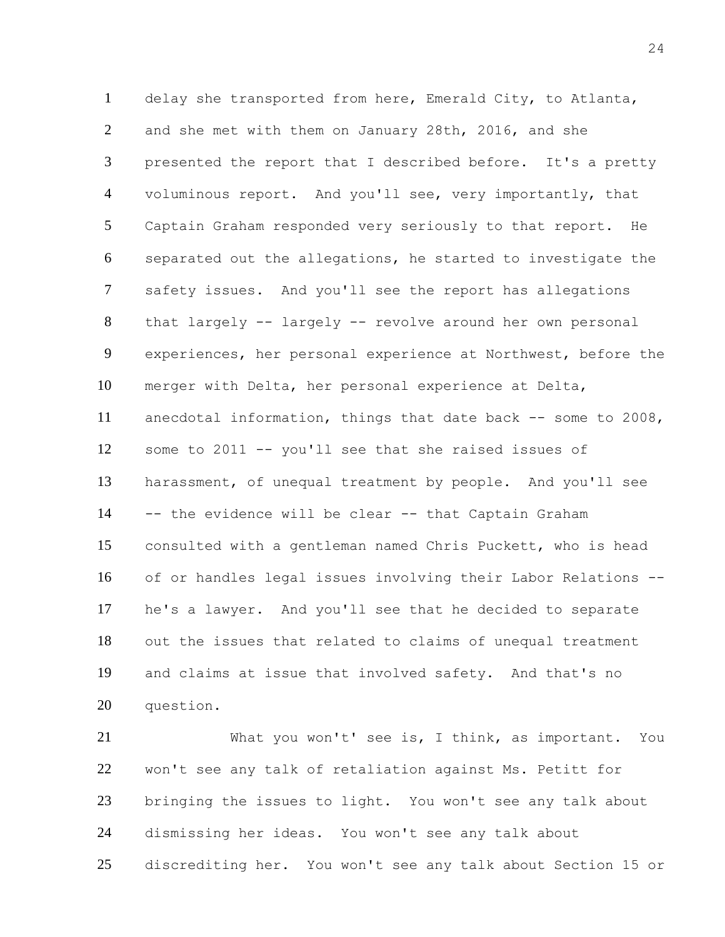delay she transported from here, Emerald City, to Atlanta, and she met with them on January 28th, 2016, and she presented the report that I described before. It's a pretty 4 voluminous report. And you'll see, very importantly, that Captain Graham responded very seriously to that report. He separated out the allegations, he started to investigate the safety issues. And you'll see the report has allegations that largely -- largely -- revolve around her own personal experiences, her personal experience at Northwest, before the merger with Delta, her personal experience at Delta, anecdotal information, things that date back -- some to 2008, some to 2011 -- you'll see that she raised issues of harassment, of unequal treatment by people. And you'll see -- the evidence will be clear -- that Captain Graham consulted with a gentleman named Chris Puckett, who is head of or handles legal issues involving their Labor Relations -- he's a lawyer. And you'll see that he decided to separate out the issues that related to claims of unequal treatment and claims at issue that involved safety. And that's no question.

 What you won't' see is, I think, as important. You won't see any talk of retaliation against Ms. Petitt for bringing the issues to light. You won't see any talk about dismissing her ideas. You won't see any talk about discrediting her. You won't see any talk about Section 15 or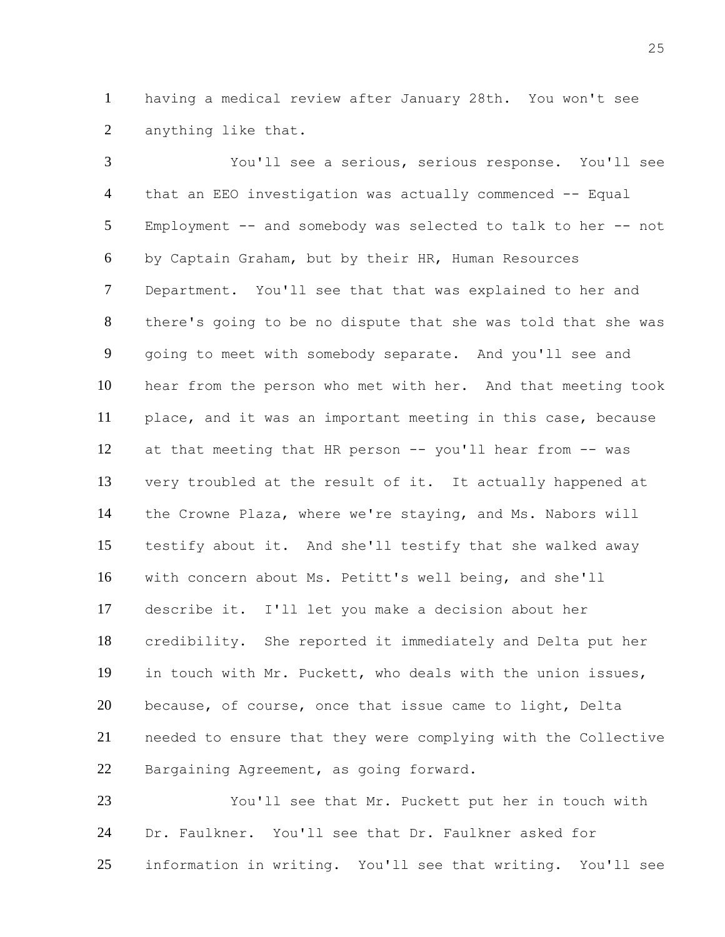having a medical review after January 28th. You won't see anything like that.

 You'll see a serious, serious response. You'll see that an EEO investigation was actually commenced -- Equal Employment -- and somebody was selected to talk to her -- not by Captain Graham, but by their HR, Human Resources Department. You'll see that that was explained to her and there's going to be no dispute that she was told that she was going to meet with somebody separate. And you'll see and hear from the person who met with her. And that meeting took place, and it was an important meeting in this case, because at that meeting that HR person -- you'll hear from -- was very troubled at the result of it. It actually happened at the Crowne Plaza, where we're staying, and Ms. Nabors will testify about it. And she'll testify that she walked away with concern about Ms. Petitt's well being, and she'll describe it. I'll let you make a decision about her credibility. She reported it immediately and Delta put her in touch with Mr. Puckett, who deals with the union issues, because, of course, once that issue came to light, Delta needed to ensure that they were complying with the Collective Bargaining Agreement, as going forward.

 You'll see that Mr. Puckett put her in touch with Dr. Faulkner. You'll see that Dr. Faulkner asked for information in writing. You'll see that writing. You'll see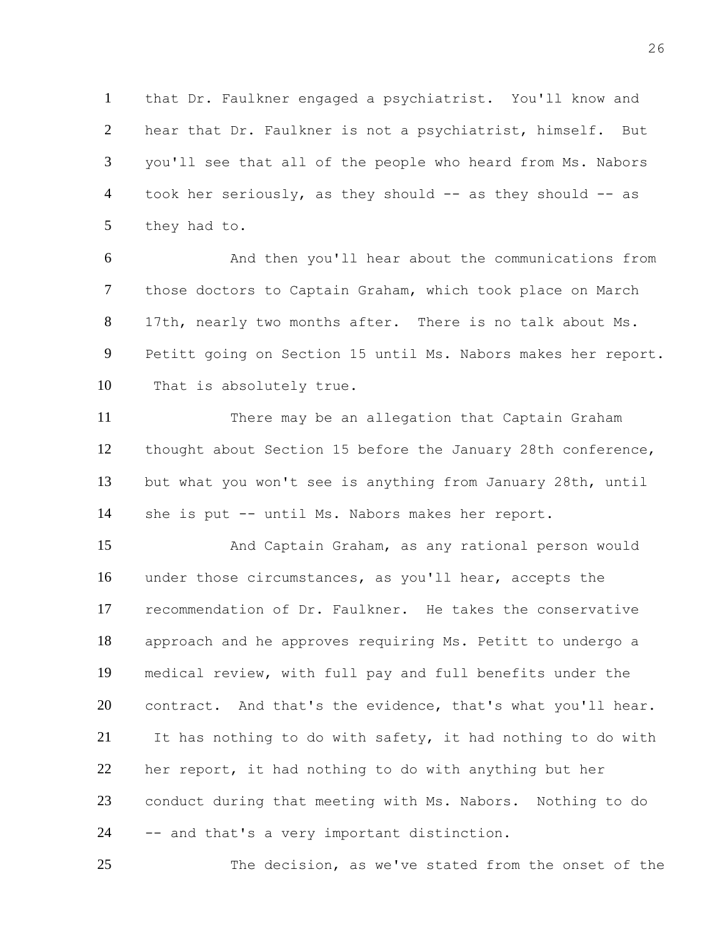that Dr. Faulkner engaged a psychiatrist. You'll know and hear that Dr. Faulkner is not a psychiatrist, himself. But you'll see that all of the people who heard from Ms. Nabors 4 took her seriously, as they should -- as they should -- as they had to.

 And then you'll hear about the communications from those doctors to Captain Graham, which took place on March 17th, nearly two months after. There is no talk about Ms. Petitt going on Section 15 until Ms. Nabors makes her report. That is absolutely true.

 There may be an allegation that Captain Graham thought about Section 15 before the January 28th conference, but what you won't see is anything from January 28th, until she is put -- until Ms. Nabors makes her report.

 And Captain Graham, as any rational person would under those circumstances, as you'll hear, accepts the recommendation of Dr. Faulkner. He takes the conservative approach and he approves requiring Ms. Petitt to undergo a medical review, with full pay and full benefits under the 20 contract. And that's the evidence, that's what you'll hear. It has nothing to do with safety, it had nothing to do with her report, it had nothing to do with anything but her conduct during that meeting with Ms. Nabors. Nothing to do -- and that's a very important distinction.

The decision, as we've stated from the onset of the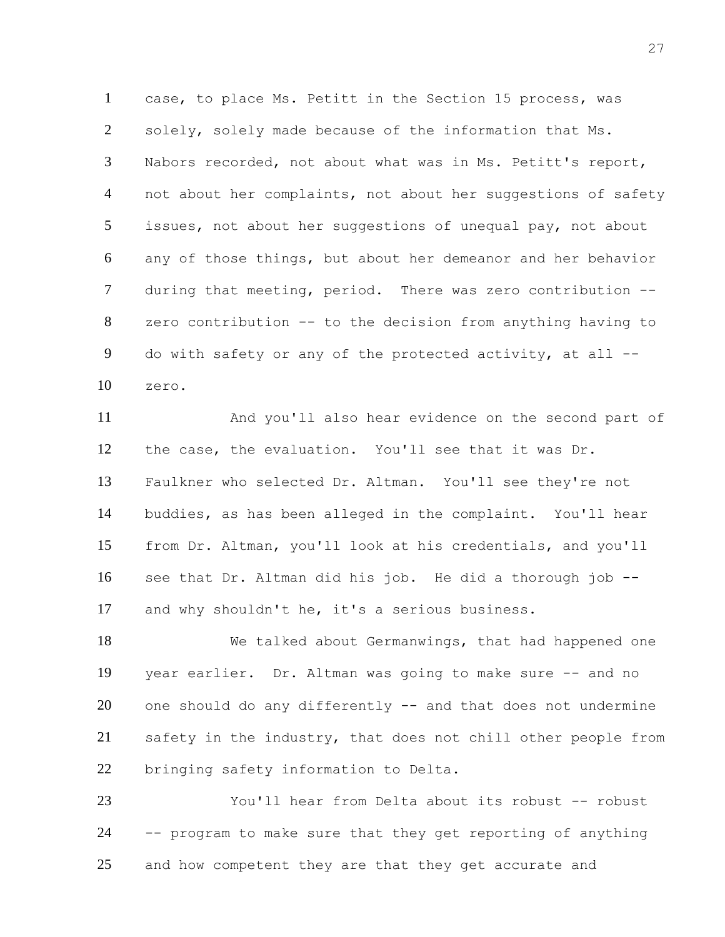case, to place Ms. Petitt in the Section 15 process, was solely, solely made because of the information that Ms. Nabors recorded, not about what was in Ms. Petitt's report, 4 not about her complaints, not about her suggestions of safety issues, not about her suggestions of unequal pay, not about any of those things, but about her demeanor and her behavior during that meeting, period. There was zero contribution -- zero contribution -- to the decision from anything having to do with safety or any of the protected activity, at all -- zero.

 And you'll also hear evidence on the second part of the case, the evaluation. You'll see that it was Dr. Faulkner who selected Dr. Altman. You'll see they're not buddies, as has been alleged in the complaint. You'll hear from Dr. Altman, you'll look at his credentials, and you'll see that Dr. Altman did his job. He did a thorough job -- and why shouldn't he, it's a serious business.

 We talked about Germanwings, that had happened one year earlier. Dr. Altman was going to make sure -- and no one should do any differently -- and that does not undermine safety in the industry, that does not chill other people from bringing safety information to Delta.

 You'll hear from Delta about its robust -- robust -- program to make sure that they get reporting of anything 25 and how competent they are that they get accurate and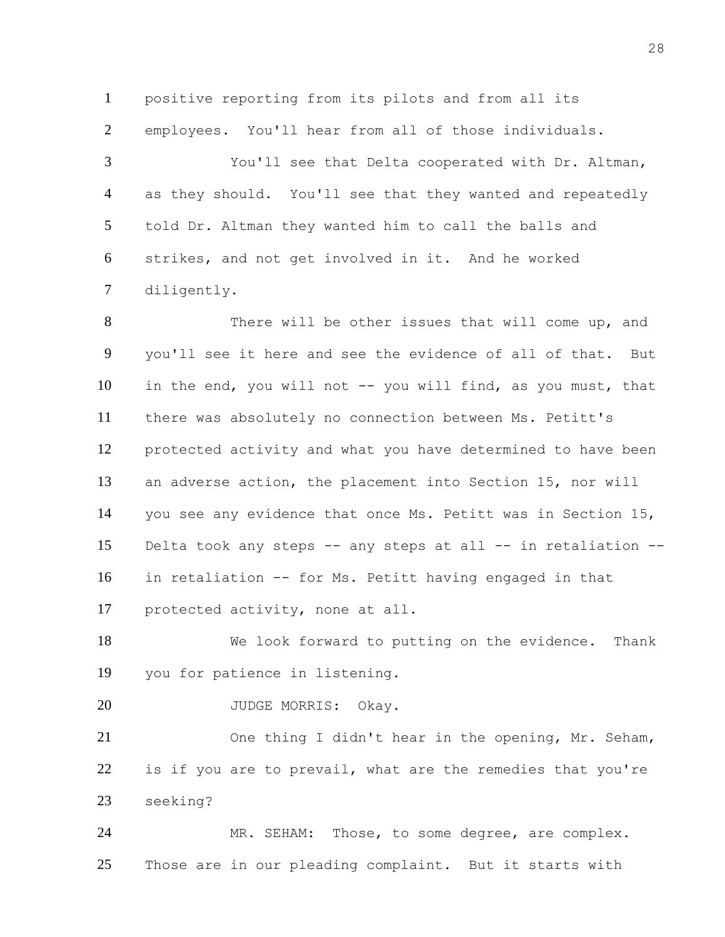positive reporting from its pilots and from all its employees. You'll hear from all of those individuals.

 You'll see that Delta cooperated with Dr. Altman, as they should. You'll see that they wanted and repeatedly told Dr. Altman they wanted him to call the balls and strikes, and not get involved in it. And he worked diligently.

8 There will be other issues that will come up, and you'll see it here and see the evidence of all of that. But in the end, you will not -- you will find, as you must, that there was absolutely no connection between Ms. Petitt's protected activity and what you have determined to have been an adverse action, the placement into Section 15, nor will you see any evidence that once Ms. Petitt was in Section 15, Delta took any steps -- any steps at all -- in retaliation -- in retaliation -- for Ms. Petitt having engaged in that protected activity, none at all.

 We look forward to putting on the evidence. Thank you for patience in listening.

20 JUDGE MORRIS: Okay.

 One thing I didn't hear in the opening, Mr. Seham, is if you are to prevail, what are the remedies that you're seeking?

 MR. SEHAM: Those, to some degree, are complex. Those are in our pleading complaint. But it starts with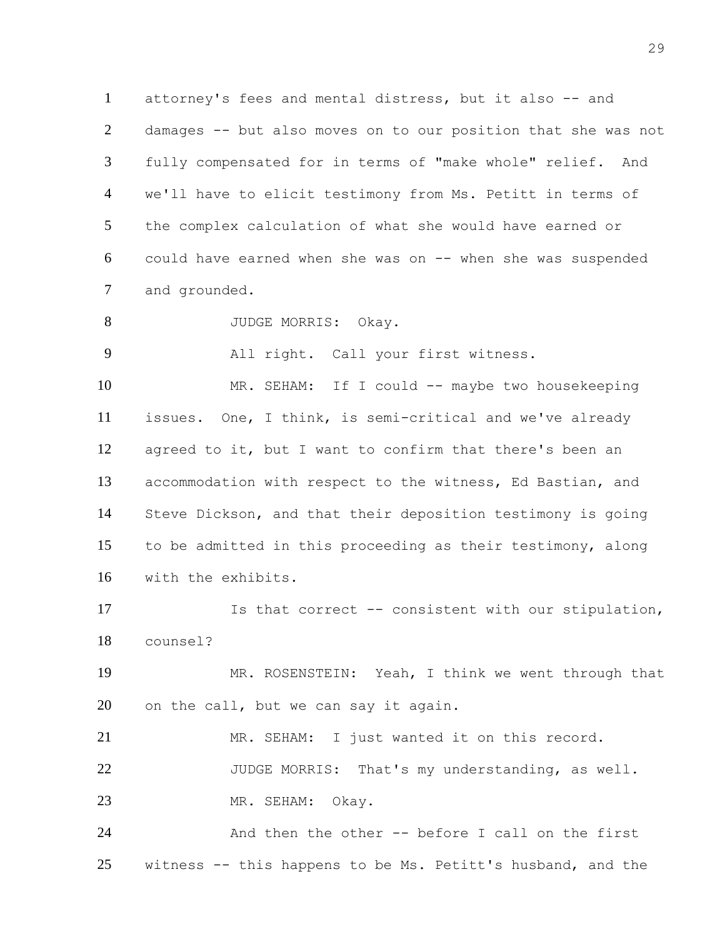attorney's fees and mental distress, but it also -- and damages -- but also moves on to our position that she was not fully compensated for in terms of "make whole" relief. And we'll have to elicit testimony from Ms. Petitt in terms of the complex calculation of what she would have earned or could have earned when she was on -- when she was suspended and grounded.

JUDGE MORRIS: Okay.

All right. Call your first witness.

10 MR. SEHAM: If I could -- maybe two housekeeping issues. One, I think, is semi-critical and we've already agreed to it, but I want to confirm that there's been an accommodation with respect to the witness, Ed Bastian, and Steve Dickson, and that their deposition testimony is going to be admitted in this proceeding as their testimony, along with the exhibits.

 Is that correct -- consistent with our stipulation, counsel?

 MR. ROSENSTEIN: Yeah, I think we went through that on the call, but we can say it again.

 MR. SEHAM: I just wanted it on this record. JUDGE MORRIS: That's my understanding, as well. MR. SEHAM: Okay.

 And then the other -- before I call on the first witness -- this happens to be Ms. Petitt's husband, and the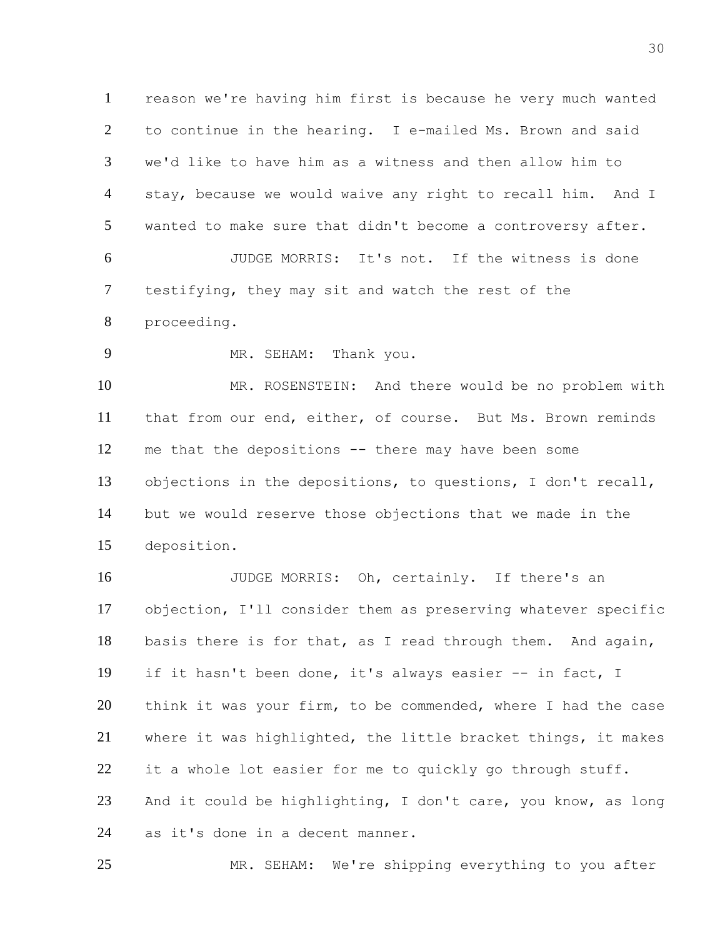reason we're having him first is because he very much wanted to continue in the hearing. I e-mailed Ms. Brown and said we'd like to have him as a witness and then allow him to stay, because we would waive any right to recall him. And I wanted to make sure that didn't become a controversy after. JUDGE MORRIS: It's not. If the witness is done testifying, they may sit and watch the rest of the proceeding.

MR. SEHAM: Thank you.

 MR. ROSENSTEIN: And there would be no problem with that from our end, either, of course. But Ms. Brown reminds me that the depositions -- there may have been some objections in the depositions, to questions, I don't recall, but we would reserve those objections that we made in the deposition.

 JUDGE MORRIS: Oh, certainly. If there's an objection, I'll consider them as preserving whatever specific basis there is for that, as I read through them. And again, if it hasn't been done, it's always easier -- in fact, I think it was your firm, to be commended, where I had the case where it was highlighted, the little bracket things, it makes 22 it a whole lot easier for me to quickly go through stuff. And it could be highlighting, I don't care, you know, as long as it's done in a decent manner.

MR. SEHAM: We're shipping everything to you after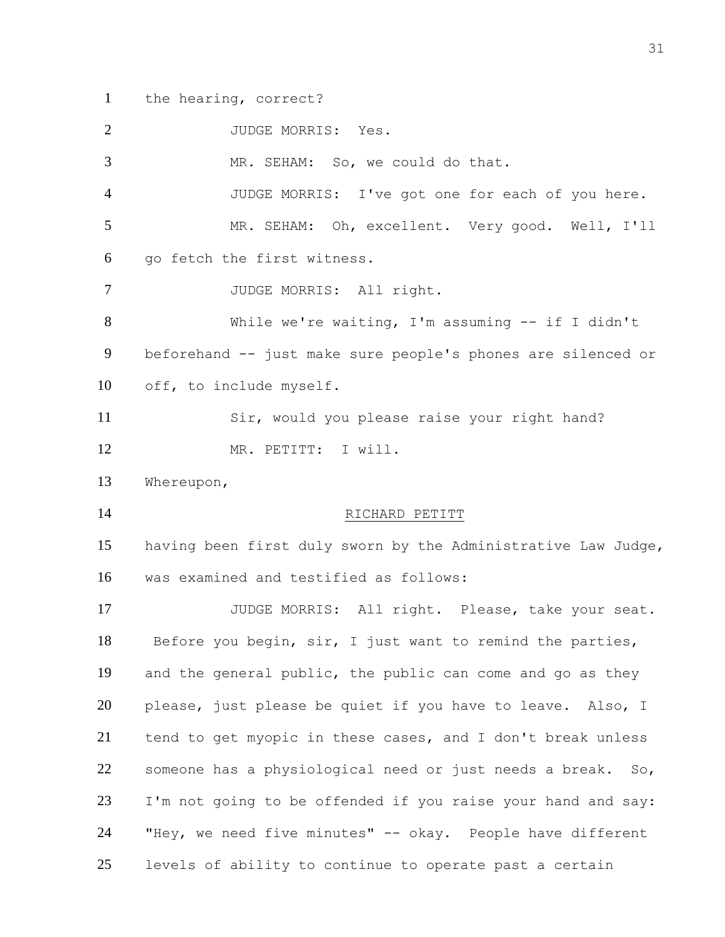the hearing, correct?

2 JUDGE MORRIS: Yes.

MR. SEHAM: So, we could do that.

 JUDGE MORRIS: I've got one for each of you here. MR. SEHAM: Oh, excellent. Very good. Well, I'll go fetch the first witness.

JUDGE MORRIS: All right.

 While we're waiting, I'm assuming -- if I didn't beforehand -- just make sure people's phones are silenced or off, to include myself.

 Sir, would you please raise your right hand? MR. PETITT: I will.

Whereupon,

### 14 RICHARD PETITT

 having been first duly sworn by the Administrative Law Judge, was examined and testified as follows:

 JUDGE MORRIS: All right. Please, take your seat. 18 Before you begin, sir, I just want to remind the parties, and the general public, the public can come and go as they 20 please, just please be quiet if you have to leave. Also, I tend to get myopic in these cases, and I don't break unless 22 someone has a physiological need or just needs a break. So, I'm not going to be offended if you raise your hand and say: "Hey, we need five minutes" -- okay. People have different levels of ability to continue to operate past a certain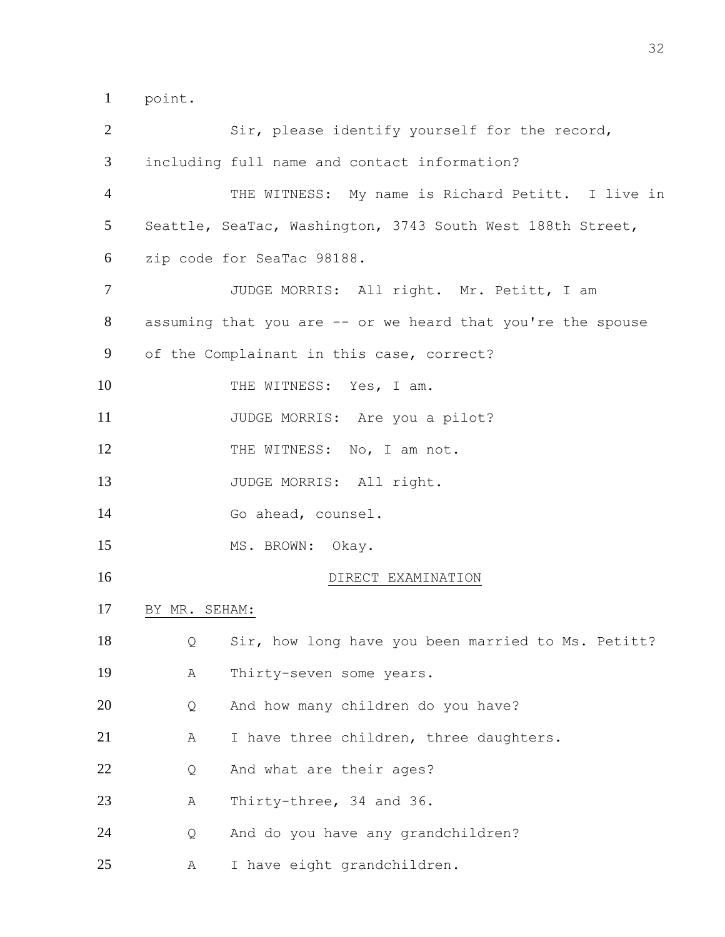point.

| $\overline{2}$ |               | Sir, please identify yourself for the record,               |
|----------------|---------------|-------------------------------------------------------------|
| 3              |               | including full name and contact information?                |
| $\overline{4}$ |               | THE WITNESS: My name is Richard Petitt. I live in           |
| 5              |               | Seattle, SeaTac, Washington, 3743 South West 188th Street,  |
| 6              |               | zip code for SeaTac 98188.                                  |
| $\tau$         |               | JUDGE MORRIS: All right. Mr. Petitt, I am                   |
| 8              |               | assuming that you are -- or we heard that you're the spouse |
| 9              |               | of the Complainant in this case, correct?                   |
| 10             |               | THE WITNESS: Yes, I am.                                     |
| 11             |               | JUDGE MORRIS: Are you a pilot?                              |
| 12             |               | THE WITNESS: No, I am not.                                  |
| 13             |               | JUDGE MORRIS: All right.                                    |
| 14             |               | Go ahead, counsel.                                          |
| 15             |               | MS. BROWN: Okay.                                            |
| 16             |               | DIRECT EXAMINATION                                          |
| 17             | BY MR. SEHAM: |                                                             |
| 18             | Q             | Sir, how long have you been married to Ms. Petitt?          |
| 19             | Α             | Thirty-seven some years.                                    |
| 20             | Q             | And how many children do you have?                          |
| 21             | Α             | I have three children, three daughters.                     |
| 22             | Q             | And what are their ages?                                    |
| 23             | Α             | Thirty-three, 34 and 36.                                    |
| 24             | Q             | And do you have any grandchildren?                          |
| 25             | Α             | I have eight grandchildren.                                 |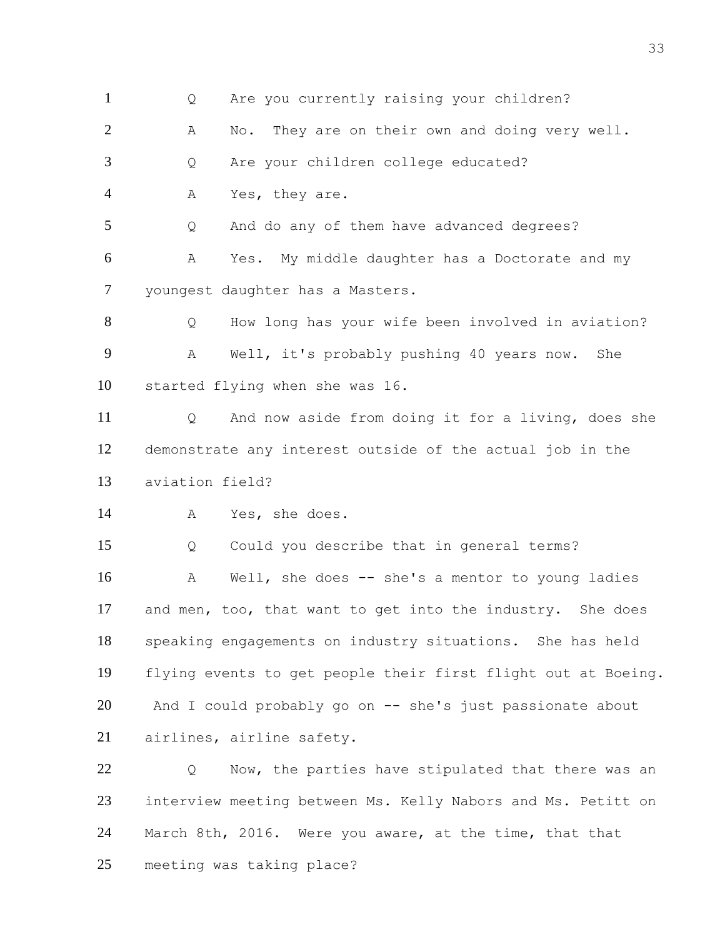Q Are you currently raising your children? 2 A No. They are on their own and doing very well. Q Are your children college educated? A Yes, they are. Q And do any of them have advanced degrees? A Yes. My middle daughter has a Doctorate and my youngest daughter has a Masters. Q How long has your wife been involved in aviation? A Well, it's probably pushing 40 years now. She started flying when she was 16. Q And now aside from doing it for a living, does she demonstrate any interest outside of the actual job in the aviation field? A Yes, she does. Q Could you describe that in general terms? A Well, she does -- she's a mentor to young ladies and men, too, that want to get into the industry. She does speaking engagements on industry situations. She has held flying events to get people their first flight out at Boeing. And I could probably go on -- she's just passionate about airlines, airline safety. 22 O Now, the parties have stipulated that there was an interview meeting between Ms. Kelly Nabors and Ms. Petitt on March 8th, 2016. Were you aware, at the time, that that meeting was taking place?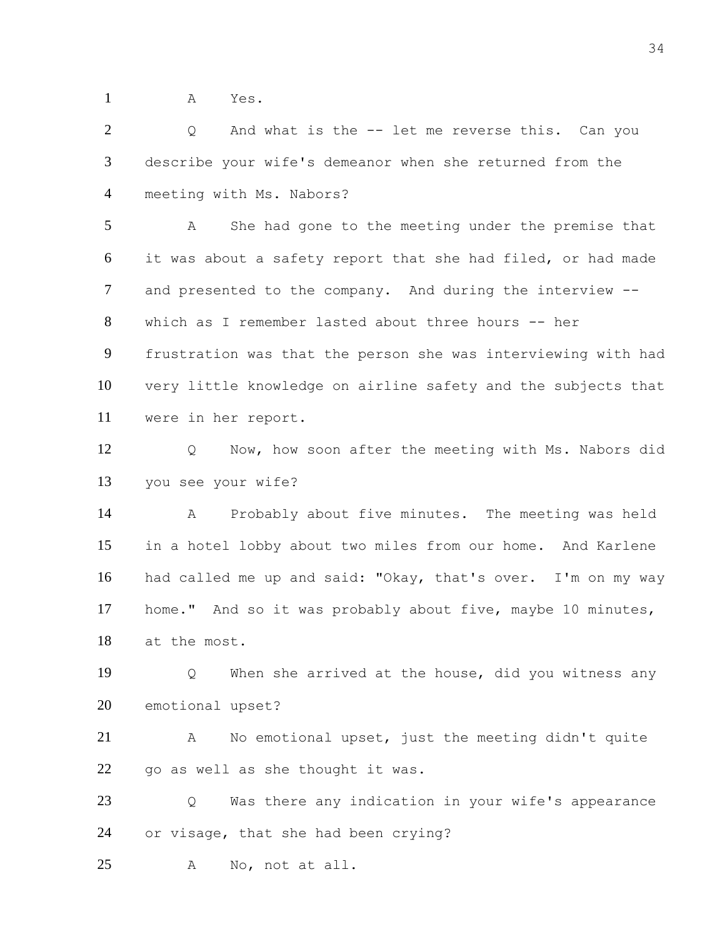A Yes.

2 Q And what is the -- let me reverse this. Can you describe your wife's demeanor when she returned from the meeting with Ms. Nabors?

 A She had gone to the meeting under the premise that it was about a safety report that she had filed, or had made and presented to the company. And during the interview -- which as I remember lasted about three hours -- her

 frustration was that the person she was interviewing with had very little knowledge on airline safety and the subjects that were in her report.

 Q Now, how soon after the meeting with Ms. Nabors did you see your wife?

 A Probably about five minutes. The meeting was held in a hotel lobby about two miles from our home. And Karlene had called me up and said: "Okay, that's over. I'm on my way home." And so it was probably about five, maybe 10 minutes, at the most.

 Q When she arrived at the house, did you witness any emotional upset?

 A No emotional upset, just the meeting didn't quite go as well as she thought it was.

 Q Was there any indication in your wife's appearance or visage, that she had been crying?

A No, not at all.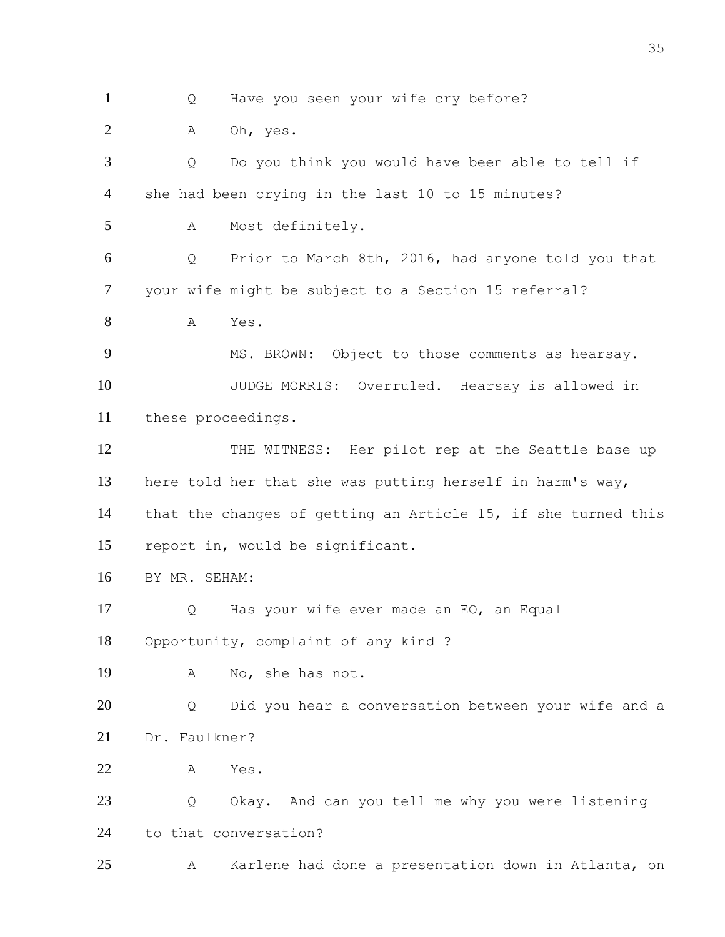1 Q Have you seen your wife cry before?

A Oh, yes.

 Q Do you think you would have been able to tell if she had been crying in the last 10 to 15 minutes? A Most definitely. Q Prior to March 8th, 2016, had anyone told you that your wife might be subject to a Section 15 referral? A Yes. 9 MS. BROWN: Object to those comments as hearsay. JUDGE MORRIS: Overruled. Hearsay is allowed in these proceedings. 12 THE WITNESS: Her pilot rep at the Seattle base up here told her that she was putting herself in harm's way, that the changes of getting an Article 15, if she turned this report in, would be significant. BY MR. SEHAM: Q Has your wife ever made an EO, an Equal Opportunity, complaint of any kind ? A No, she has not. Q Did you hear a conversation between your wife and a Dr. Faulkner? A Yes. 23 Q Okay. And can you tell me why you were listening to that conversation? A Karlene had done a presentation down in Atlanta, on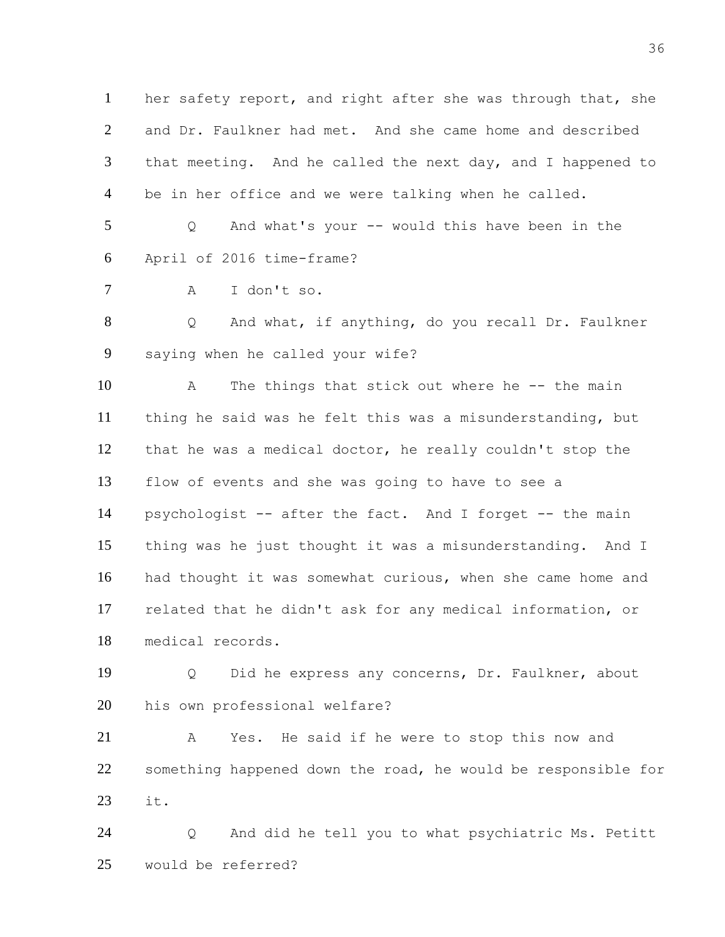her safety report, and right after she was through that, she and Dr. Faulkner had met. And she came home and described 3 that meeting. And he called the next day, and I happened to be in her office and we were talking when he called.

 Q And what's your -- would this have been in the April of 2016 time-frame?

```
7 A I don't so.
```
 Q And what, if anything, do you recall Dr. Faulkner saying when he called your wife?

 A The things that stick out where he -- the main thing he said was he felt this was a misunderstanding, but that he was a medical doctor, he really couldn't stop the flow of events and she was going to have to see a psychologist -- after the fact. And I forget -- the main thing was he just thought it was a misunderstanding. And I had thought it was somewhat curious, when she came home and related that he didn't ask for any medical information, or medical records.

 Q Did he express any concerns, Dr. Faulkner, about his own professional welfare?

 A Yes. He said if he were to stop this now and something happened down the road, he would be responsible for it.

 Q And did he tell you to what psychiatric Ms. Petitt would be referred?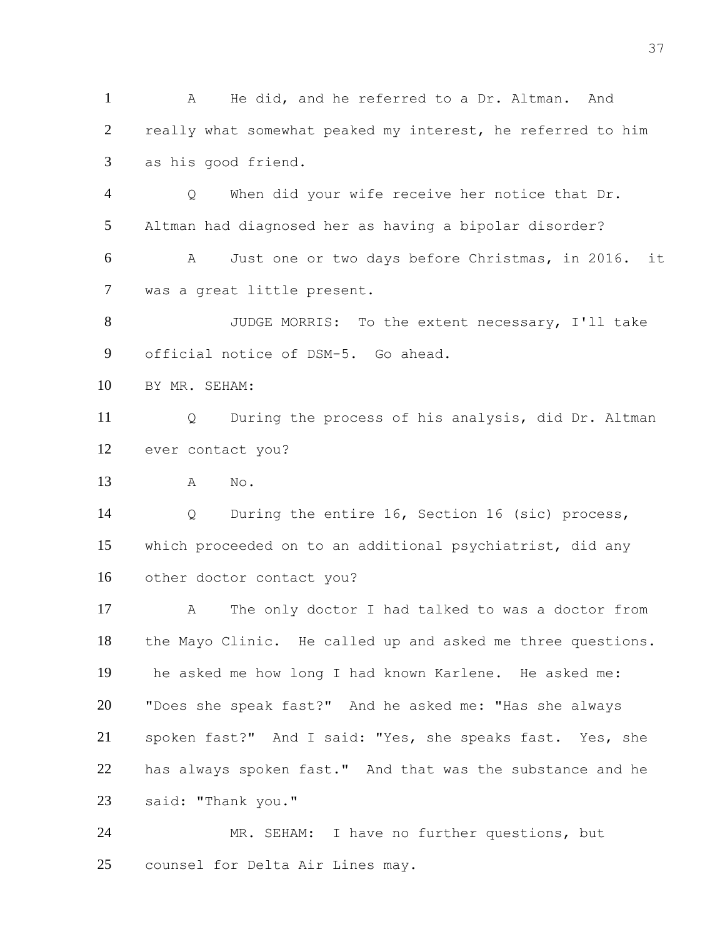A He did, and he referred to a Dr. Altman. And really what somewhat peaked my interest, he referred to him as his good friend.

 Q When did your wife receive her notice that Dr. Altman had diagnosed her as having a bipolar disorder?

 A Just one or two days before Christmas, in 2016. it was a great little present.

 JUDGE MORRIS: To the extent necessary, I'll take official notice of DSM-5. Go ahead.

BY MR. SEHAM:

 Q During the process of his analysis, did Dr. Altman ever contact you?

A No.

 Q During the entire 16, Section 16 (sic) process, which proceeded on to an additional psychiatrist, did any other doctor contact you?

 A The only doctor I had talked to was a doctor from the Mayo Clinic. He called up and asked me three questions. he asked me how long I had known Karlene. He asked me: "Does she speak fast?" And he asked me: "Has she always spoken fast?" And I said: "Yes, she speaks fast. Yes, she has always spoken fast." And that was the substance and he said: "Thank you."

 MR. SEHAM: I have no further questions, but counsel for Delta Air Lines may.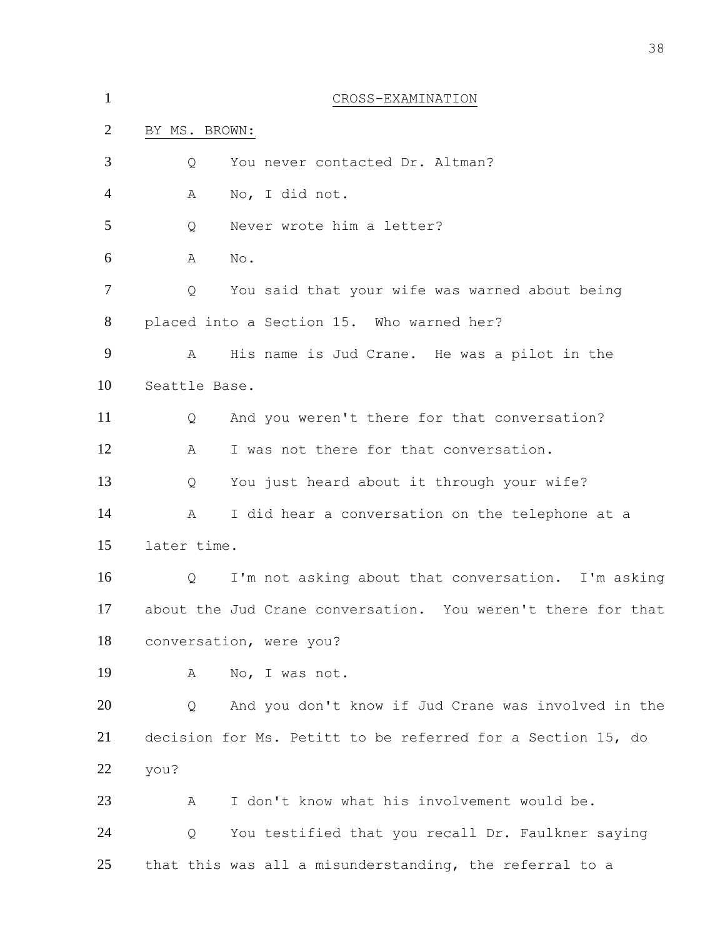| $\mathbf{1}$   | CROSS-EXAMINATION                                            |
|----------------|--------------------------------------------------------------|
| $\overline{2}$ | BY MS. BROWN:                                                |
| 3              | You never contacted Dr. Altman?<br>Q                         |
| $\overline{4}$ | No, I did not.<br>Α                                          |
| 5              | Never wrote him a letter?<br>Q                               |
| 6              | No.<br>A                                                     |
| $\overline{7}$ | Q<br>You said that your wife was warned about being          |
| 8              | placed into a Section 15. Who warned her?                    |
| 9              | Α<br>His name is Jud Crane. He was a pilot in the            |
| 10             | Seattle Base.                                                |
| 11             | And you weren't there for that conversation?<br>Q            |
| 12             | I was not there for that conversation.<br>Α                  |
| 13             | You just heard about it through your wife?<br>Q              |
| 14             | I did hear a conversation on the telephone at a<br>Α         |
| 15             | later time.                                                  |
| 16             | I'm not asking about that conversation. I'm asking<br>Q      |
| 17             | about the Jud Crane conversation. You weren't there for that |
| 18             | conversation, were you?                                      |
| 19             | No, I was not.<br>A                                          |
| 20             | And you don't know if Jud Crane was involved in the<br>Q     |
| 21             | decision for Ms. Petitt to be referred for a Section 15, do  |
| 22             | you?                                                         |
| 23             | I don't know what his involvement would be.<br>A             |
| 24             | You testified that you recall Dr. Faulkner saying<br>Q       |
| 25             | that this was all a misunderstanding, the referral to a      |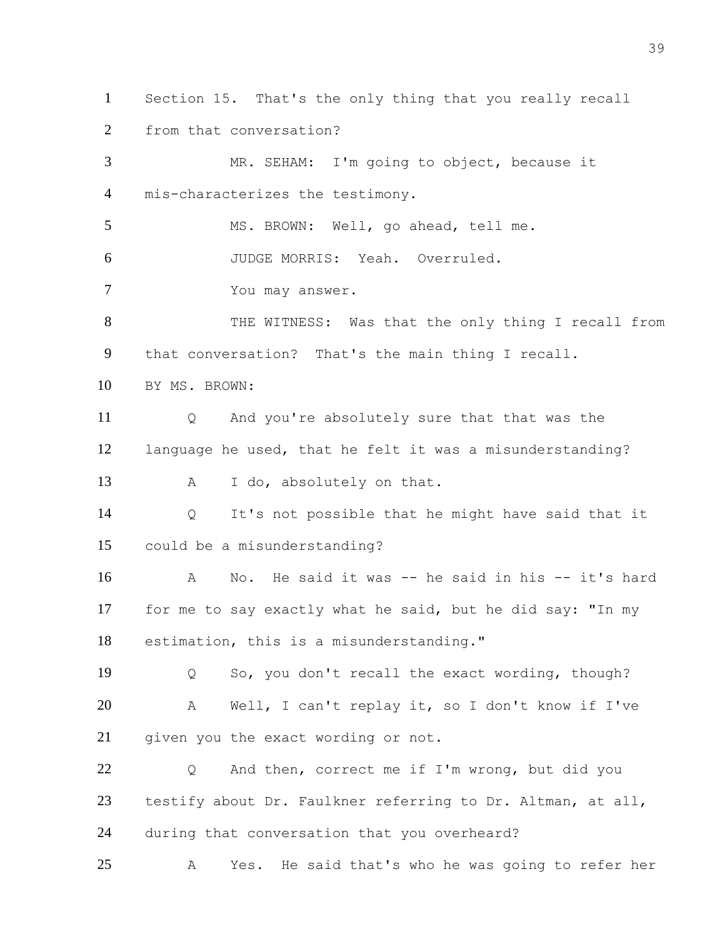Section 15. That's the only thing that you really recall from that conversation?

 MR. SEHAM: I'm going to object, because it mis-characterizes the testimony. MS. BROWN: Well, go ahead, tell me. JUDGE MORRIS: Yeah. Overruled. You may answer. 8 THE WITNESS: Was that the only thing I recall from that conversation? That's the main thing I recall. BY MS. BROWN: Q And you're absolutely sure that that was the language he used, that he felt it was a misunderstanding? 13 A I do, absolutely on that. Q It's not possible that he might have said that it could be a misunderstanding? A No. He said it was -- he said in his -- it's hard for me to say exactly what he said, but he did say: "In my estimation, this is a misunderstanding." Q So, you don't recall the exact wording, though? A Well, I can't replay it, so I don't know if I've 21 given you the exact wording or not. Q And then, correct me if I'm wrong, but did you testify about Dr. Faulkner referring to Dr. Altman, at all, during that conversation that you overheard? A Yes. He said that's who he was going to refer her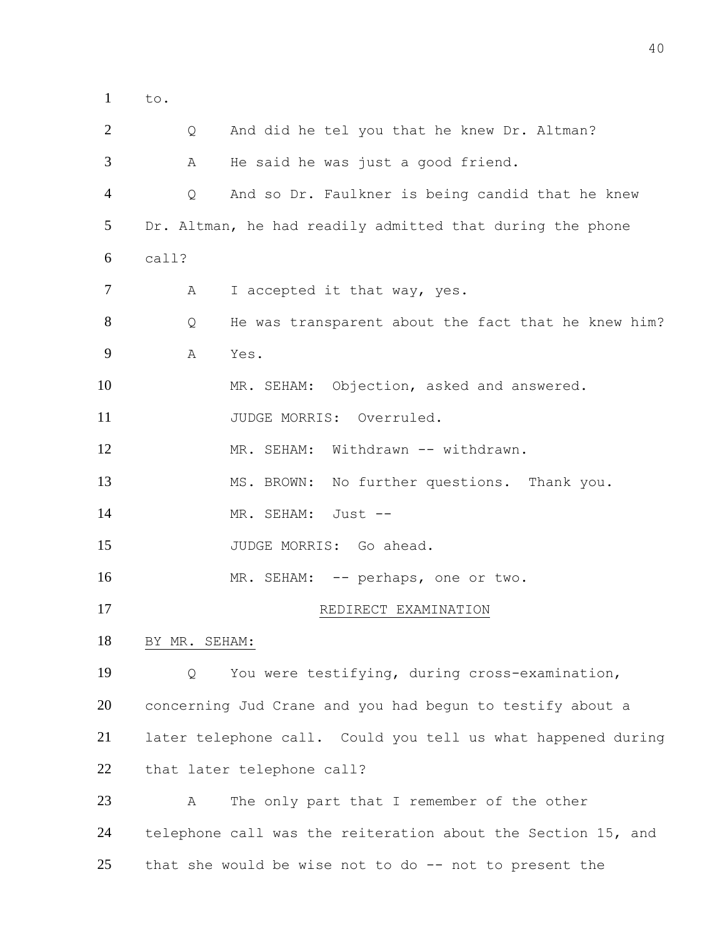to.

 Q And did he tel you that he knew Dr. Altman? A He said he was just a good friend. Q And so Dr. Faulkner is being candid that he knew Dr. Altman, he had readily admitted that during the phone call? 7 A I accepted it that way, yes. 8 Q He was transparent about the fact that he knew him? A Yes. MR. SEHAM: Objection, asked and answered. 11 JUDGE MORRIS: Overruled. MR. SEHAM: Withdrawn -- withdrawn. MS. BROWN: No further questions. Thank you. 14 MR. SEHAM: Just --15 JUDGE MORRIS: Go ahead. 16 MR. SEHAM: -- perhaps, one or two. 17 REDIRECT EXAMINATION BY MR. SEHAM: Q You were testifying, during cross-examination, concerning Jud Crane and you had begun to testify about a later telephone call. Could you tell us what happened during that later telephone call? A The only part that I remember of the other telephone call was the reiteration about the Section 15, and that she would be wise not to do -- not to present the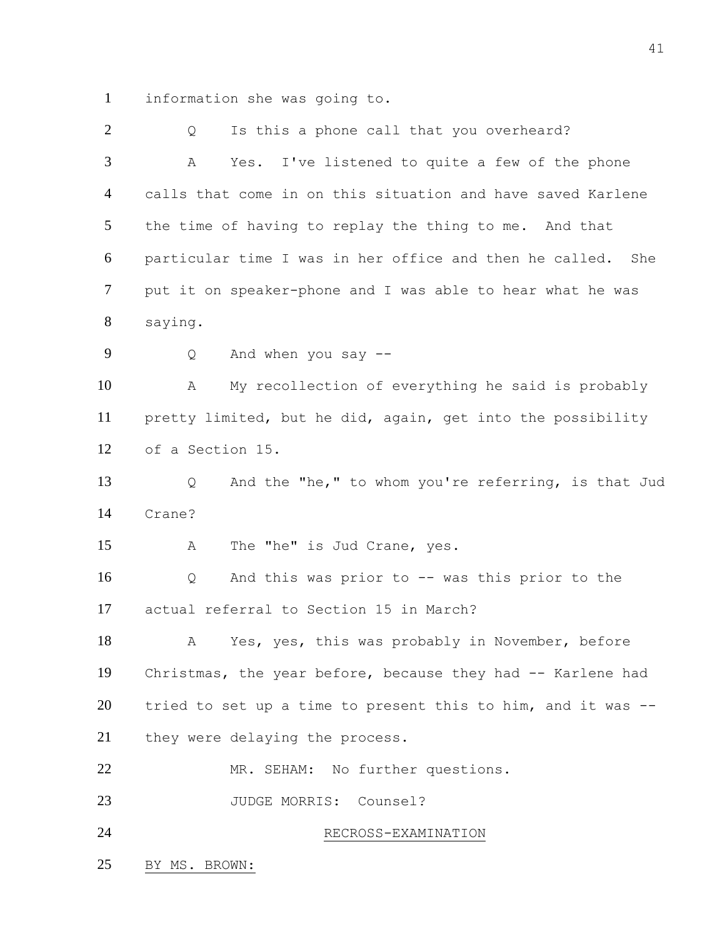information she was going to.

2 Q Is this a phone call that you overheard? A Yes. I've listened to quite a few of the phone calls that come in on this situation and have saved Karlene the time of having to replay the thing to me. And that particular time I was in her office and then he called. She put it on speaker-phone and I was able to hear what he was saying. Q And when you say -- A My recollection of everything he said is probably pretty limited, but he did, again, get into the possibility of a Section 15. Q And the "he," to whom you're referring, is that Jud Crane? A The "he" is Jud Crane, yes. Q And this was prior to -- was this prior to the actual referral to Section 15 in March? A Yes, yes, this was probably in November, before Christmas, the year before, because they had -- Karlene had tried to set up a time to present this to him, and it was -- they were delaying the process. MR. SEHAM: No further questions. JUDGE MORRIS: Counsel? RECROSS-EXAMINATION BY MS. BROWN: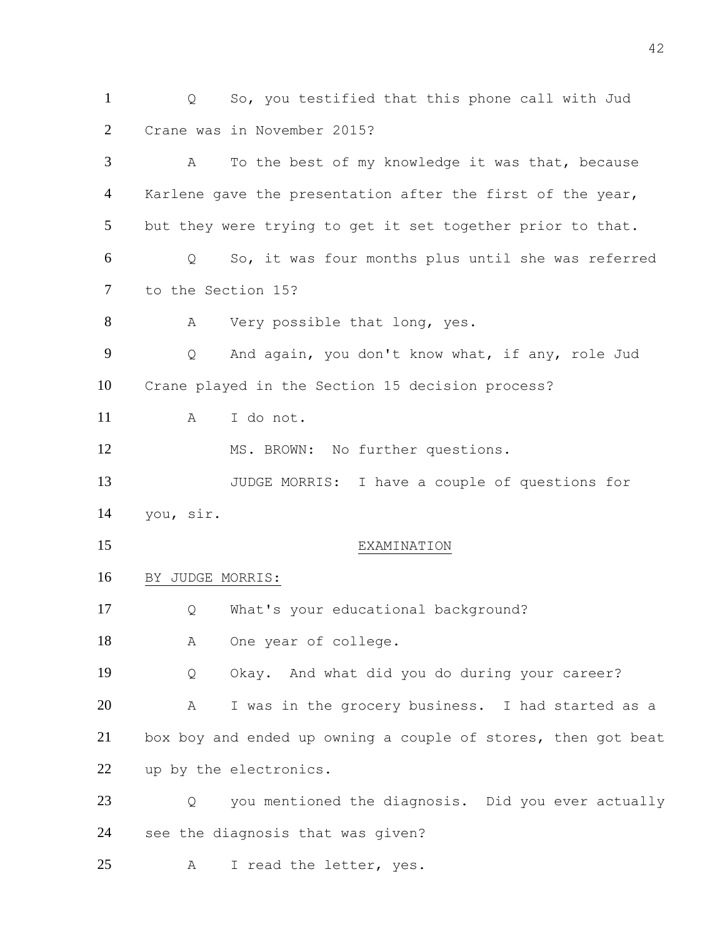Q So, you testified that this phone call with Jud Crane was in November 2015? A To the best of my knowledge it was that, because 4 Karlene gave the presentation after the first of the year, but they were trying to get it set together prior to that. Q So, it was four months plus until she was referred to the Section 15? 8 A Very possible that long, yes. Q And again, you don't know what, if any, role Jud Crane played in the Section 15 decision process? A I do not. 12 MS. BROWN: No further questions. JUDGE MORRIS: I have a couple of questions for you, sir. EXAMINATION BY JUDGE MORRIS: Q What's your educational background? 18 A One year of college. Q Okay. And what did you do during your career? A I was in the grocery business. I had started as a box boy and ended up owning a couple of stores, then got beat up by the electronics. Q you mentioned the diagnosis. Did you ever actually see the diagnosis that was given? A I read the letter, yes.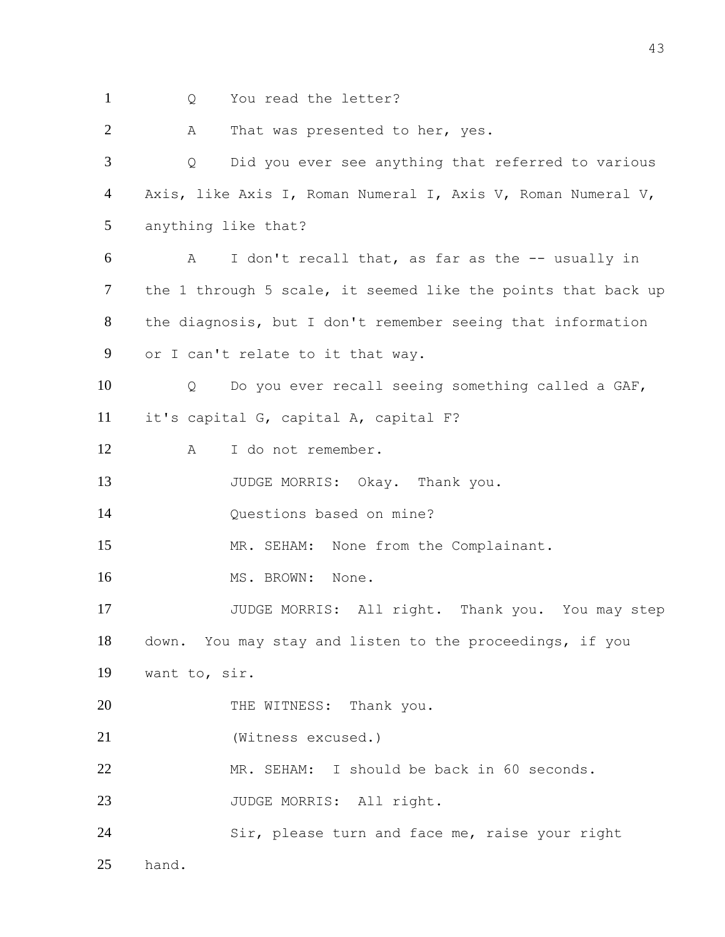1 Q You read the letter? 2 A That was presented to her, yes. Q Did you ever see anything that referred to various Axis, like Axis I, Roman Numeral I, Axis V, Roman Numeral V, anything like that? A I don't recall that, as far as the -- usually in the 1 through 5 scale, it seemed like the points that back up the diagnosis, but I don't remember seeing that information or I can't relate to it that way. Q Do you ever recall seeing something called a GAF, it's capital G, capital A, capital F? A I do not remember. 13 JUDGE MORRIS: Okay. Thank you. Questions based on mine? 15 MR. SEHAM: None from the Complainant. 16 MS. BROWN: None. JUDGE MORRIS: All right. Thank you. You may step down. You may stay and listen to the proceedings, if you want to, sir. 20 THE WITNESS: Thank you. (Witness excused.) MR. SEHAM: I should be back in 60 seconds. 23 JUDGE MORRIS: All right. Sir, please turn and face me, raise your right hand.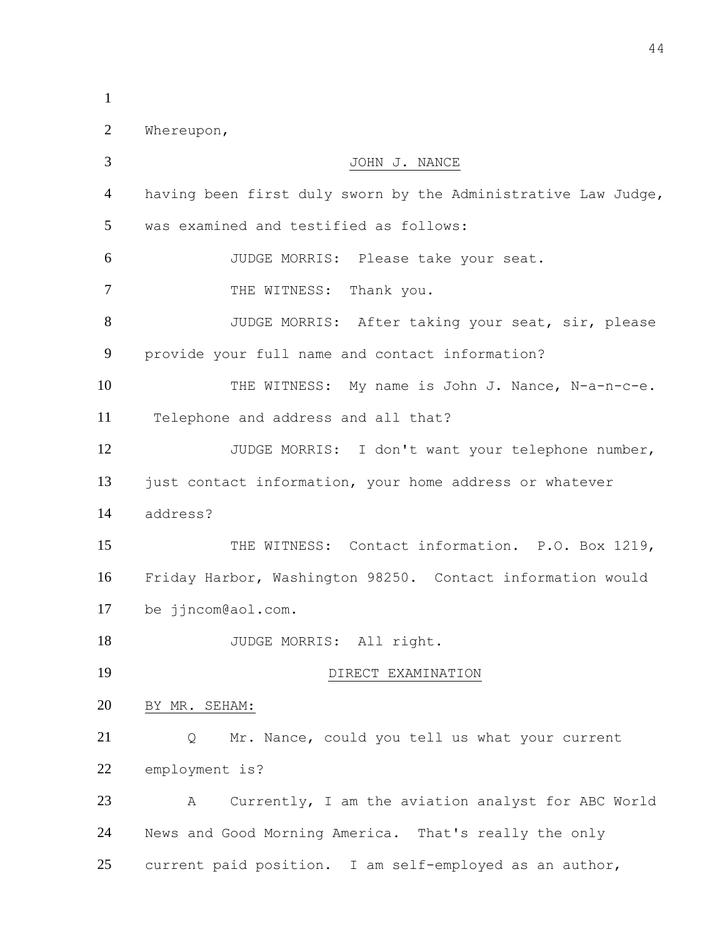| $\mathbf{1}$   |                                                               |
|----------------|---------------------------------------------------------------|
| $\overline{2}$ | Whereupon,                                                    |
| 3              | JOHN J. NANCE                                                 |
| 4              | having been first duly sworn by the Administrative Law Judge, |
| 5              | was examined and testified as follows:                        |
| 6              | JUDGE MORRIS: Please take your seat.                          |
| $\overline{7}$ | THE WITNESS: Thank you.                                       |
| 8              | JUDGE MORRIS: After taking your seat, sir, please             |
| 9              | provide your full name and contact information?               |
| 10             | THE WITNESS: My name is John J. Nance, N-a-n-c-e.             |
| 11             | Telephone and address and all that?                           |
| 12             | JUDGE MORRIS: I don't want your telephone number,             |
| 13             | just contact information, your home address or whatever       |
| 14             | address?                                                      |
| 15             | THE WITNESS: Contact information. P.O. Box 1219,              |
| 16             | Friday Harbor, Washington 98250. Contact information would    |
| 17             | be jjncom@aol.com.                                            |
| 18             | JUDGE MORRIS: All right.                                      |
| 19             | DIRECT EXAMINATION                                            |
| 20             | BY MR. SEHAM:                                                 |
| 21             | Mr. Nance, could you tell us what your current<br>Q           |
| 22             | employment is?                                                |
| 23             | Currently, I am the aviation analyst for ABC World<br>А       |
| 24             | News and Good Morning America. That's really the only         |
| 25             | current paid position. I am self-employed as an author,       |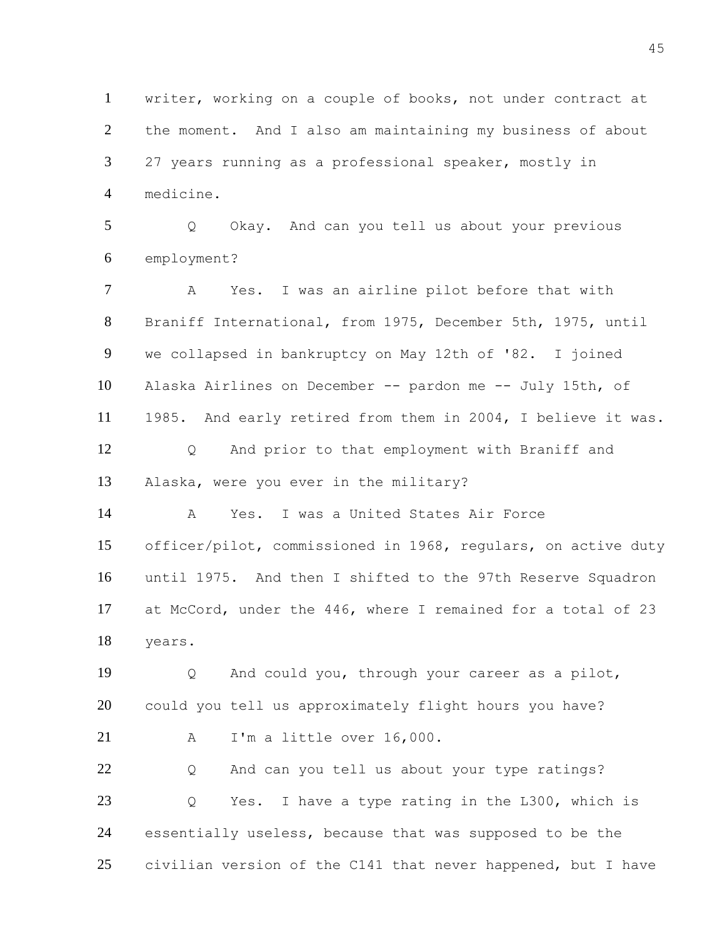writer, working on a couple of books, not under contract at the moment. And I also am maintaining my business of about 27 years running as a professional speaker, mostly in medicine. Q Okay. And can you tell us about your previous employment? A Yes. I was an airline pilot before that with Braniff International, from 1975, December 5th, 1975, until we collapsed in bankruptcy on May 12th of '82. I joined Alaska Airlines on December -- pardon me -- July 15th, of 1985. And early retired from them in 2004, I believe it was. Q And prior to that employment with Braniff and Alaska, were you ever in the military? A Yes. I was a United States Air Force officer/pilot, commissioned in 1968, regulars, on active duty until 1975. And then I shifted to the 97th Reserve Squadron at McCord, under the 446, where I remained for a total of 23 years. Q And could you, through your career as a pilot, could you tell us approximately flight hours you have? A I'm a little over 16,000. Q And can you tell us about your type ratings? Q Yes. I have a type rating in the L300, which is essentially useless, because that was supposed to be the civilian version of the C141 that never happened, but I have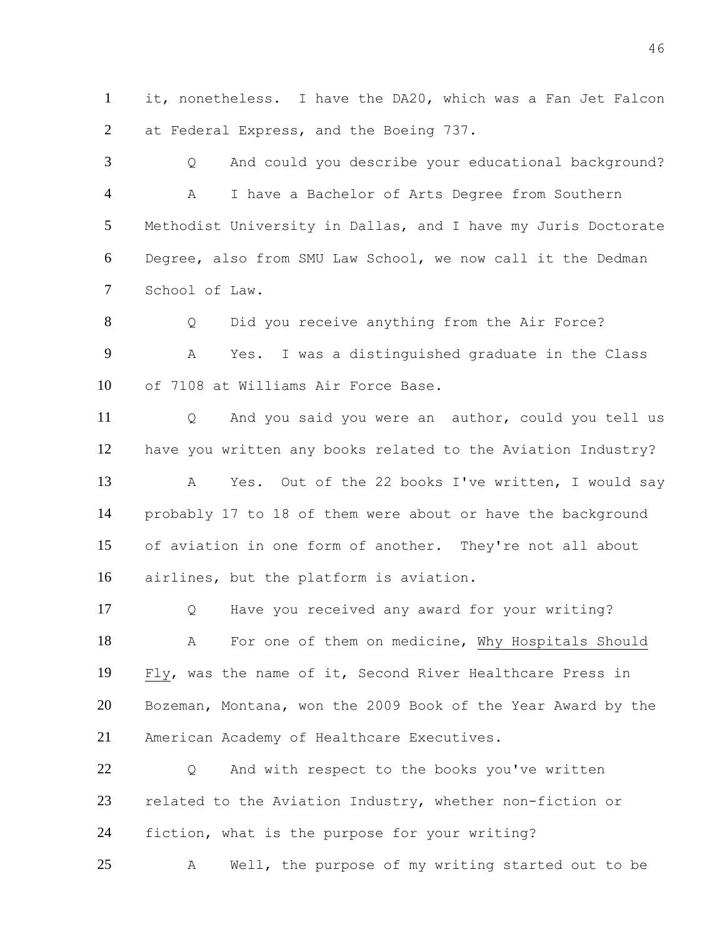it, nonetheless. I have the DA20, which was a Fan Jet Falcon at Federal Express, and the Boeing 737.

 Q And could you describe your educational background? A I have a Bachelor of Arts Degree from Southern Methodist University in Dallas, and I have my Juris Doctorate Degree, also from SMU Law School, we now call it the Dedman School of Law.

 Q Did you receive anything from the Air Force? A Yes. I was a distinguished graduate in the Class of 7108 at Williams Air Force Base.

 Q And you said you were an author, could you tell us have you written any books related to the Aviation Industry? A Yes. Out of the 22 books I've written, I would say probably 17 to 18 of them were about or have the background of aviation in one form of another. They're not all about airlines, but the platform is aviation.

 Q Have you received any award for your writing? A For one of them on medicine, Why Hospitals Should Fly, was the name of it, Second River Healthcare Press in Bozeman, Montana, won the 2009 Book of the Year Award by the American Academy of Healthcare Executives.

22 0 And with respect to the books you've written related to the Aviation Industry, whether non-fiction or fiction, what is the purpose for your writing?

A Well, the purpose of my writing started out to be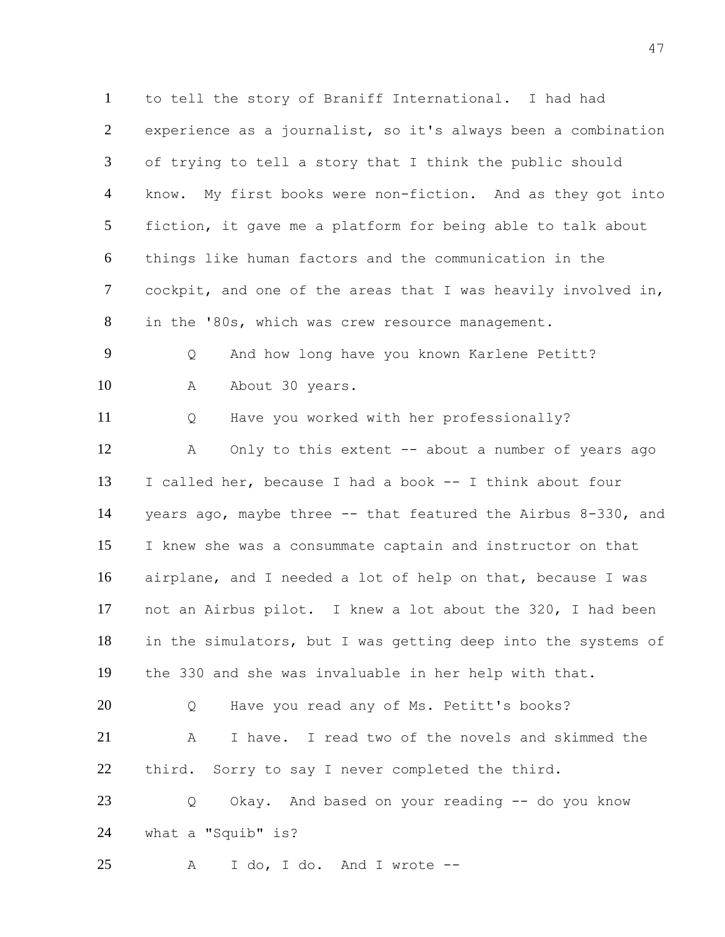to tell the story of Braniff International. I had had experience as a journalist, so it's always been a combination of trying to tell a story that I think the public should know. My first books were non-fiction. And as they got into fiction, it gave me a platform for being able to talk about things like human factors and the communication in the cockpit, and one of the areas that I was heavily involved in, in the '80s, which was crew resource management. Q And how long have you known Karlene Petitt? 10 A About 30 years. Q Have you worked with her professionally? 12 A Only to this extent -- about a number of years ago I called her, because I had a book -- I think about four years ago, maybe three -- that featured the Airbus 8-330, and I knew she was a consummate captain and instructor on that airplane, and I needed a lot of help on that, because I was not an Airbus pilot. I knew a lot about the 320, I had been in the simulators, but I was getting deep into the systems of the 330 and she was invaluable in her help with that. Q Have you read any of Ms. Petitt's books? A I have. I read two of the novels and skimmed the third. Sorry to say I never completed the third. Q Okay. And based on your reading -- do you know what a "Squib" is? A I do, I do. And I wrote --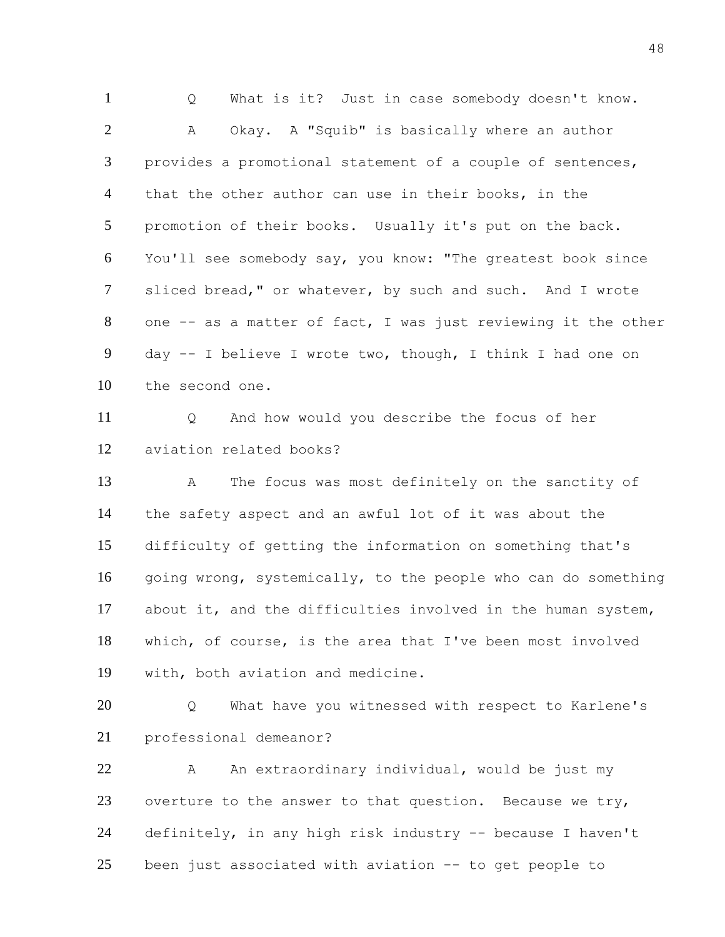Q What is it? Just in case somebody doesn't know. A Okay. A "Squib" is basically where an author provides a promotional statement of a couple of sentences, that the other author can use in their books, in the promotion of their books. Usually it's put on the back. You'll see somebody say, you know: "The greatest book since sliced bread," or whatever, by such and such. And I wrote one -- as a matter of fact, I was just reviewing it the other day -- I believe I wrote two, though, I think I had one on the second one.

 Q And how would you describe the focus of her aviation related books?

 A The focus was most definitely on the sanctity of the safety aspect and an awful lot of it was about the difficulty of getting the information on something that's going wrong, systemically, to the people who can do something about it, and the difficulties involved in the human system, which, of course, is the area that I've been most involved with, both aviation and medicine.

 Q What have you witnessed with respect to Karlene's professional demeanor?

 A An extraordinary individual, would be just my overture to the answer to that question. Because we try, definitely, in any high risk industry -- because I haven't been just associated with aviation -- to get people to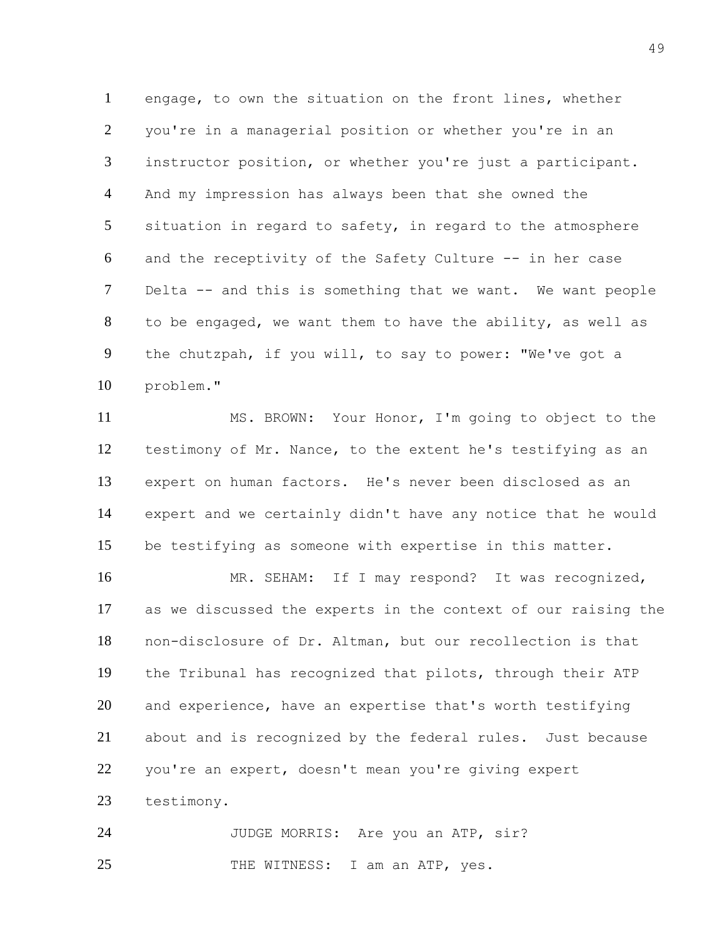engage, to own the situation on the front lines, whether you're in a managerial position or whether you're in an instructor position, or whether you're just a participant. And my impression has always been that she owned the situation in regard to safety, in regard to the atmosphere and the receptivity of the Safety Culture -- in her case Delta -- and this is something that we want. We want people to be engaged, we want them to have the ability, as well as the chutzpah, if you will, to say to power: "We've got a problem."

 MS. BROWN: Your Honor, I'm going to object to the testimony of Mr. Nance, to the extent he's testifying as an expert on human factors. He's never been disclosed as an expert and we certainly didn't have any notice that he would be testifying as someone with expertise in this matter.

16 MR. SEHAM: If I may respond? It was recognized, as we discussed the experts in the context of our raising the non-disclosure of Dr. Altman, but our recollection is that the Tribunal has recognized that pilots, through their ATP and experience, have an expertise that's worth testifying about and is recognized by the federal rules. Just because you're an expert, doesn't mean you're giving expert testimony.

24 JUDGE MORRIS: Are you an ATP, sir? 25 THE WITNESS: I am an ATP, yes.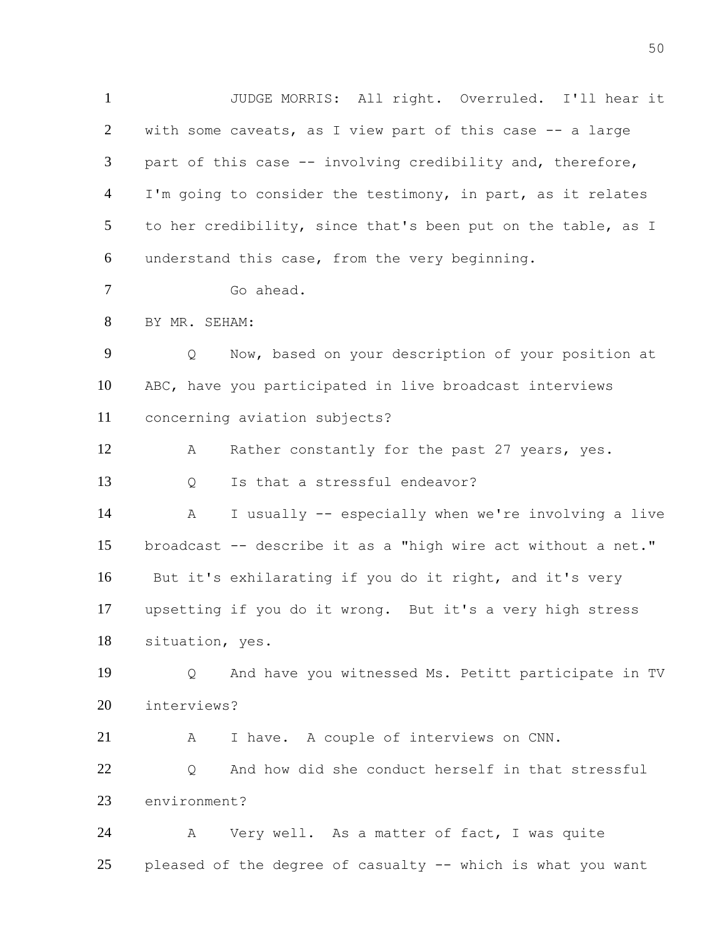JUDGE MORRIS: All right. Overruled. I'll hear it with some caveats, as I view part of this case -- a large part of this case -- involving credibility and, therefore, 4 I'm going to consider the testimony, in part, as it relates to her credibility, since that's been put on the table, as I understand this case, from the very beginning.

Go ahead.

BY MR. SEHAM:

 Q Now, based on your description of your position at ABC, have you participated in live broadcast interviews concerning aviation subjects?

 A Rather constantly for the past 27 years, yes. 13 O Is that a stressful endeavor?

 A I usually -- especially when we're involving a live broadcast -- describe it as a "high wire act without a net." But it's exhilarating if you do it right, and it's very upsetting if you do it wrong. But it's a very high stress situation, yes.

 Q And have you witnessed Ms. Petitt participate in TV interviews?

21 A I have. A couple of interviews on CNN.

22 0 And how did she conduct herself in that stressful environment?

 A Very well. As a matter of fact, I was quite pleased of the degree of casualty -- which is what you want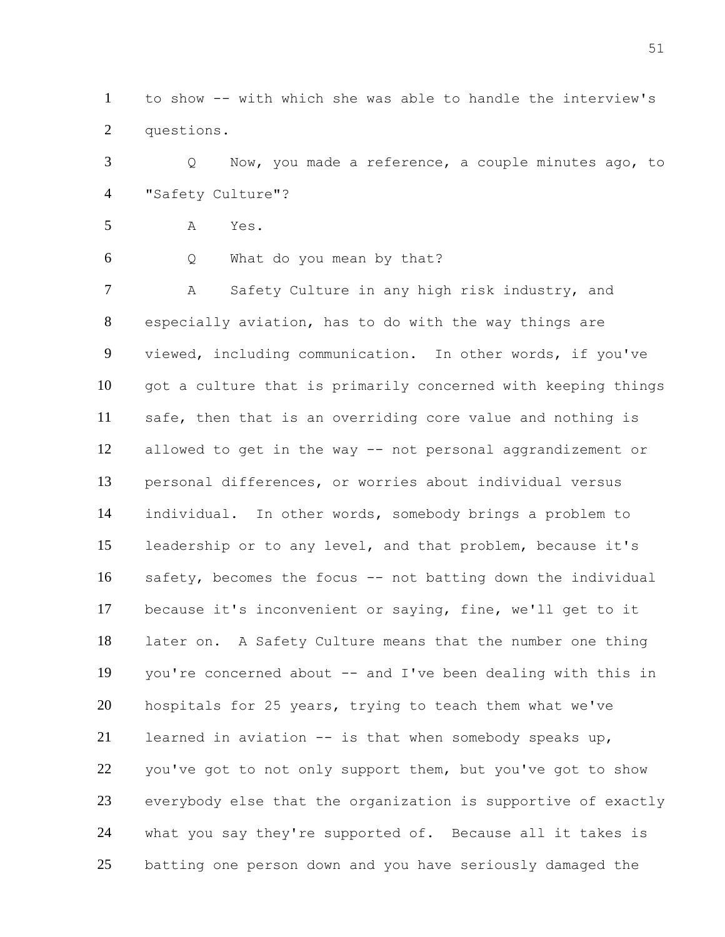to show -- with which she was able to handle the interview's questions.

 Q Now, you made a reference, a couple minutes ago, to "Safety Culture"?

A Yes.

Q What do you mean by that?

 A Safety Culture in any high risk industry, and especially aviation, has to do with the way things are viewed, including communication. In other words, if you've got a culture that is primarily concerned with keeping things safe, then that is an overriding core value and nothing is allowed to get in the way -- not personal aggrandizement or personal differences, or worries about individual versus individual. In other words, somebody brings a problem to leadership or to any level, and that problem, because it's safety, becomes the focus -- not batting down the individual because it's inconvenient or saying, fine, we'll get to it later on. A Safety Culture means that the number one thing you're concerned about -- and I've been dealing with this in hospitals for 25 years, trying to teach them what we've learned in aviation -- is that when somebody speaks up, 22 you've got to not only support them, but you've got to show everybody else that the organization is supportive of exactly what you say they're supported of. Because all it takes is batting one person down and you have seriously damaged the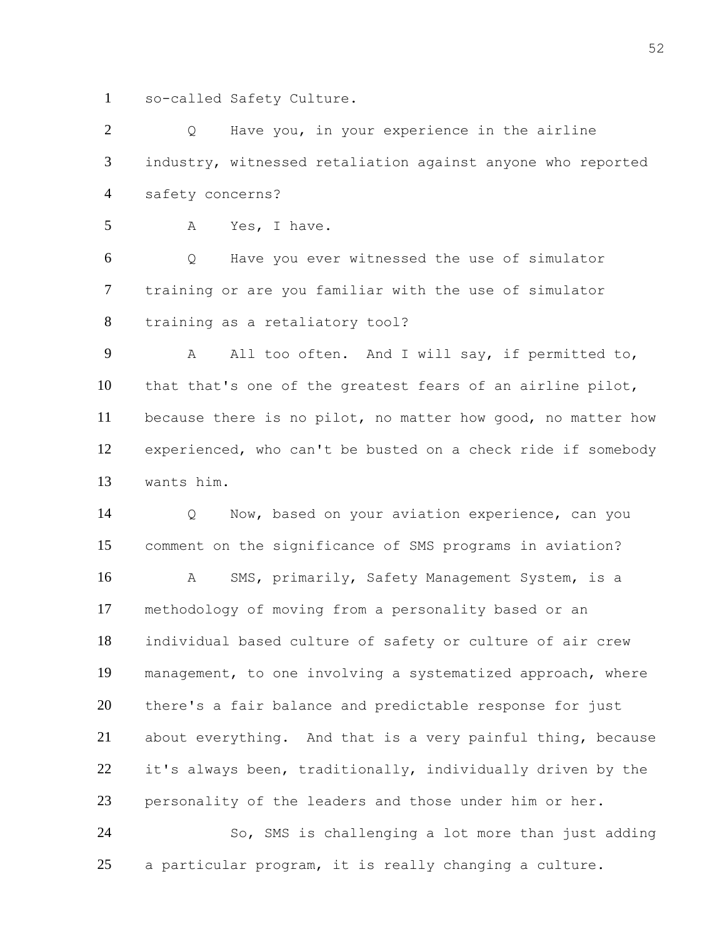so-called Safety Culture.

2 Q Have you, in your experience in the airline industry, witnessed retaliation against anyone who reported safety concerns?

A Yes, I have.

 Q Have you ever witnessed the use of simulator training or are you familiar with the use of simulator training as a retaliatory tool?

 A All too often. And I will say, if permitted to, that that's one of the greatest fears of an airline pilot, because there is no pilot, no matter how good, no matter how experienced, who can't be busted on a check ride if somebody wants him.

 Q Now, based on your aviation experience, can you comment on the significance of SMS programs in aviation? A SMS, primarily, Safety Management System, is a methodology of moving from a personality based or an individual based culture of safety or culture of air crew management, to one involving a systematized approach, where there's a fair balance and predictable response for just about everything. And that is a very painful thing, because it's always been, traditionally, individually driven by the personality of the leaders and those under him or her.

 So, SMS is challenging a lot more than just adding a particular program, it is really changing a culture.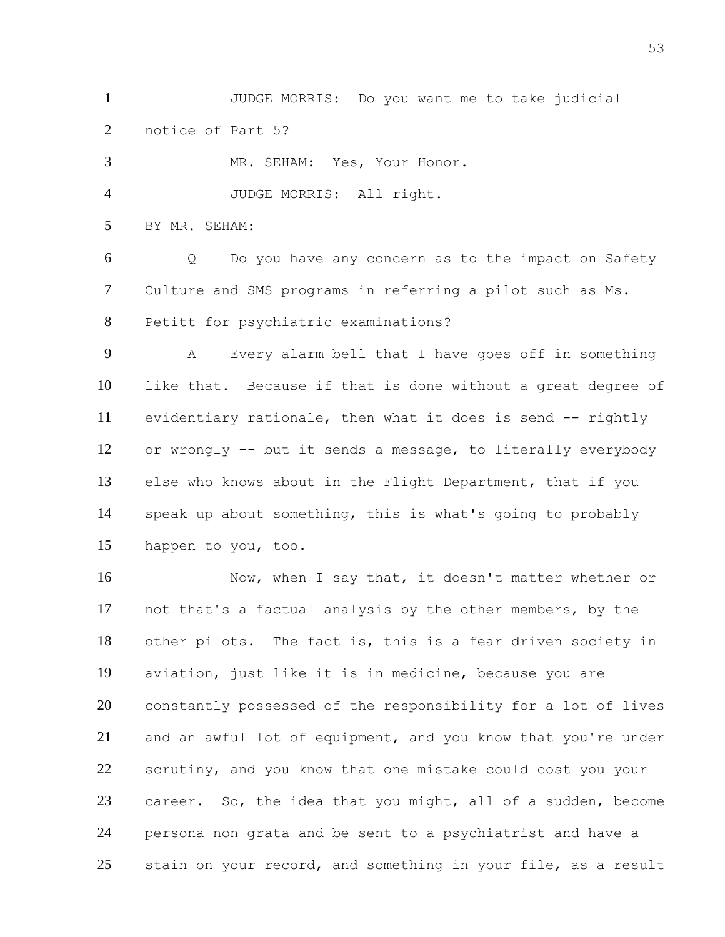JUDGE MORRIS: Do you want me to take judicial notice of Part 5?

 MR. SEHAM: Yes, Your Honor. JUDGE MORRIS: All right. BY MR. SEHAM: Q Do you have any concern as to the impact on Safety Culture and SMS programs in referring a pilot such as Ms. Petitt for psychiatric examinations? A Every alarm bell that I have goes off in something like that. Because if that is done without a great degree of evidentiary rationale, then what it does is send -- rightly or wrongly -- but it sends a message, to literally everybody else who knows about in the Flight Department, that if you speak up about something, this is what's going to probably happen to you, too. 16 Now, when I say that, it doesn't matter whether or not that's a factual analysis by the other members, by the other pilots. The fact is, this is a fear driven society in aviation, just like it is in medicine, because you are constantly possessed of the responsibility for a lot of lives and an awful lot of equipment, and you know that you're under scrutiny, and you know that one mistake could cost you your career. So, the idea that you might, all of a sudden, become persona non grata and be sent to a psychiatrist and have a 25 stain on your record, and something in your file, as a result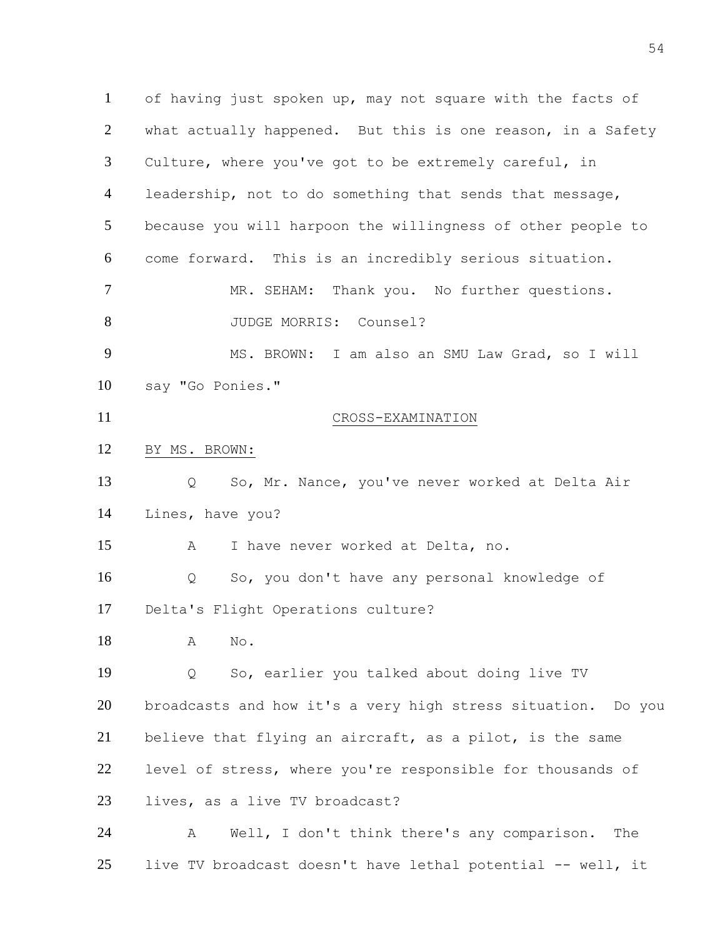of having just spoken up, may not square with the facts of what actually happened. But this is one reason, in a Safety Culture, where you've got to be extremely careful, in leadership, not to do something that sends that message, because you will harpoon the willingness of other people to come forward. This is an incredibly serious situation. MR. SEHAM: Thank you. No further questions. 8 JUDGE MORRIS: Counsel? MS. BROWN: I am also an SMU Law Grad, so I will say "Go Ponies." CROSS-EXAMINATION BY MS. BROWN: Q So, Mr. Nance, you've never worked at Delta Air Lines, have you? A I have never worked at Delta, no. Q So, you don't have any personal knowledge of Delta's Flight Operations culture? A No. Q So, earlier you talked about doing live TV broadcasts and how it's a very high stress situation. Do you believe that flying an aircraft, as a pilot, is the same level of stress, where you're responsible for thousands of lives, as a live TV broadcast? A Well, I don't think there's any comparison. The live TV broadcast doesn't have lethal potential -- well, it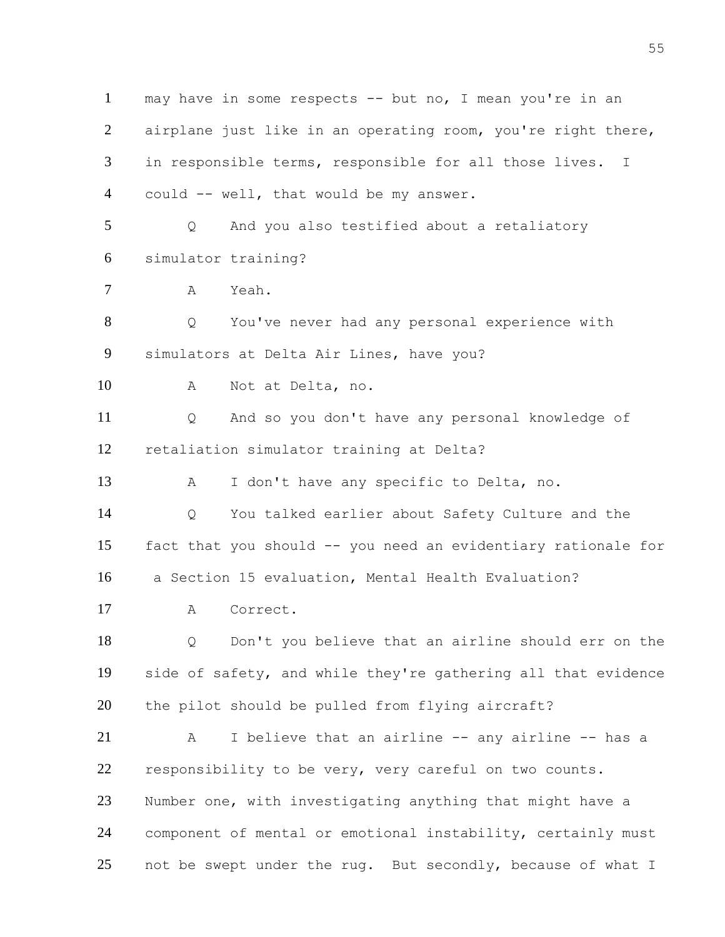may have in some respects -- but no, I mean you're in an airplane just like in an operating room, you're right there, in responsible terms, responsible for all those lives. I could -- well, that would be my answer. Q And you also testified about a retaliatory simulator training? A Yeah. Q You've never had any personal experience with simulators at Delta Air Lines, have you? A Not at Delta, no. Q And so you don't have any personal knowledge of retaliation simulator training at Delta? A I don't have any specific to Delta, no. Q You talked earlier about Safety Culture and the fact that you should -- you need an evidentiary rationale for a Section 15 evaluation, Mental Health Evaluation? A Correct. Q Don't you believe that an airline should err on the side of safety, and while they're gathering all that evidence the pilot should be pulled from flying aircraft? A I believe that an airline -- any airline -- has a responsibility to be very, very careful on two counts. Number one, with investigating anything that might have a component of mental or emotional instability, certainly must 25 not be swept under the rug. But secondly, because of what I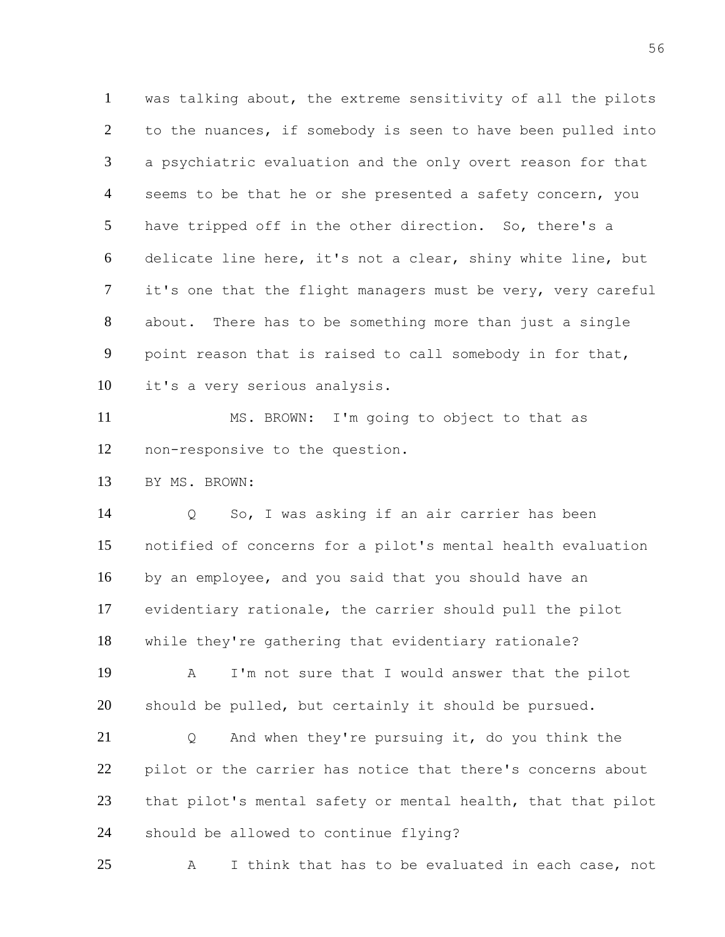was talking about, the extreme sensitivity of all the pilots to the nuances, if somebody is seen to have been pulled into a psychiatric evaluation and the only overt reason for that 4 seems to be that he or she presented a safety concern, you have tripped off in the other direction. So, there's a delicate line here, it's not a clear, shiny white line, but it's one that the flight managers must be very, very careful about. There has to be something more than just a single point reason that is raised to call somebody in for that, it's a very serious analysis.

 MS. BROWN: I'm going to object to that as non-responsive to the question.

BY MS. BROWN:

 Q So, I was asking if an air carrier has been notified of concerns for a pilot's mental health evaluation by an employee, and you said that you should have an evidentiary rationale, the carrier should pull the pilot while they're gathering that evidentiary rationale?

 A I'm not sure that I would answer that the pilot should be pulled, but certainly it should be pursued.

 Q And when they're pursuing it, do you think the pilot or the carrier has notice that there's concerns about that pilot's mental safety or mental health, that that pilot should be allowed to continue flying?

A I think that has to be evaluated in each case, not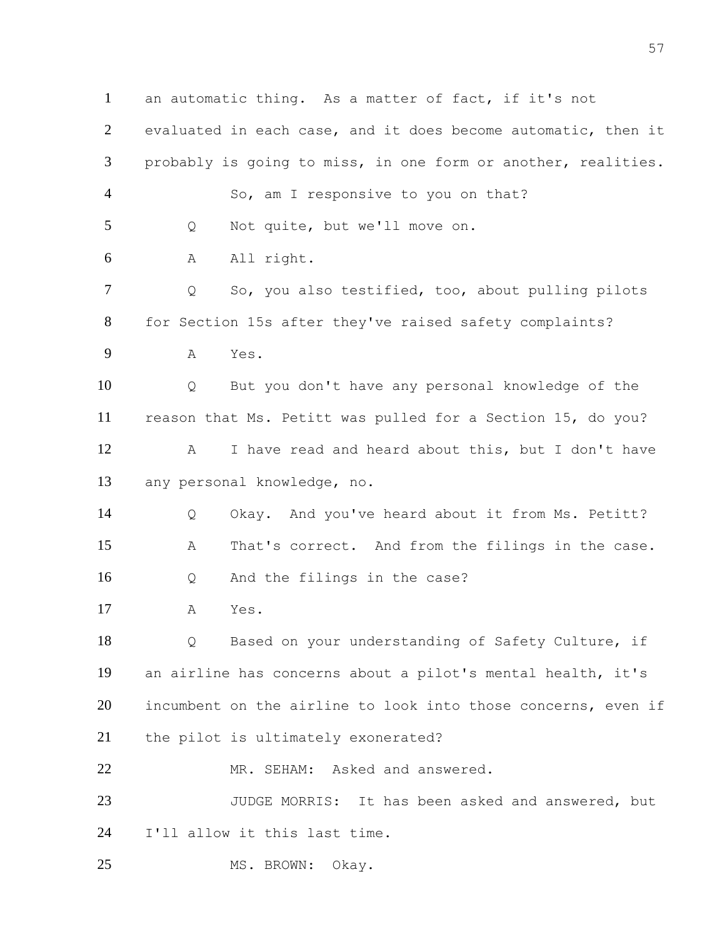an automatic thing. As a matter of fact, if it's not evaluated in each case, and it does become automatic, then it probably is going to miss, in one form or another, realities. 4 So, am I responsive to you on that? Q Not quite, but we'll move on. A All right. Q So, you also testified, too, about pulling pilots for Section 15s after they've raised safety complaints? A Yes. Q But you don't have any personal knowledge of the reason that Ms. Petitt was pulled for a Section 15, do you? A I have read and heard about this, but I don't have any personal knowledge, no. Q Okay. And you've heard about it from Ms. Petitt? A That's correct. And from the filings in the case. Q And the filings in the case? A Yes. Q Based on your understanding of Safety Culture, if an airline has concerns about a pilot's mental health, it's incumbent on the airline to look into those concerns, even if the pilot is ultimately exonerated? MR. SEHAM: Asked and answered. 23 JUDGE MORRIS: It has been asked and answered, but I'll allow it this last time. 25 MS. BROWN: Okay.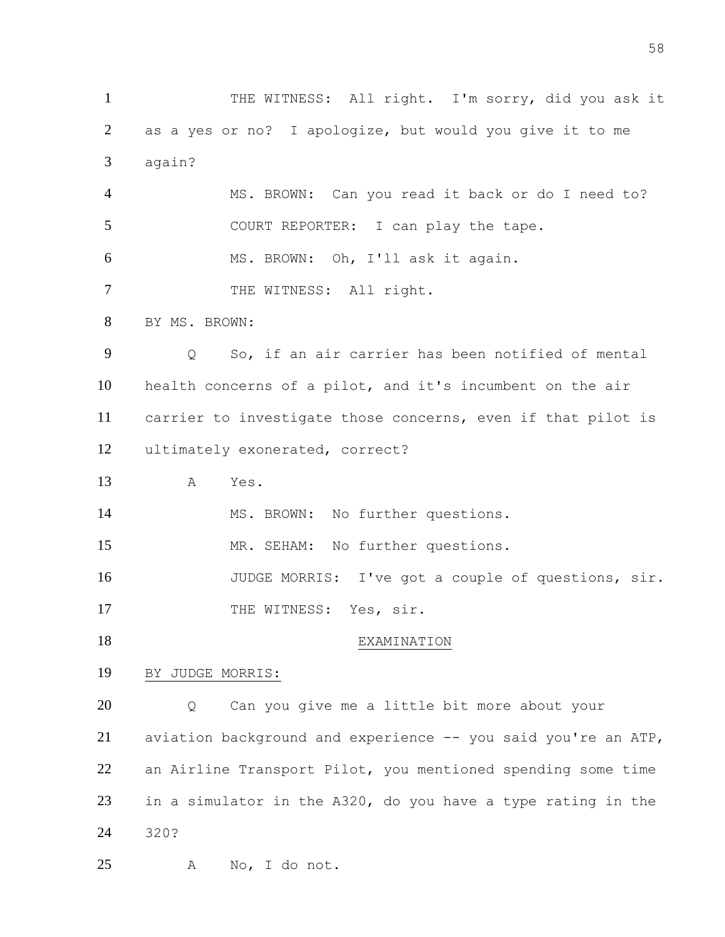1 THE WITNESS: All right. I'm sorry, did you ask it as a yes or no? I apologize, but would you give it to me again? MS. BROWN: Can you read it back or do I need to? COURT REPORTER: I can play the tape. MS. BROWN: Oh, I'll ask it again. 7 THE WITNESS: All right. BY MS. BROWN: Q So, if an air carrier has been notified of mental health concerns of a pilot, and it's incumbent on the air carrier to investigate those concerns, even if that pilot is ultimately exonerated, correct? A Yes. 14 MS. BROWN: No further questions. MR. SEHAM: No further questions. JUDGE MORRIS: I've got a couple of questions, sir. 17 THE WITNESS: Yes, sir. 18 EXAMINATION BY JUDGE MORRIS: Q Can you give me a little bit more about your aviation background and experience -- you said you're an ATP, an Airline Transport Pilot, you mentioned spending some time in a simulator in the A320, do you have a type rating in the 320? A No, I do not.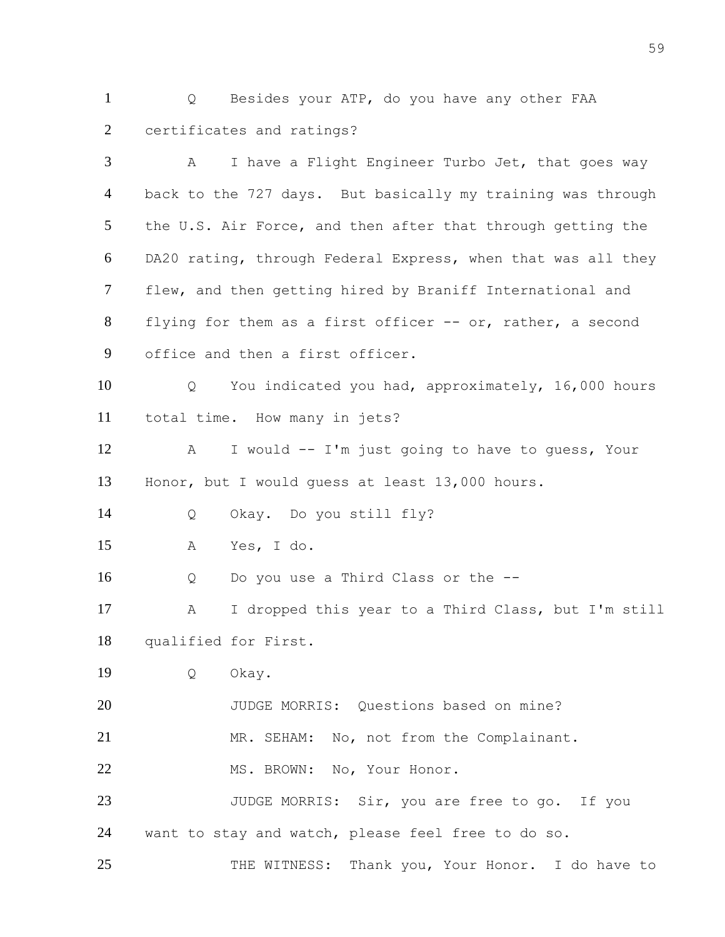Q Besides your ATP, do you have any other FAA certificates and ratings?

 A I have a Flight Engineer Turbo Jet, that goes way back to the 727 days. But basically my training was through the U.S. Air Force, and then after that through getting the DA20 rating, through Federal Express, when that was all they flew, and then getting hired by Braniff International and flying for them as a first officer -- or, rather, a second office and then a first officer. Q You indicated you had, approximately, 16,000 hours total time. How many in jets? A I would -- I'm just going to have to guess, Your Honor, but I would guess at least 13,000 hours. Q Okay. Do you still fly? A Yes, I do. Q Do you use a Third Class or the -- A I dropped this year to a Third Class, but I'm still qualified for First. Q Okay. JUDGE MORRIS: Questions based on mine? MR. SEHAM: No, not from the Complainant. 22 MS. BROWN: No, Your Honor. 23 JUDGE MORRIS: Sir, you are free to go. If you want to stay and watch, please feel free to do so. 25 THE WITNESS: Thank you, Your Honor. I do have to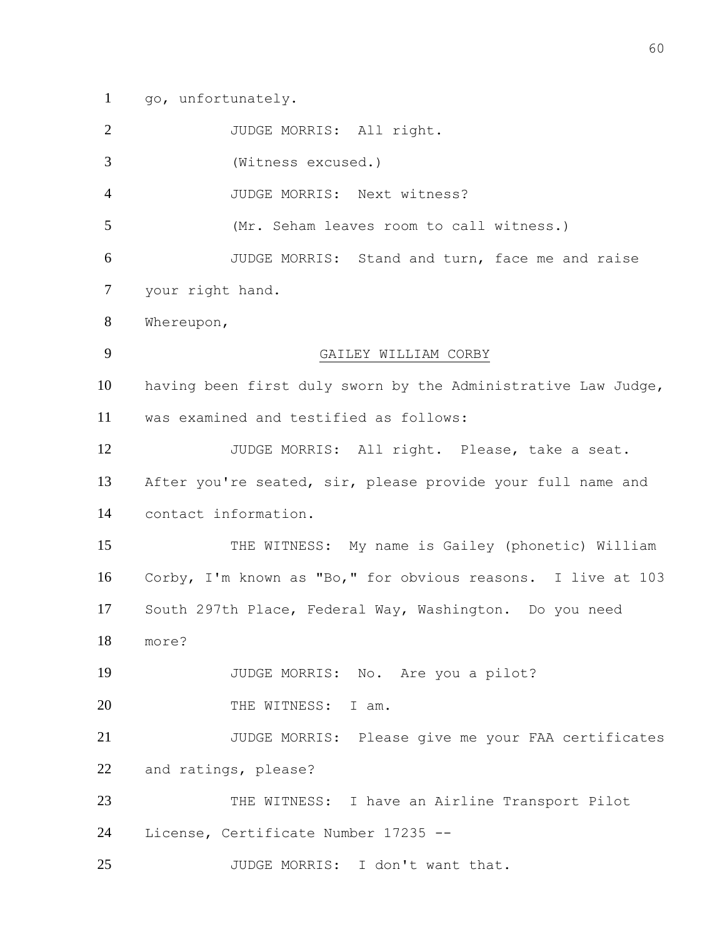go, unfortunately.

JUDGE MORRIS: All right.

(Witness excused.)

JUDGE MORRIS: Next witness?

(Mr. Seham leaves room to call witness.)

JUDGE MORRIS: Stand and turn, face me and raise

your right hand.

Whereupon,

## GAILEY WILLIAM CORBY

 having been first duly sworn by the Administrative Law Judge, was examined and testified as follows:

 JUDGE MORRIS: All right. Please, take a seat. After you're seated, sir, please provide your full name and contact information.

 THE WITNESS: My name is Gailey (phonetic) William Corby, I'm known as "Bo," for obvious reasons. I live at 103 South 297th Place, Federal Way, Washington. Do you need

more?

JUDGE MORRIS: No. Are you a pilot?

20 THE WITNESS: I am.

 JUDGE MORRIS: Please give me your FAA certificates and ratings, please?

 THE WITNESS: I have an Airline Transport Pilot License, Certificate Number 17235 --

JUDGE MORRIS: I don't want that.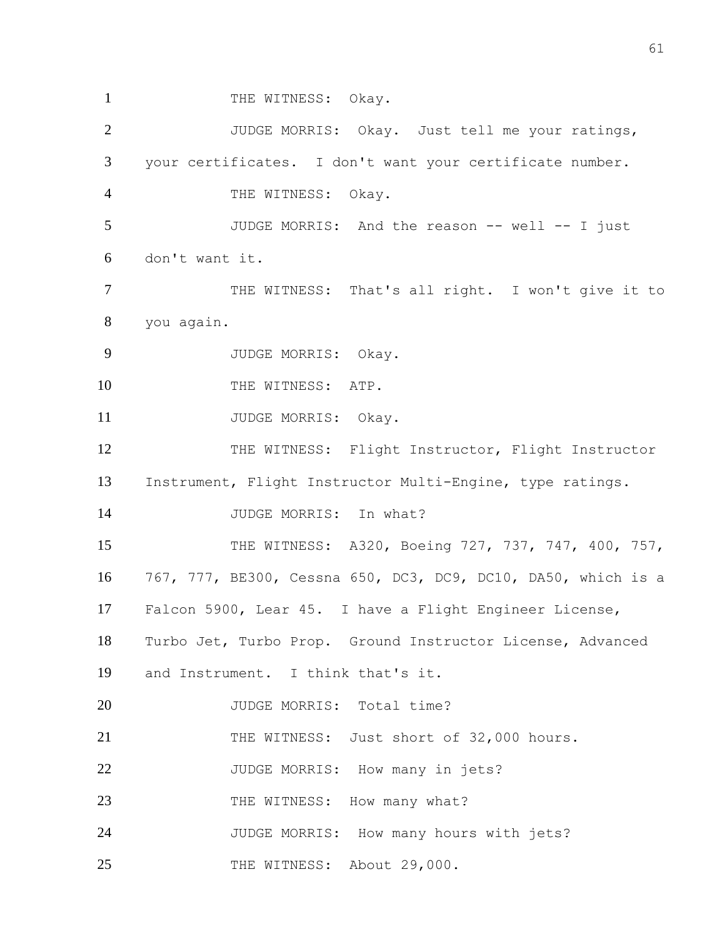1 THE WITNESS: Okay. 2 JUDGE MORRIS: Okay. Just tell me your ratings, 3 your certificates. I don't want your certificate number. 4 THE WITNESS: Okay. 5 JUDGE MORRIS: And the reason -- well -- I just 6 don't want it. 7 THE WITNESS: That's all right. I won't give it to 8 you again. 9 JUDGE MORRIS: Okay. 10 THE WITNESS: ATP. 11 JUDGE MORRIS: Okay. 12 THE WITNESS: Flight Instructor, Flight Instructor 13 Instrument, Flight Instructor Multi-Engine, type ratings. 14 JUDGE MORRIS: In what? 15 THE WITNESS: A320, Boeing 727, 737, 747, 400, 757, 16 767, 777, BE300, Cessna 650, DC3, DC9, DC10, DA50, which is a 17 Falcon 5900, Lear 45. I have a Flight Engineer License, 18 Turbo Jet, Turbo Prop. Ground Instructor License, Advanced 19 and Instrument. I think that's it. 20 JUDGE MORRIS: Total time? 21 THE WITNESS: Just short of 32,000 hours. 22 JUDGE MORRIS: How many in jets? 23 THE WITNESS: How many what? 24 JUDGE MORRIS: How many hours with jets? 25 THE WITNESS: About 29,000.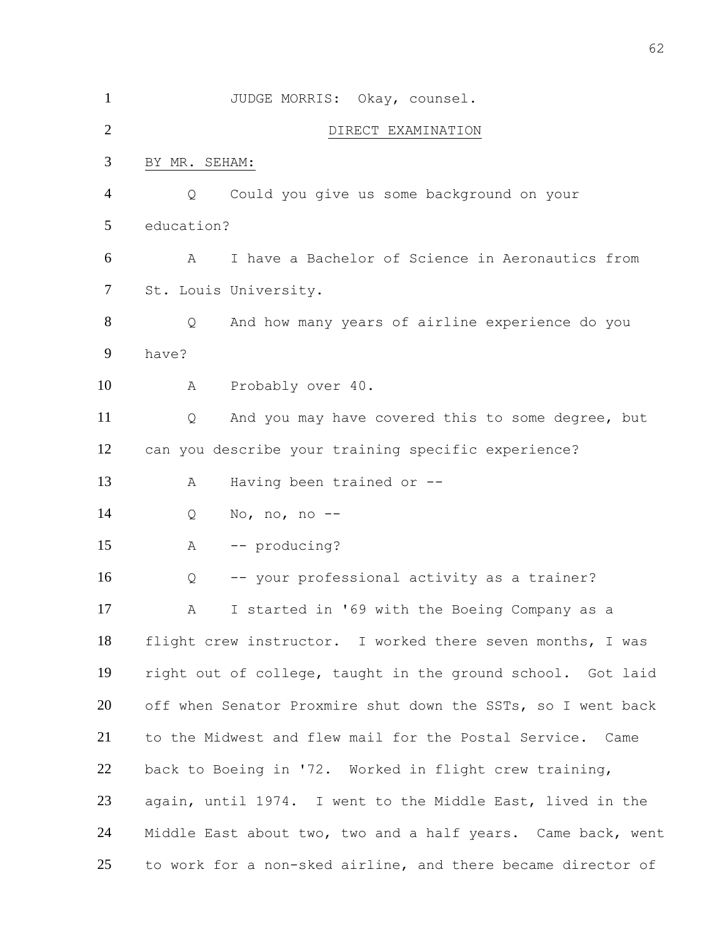| $\mathbf{1}$   |               | JUDGE MORRIS: Okay, counsel.                                 |
|----------------|---------------|--------------------------------------------------------------|
| $\overline{2}$ |               | DIRECT EXAMINATION                                           |
| 3              | BY MR. SEHAM: |                                                              |
| 4              | Q             | Could you give us some background on your                    |
| 5              | education?    |                                                              |
| 6              | A             | I have a Bachelor of Science in Aeronautics from             |
| 7              |               | St. Louis University.                                        |
| 8              | Q             | And how many years of airline experience do you              |
| 9              | have?         |                                                              |
| 10             | Α             | Probably over 40.                                            |
| 11             | Q             | And you may have covered this to some degree, but            |
| 12             |               | can you describe your training specific experience?          |
| 13             | A             | Having been trained or --                                    |
| 14             | Q             | No, no, no $--$                                              |
| 15             | Α             | -- producing?                                                |
| 16             | Q             | -- your professional activity as a trainer?                  |
| 17             | A             | I started in '69 with the Boeing Company as a                |
| 18             |               | flight crew instructor. I worked there seven months, I was   |
| 19             |               | right out of college, taught in the ground school. Got laid  |
| 20             |               | off when Senator Proxmire shut down the SSTs, so I went back |
| 21             |               | to the Midwest and flew mail for the Postal Service. Came    |
| 22             |               | back to Boeing in '72. Worked in flight crew training,       |
| 23             |               | again, until 1974. I went to the Middle East, lived in the   |
| 24             |               | Middle East about two, two and a half years. Came back, went |
| 25             |               | to work for a non-sked airline, and there became director of |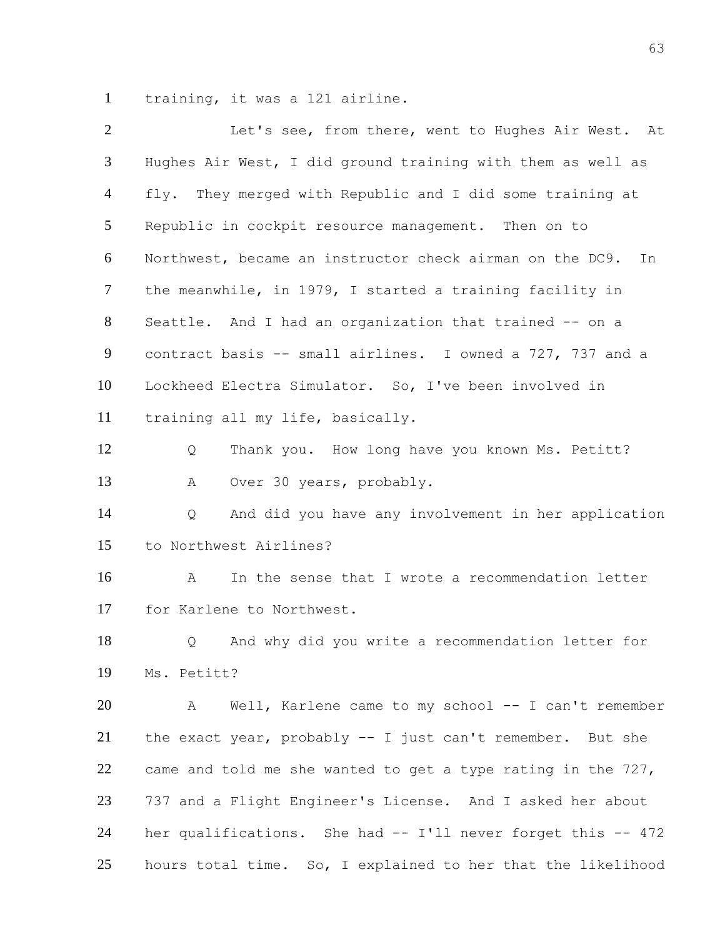training, it was a 121 airline.

| $\overline{2}$  | Let's see, from there, went to Hughes Air West. At             |
|-----------------|----------------------------------------------------------------|
| 3               | Hughes Air West, I did ground training with them as well as    |
| $\overline{4}$  | fly. They merged with Republic and I did some training at      |
| $5\overline{)}$ | Republic in cockpit resource management. Then on to            |
| 6               | Northwest, became an instructor check airman on the DC9.<br>In |
| $\tau$          | the meanwhile, in 1979, I started a training facility in       |
| 8               | Seattle. And I had an organization that trained -- on a        |
| 9               | contract basis -- small airlines. I owned a 727, 737 and a     |
| 10              | Lockheed Electra Simulator. So, I've been involved in          |
| 11              | training all my life, basically.                               |
| 12              | Thank you. How long have you known Ms. Petitt?<br>Q            |
| 13              | Over 30 years, probably.<br>A                                  |
| 14              | And did you have any involvement in her application<br>Q       |
| 15              | to Northwest Airlines?                                         |
| 16              | In the sense that I wrote a recommendation letter<br>A         |
| 17              | for Karlene to Northwest.                                      |
| 18              | And why did you write a recommendation letter for<br>Q         |
| 19              | Ms. Petitt?                                                    |
| 20              | Well, Karlene came to my school -- I can't remember<br>A       |
| 21              | the exact year, probably -- I just can't remember. But she     |
| 22              | came and told me she wanted to get a type rating in the 727,   |
| 23              | 737 and a Flight Engineer's License. And I asked her about     |
| 24              | her qualifications. She had -- I'll never forget this -- 472   |
| 25              | hours total time. So, I explained to her that the likelihood   |
|                 |                                                                |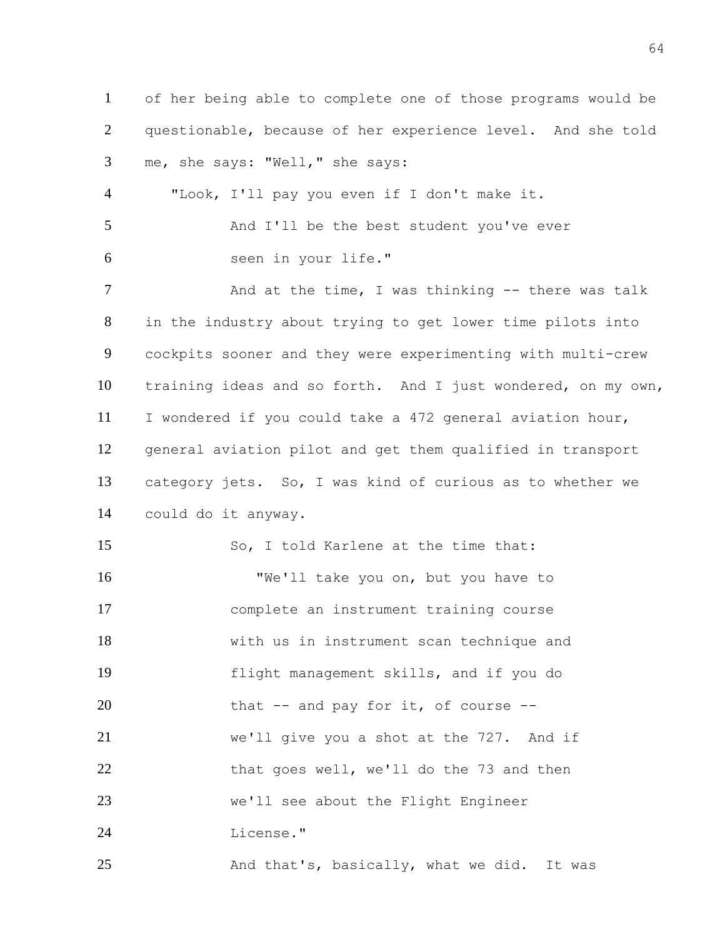of her being able to complete one of those programs would be questionable, because of her experience level. And she told me, she says: "Well," she says: "Look, I'll pay you even if I don't make it. 5 And I'll be the best student you've ever seen in your life." 7 And at the time, I was thinking -- there was talk in the industry about trying to get lower time pilots into cockpits sooner and they were experimenting with multi-crew training ideas and so forth. And I just wondered, on my own, I wondered if you could take a 472 general aviation hour, general aviation pilot and get them qualified in transport category jets. So, I was kind of curious as to whether we could do it anyway. So, I told Karlene at the time that: "We'll take you on, but you have to complete an instrument training course with us in instrument scan technique and flight management skills, and if you do 20 that -- and pay for it, of course -- we'll give you a shot at the 727. And if 22 that goes well, we'll do the 73 and then we'll see about the Flight Engineer License." 25 And that's, basically, what we did. It was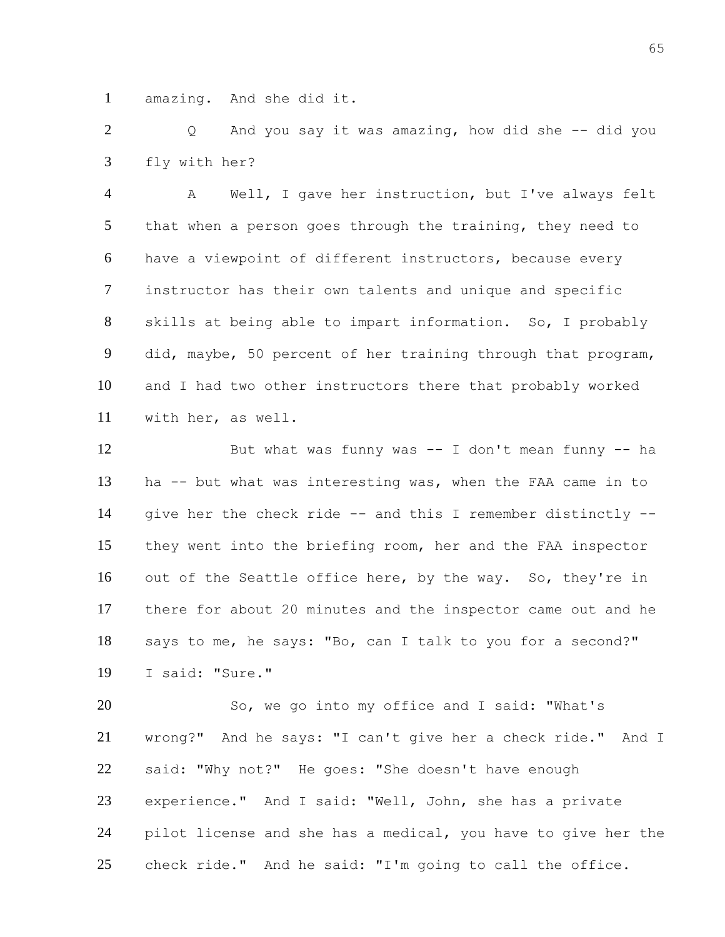amazing. And she did it.

 Q And you say it was amazing, how did she -- did you fly with her?

 A Well, I gave her instruction, but I've always felt that when a person goes through the training, they need to have a viewpoint of different instructors, because every instructor has their own talents and unique and specific skills at being able to impart information. So, I probably did, maybe, 50 percent of her training through that program, and I had two other instructors there that probably worked with her, as well.

 But what was funny was -- I don't mean funny -- ha ha -- but what was interesting was, when the FAA came in to give her the check ride -- and this I remember distinctly -- they went into the briefing room, her and the FAA inspector out of the Seattle office here, by the way. So, they're in there for about 20 minutes and the inspector came out and he says to me, he says: "Bo, can I talk to you for a second?" I said: "Sure."

 So, we go into my office and I said: "What's wrong?" And he says: "I can't give her a check ride." And I said: "Why not?" He goes: "She doesn't have enough experience." And I said: "Well, John, she has a private pilot license and she has a medical, you have to give her the check ride." And he said: "I'm going to call the office.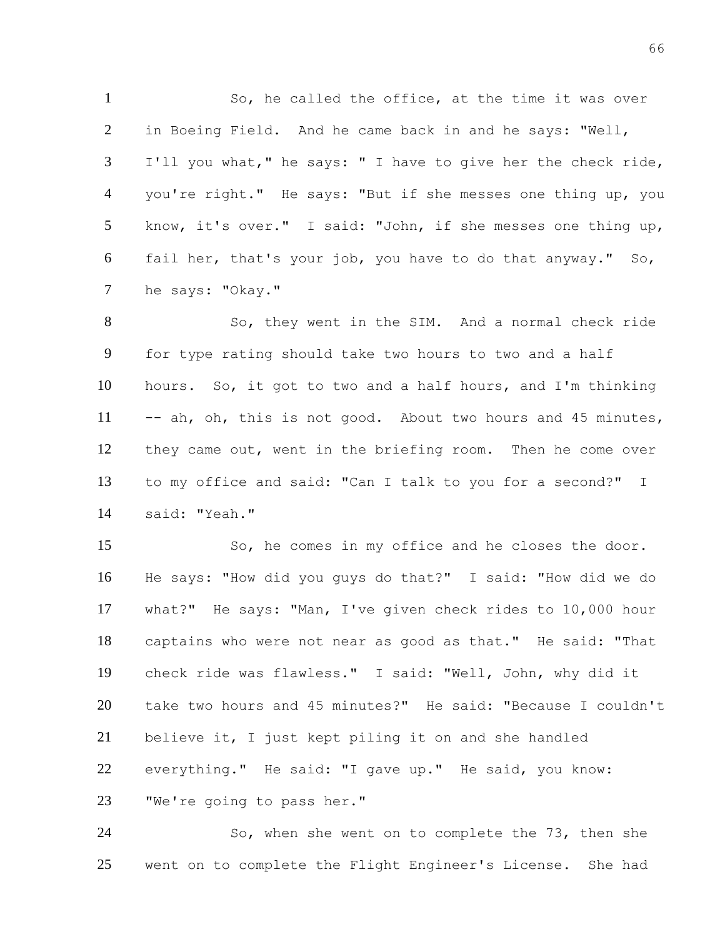So, he called the office, at the time it was over in Boeing Field. And he came back in and he says: "Well, I'll you what," he says: " I have to give her the check ride, you're right." He says: "But if she messes one thing up, you know, it's over." I said: "John, if she messes one thing up, fail her, that's your job, you have to do that anyway." So, he says: "Okay."

8 So, they went in the SIM. And a normal check ride for type rating should take two hours to two and a half hours. So, it got to two and a half hours, and I'm thinking 11 -- ah, oh, this is not good. About two hours and 45 minutes, they came out, went in the briefing room. Then he come over to my office and said: "Can I talk to you for a second?" I said: "Yeah."

 So, he comes in my office and he closes the door. He says: "How did you guys do that?" I said: "How did we do what?" He says: "Man, I've given check rides to 10,000 hour captains who were not near as good as that." He said: "That check ride was flawless." I said: "Well, John, why did it take two hours and 45 minutes?" He said: "Because I couldn't believe it, I just kept piling it on and she handled everything." He said: "I gave up." He said, you know: "We're going to pass her."

 So, when she went on to complete the 73, then she went on to complete the Flight Engineer's License. She had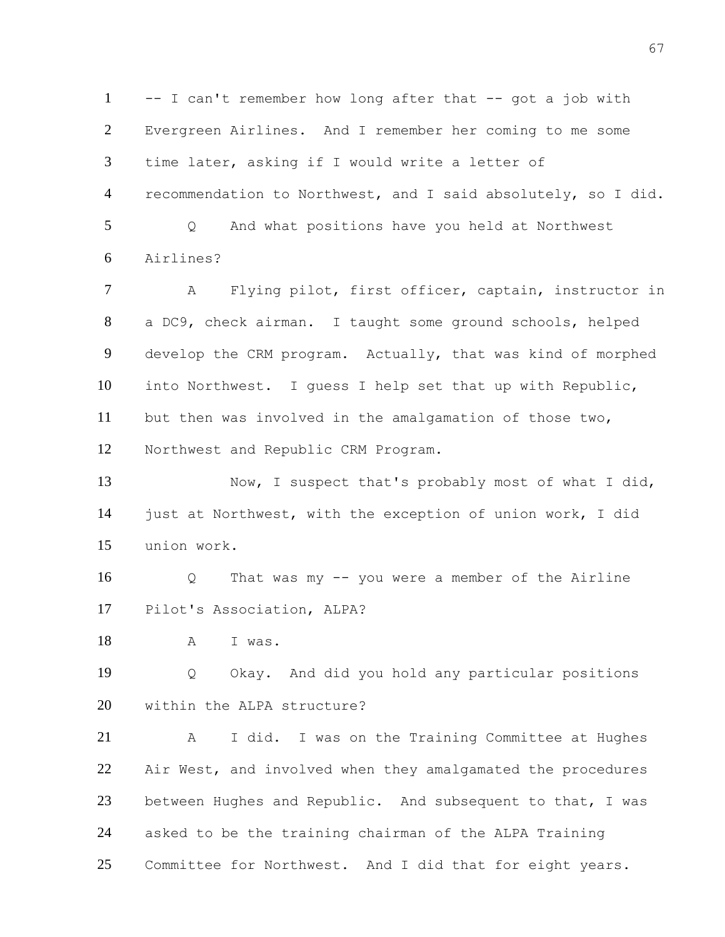-- I can't remember how long after that -- got a job with Evergreen Airlines. And I remember her coming to me some time later, asking if I would write a letter of recommendation to Northwest, and I said absolutely, so I did. Q And what positions have you held at Northwest Airlines? A Flying pilot, first officer, captain, instructor in a DC9, check airman. I taught some ground schools, helped develop the CRM program. Actually, that was kind of morphed into Northwest. I guess I help set that up with Republic, but then was involved in the amalgamation of those two, Northwest and Republic CRM Program. 13 Now, I suspect that's probably most of what I did, just at Northwest, with the exception of union work, I did union work. Q That was my -- you were a member of the Airline Pilot's Association, ALPA? A I was. Q Okay. And did you hold any particular positions within the ALPA structure? A I did. I was on the Training Committee at Hughes Air West, and involved when they amalgamated the procedures 23 between Hughes and Republic. And subsequent to that, I was asked to be the training chairman of the ALPA Training Committee for Northwest. And I did that for eight years.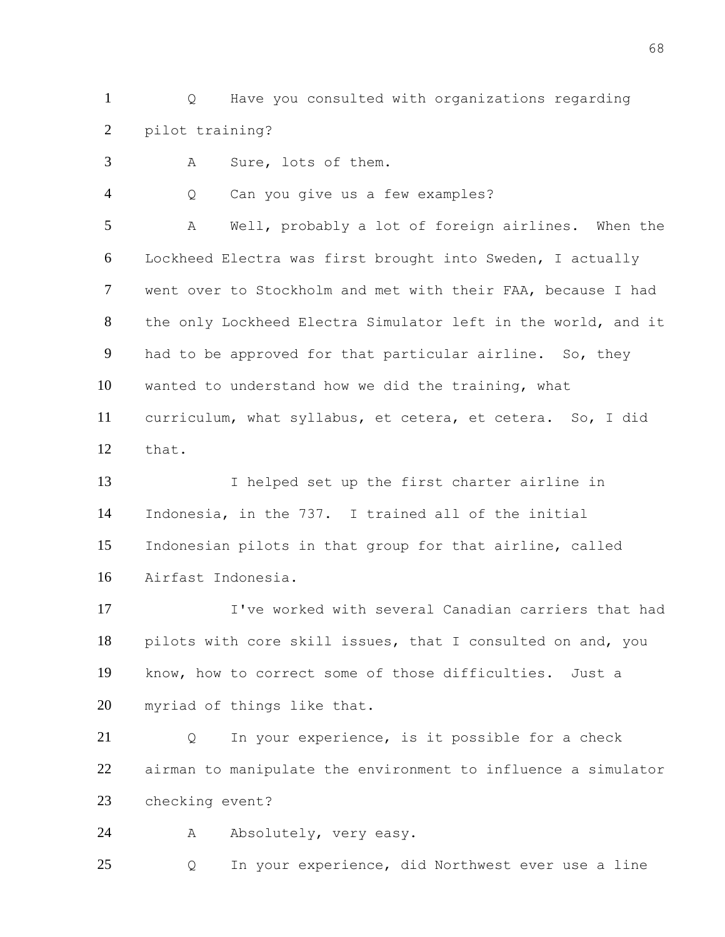Q Have you consulted with organizations regarding pilot training?

A Sure, lots of them.

Q Can you give us a few examples?

 A Well, probably a lot of foreign airlines. When the Lockheed Electra was first brought into Sweden, I actually went over to Stockholm and met with their FAA, because I had the only Lockheed Electra Simulator left in the world, and it had to be approved for that particular airline. So, they wanted to understand how we did the training, what curriculum, what syllabus, et cetera, et cetera. So, I did that.

 I helped set up the first charter airline in Indonesia, in the 737. I trained all of the initial Indonesian pilots in that group for that airline, called Airfast Indonesia.

 I've worked with several Canadian carriers that had pilots with core skill issues, that I consulted on and, you know, how to correct some of those difficulties. Just a myriad of things like that.

 Q In your experience, is it possible for a check airman to manipulate the environment to influence a simulator checking event?

24 A Absolutely, very easy.

Q In your experience, did Northwest ever use a line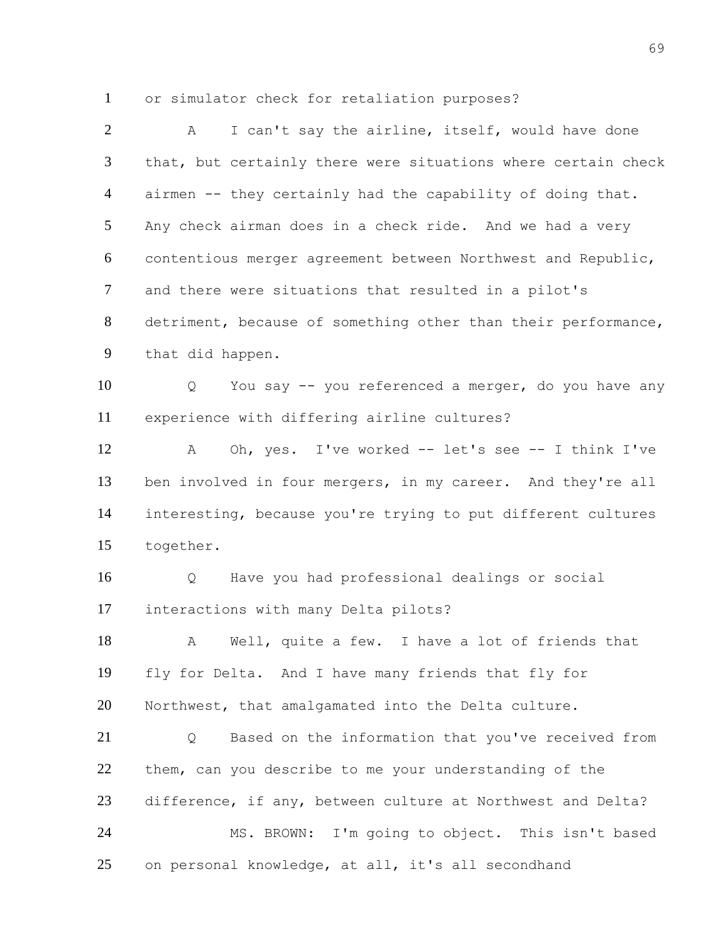or simulator check for retaliation purposes?

| $\overline{2}$ | I can't say the airline, itself, would have done<br>A         |
|----------------|---------------------------------------------------------------|
| $\mathfrak{Z}$ | that, but certainly there were situations where certain check |
| $\overline{4}$ | airmen -- they certainly had the capability of doing that.    |
| 5 <sup>5</sup> | Any check airman does in a check ride. And we had a very      |
| 6              | contentious merger agreement between Northwest and Republic,  |
| $\tau$         | and there were situations that resulted in a pilot's          |
| 8              | detriment, because of something other than their performance, |
| 9              | that did happen.                                              |
| 10             | You say -- you referenced a merger, do you have any<br>Q      |
| 11             | experience with differing airline cultures?                   |
| 12             | Oh, yes. I've worked -- let's see -- I think I've<br>A        |
| 13             | ben involved in four mergers, in my career. And they're all   |
| 14             | interesting, because you're trying to put different cultures  |
| 15             | together.                                                     |
| 16             | Have you had professional dealings or social<br>Q             |
| 17             | interactions with many Delta pilots?                          |
| 18             | Well, quite a few. I have a lot of friends that<br>Α          |
| 19             | fly for Delta. And I have many friends that fly for           |
| 20             | Northwest, that amalgamated into the Delta culture.           |
| 21             | Based on the information that you've received from<br>Q       |
| 22             | them, can you describe to me your understanding of the        |
| 23             | difference, if any, between culture at Northwest and Delta?   |
| 24             | MS. BROWN: I'm going to object. This isn't based              |
| 25             | on personal knowledge, at all, it's all secondhand            |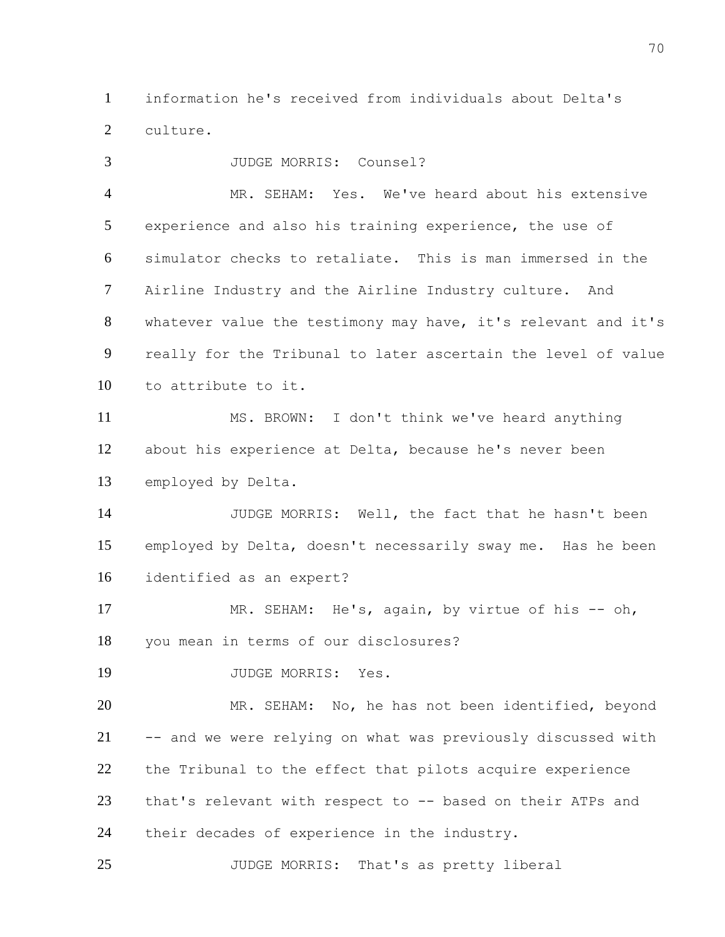information he's received from individuals about Delta's culture.

 JUDGE MORRIS: Counsel? MR. SEHAM: Yes. We've heard about his extensive experience and also his training experience, the use of simulator checks to retaliate. This is man immersed in the Airline Industry and the Airline Industry culture. And whatever value the testimony may have, it's relevant and it's really for the Tribunal to later ascertain the level of value to attribute to it.

 MS. BROWN: I don't think we've heard anything about his experience at Delta, because he's never been employed by Delta.

 JUDGE MORRIS: Well, the fact that he hasn't been employed by Delta, doesn't necessarily sway me. Has he been identified as an expert?

17 MR. SEHAM: He's, again, by virtue of his -- oh, you mean in terms of our disclosures?

JUDGE MORRIS: Yes.

 MR. SEHAM: No, he has not been identified, beyond -- and we were relying on what was previously discussed with the Tribunal to the effect that pilots acquire experience that's relevant with respect to -- based on their ATPs and their decades of experience in the industry.

JUDGE MORRIS: That's as pretty liberal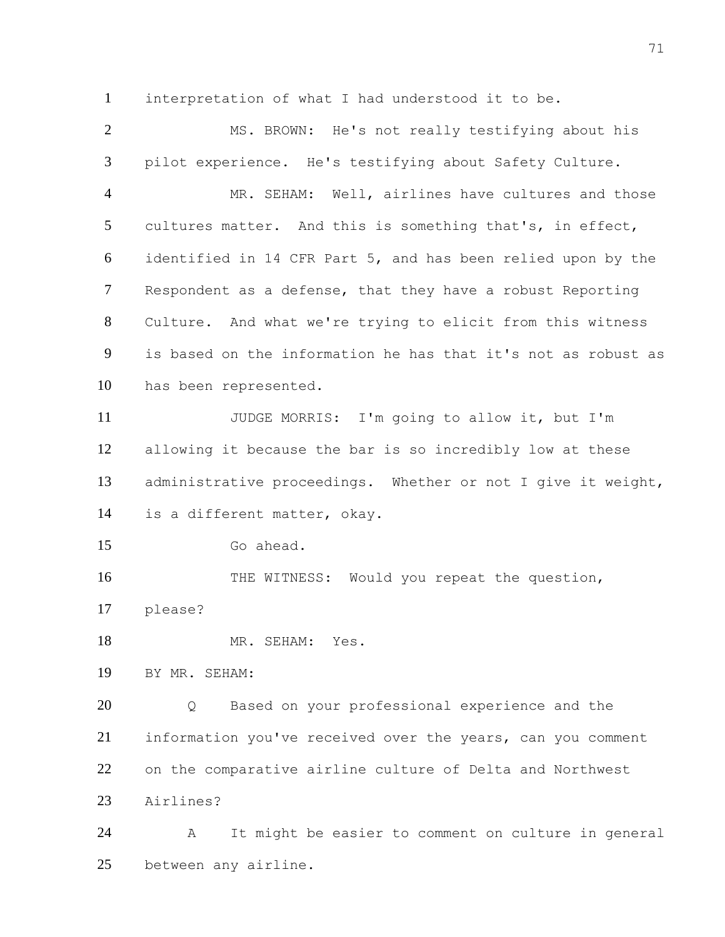interpretation of what I had understood it to be.

 MS. BROWN: He's not really testifying about his pilot experience. He's testifying about Safety Culture. MR. SEHAM: Well, airlines have cultures and those cultures matter. And this is something that's, in effect, identified in 14 CFR Part 5, and has been relied upon by the Respondent as a defense, that they have a robust Reporting Culture. And what we're trying to elicit from this witness is based on the information he has that it's not as robust as has been represented. JUDGE MORRIS: I'm going to allow it, but I'm allowing it because the bar is so incredibly low at these administrative proceedings. Whether or not I give it weight, is a different matter, okay. Go ahead. 16 THE WITNESS: Would you repeat the question, please? 18 MR. SEHAM: Yes. BY MR. SEHAM: Q Based on your professional experience and the information you've received over the years, can you comment on the comparative airline culture of Delta and Northwest Airlines? A It might be easier to comment on culture in general

between any airline.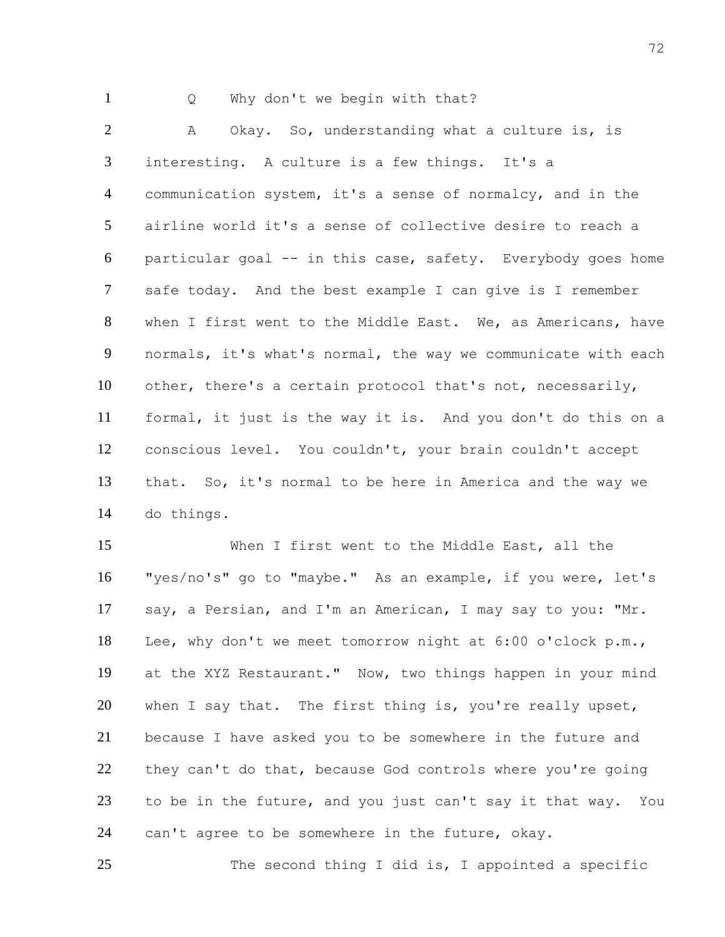1 Q Why don't we begin with that?

2 A Okay. So, understanding what a culture is, is interesting. A culture is a few things. It's a communication system, it's a sense of normalcy, and in the airline world it's a sense of collective desire to reach a particular goal -- in this case, safety. Everybody goes home safe today. And the best example I can give is I remember when I first went to the Middle East. We, as Americans, have normals, it's what's normal, the way we communicate with each other, there's a certain protocol that's not, necessarily, formal, it just is the way it is. And you don't do this on a conscious level. You couldn't, your brain couldn't accept that. So, it's normal to be here in America and the way we do things.

 When I first went to the Middle East, all the "yes/no's" go to "maybe." As an example, if you were, let's say, a Persian, and I'm an American, I may say to you: "Mr. Lee, why don't we meet tomorrow night at 6:00 o'clock p.m., at the XYZ Restaurant." Now, two things happen in your mind 20 when I say that. The first thing is, you're really upset, because I have asked you to be somewhere in the future and 22 they can't do that, because God controls where you're going to be in the future, and you just can't say it that way. You can't agree to be somewhere in the future, okay.

The second thing I did is, I appointed a specific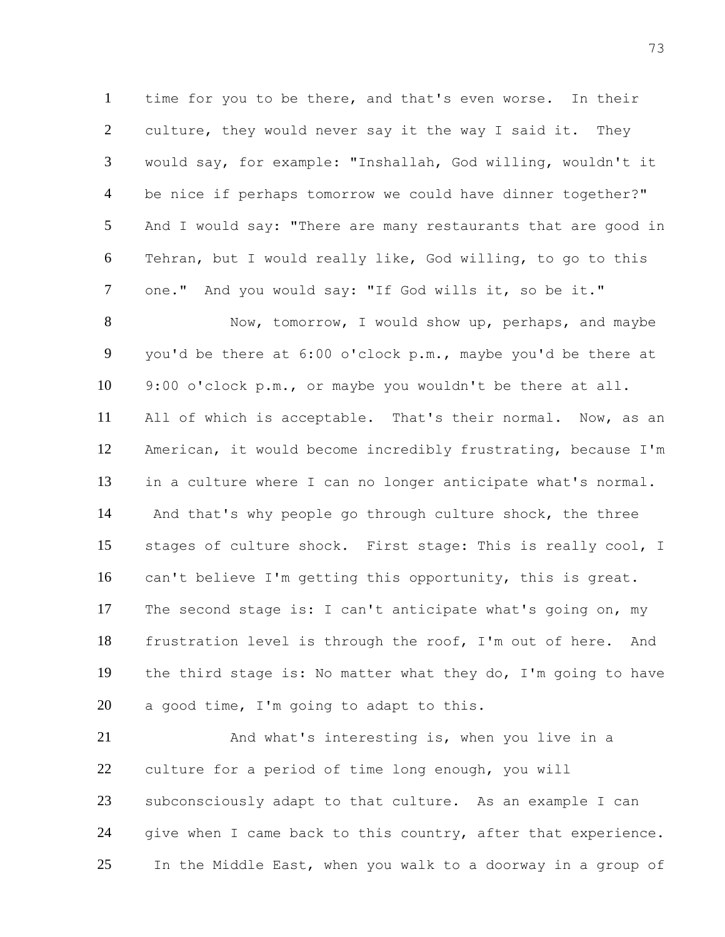time for you to be there, and that's even worse. In their culture, they would never say it the way I said it. They would say, for example: "Inshallah, God willing, wouldn't it be nice if perhaps tomorrow we could have dinner together?" And I would say: "There are many restaurants that are good in Tehran, but I would really like, God willing, to go to this 7 one." And you would say: "If God wills it, so be it."

 Now, tomorrow, I would show up, perhaps, and maybe you'd be there at 6:00 o'clock p.m., maybe you'd be there at 9:00 o'clock p.m., or maybe you wouldn't be there at all. All of which is acceptable. That's their normal. Now, as an American, it would become incredibly frustrating, because I'm in a culture where I can no longer anticipate what's normal. And that's why people go through culture shock, the three stages of culture shock. First stage: This is really cool, I can't believe I'm getting this opportunity, this is great. The second stage is: I can't anticipate what's going on, my frustration level is through the roof, I'm out of here. And the third stage is: No matter what they do, I'm going to have 20 a good time, I'm going to adapt to this.

 And what's interesting is, when you live in a culture for a period of time long enough, you will subconsciously adapt to that culture. As an example I can give when I came back to this country, after that experience. In the Middle East, when you walk to a doorway in a group of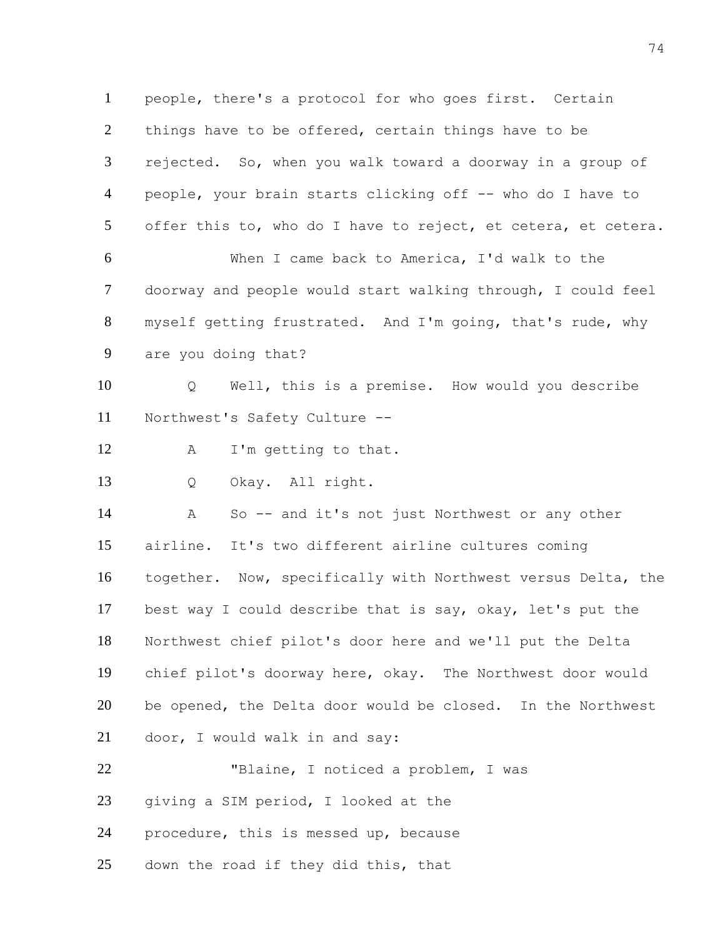people, there's a protocol for who goes first. Certain things have to be offered, certain things have to be rejected. So, when you walk toward a doorway in a group of people, your brain starts clicking off -- who do I have to offer this to, who do I have to reject, et cetera, et cetera. When I came back to America, I'd walk to the doorway and people would start walking through, I could feel myself getting frustrated. And I'm going, that's rude, why are you doing that? Q Well, this is a premise. How would you describe Northwest's Safety Culture -- 12 A I'm getting to that. Q Okay. All right. A So -- and it's not just Northwest or any other airline. It's two different airline cultures coming together. Now, specifically with Northwest versus Delta, the best way I could describe that is say, okay, let's put the Northwest chief pilot's door here and we'll put the Delta chief pilot's doorway here, okay. The Northwest door would be opened, the Delta door would be closed. In the Northwest door, I would walk in and say: "Blaine, I noticed a problem, I was giving a SIM period, I looked at the procedure, this is messed up, because down the road if they did this, that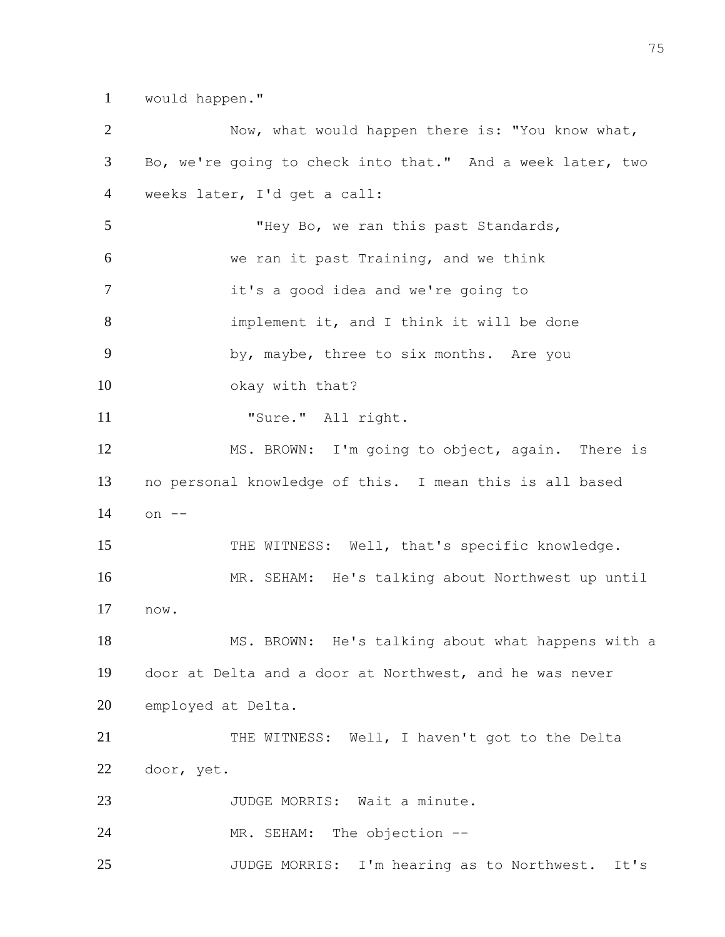would happen."

| $\overline{2}$ | Now, what would happen there is: "You know what,           |
|----------------|------------------------------------------------------------|
| 3              | Bo, we're going to check into that." And a week later, two |
| $\overline{4}$ | weeks later, I'd get a call:                               |
| 5              | "Hey Bo, we ran this past Standards,                       |
| 6              | we ran it past Training, and we think                      |
| $\tau$         | it's a good idea and we're going to                        |
| 8              | implement it, and I think it will be done                  |
| 9              | by, maybe, three to six months. Are you                    |
| 10             | okay with that?                                            |
| 11             | "Sure." All right.                                         |
| 12             | MS. BROWN: I'm going to object, again. There is            |
| 13             | no personal knowledge of this. I mean this is all based    |
| 14             | on $--$                                                    |
| 15             | THE WITNESS: Well, that's specific knowledge.              |
| 16             | MR. SEHAM: He's talking about Northwest up until           |
| 17             | now.                                                       |
| 18             | MS. BROWN: He's talking about what happens with a          |
| 19             | door at Delta and a door at Northwest, and he was never    |
|                |                                                            |
| 20             | employed at Delta.                                         |
| 21             | THE WITNESS: Well, I haven't got to the Delta              |
| 22             | door, yet.                                                 |
| 23             | JUDGE MORRIS: Wait a minute.                               |
| 24             | MR. SEHAM: The objection --                                |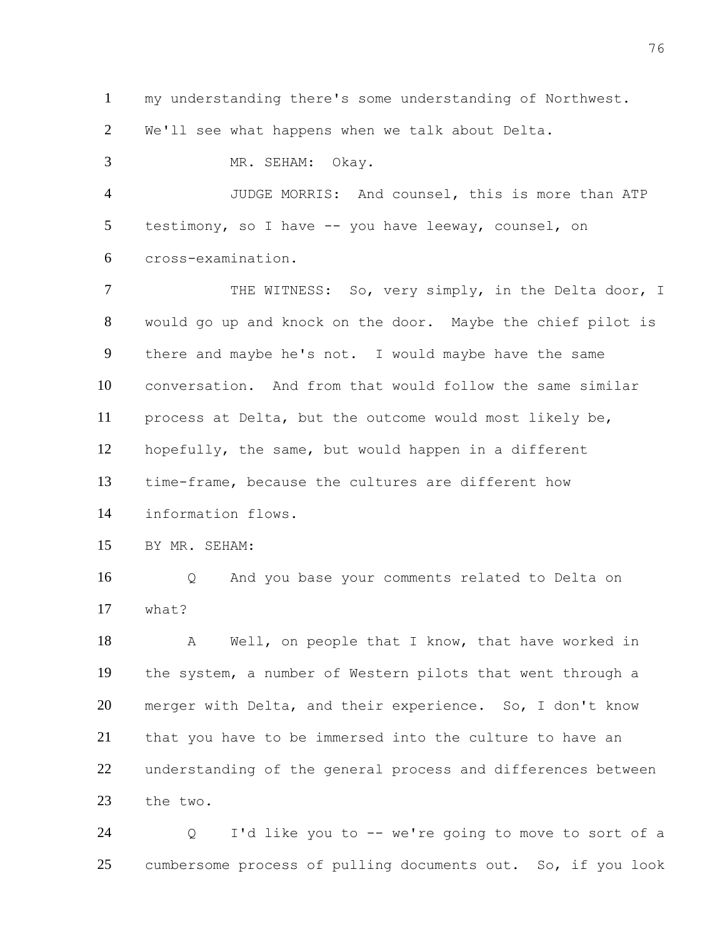my understanding there's some understanding of Northwest.

We'll see what happens when we talk about Delta.

 MR. SEHAM: Okay. JUDGE MORRIS: And counsel, this is more than ATP testimony, so I have -- you have leeway, counsel, on cross-examination. 7 THE WITNESS: So, very simply, in the Delta door, I would go up and knock on the door. Maybe the chief pilot is there and maybe he's not. I would maybe have the same conversation. And from that would follow the same similar process at Delta, but the outcome would most likely be, hopefully, the same, but would happen in a different time-frame, because the cultures are different how information flows. BY MR. SEHAM: Q And you base your comments related to Delta on what? A Well, on people that I know, that have worked in the system, a number of Western pilots that went through a merger with Delta, and their experience. So, I don't know that you have to be immersed into the culture to have an understanding of the general process and differences between

 the two. Q I'd like you to -- we're going to move to sort of a

cumbersome process of pulling documents out. So, if you look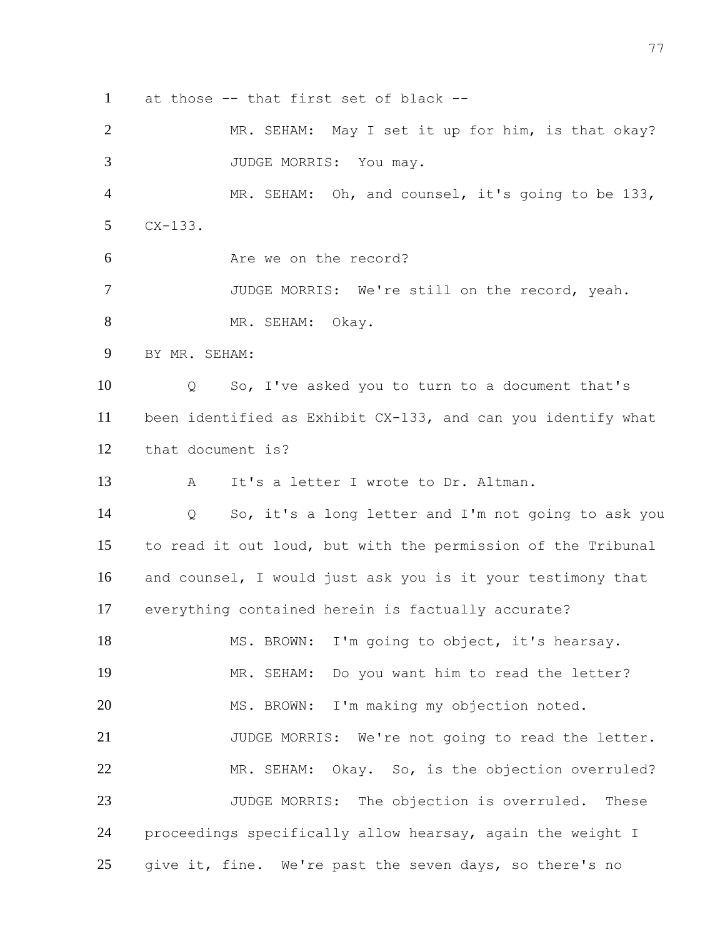at those -- that first set of black --

 MR. SEHAM: May I set it up for him, is that okay? 3 JUDGE MORRIS: You may. MR. SEHAM: Oh, and counsel, it's going to be 133, CX-133. Are we on the record? JUDGE MORRIS: We're still on the record, yeah. 8 MR. SEHAM: Okay. BY MR. SEHAM: Q So, I've asked you to turn to a document that's been identified as Exhibit CX-133, and can you identify what that document is? A It's a letter I wrote to Dr. Altman. Q So, it's a long letter and I'm not going to ask you to read it out loud, but with the permission of the Tribunal and counsel, I would just ask you is it your testimony that everything contained herein is factually accurate? 18 MS. BROWN: I'm going to object, it's hearsay. MR. SEHAM: Do you want him to read the letter? MS. BROWN: I'm making my objection noted. JUDGE MORRIS: We're not going to read the letter. MR. SEHAM: Okay. So, is the objection overruled? JUDGE MORRIS: The objection is overruled. These proceedings specifically allow hearsay, again the weight I

25 give it, fine. We're past the seven days, so there's no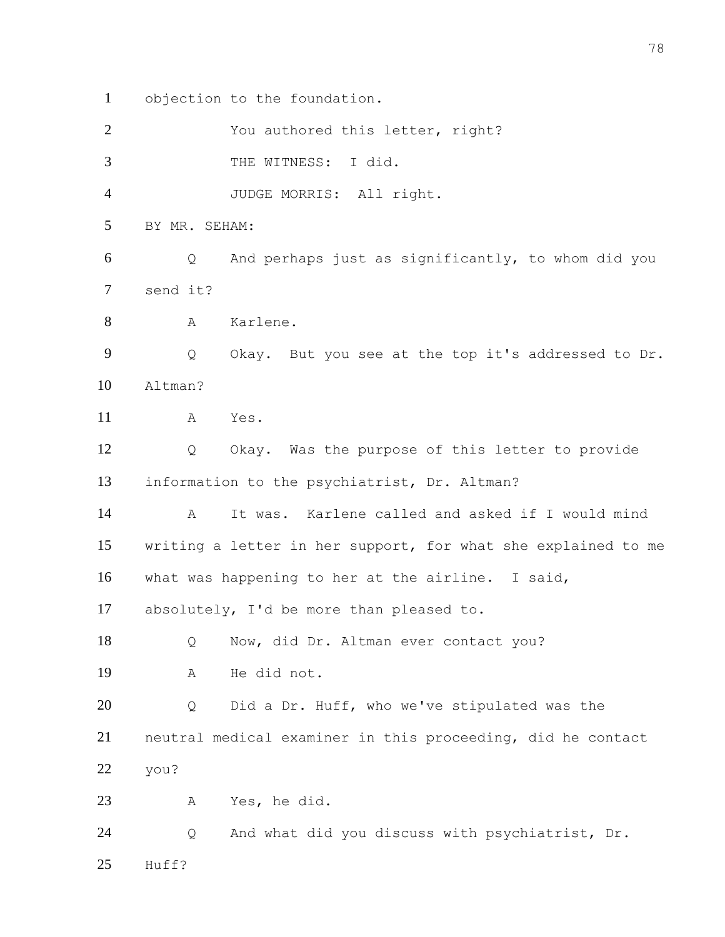objection to the foundation.

| $\overline{2}$ |               | You authored this letter, right?                              |
|----------------|---------------|---------------------------------------------------------------|
| 3              |               | THE WITNESS:<br>I did.                                        |
| 4              |               | JUDGE MORRIS: All right.                                      |
| 5              | BY MR. SEHAM: |                                                               |
| 6              | Q             | And perhaps just as significantly, to whom did you            |
| 7              | send it?      |                                                               |
| 8              | А             | Karlene.                                                      |
| 9              | Q             | Okay. But you see at the top it's addressed to Dr.            |
| 10             | Altman?       |                                                               |
| 11             | А             | Yes.                                                          |
| 12             | Q             | Okay. Was the purpose of this letter to provide               |
| 13             |               | information to the psychiatrist, Dr. Altman?                  |
| 14             | А             | It was. Karlene called and asked if I would mind              |
| 15             |               | writing a letter in her support, for what she explained to me |
| 16             |               | what was happening to her at the airline. I said,             |
| 17             |               | absolutely, I'd be more than pleased to.                      |
| 18             | Q             | Now, did Dr. Altman ever contact you?                         |
| 19             | Α             | He did not.                                                   |
| 20             | Q             | Did a Dr. Huff, who we've stipulated was the                  |
| 21             |               | neutral medical examiner in this proceeding, did he contact   |
| 22             | you?          |                                                               |
| 23             | Α             | Yes, he did.                                                  |
| 24             | Q             | And what did you discuss with psychiatrist, Dr.               |
| 25             | Huff?         |                                                               |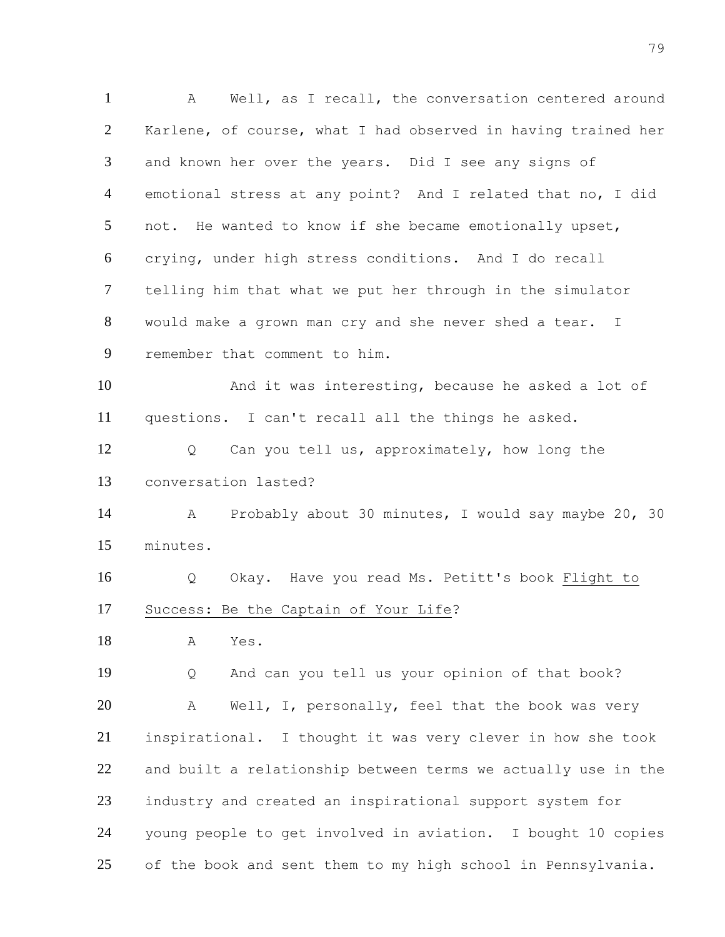A Well, as I recall, the conversation centered around Karlene, of course, what I had observed in having trained her and known her over the years. Did I see any signs of emotional stress at any point? And I related that no, I did not. He wanted to know if she became emotionally upset, crying, under high stress conditions. And I do recall telling him that what we put her through in the simulator would make a grown man cry and she never shed a tear. I remember that comment to him. And it was interesting, because he asked a lot of questions. I can't recall all the things he asked. Q Can you tell us, approximately, how long the conversation lasted? A Probably about 30 minutes, I would say maybe 20, 30 minutes. Q Okay. Have you read Ms. Petitt's book Flight to Success: Be the Captain of Your Life? A Yes. Q And can you tell us your opinion of that book? 20 A Well, I, personally, feel that the book was very inspirational. I thought it was very clever in how she took and built a relationship between terms we actually use in the industry and created an inspirational support system for young people to get involved in aviation. I bought 10 copies 25 of the book and sent them to my high school in Pennsylvania.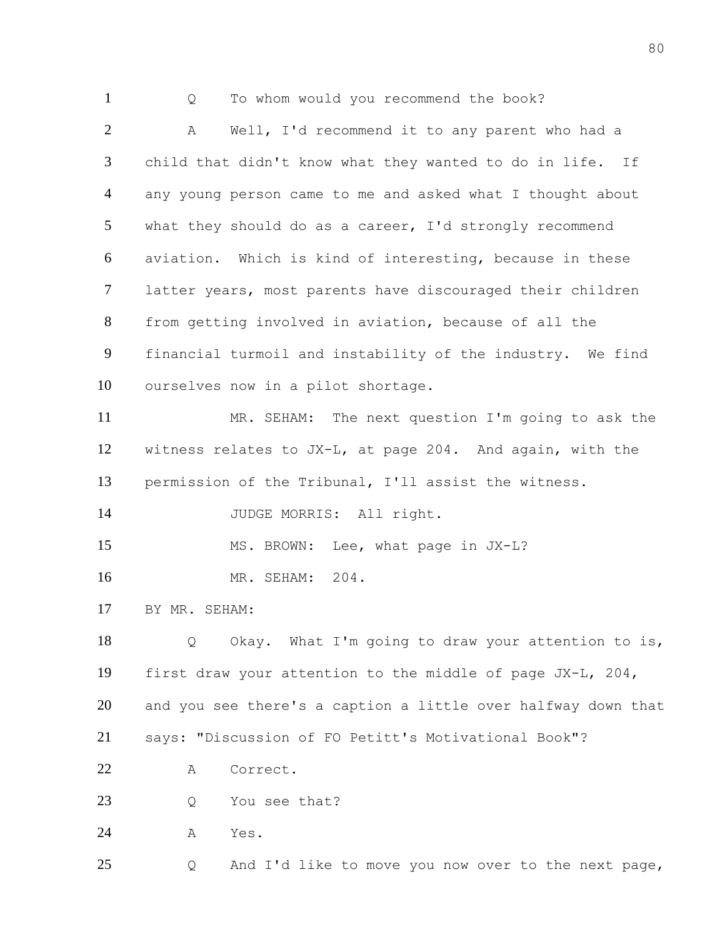Q To whom would you recommend the book? A Well, I'd recommend it to any parent who had a child that didn't know what they wanted to do in life. If any young person came to me and asked what I thought about what they should do as a career, I'd strongly recommend aviation. Which is kind of interesting, because in these latter years, most parents have discouraged their children from getting involved in aviation, because of all the financial turmoil and instability of the industry. We find ourselves now in a pilot shortage. MR. SEHAM: The next question I'm going to ask the witness relates to JX-L, at page 204. And again, with the permission of the Tribunal, I'll assist the witness. 14 JUDGE MORRIS: All right. 15 MS. BROWN: Lee, what page in JX-L? MR. SEHAM: 204. BY MR. SEHAM: Q Okay. What I'm going to draw your attention to is, first draw your attention to the middle of page JX-L, 204, and you see there's a caption a little over halfway down that says: "Discussion of FO Petitt's Motivational Book"? A Correct. 23 Q You see that? A Yes. Q And I'd like to move you now over to the next page,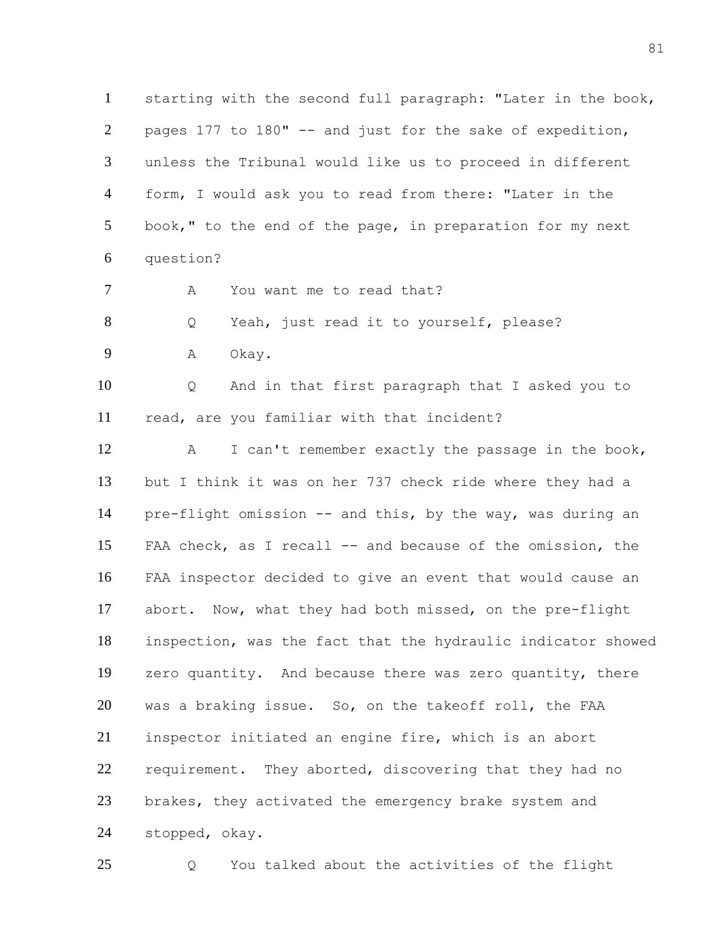starting with the second full paragraph: "Later in the book, pages 177 to 180" -- and just for the sake of expedition, unless the Tribunal would like us to proceed in different form, I would ask you to read from there: "Later in the book," to the end of the page, in preparation for my next question?

7 A You want me to read that?

Q Yeah, just read it to yourself, please?

A Okay.

 Q And in that first paragraph that I asked you to read, are you familiar with that incident?

 A I can't remember exactly the passage in the book, but I think it was on her 737 check ride where they had a pre-flight omission -- and this, by the way, was during an FAA check, as I recall -- and because of the omission, the FAA inspector decided to give an event that would cause an abort. Now, what they had both missed, on the pre-flight inspection, was the fact that the hydraulic indicator showed zero quantity. And because there was zero quantity, there was a braking issue. So, on the takeoff roll, the FAA inspector initiated an engine fire, which is an abort 22 requirement. They aborted, discovering that they had no brakes, they activated the emergency brake system and stopped, okay.

Q You talked about the activities of the flight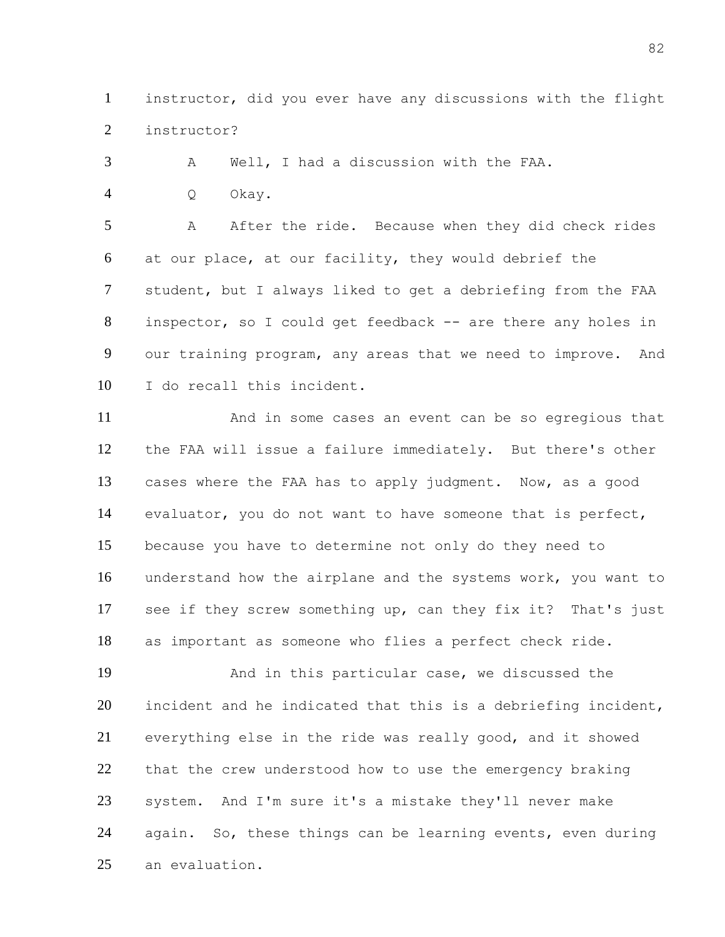instructor, did you ever have any discussions with the flight instructor?

A Well, I had a discussion with the FAA.

Q Okay.

 A After the ride. Because when they did check rides at our place, at our facility, they would debrief the student, but I always liked to get a debriefing from the FAA inspector, so I could get feedback -- are there any holes in our training program, any areas that we need to improve. And I do recall this incident.

 And in some cases an event can be so egregious that the FAA will issue a failure immediately. But there's other cases where the FAA has to apply judgment. Now, as a good evaluator, you do not want to have someone that is perfect, because you have to determine not only do they need to understand how the airplane and the systems work, you want to see if they screw something up, can they fix it? That's just as important as someone who flies a perfect check ride.

 And in this particular case, we discussed the incident and he indicated that this is a debriefing incident, everything else in the ride was really good, and it showed that the crew understood how to use the emergency braking system. And I'm sure it's a mistake they'll never make again. So, these things can be learning events, even during an evaluation.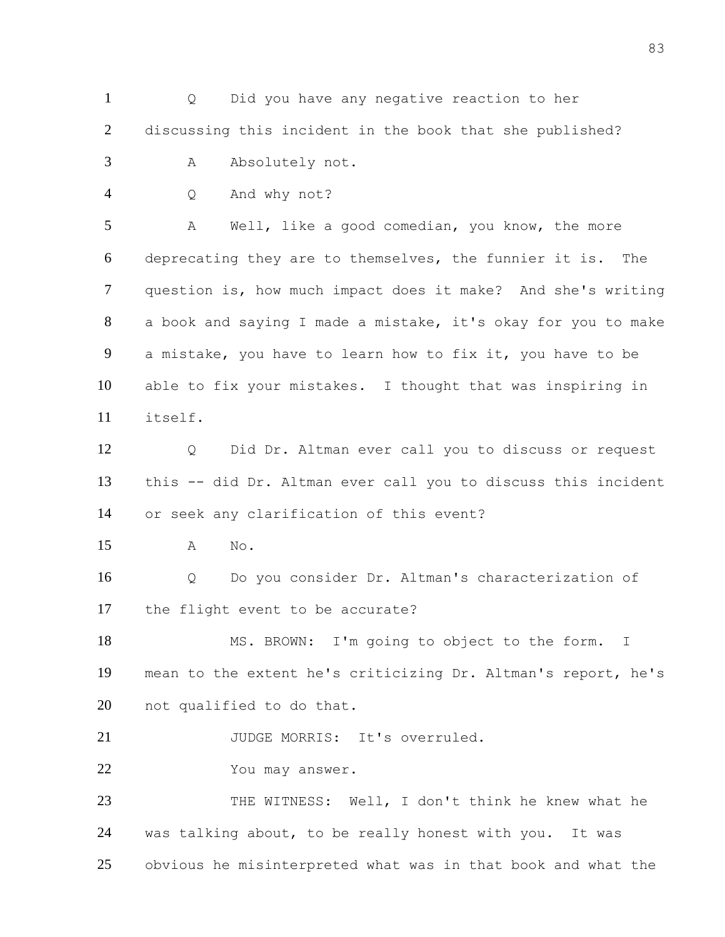Q Did you have any negative reaction to her discussing this incident in the book that she published? 3 A Absolutely not. Q And why not? A Well, like a good comedian, you know, the more deprecating they are to themselves, the funnier it is. The question is, how much impact does it make? And she's writing a book and saying I made a mistake, it's okay for you to make a mistake, you have to learn how to fix it, you have to be able to fix your mistakes. I thought that was inspiring in itself. Q Did Dr. Altman ever call you to discuss or request this -- did Dr. Altman ever call you to discuss this incident or seek any clarification of this event? A No. Q Do you consider Dr. Altman's characterization of the flight event to be accurate? 18 MS. BROWN: I'm going to object to the form. I mean to the extent he's criticizing Dr. Altman's report, he's not qualified to do that. 21 JUDGE MORRIS: It's overruled. You may answer. 23 THE WITNESS: Well, I don't think he knew what he was talking about, to be really honest with you. It was obvious he misinterpreted what was in that book and what the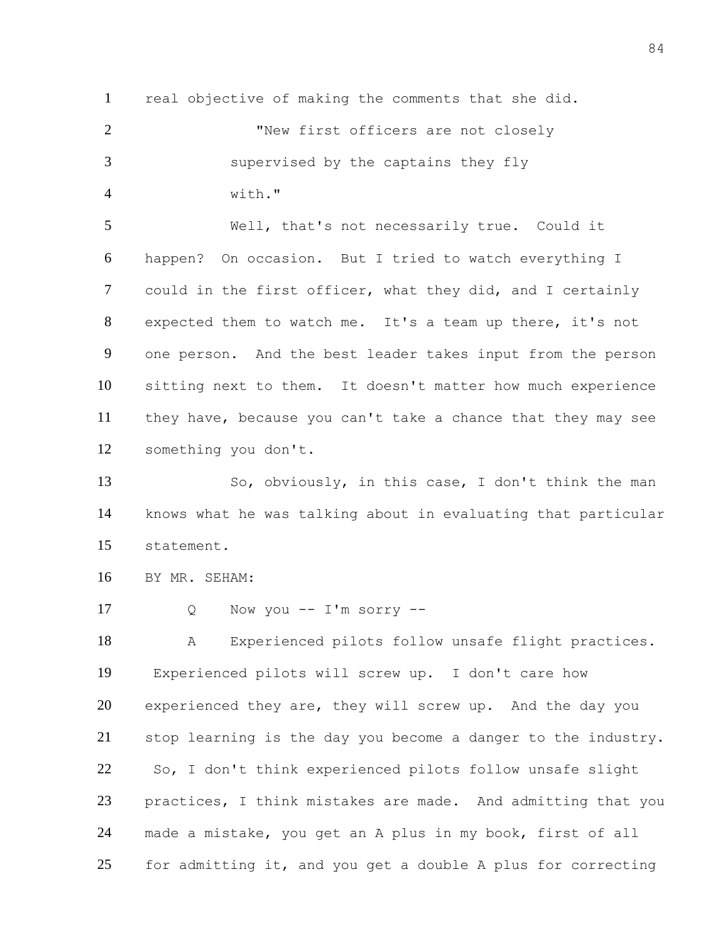real objective of making the comments that she did. 2 Thew first officers are not closely supervised by the captains they fly with." Well, that's not necessarily true. Could it happen? On occasion. But I tried to watch everything I could in the first officer, what they did, and I certainly expected them to watch me. It's a team up there, it's not one person. And the best leader takes input from the person sitting next to them. It doesn't matter how much experience they have, because you can't take a chance that they may see something you don't. So, obviously, in this case, I don't think the man knows what he was talking about in evaluating that particular

statement.

BY MR. SEHAM:

Q Now you -- I'm sorry --

 A Experienced pilots follow unsafe flight practices. Experienced pilots will screw up. I don't care how 20 experienced they are, they will screw up. And the day you stop learning is the day you become a danger to the industry. So, I don't think experienced pilots follow unsafe slight practices, I think mistakes are made. And admitting that you made a mistake, you get an A plus in my book, first of all for admitting it, and you get a double A plus for correcting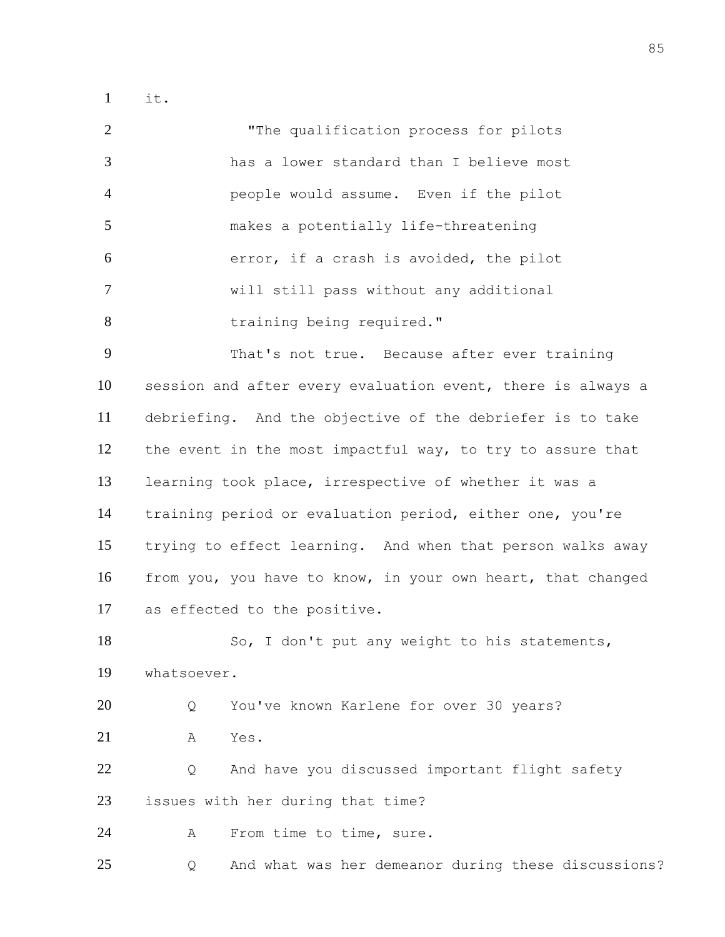it.

 "The qualification process for pilots has a lower standard than I believe most people would assume. Even if the pilot makes a potentially life-threatening error, if a crash is avoided, the pilot will still pass without any additional 8 training being required." That's not true. Because after ever training session and after every evaluation event, there is always a debriefing. And the objective of the debriefer is to take 12 the event in the most impactful way, to try to assure that learning took place, irrespective of whether it was a training period or evaluation period, either one, you're trying to effect learning. And when that person walks away from you, you have to know, in your own heart, that changed as effected to the positive. So, I don't put any weight to his statements, whatsoever.

 Q You've known Karlene for over 30 years? A Yes.

 Q And have you discussed important flight safety issues with her during that time?

A From time to time, sure.

Q And what was her demeanor during these discussions?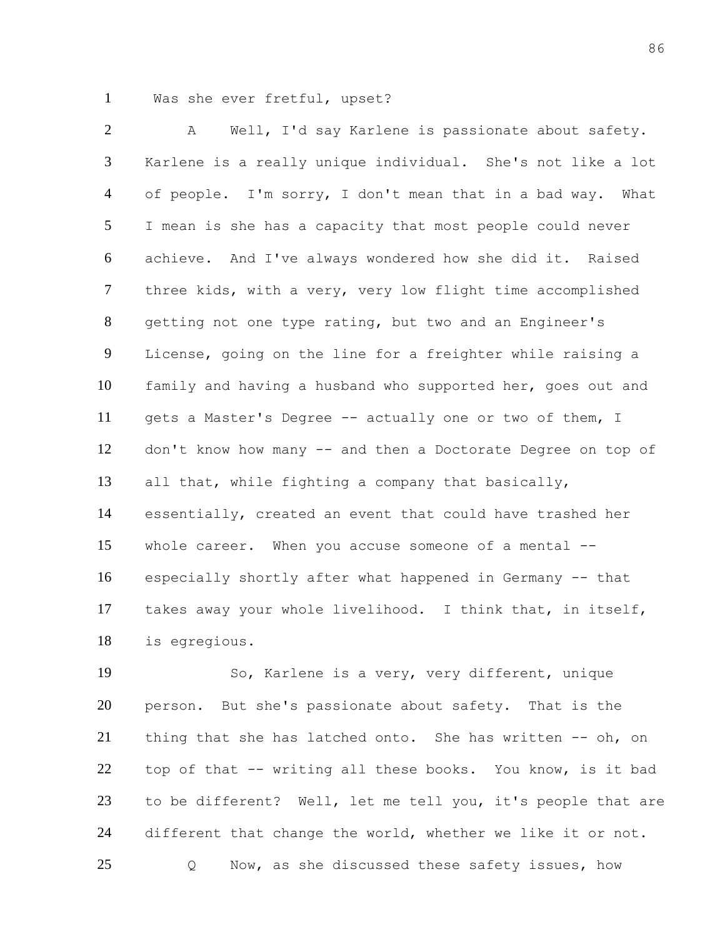Was she ever fretful, upset?

 A Well, I'd say Karlene is passionate about safety. Karlene is a really unique individual. She's not like a lot of people. I'm sorry, I don't mean that in a bad way. What I mean is she has a capacity that most people could never achieve. And I've always wondered how she did it. Raised three kids, with a very, very low flight time accomplished getting not one type rating, but two and an Engineer's License, going on the line for a freighter while raising a family and having a husband who supported her, goes out and gets a Master's Degree -- actually one or two of them, I don't know how many -- and then a Doctorate Degree on top of all that, while fighting a company that basically, essentially, created an event that could have trashed her whole career. When you accuse someone of a mental -- especially shortly after what happened in Germany -- that takes away your whole livelihood. I think that, in itself, is egregious.

 So, Karlene is a very, very different, unique person. But she's passionate about safety. That is the 21 thing that she has latched onto. She has written -- oh, on top of that -- writing all these books. You know, is it bad to be different? Well, let me tell you, it's people that are 24 different that change the world, whether we like it or not. Q Now, as she discussed these safety issues, how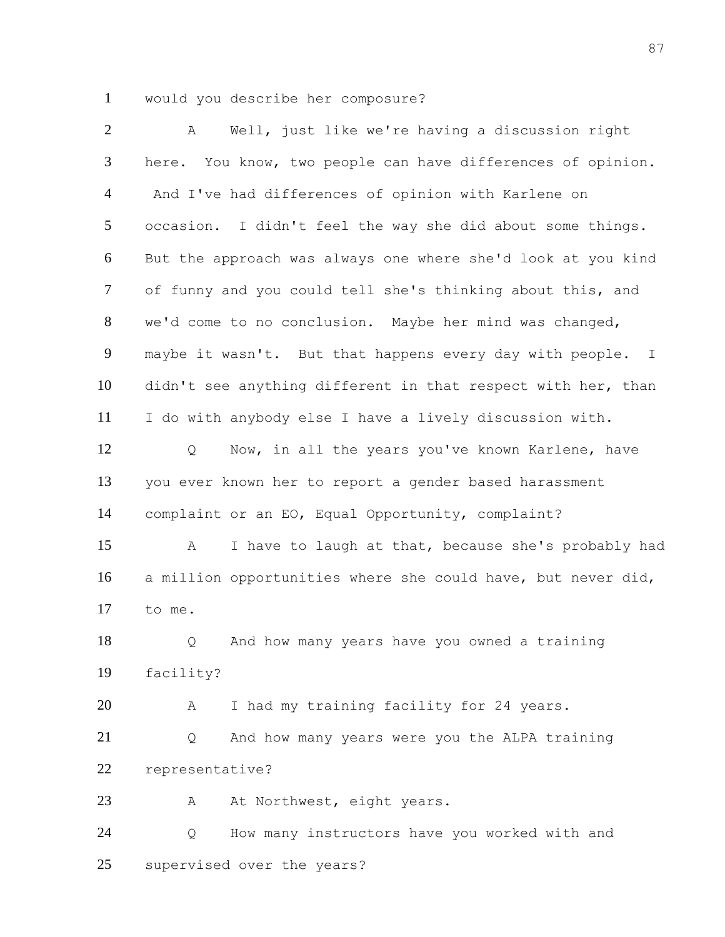would you describe her composure?

| 2              | Well, just like we're having a discussion right<br>Α         |
|----------------|--------------------------------------------------------------|
| 3              | here. You know, two people can have differences of opinion.  |
| $\overline{4}$ | And I've had differences of opinion with Karlene on          |
| 5              | occasion. I didn't feel the way she did about some things.   |
| 6              | But the approach was always one where she'd look at you kind |
| $\tau$         | of funny and you could tell she's thinking about this, and   |
| 8              | we'd come to no conclusion. Maybe her mind was changed,      |
| 9              | maybe it wasn't. But that happens every day with people. I   |
| 10             | didn't see anything different in that respect with her, than |
| 11             | I do with anybody else I have a lively discussion with.      |
| 12             | Now, in all the years you've known Karlene, have<br>Q        |
| 13             | you ever known her to report a gender based harassment       |
| 14             | complaint or an EO, Equal Opportunity, complaint?            |
| 15             | I have to laugh at that, because she's probably had<br>A     |
| 16             | a million opportunities where she could have, but never did, |
| 17             | to me.                                                       |
| 18             | And how many years have you owned a training<br>$\circ$      |
| 19             | facility?                                                    |
| 20             | I had my training facility for 24 years.<br>Α                |
| 21             | And how many years were you the ALPA training<br>Q           |
| 22             | representative?                                              |
| 23             | At Northwest, eight years.<br>Α                              |
| 24             | How many instructors have you worked with and<br>Q           |
| 25             | supervised over the years?                                   |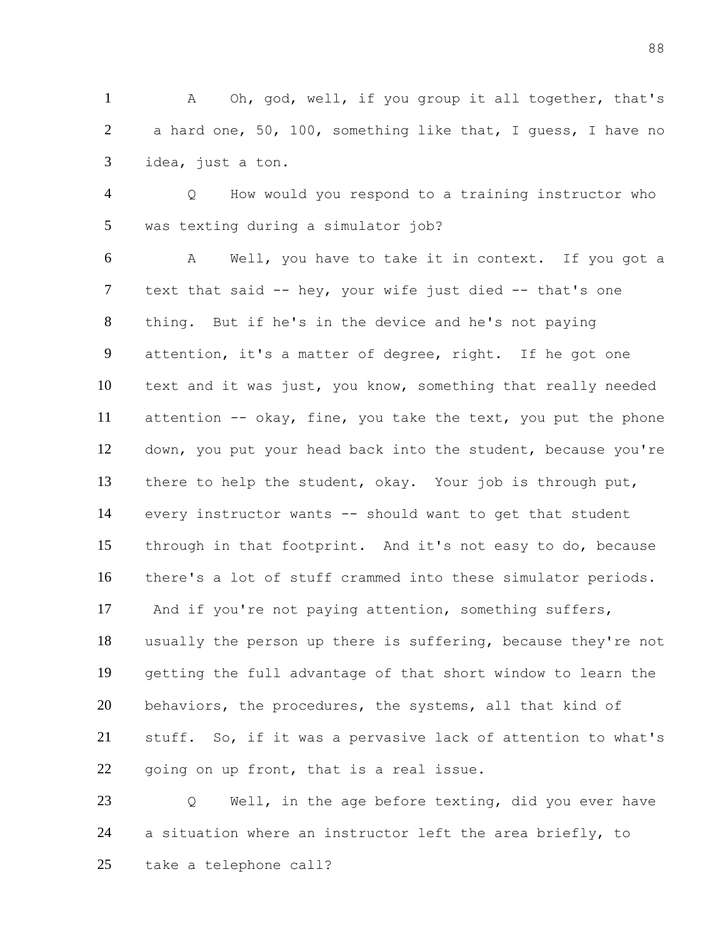A Oh, god, well, if you group it all together, that's a hard one, 50, 100, something like that, I guess, I have no idea, just a ton.

 Q How would you respond to a training instructor who was texting during a simulator job?

 A Well, you have to take it in context. If you got a text that said -- hey, your wife just died -- that's one thing. But if he's in the device and he's not paying attention, it's a matter of degree, right. If he got one text and it was just, you know, something that really needed attention -- okay, fine, you take the text, you put the phone down, you put your head back into the student, because you're there to help the student, okay. Your job is through put, every instructor wants -- should want to get that student through in that footprint. And it's not easy to do, because there's a lot of stuff crammed into these simulator periods. And if you're not paying attention, something suffers, usually the person up there is suffering, because they're not getting the full advantage of that short window to learn the behaviors, the procedures, the systems, all that kind of stuff. So, if it was a pervasive lack of attention to what's 22 going on up front, that is a real issue.

 Q Well, in the age before texting, did you ever have a situation where an instructor left the area briefly, to take a telephone call?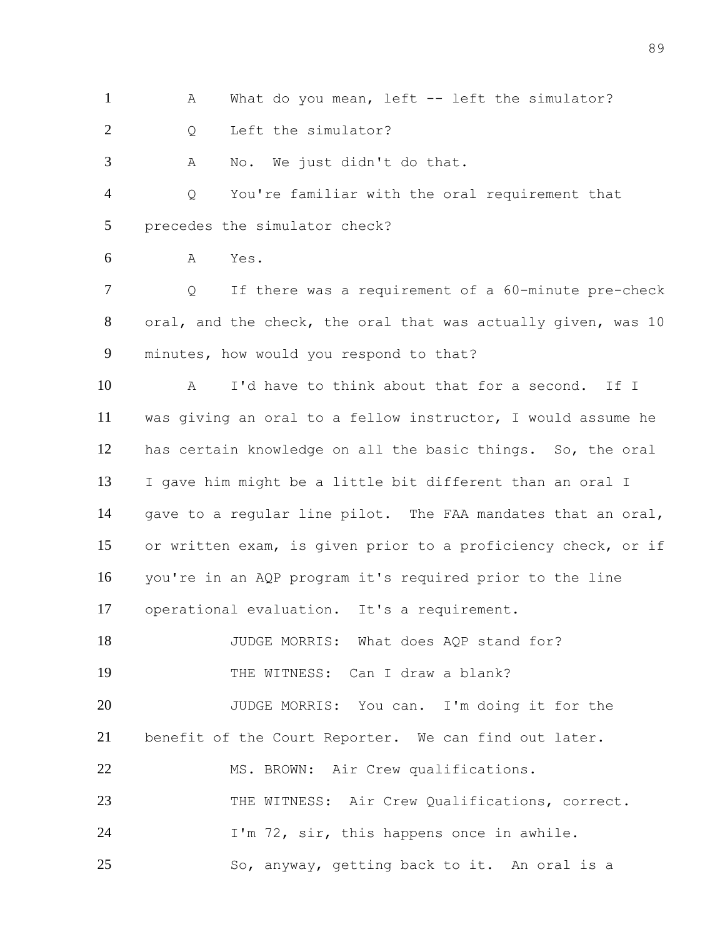1 A What do you mean, left -- left the simulator?

2 Q Left the simulator?

A No. We just didn't do that.

 Q You're familiar with the oral requirement that precedes the simulator check?

A Yes.

 Q If there was a requirement of a 60-minute pre-check oral, and the check, the oral that was actually given, was 10 minutes, how would you respond to that?

 A I'd have to think about that for a second. If I was giving an oral to a fellow instructor, I would assume he has certain knowledge on all the basic things. So, the oral I gave him might be a little bit different than an oral I gave to a regular line pilot. The FAA mandates that an oral, or written exam, is given prior to a proficiency check, or if you're in an AQP program it's required prior to the line operational evaluation. It's a requirement.

18 JUDGE MORRIS: What does AQP stand for? THE WITNESS: Can I draw a blank?

 JUDGE MORRIS: You can. I'm doing it for the benefit of the Court Reporter. We can find out later. 22 MS. BROWN: Air Crew qualifications. THE WITNESS: Air Crew Qualifications, correct. 24 I'm 72, sir, this happens once in awhile. So, anyway, getting back to it. An oral is a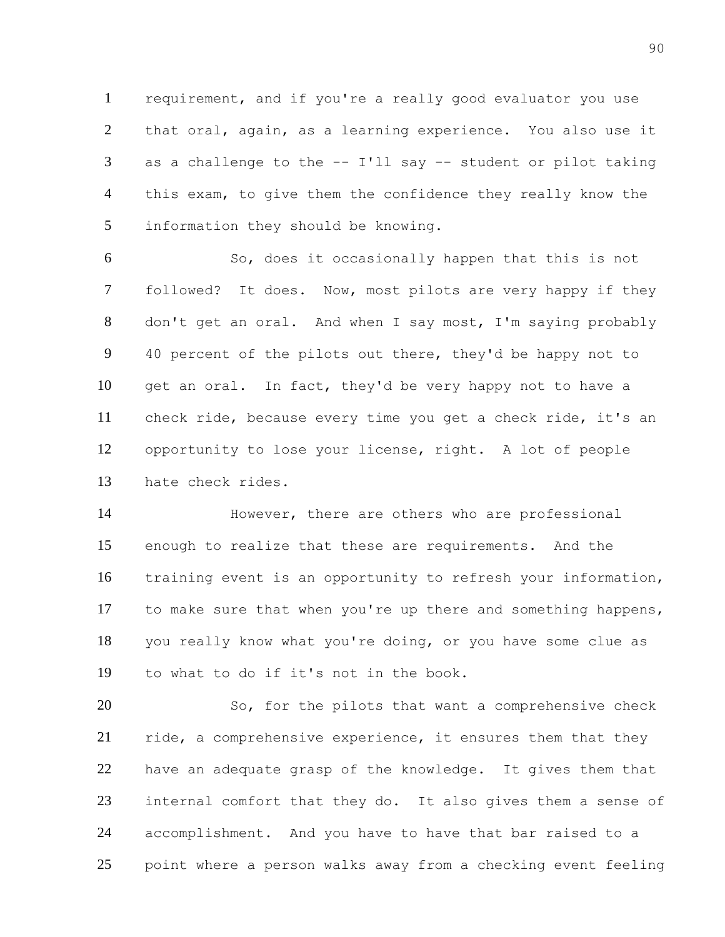requirement, and if you're a really good evaluator you use that oral, again, as a learning experience. You also use it as a challenge to the -- I'll say -- student or pilot taking this exam, to give them the confidence they really know the information they should be knowing.

 So, does it occasionally happen that this is not followed? It does. Now, most pilots are very happy if they don't get an oral. And when I say most, I'm saying probably 40 percent of the pilots out there, they'd be happy not to get an oral. In fact, they'd be very happy not to have a check ride, because every time you get a check ride, it's an opportunity to lose your license, right. A lot of people hate check rides.

 However, there are others who are professional enough to realize that these are requirements. And the training event is an opportunity to refresh your information, to make sure that when you're up there and something happens, you really know what you're doing, or you have some clue as to what to do if it's not in the book.

 So, for the pilots that want a comprehensive check 21 ride, a comprehensive experience, it ensures them that they have an adequate grasp of the knowledge. It gives them that internal comfort that they do. It also gives them a sense of accomplishment. And you have to have that bar raised to a point where a person walks away from a checking event feeling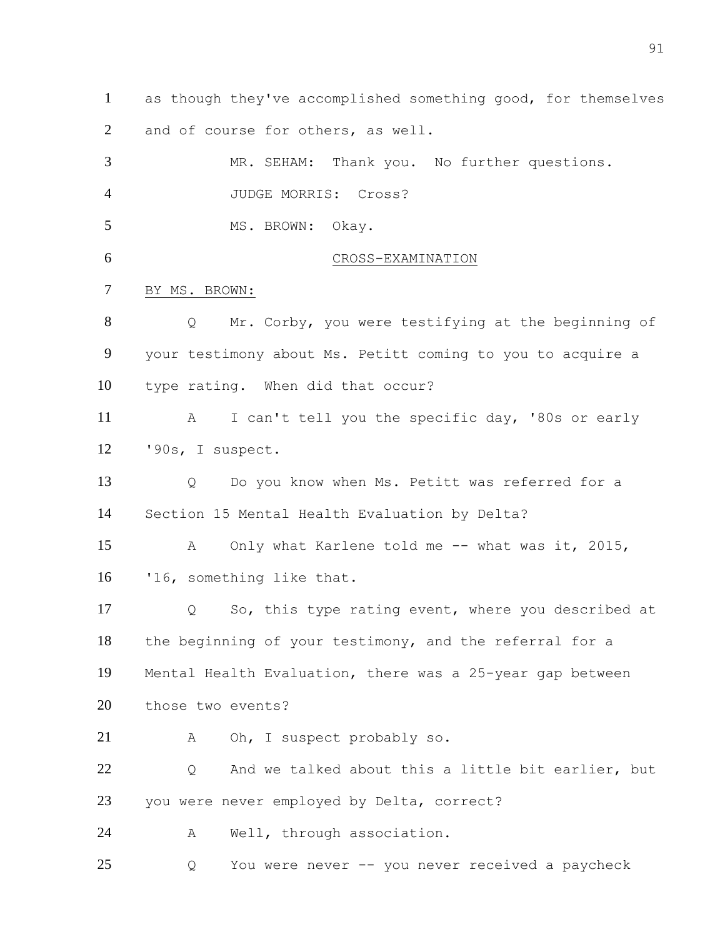as though they've accomplished something good, for themselves and of course for others, as well.

 MR. SEHAM: Thank you. No further questions. JUDGE MORRIS: Cross? 5 MS. BROWN: Okay. 6 CROSS-EXAMINATION BY MS. BROWN: Q Mr. Corby, you were testifying at the beginning of your testimony about Ms. Petitt coming to you to acquire a type rating. When did that occur? A I can't tell you the specific day, '80s or early '90s, I suspect. Q Do you know when Ms. Petitt was referred for a Section 15 Mental Health Evaluation by Delta? A Only what Karlene told me -- what was it, 2015, '16, something like that. Q So, this type rating event, where you described at the beginning of your testimony, and the referral for a Mental Health Evaluation, there was a 25-year gap between those two events? A Oh, I suspect probably so. 22 O And we talked about this a little bit earlier, but you were never employed by Delta, correct? A Well, through association. Q You were never -- you never received a paycheck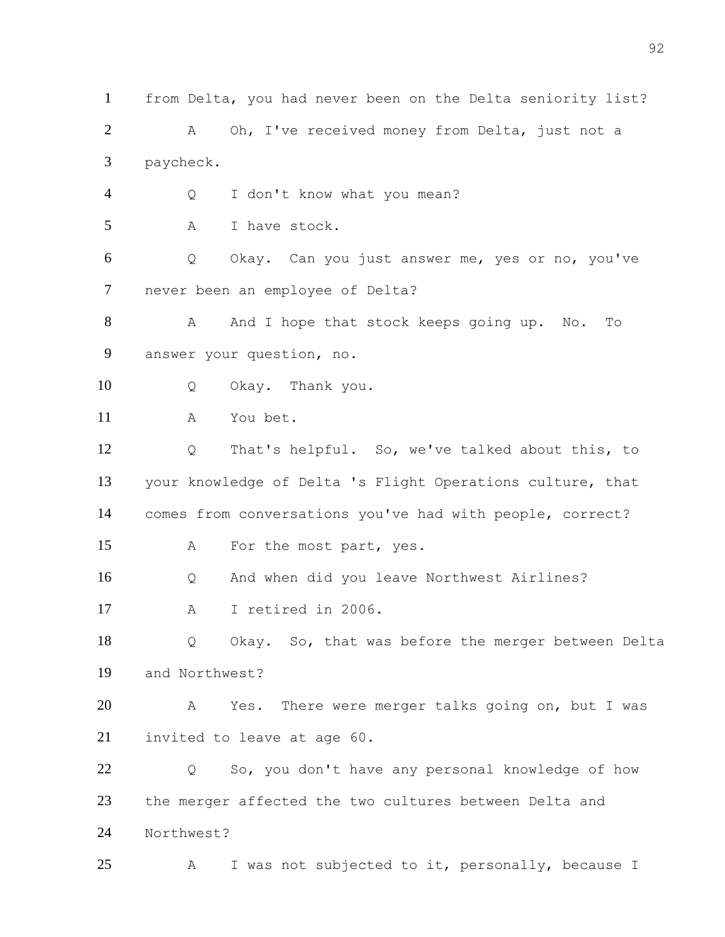from Delta, you had never been on the Delta seniority list? 2 A Oh, I've received money from Delta, just not a paycheck. Q I don't know what you mean? A I have stock. Q Okay. Can you just answer me, yes or no, you've never been an employee of Delta? 8 A And I hope that stock keeps going up. No. To answer your question, no. Q Okay. Thank you. A You bet. Q That's helpful. So, we've talked about this, to your knowledge of Delta 's Flight Operations culture, that comes from conversations you've had with people, correct? A For the most part, yes. Q And when did you leave Northwest Airlines? A I retired in 2006. Q Okay. So, that was before the merger between Delta and Northwest? A Yes. There were merger talks going on, but I was invited to leave at age 60. Q So, you don't have any personal knowledge of how the merger affected the two cultures between Delta and Northwest? A I was not subjected to it, personally, because I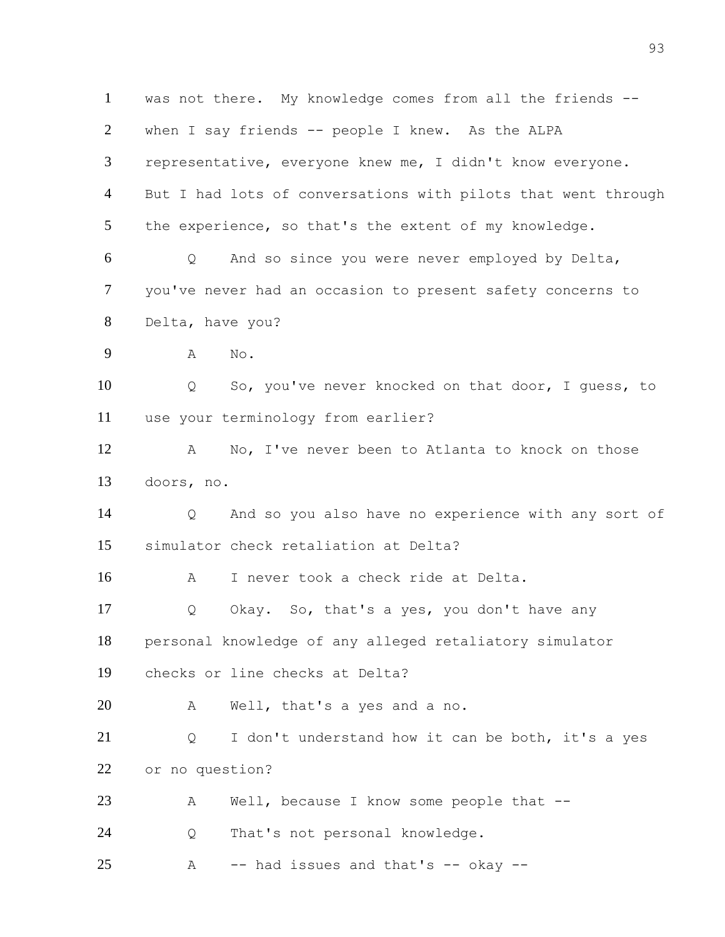was not there. My knowledge comes from all the friends -- when I say friends -- people I knew. As the ALPA representative, everyone knew me, I didn't know everyone. But I had lots of conversations with pilots that went through the experience, so that's the extent of my knowledge. Q And so since you were never employed by Delta, you've never had an occasion to present safety concerns to Delta, have you? A No. Q So, you've never knocked on that door, I guess, to use your terminology from earlier? A No, I've never been to Atlanta to knock on those doors, no. Q And so you also have no experience with any sort of simulator check retaliation at Delta? A I never took a check ride at Delta. Q Okay. So, that's a yes, you don't have any personal knowledge of any alleged retaliatory simulator checks or line checks at Delta? A Well, that's a yes and a no. Q I don't understand how it can be both, it's a yes or no question? A Well, because I know some people that -- Q That's not personal knowledge. A  $-$  had issues and that's  $-$  okay  $-$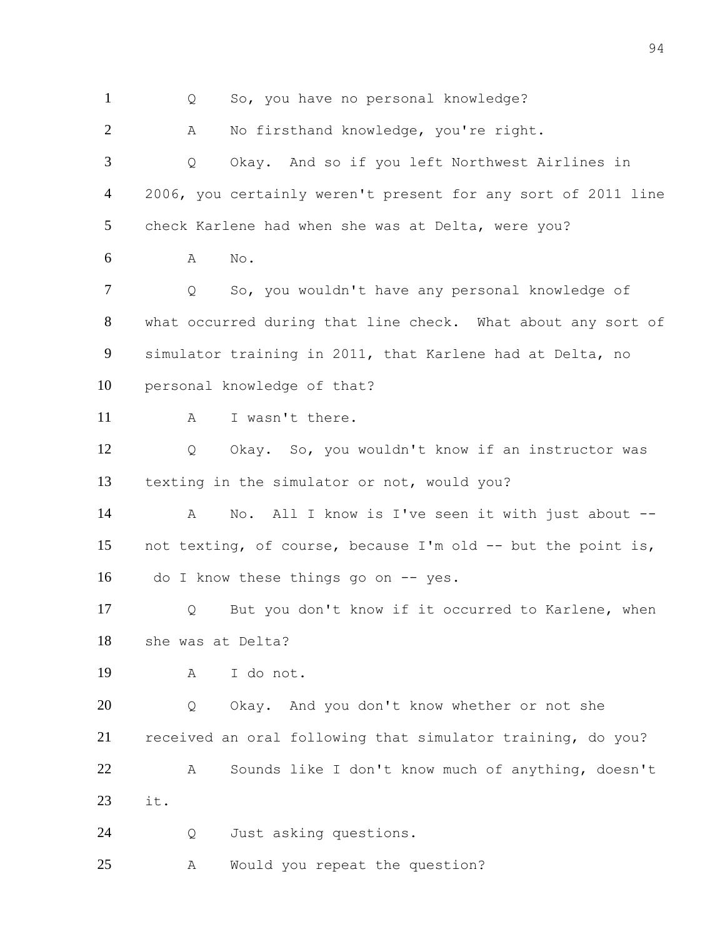Q So, you have no personal knowledge? A No firsthand knowledge, you're right. Q Okay. And so if you left Northwest Airlines in 2006, you certainly weren't present for any sort of 2011 line check Karlene had when she was at Delta, were you? A No. Q So, you wouldn't have any personal knowledge of what occurred during that line check. What about any sort of simulator training in 2011, that Karlene had at Delta, no personal knowledge of that? 11 A I wasn't there. Q Okay. So, you wouldn't know if an instructor was texting in the simulator or not, would you? 14 A No. All I know is I've seen it with just about -- not texting, of course, because I'm old -- but the point is, 16 do I know these things go on -- yes. Q But you don't know if it occurred to Karlene, when she was at Delta? A I do not. Q Okay. And you don't know whether or not she received an oral following that simulator training, do you? A Sounds like I don't know much of anything, doesn't it. Q Just asking questions. A Would you repeat the question?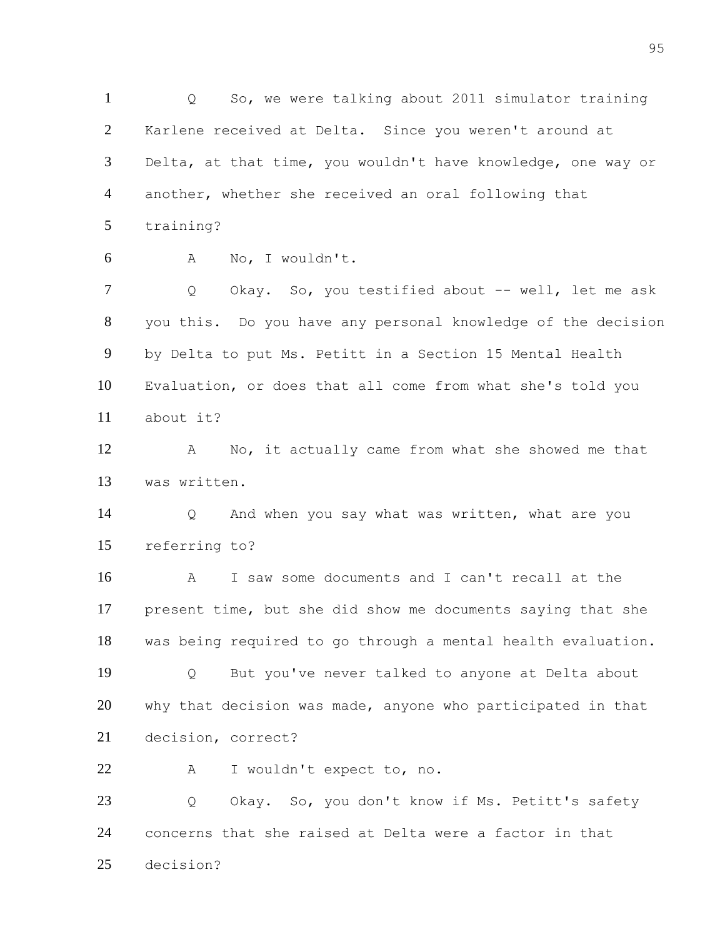Q So, we were talking about 2011 simulator training Karlene received at Delta. Since you weren't around at Delta, at that time, you wouldn't have knowledge, one way or another, whether she received an oral following that training? A No, I wouldn't. 7 Q Okay. So, you testified about -- well, let me ask you this. Do you have any personal knowledge of the decision by Delta to put Ms. Petitt in a Section 15 Mental Health Evaluation, or does that all come from what she's told you about it? A No, it actually came from what she showed me that was written. Q And when you say what was written, what are you referring to? A I saw some documents and I can't recall at the present time, but she did show me documents saying that she was being required to go through a mental health evaluation. Q But you've never talked to anyone at Delta about why that decision was made, anyone who participated in that decision, correct? A I wouldn't expect to, no. 23 O Okay. So, you don't know if Ms. Petitt's safety concerns that she raised at Delta were a factor in that decision?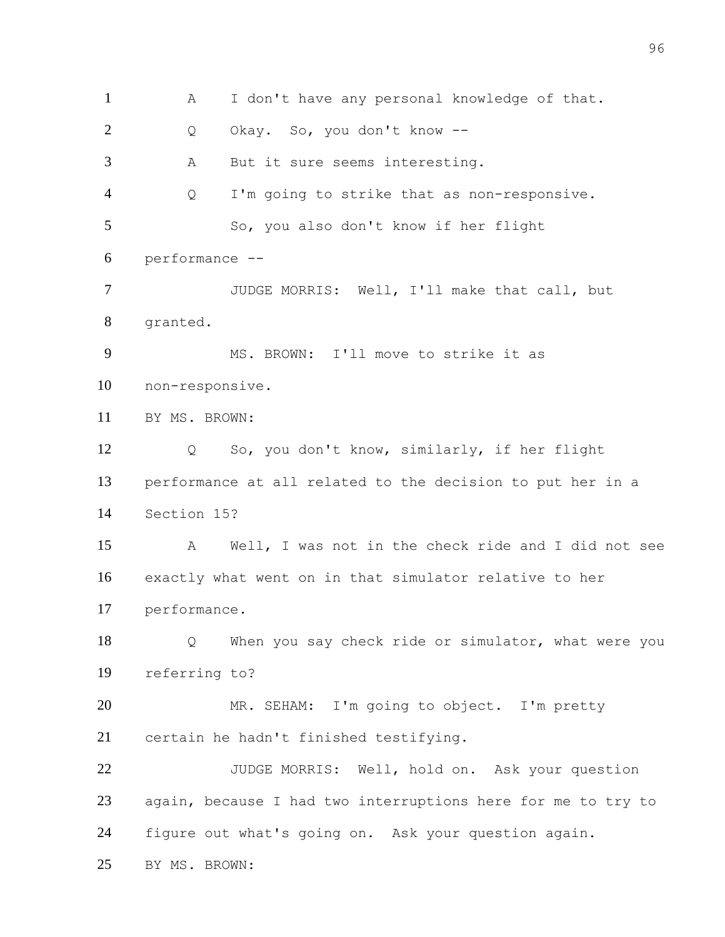A I don't have any personal knowledge of that. Q Okay. So, you don't know -- A But it sure seems interesting. Q I'm going to strike that as non-responsive. So, you also don't know if her flight performance -- JUDGE MORRIS: Well, I'll make that call, but granted. MS. BROWN: I'll move to strike it as non-responsive. BY MS. BROWN: Q So, you don't know, similarly, if her flight performance at all related to the decision to put her in a Section 15? A Well, I was not in the check ride and I did not see exactly what went on in that simulator relative to her performance. Q When you say check ride or simulator, what were you referring to? MR. SEHAM: I'm going to object. I'm pretty certain he hadn't finished testifying. 22 JUDGE MORRIS: Well, hold on. Ask your question again, because I had two interruptions here for me to try to figure out what's going on. Ask your question again. BY MS. BROWN: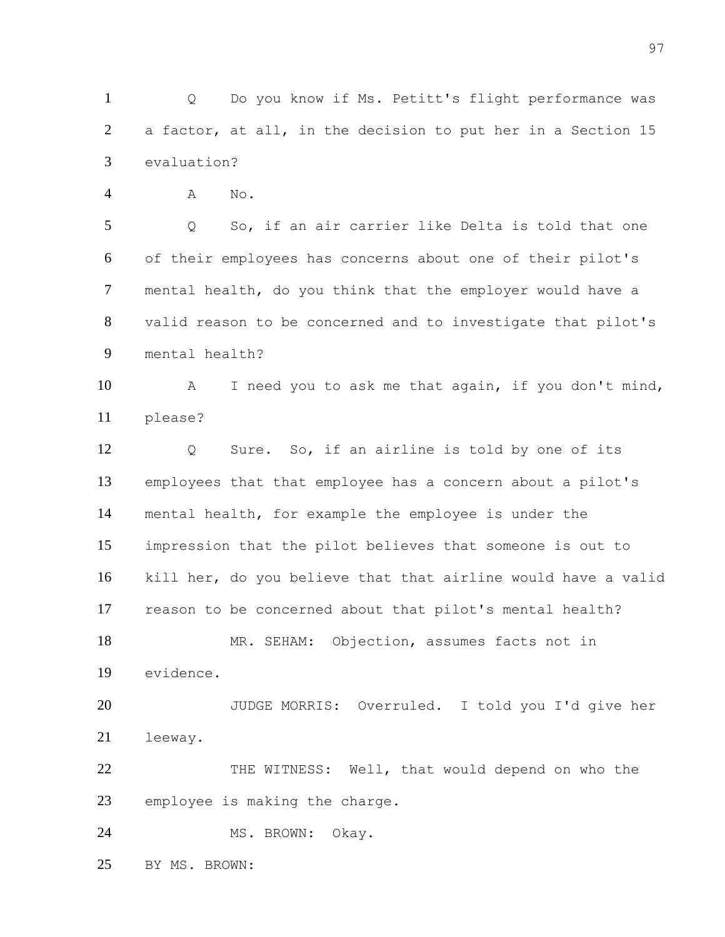Q Do you know if Ms. Petitt's flight performance was a factor, at all, in the decision to put her in a Section 15 evaluation?

A No.

 Q So, if an air carrier like Delta is told that one of their employees has concerns about one of their pilot's mental health, do you think that the employer would have a valid reason to be concerned and to investigate that pilot's mental health?

 A I need you to ask me that again, if you don't mind, please?

 Q Sure. So, if an airline is told by one of its employees that that employee has a concern about a pilot's mental health, for example the employee is under the impression that the pilot believes that someone is out to kill her, do you believe that that airline would have a valid reason to be concerned about that pilot's mental health? MR. SEHAM: Objection, assumes facts not in evidence. JUDGE MORRIS: Overruled. I told you I'd give her leeway.

22 THE WITNESS: Well, that would depend on who the employee is making the charge.

24 MS. BROWN: Okay.

BY MS. BROWN: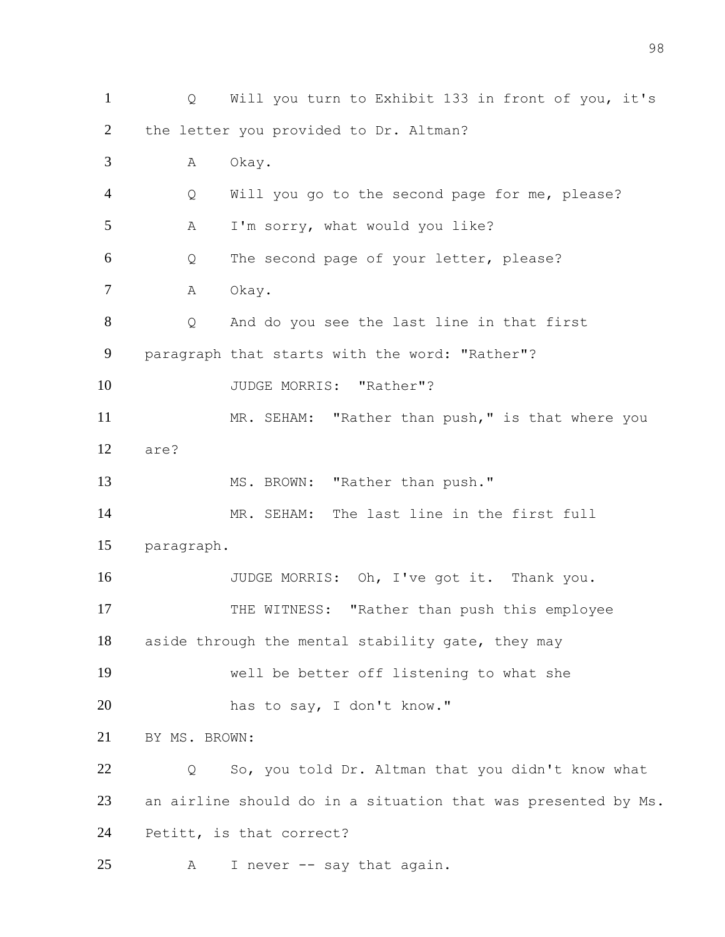Q Will you turn to Exhibit 133 in front of you, it's the letter you provided to Dr. Altman? A Okay. Q Will you go to the second page for me, please? A I'm sorry, what would you like? Q The second page of your letter, please? 7 A Okay. Q And do you see the last line in that first paragraph that starts with the word: "Rather"? 10 JUDGE MORRIS: "Rather"? 11 MR. SEHAM: "Rather than push," is that where you are? 13 MS. BROWN: "Rather than push." MR. SEHAM: The last line in the first full paragraph. 16 JUDGE MORRIS: Oh, I've got it. Thank you. 17 THE WITNESS: "Rather than push this employee aside through the mental stability gate, they may well be better off listening to what she has to say, I don't know." BY MS. BROWN: Q So, you told Dr. Altman that you didn't know what an airline should do in a situation that was presented by Ms. Petitt, is that correct? A I never -- say that again.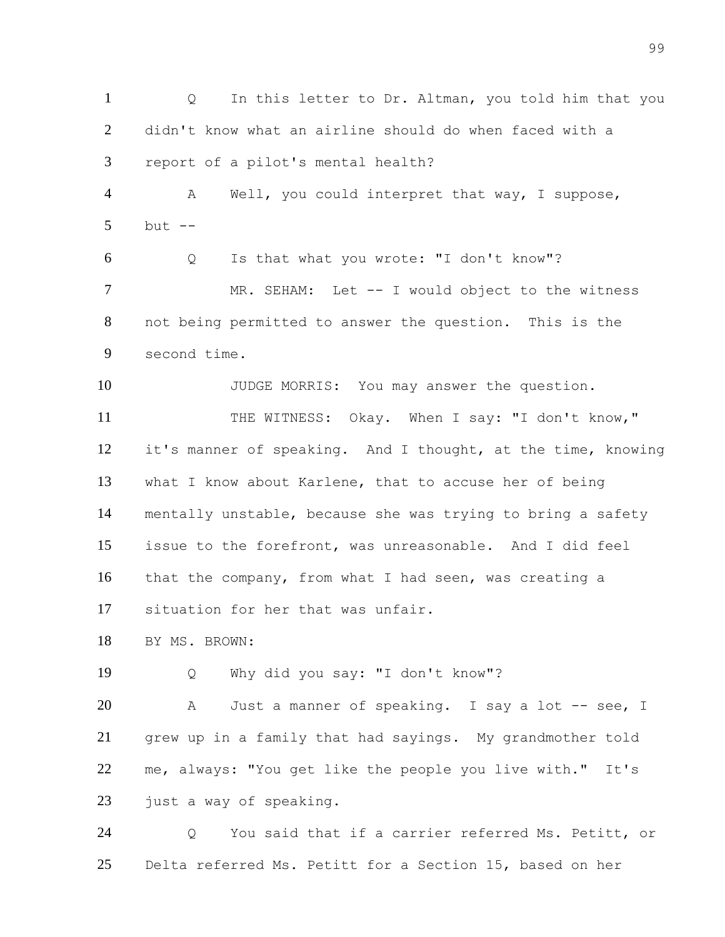1 Q In this letter to Dr. Altman, you told him that you didn't know what an airline should do when faced with a report of a pilot's mental health? 4 A Well, you could interpret that way, I suppose, but  $-$  Q Is that what you wrote: "I don't know"? 7 MR. SEHAM: Let -- I would object to the witness not being permitted to answer the question. This is the second time. 10 JUDGE MORRIS: You may answer the question. 11 THE WITNESS: Okay. When I say: "I don't know," it's manner of speaking. And I thought, at the time, knowing what I know about Karlene, that to accuse her of being mentally unstable, because she was trying to bring a safety issue to the forefront, was unreasonable. And I did feel that the company, from what I had seen, was creating a situation for her that was unfair. BY MS. BROWN: Q Why did you say: "I don't know"? 20 A Just a manner of speaking. I say a lot -- see, I grew up in a family that had sayings. My grandmother told me, always: "You get like the people you live with." It's 23 just a way of speaking. Q You said that if a carrier referred Ms. Petitt, or Delta referred Ms. Petitt for a Section 15, based on her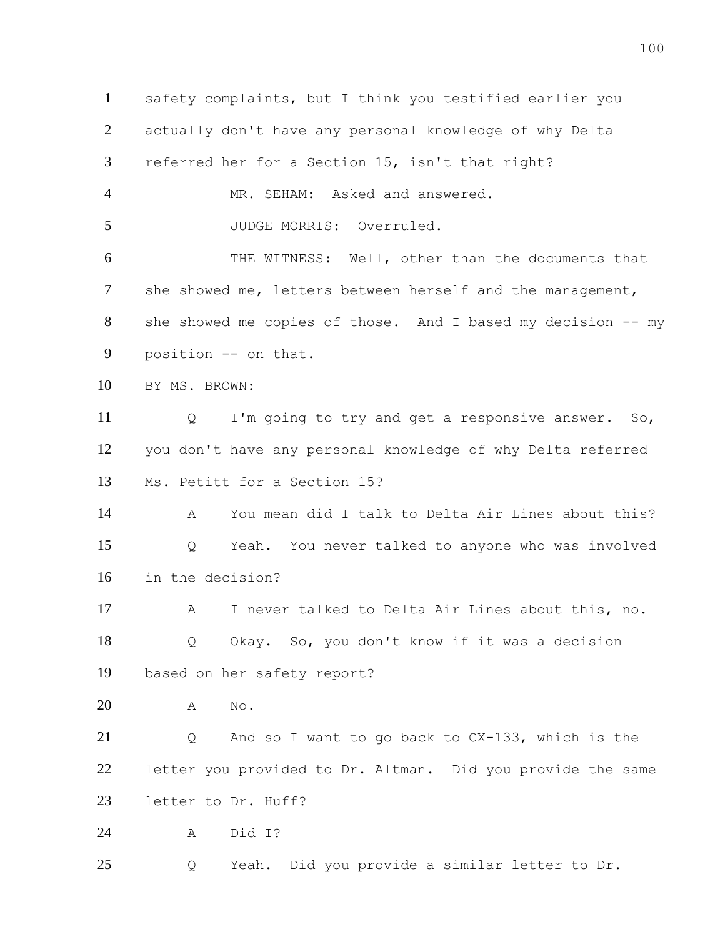safety complaints, but I think you testified earlier you actually don't have any personal knowledge of why Delta referred her for a Section 15, isn't that right? MR. SEHAM: Asked and answered. 5 JUDGE MORRIS: Overruled. THE WITNESS: Well, other than the documents that 7 she showed me, letters between herself and the management, she showed me copies of those. And I based my decision -- my position -- on that. BY MS. BROWN: Q I'm going to try and get a responsive answer. So, you don't have any personal knowledge of why Delta referred Ms. Petitt for a Section 15? A You mean did I talk to Delta Air Lines about this? Q Yeah. You never talked to anyone who was involved in the decision? A I never talked to Delta Air Lines about this, no. Q Okay. So, you don't know if it was a decision based on her safety report? A No. Q And so I want to go back to CX-133, which is the letter you provided to Dr. Altman. Did you provide the same letter to Dr. Huff? A Did I? Q Yeah. Did you provide a similar letter to Dr.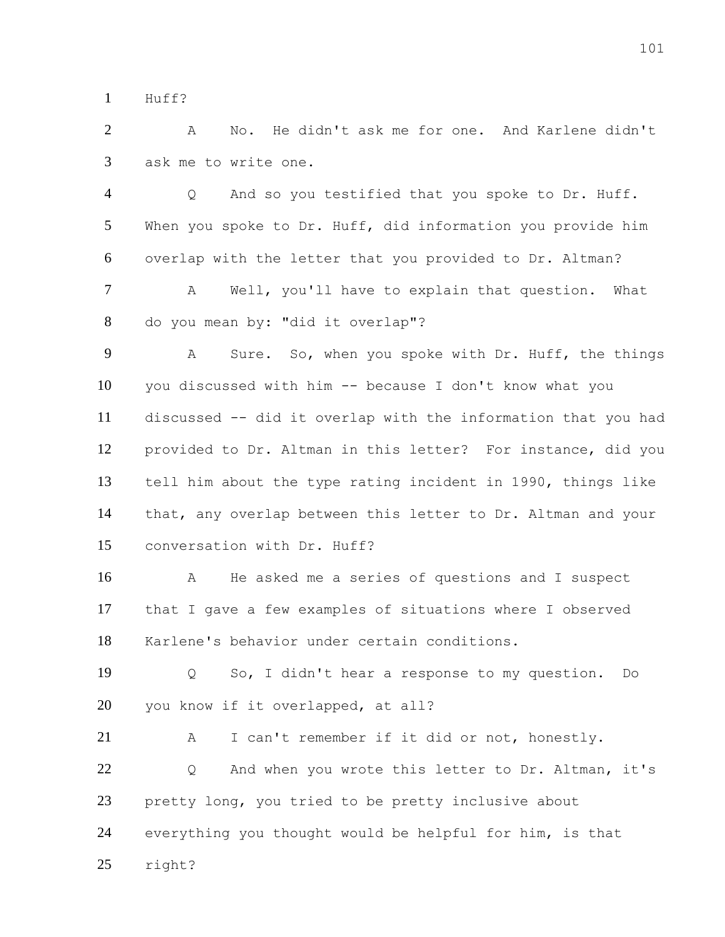Huff?

 A No. He didn't ask me for one. And Karlene didn't ask me to write one.

 Q And so you testified that you spoke to Dr. Huff. When you spoke to Dr. Huff, did information you provide him overlap with the letter that you provided to Dr. Altman?

 A Well, you'll have to explain that question. What do you mean by: "did it overlap"?

 A Sure. So, when you spoke with Dr. Huff, the things you discussed with him -- because I don't know what you discussed -- did it overlap with the information that you had provided to Dr. Altman in this letter? For instance, did you tell him about the type rating incident in 1990, things like that, any overlap between this letter to Dr. Altman and your conversation with Dr. Huff?

 A He asked me a series of questions and I suspect that I gave a few examples of situations where I observed Karlene's behavior under certain conditions.

 Q So, I didn't hear a response to my question. Do you know if it overlapped, at all?

 A I can't remember if it did or not, honestly. 22 O And when you wrote this letter to Dr. Altman, it's pretty long, you tried to be pretty inclusive about everything you thought would be helpful for him, is that right?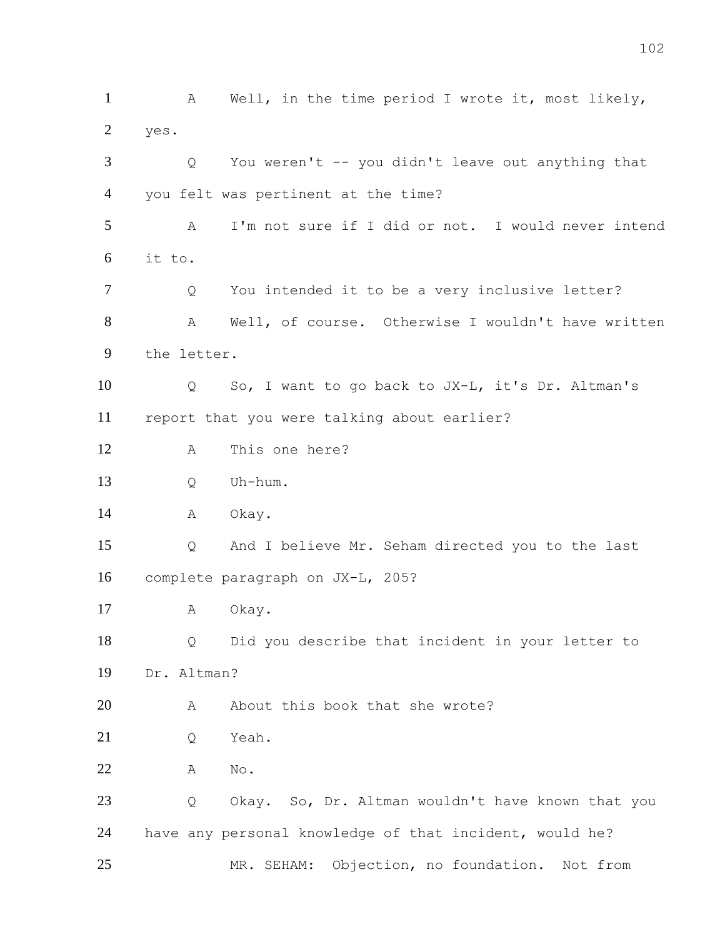1 A Well, in the time period I wrote it, most likely, yes. Q You weren't -- you didn't leave out anything that you felt was pertinent at the time? A I'm not sure if I did or not. I would never intend it to. Q You intended it to be a very inclusive letter? A Well, of course. Otherwise I wouldn't have written the letter. Q So, I want to go back to JX-L, it's Dr. Altman's report that you were talking about earlier? A This one here? Q Uh-hum. 14 A Okay. Q And I believe Mr. Seham directed you to the last complete paragraph on JX-L, 205? A Okay. Q Did you describe that incident in your letter to Dr. Altman? 20 A About this book that she wrote? 21 O Yeah. A No. Q Okay. So, Dr. Altman wouldn't have known that you have any personal knowledge of that incident, would he? MR. SEHAM: Objection, no foundation. Not from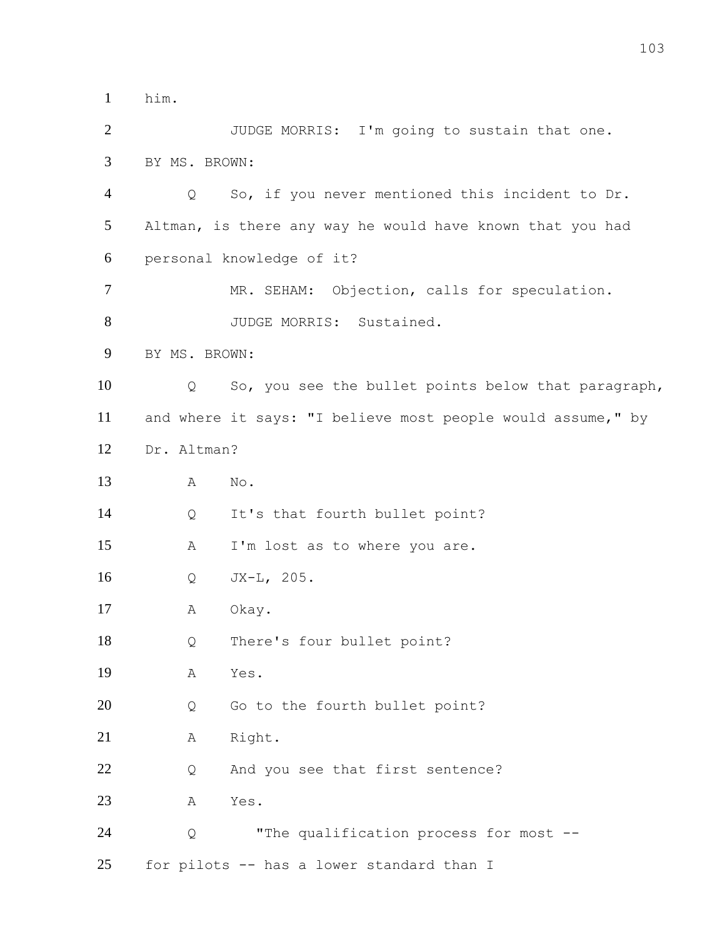him.

 JUDGE MORRIS: I'm going to sustain that one. BY MS. BROWN: Q So, if you never mentioned this incident to Dr. Altman, is there any way he would have known that you had personal knowledge of it? MR. SEHAM: Objection, calls for speculation. 8 JUDGE MORRIS: Sustained. BY MS. BROWN: Q So, you see the bullet points below that paragraph, and where it says: "I believe most people would assume," by Dr. Altman? A No. Q It's that fourth bullet point? A I'm lost as to where you are. Q JX-L, 205. A Okay. Q There's four bullet point? A Yes. 20 Q Go to the fourth bullet point? 21 A Right. 22 Q And you see that first sentence? A Yes. Q "The qualification process for most -- for pilots -- has a lower standard than I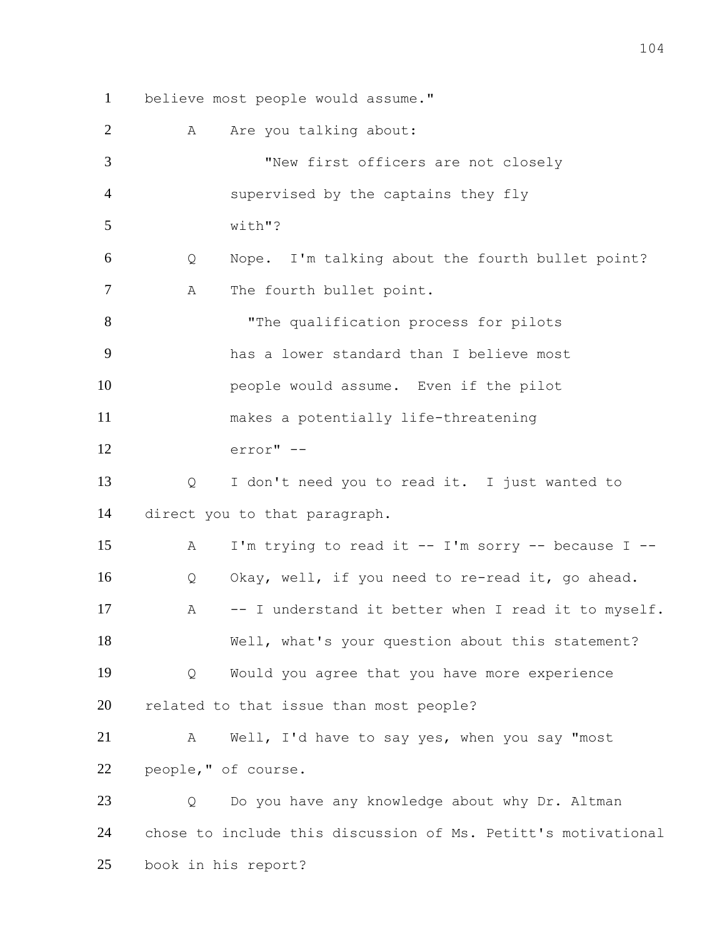believe most people would assume." 2 A Are you talking about: "New first officers are not closely supervised by the captains they fly with"? Q Nope. I'm talking about the fourth bullet point? 7 A The fourth bullet point. "The qualification process for pilots has a lower standard than I believe most people would assume. Even if the pilot makes a potentially life-threatening error" -- Q I don't need you to read it. I just wanted to direct you to that paragraph. A I'm trying to read it -- I'm sorry -- because I -- Q Okay, well, if you need to re-read it, go ahead. A -- I understand it better when I read it to myself. Well, what's your question about this statement? Q Would you agree that you have more experience related to that issue than most people? A Well, I'd have to say yes, when you say "most people," of course. 23 Q Do you have any knowledge about why Dr. Altman chose to include this discussion of Ms. Petitt's motivational

book in his report?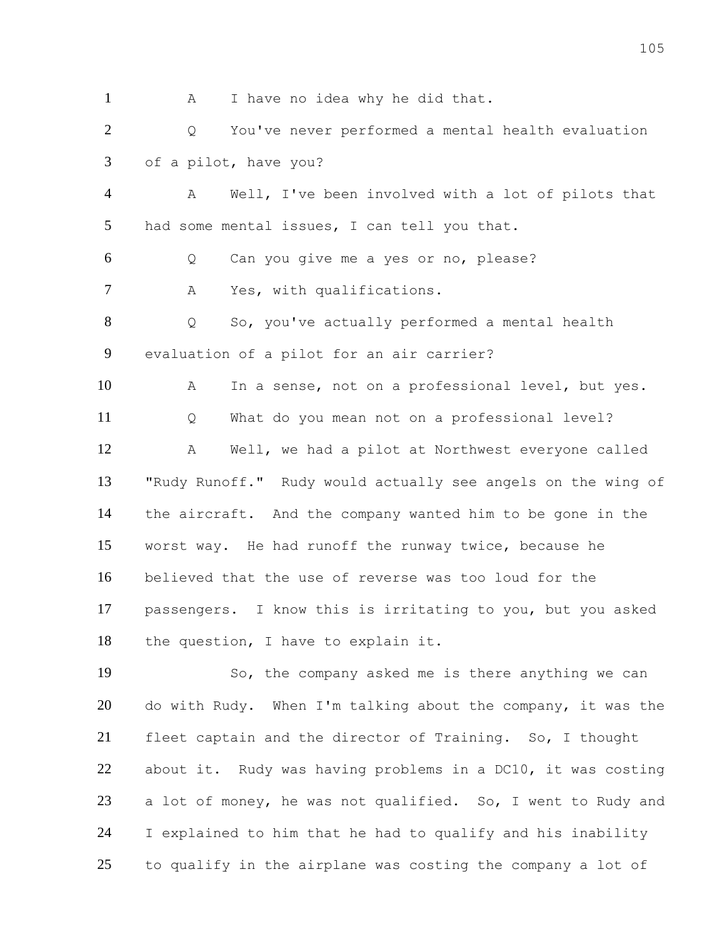1 A I have no idea why he did that. Q You've never performed a mental health evaluation of a pilot, have you? A Well, I've been involved with a lot of pilots that had some mental issues, I can tell you that. Q Can you give me a yes or no, please? A Yes, with qualifications. Q So, you've actually performed a mental health evaluation of a pilot for an air carrier? A In a sense, not on a professional level, but yes. Q What do you mean not on a professional level? A Well, we had a pilot at Northwest everyone called "Rudy Runoff." Rudy would actually see angels on the wing of the aircraft. And the company wanted him to be gone in the worst way. He had runoff the runway twice, because he believed that the use of reverse was too loud for the passengers. I know this is irritating to you, but you asked the question, I have to explain it. So, the company asked me is there anything we can do with Rudy. When I'm talking about the company, it was the fleet captain and the director of Training. So, I thought about it. Rudy was having problems in a DC10, it was costing a lot of money, he was not qualified. So, I went to Rudy and

 I explained to him that he had to qualify and his inability to qualify in the airplane was costing the company a lot of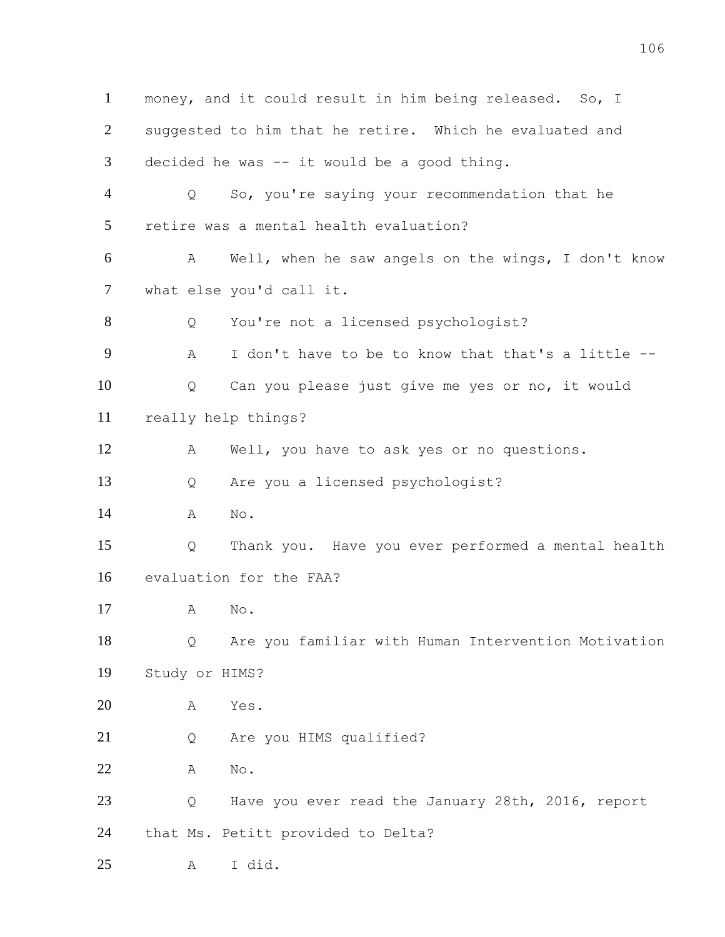money, and it could result in him being released. So, I suggested to him that he retire. Which he evaluated and decided he was -- it would be a good thing. Q So, you're saying your recommendation that he retire was a mental health evaluation? A Well, when he saw angels on the wings, I don't know what else you'd call it. Q You're not a licensed psychologist? A I don't have to be to know that that's a little -- Q Can you please just give me yes or no, it would really help things? A Well, you have to ask yes or no questions. Q Are you a licensed psychologist? A No. Q Thank you. Have you ever performed a mental health evaluation for the FAA? A No. Q Are you familiar with Human Intervention Motivation Study or HIMS? A Yes. Q Are you HIMS qualified? A No. Q Have you ever read the January 28th, 2016, report that Ms. Petitt provided to Delta? A I did.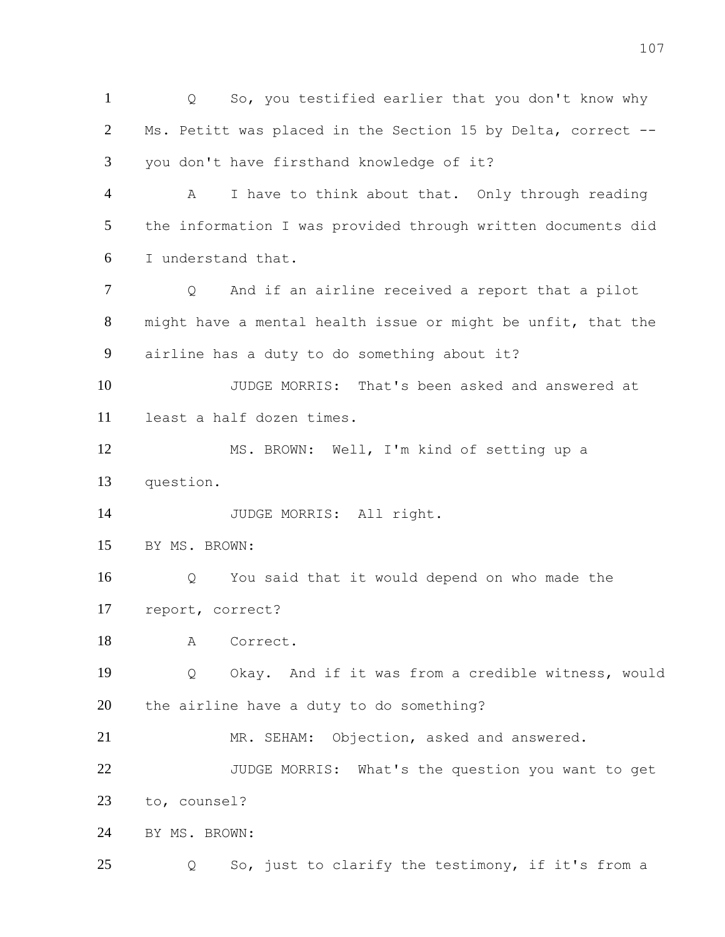Q So, you testified earlier that you don't know why Ms. Petitt was placed in the Section 15 by Delta, correct -- you don't have firsthand knowledge of it? A I have to think about that. Only through reading the information I was provided through written documents did I understand that. Q And if an airline received a report that a pilot might have a mental health issue or might be unfit, that the airline has a duty to do something about it? JUDGE MORRIS: That's been asked and answered at least a half dozen times. MS. BROWN: Well, I'm kind of setting up a question. JUDGE MORRIS: All right. BY MS. BROWN: Q You said that it would depend on who made the report, correct? A Correct. Q Okay. And if it was from a credible witness, would the airline have a duty to do something? MR. SEHAM: Objection, asked and answered. JUDGE MORRIS: What's the question you want to get to, counsel? BY MS. BROWN: Q So, just to clarify the testimony, if it's from a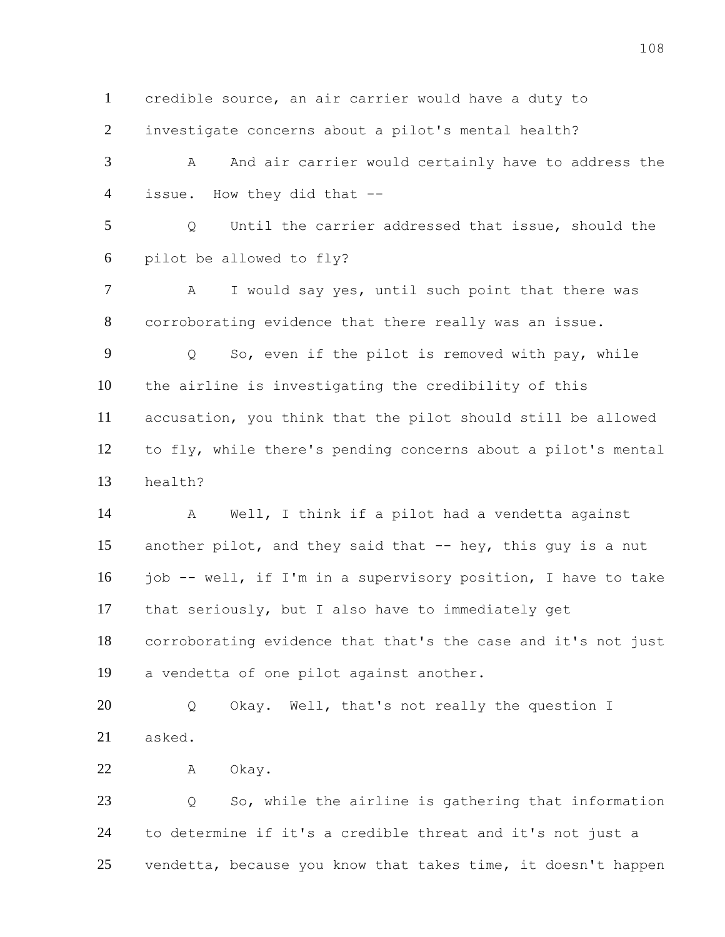credible source, an air carrier would have a duty to investigate concerns about a pilot's mental health? 3 A And air carrier would certainly have to address the issue. How they did that -- Q Until the carrier addressed that issue, should the pilot be allowed to fly? 7 A I would say yes, until such point that there was corroborating evidence that there really was an issue. Q So, even if the pilot is removed with pay, while the airline is investigating the credibility of this accusation, you think that the pilot should still be allowed to fly, while there's pending concerns about a pilot's mental health? A Well, I think if a pilot had a vendetta against 15 another pilot, and they said that -- hey, this guy is a nut job -- well, if I'm in a supervisory position, I have to take

 corroborating evidence that that's the case and it's not just a vendetta of one pilot against another.

 Q Okay. Well, that's not really the question I asked.

that seriously, but I also have to immediately get

A Okay.

 Q So, while the airline is gathering that information to determine if it's a credible threat and it's not just a vendetta, because you know that takes time, it doesn't happen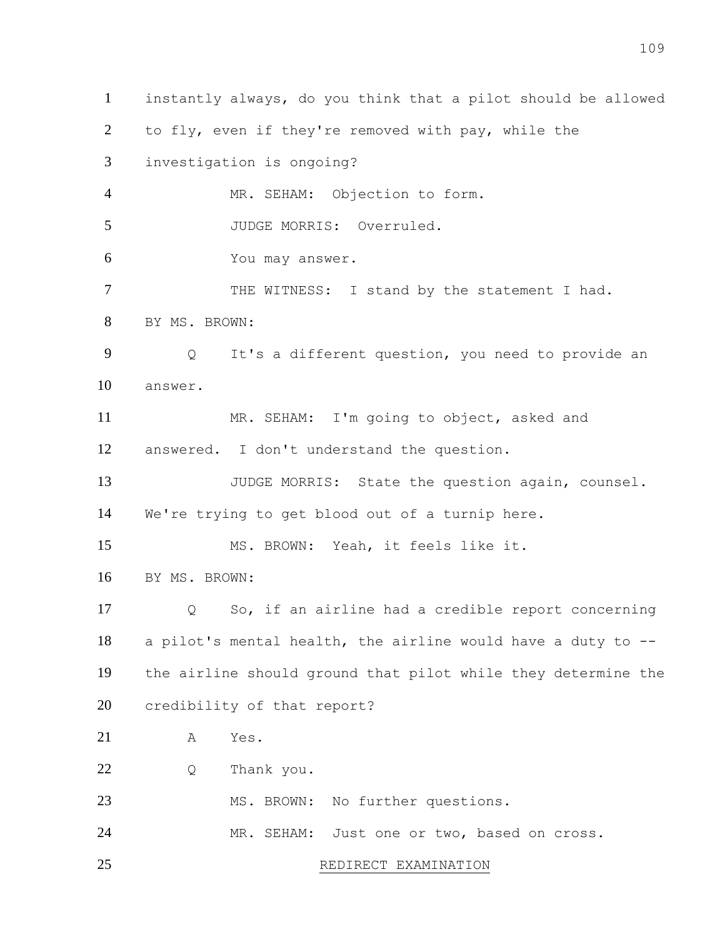instantly always, do you think that a pilot should be allowed to fly, even if they're removed with pay, while the investigation is ongoing? MR. SEHAM: Objection to form. 5 JUDGE MORRIS: Overruled. You may answer. 7 THE WITNESS: I stand by the statement I had. BY MS. BROWN: Q It's a different question, you need to provide an answer. MR. SEHAM: I'm going to object, asked and answered. I don't understand the question. 13 JUDGE MORRIS: State the question again, counsel. We're trying to get blood out of a turnip here. MS. BROWN: Yeah, it feels like it. BY MS. BROWN: Q So, if an airline had a credible report concerning a pilot's mental health, the airline would have a duty to -- the airline should ground that pilot while they determine the credibility of that report? A Yes. Q Thank you. MS. BROWN: No further questions. MR. SEHAM: Just one or two, based on cross. 25 REDIRECT EXAMINATION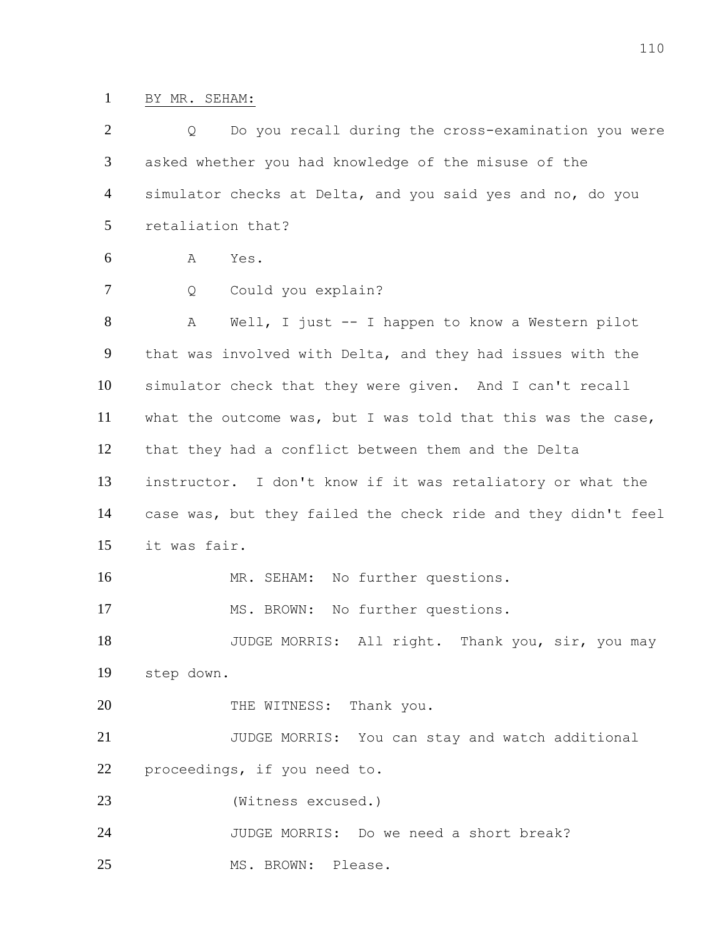## BY MR. SEHAM:

| $\overline{2}$ | Do you recall during the cross-examination you were<br>Q      |
|----------------|---------------------------------------------------------------|
| 3              | asked whether you had knowledge of the misuse of the          |
| 4              | simulator checks at Delta, and you said yes and no, do you    |
| 5              | retaliation that?                                             |
| 6              | Α<br>Yes.                                                     |
| 7              | Could you explain?<br>Q                                       |
| 8              | Well, I just -- I happen to know a Western pilot<br>Α         |
| 9              | that was involved with Delta, and they had issues with the    |
| 10             | simulator check that they were given. And I can't recall      |
| 11             | what the outcome was, but I was told that this was the case,  |
| 12             | that they had a conflict between them and the Delta           |
| 13             | instructor. I don't know if it was retaliatory or what the    |
| 14             | case was, but they failed the check ride and they didn't feel |
| 15             | it was fair.                                                  |
| 16             | MR. SEHAM: No further questions.                              |
| 17             | MS. BROWN:<br>No further questions.                           |
| 18             | JUDGE MORRIS: All right. Thank you, sir, you may              |
| 19             | step down.                                                    |
| 20             | THE WITNESS: Thank you.                                       |
| 21             | JUDGE MORRIS: You can stay and watch additional               |
| 22             | proceedings, if you need to.                                  |
| 23             | (Witness excused.)                                            |
| 24             | JUDGE MORRIS: Do we need a short break?                       |
| 25             | MS. BROWN: Please.                                            |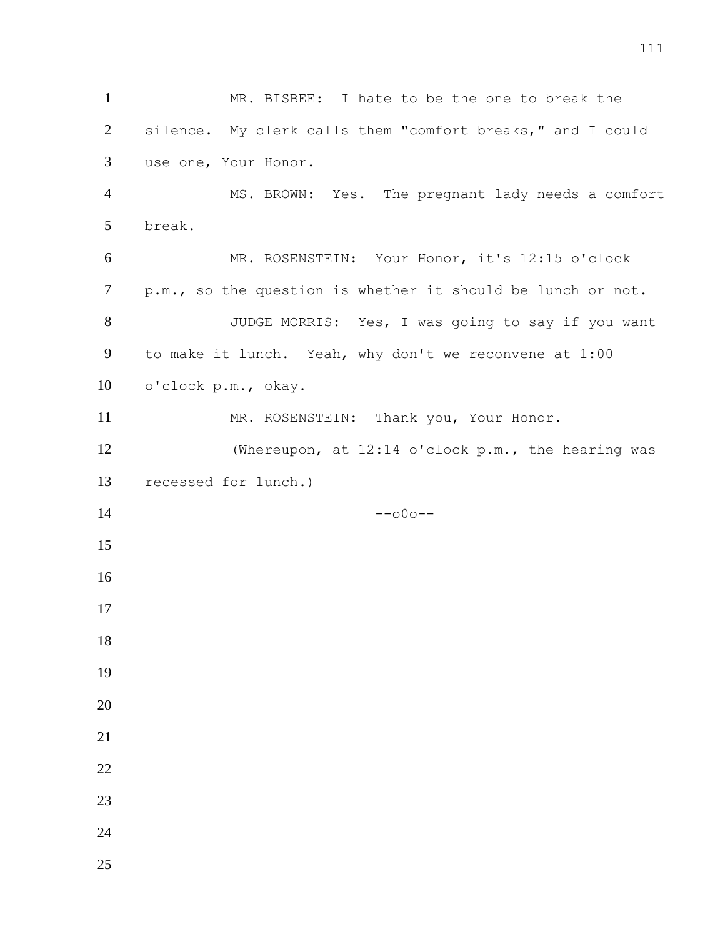MR. BISBEE: I hate to be the one to break the silence. My clerk calls them "comfort breaks," and I could use one, Your Honor. MS. BROWN: Yes. The pregnant lady needs a comfort break. MR. ROSENSTEIN: Your Honor, it's 12:15 o'clock p.m., so the question is whether it should be lunch or not. JUDGE MORRIS: Yes, I was going to say if you want to make it lunch. Yeah, why don't we reconvene at 1:00 o'clock p.m., okay. 11 MR. ROSENSTEIN: Thank you, Your Honor. (Whereupon, at 12:14 o'clock p.m., the hearing was recessed for lunch.) --000--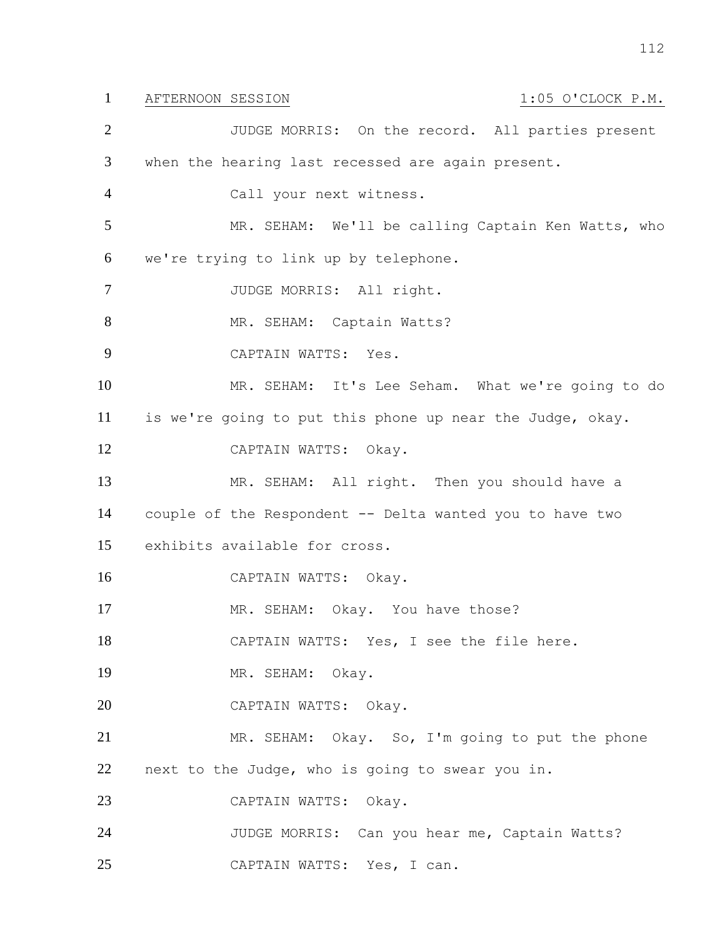## 1 AFTERNOON SESSION 1:05 O'CLOCK P.M.

 JUDGE MORRIS: On the record. All parties present when the hearing last recessed are again present. Call your next witness. MR. SEHAM: We'll be calling Captain Ken Watts, who we're trying to link up by telephone. 7 JUDGE MORRIS: All right. 8 MR. SEHAM: Captain Watts? CAPTAIN WATTS: Yes. MR. SEHAM: It's Lee Seham. What we're going to do is we're going to put this phone up near the Judge, okay. CAPTAIN WATTS: Okay. MR. SEHAM: All right. Then you should have a couple of the Respondent -- Delta wanted you to have two exhibits available for cross. CAPTAIN WATTS: Okay. 17 MR. SEHAM: Okay. You have those? CAPTAIN WATTS: Yes, I see the file here. MR. SEHAM: Okay. CAPTAIN WATTS: Okay. MR. SEHAM: Okay. So, I'm going to put the phone next to the Judge, who is going to swear you in. CAPTAIN WATTS: Okay. JUDGE MORRIS: Can you hear me, Captain Watts? CAPTAIN WATTS: Yes, I can.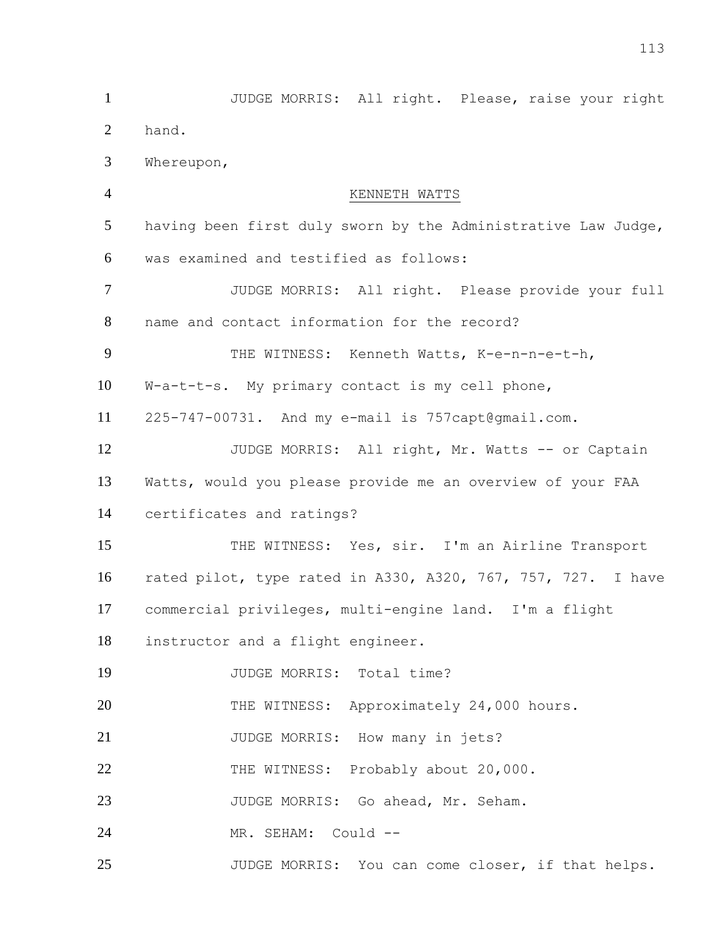JUDGE MORRIS: All right. Please, raise your right hand. Whereupon, KENNETH WATTS having been first duly sworn by the Administrative Law Judge, was examined and testified as follows: JUDGE MORRIS: All right. Please provide your full name and contact information for the record? 9 THE WITNESS: Kenneth Watts, K-e-n-n-e-t-h, W-a-t-t-s. My primary contact is my cell phone, 225-747-00731. And my e-mail is 757capt@gmail.com. 12 JUDGE MORRIS: All right, Mr. Watts -- or Captain Watts, would you please provide me an overview of your FAA certificates and ratings? 15 THE WITNESS: Yes, sir. I'm an Airline Transport rated pilot, type rated in A330, A320, 767, 757, 727. I have commercial privileges, multi-engine land. I'm a flight instructor and a flight engineer. 19 JUDGE MORRIS: Total time? 20 THE WITNESS: Approximately 24,000 hours. 21 JUDGE MORRIS: How many in jets? 22 THE WITNESS: Probably about 20,000. 23 JUDGE MORRIS: Go ahead, Mr. Seham. MR. SEHAM: Could -- JUDGE MORRIS: You can come closer, if that helps.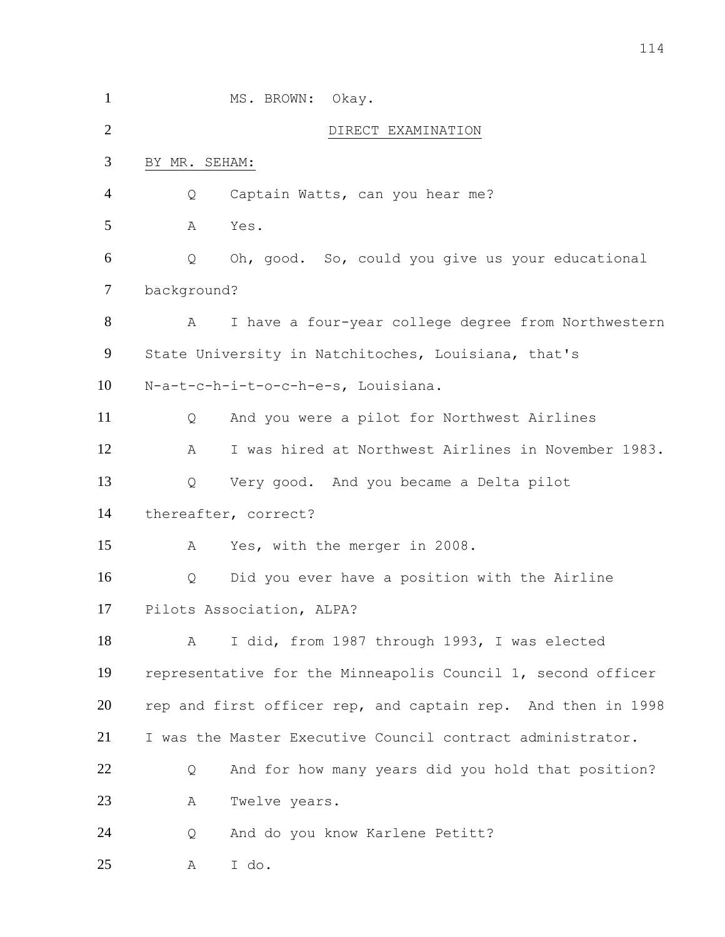| $\mathbf{1}$   | MS. BROWN:                | Okay.                                                        |  |
|----------------|---------------------------|--------------------------------------------------------------|--|
| $\overline{2}$ |                           | DIRECT EXAMINATION                                           |  |
| 3              | BY MR. SEHAM:             |                                                              |  |
| $\overline{4}$ | Q                         | Captain Watts, can you hear me?                              |  |
| 5              | Yes.<br>А                 |                                                              |  |
| 6              | Q                         | Oh, good. So, could you give us your educational             |  |
| 7              | background?               |                                                              |  |
| 8              | A                         | I have a four-year college degree from Northwestern          |  |
| 9              |                           | State University in Natchitoches, Louisiana, that's          |  |
| 10             |                           | N-a-t-c-h-i-t-o-c-h-e-s, Louisiana.                          |  |
| 11             | Q                         | And you were a pilot for Northwest Airlines                  |  |
| 12             | А                         | I was hired at Northwest Airlines in November 1983.          |  |
| 13             | Q                         | Very good. And you became a Delta pilot                      |  |
| 14             | thereafter, correct?      |                                                              |  |
| 15             | Α                         | Yes, with the merger in 2008.                                |  |
| 16             | Q                         | Did you ever have a position with the Airline                |  |
| 17             | Pilots Association, ALPA? |                                                              |  |
| 18             | A                         | I did, from 1987 through 1993, I was elected                 |  |
| 19             |                           | representative for the Minneapolis Council 1, second officer |  |
| 20             |                           | rep and first officer rep, and captain rep. And then in 1998 |  |
| 21             |                           | I was the Master Executive Council contract administrator.   |  |
| 22             | Q                         | And for how many years did you hold that position?           |  |
| 23             | А                         | Twelve years.                                                |  |
| 24             | Q                         | And do you know Karlene Petitt?                              |  |
| 25             | I do.<br>А                |                                                              |  |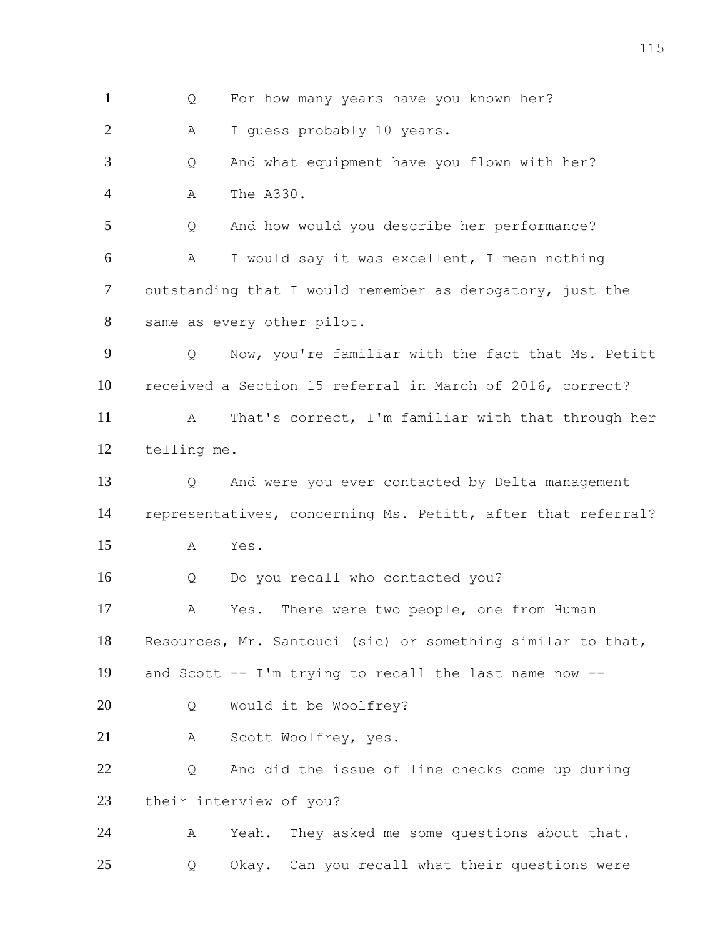Q For how many years have you known her? A I guess probably 10 years. Q And what equipment have you flown with her? A The A330. Q And how would you describe her performance? A I would say it was excellent, I mean nothing outstanding that I would remember as derogatory, just the same as every other pilot. Q Now, you're familiar with the fact that Ms. Petitt received a Section 15 referral in March of 2016, correct? A That's correct, I'm familiar with that through her telling me. Q And were you ever contacted by Delta management representatives, concerning Ms. Petitt, after that referral? A Yes. Q Do you recall who contacted you? A Yes. There were two people, one from Human Resources, Mr. Santouci (sic) or something similar to that, and Scott -- I'm trying to recall the last name now -- Q Would it be Woolfrey? A Scott Woolfrey, yes. Q And did the issue of line checks come up during their interview of you? A Yeah. They asked me some questions about that. Q Okay. Can you recall what their questions were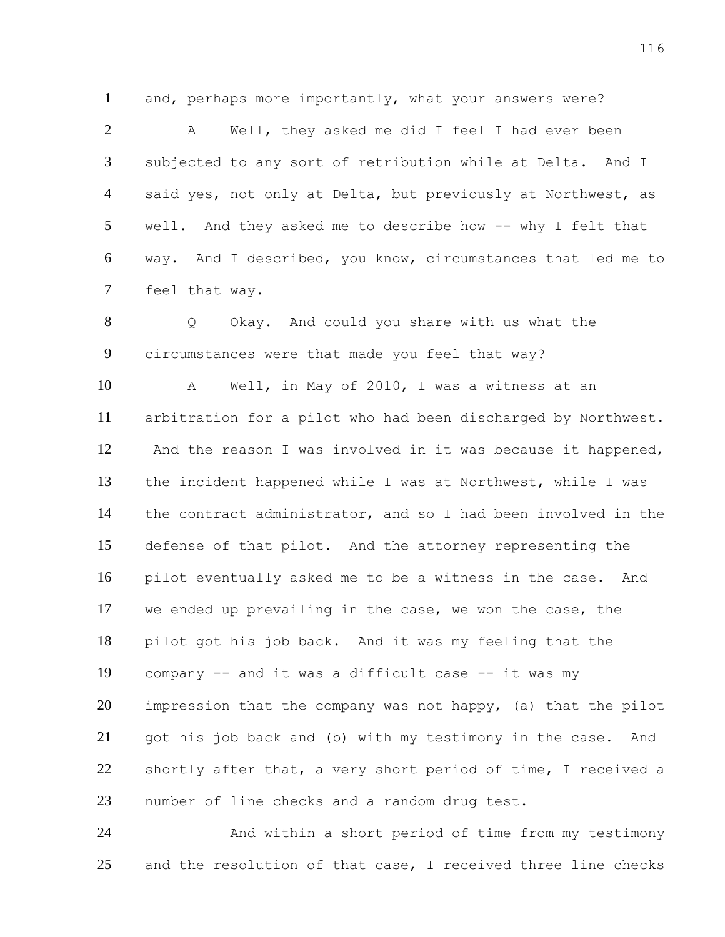and, perhaps more importantly, what your answers were?

2 A Well, they asked me did I feel I had ever been subjected to any sort of retribution while at Delta. And I 4 said yes, not only at Delta, but previously at Northwest, as well. And they asked me to describe how -- why I felt that way. And I described, you know, circumstances that led me to feel that way.

 Q Okay. And could you share with us what the circumstances were that made you feel that way?

 A Well, in May of 2010, I was a witness at an arbitration for a pilot who had been discharged by Northwest. And the reason I was involved in it was because it happened, the incident happened while I was at Northwest, while I was the contract administrator, and so I had been involved in the defense of that pilot. And the attorney representing the pilot eventually asked me to be a witness in the case. And we ended up prevailing in the case, we won the case, the pilot got his job back. And it was my feeling that the company -- and it was a difficult case -- it was my impression that the company was not happy, (a) that the pilot got his job back and (b) with my testimony in the case. And shortly after that, a very short period of time, I received a number of line checks and a random drug test.

 And within a short period of time from my testimony and the resolution of that case, I received three line checks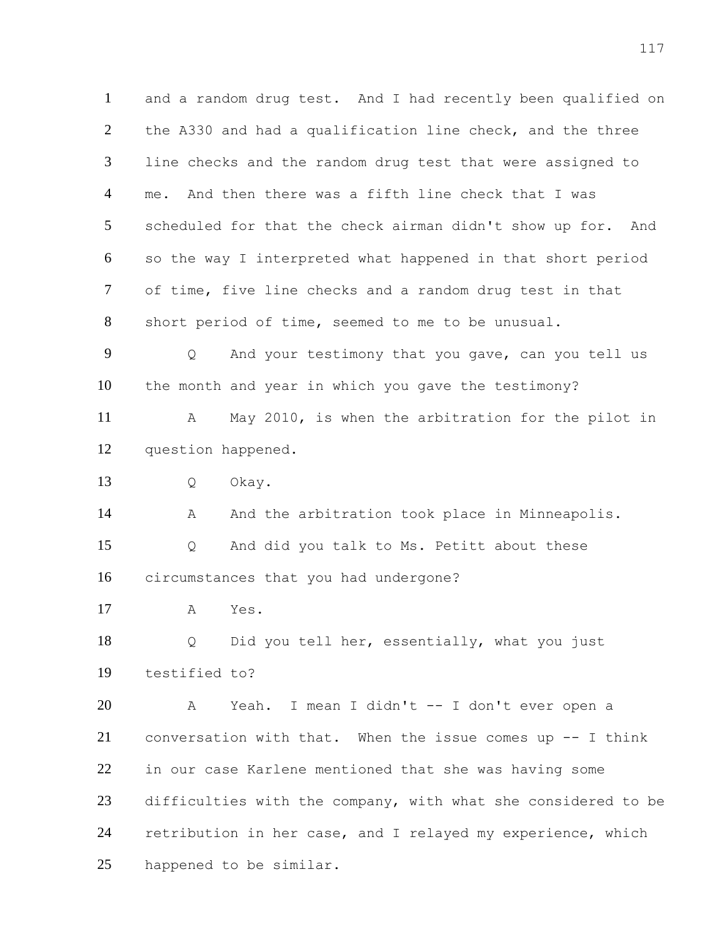and a random drug test. And I had recently been qualified on the A330 and had a qualification line check, and the three line checks and the random drug test that were assigned to me. And then there was a fifth line check that I was scheduled for that the check airman didn't show up for. And so the way I interpreted what happened in that short period of time, five line checks and a random drug test in that short period of time, seemed to me to be unusual. Q And your testimony that you gave, can you tell us the month and year in which you gave the testimony? A May 2010, is when the arbitration for the pilot in question happened. Q Okay. 14 A And the arbitration took place in Minneapolis. Q And did you talk to Ms. Petitt about these circumstances that you had undergone? A Yes. Q Did you tell her, essentially, what you just testified to? A Yeah. I mean I didn't -- I don't ever open a conversation with that. When the issue comes up -- I think in our case Karlene mentioned that she was having some difficulties with the company, with what she considered to be retribution in her case, and I relayed my experience, which happened to be similar.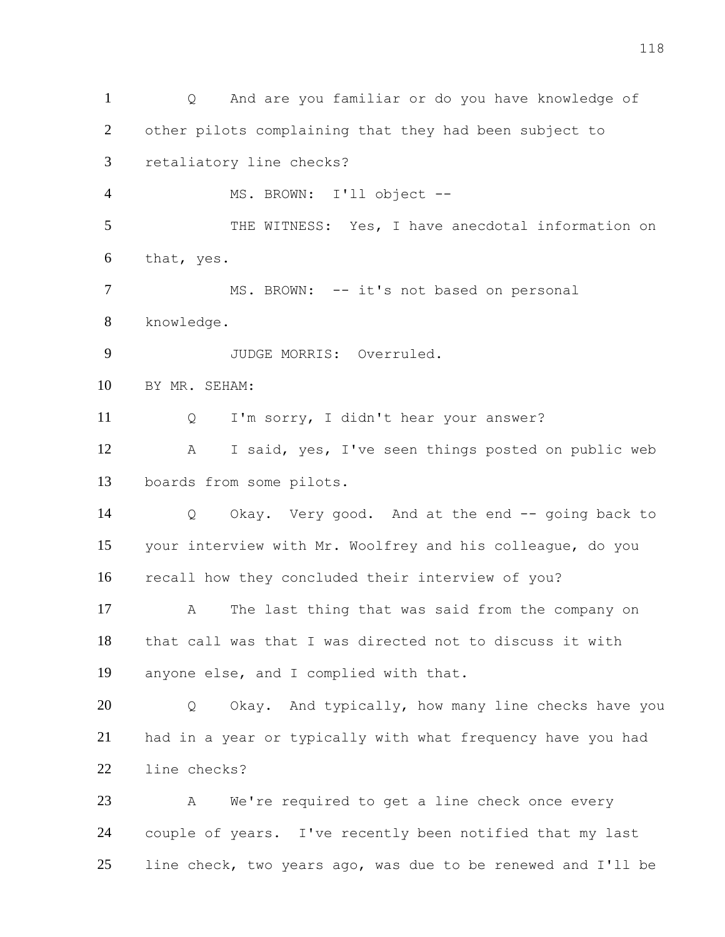Q And are you familiar or do you have knowledge of other pilots complaining that they had been subject to retaliatory line checks? MS. BROWN: I'll object -- 5 THE WITNESS: Yes, I have anecdotal information on that, yes. 7 MS. BROWN: -- it's not based on personal knowledge. JUDGE MORRIS: Overruled. BY MR. SEHAM: Q I'm sorry, I didn't hear your answer? A I said, yes, I've seen things posted on public web boards from some pilots. Q Okay. Very good. And at the end -- going back to your interview with Mr. Woolfrey and his colleague, do you recall how they concluded their interview of you? A The last thing that was said from the company on that call was that I was directed not to discuss it with anyone else, and I complied with that. Q Okay. And typically, how many line checks have you had in a year or typically with what frequency have you had line checks? A We're required to get a line check once every couple of years. I've recently been notified that my last line check, two years ago, was due to be renewed and I'll be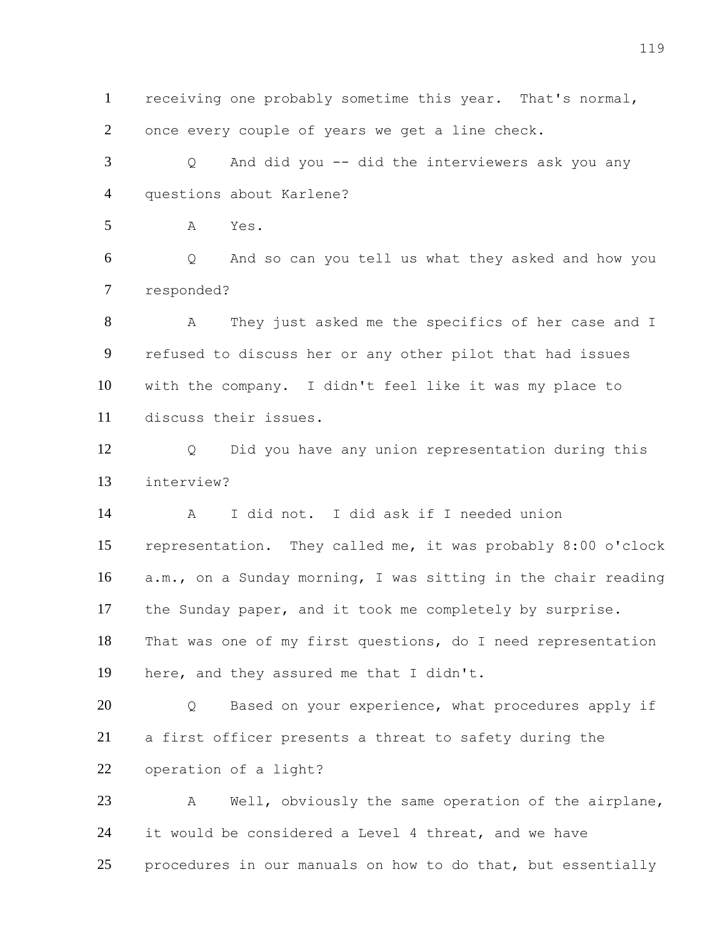receiving one probably sometime this year. That's normal, once every couple of years we get a line check.

 Q And did you -- did the interviewers ask you any questions about Karlene?

A Yes.

 Q And so can you tell us what they asked and how you responded?

 A They just asked me the specifics of her case and I refused to discuss her or any other pilot that had issues with the company. I didn't feel like it was my place to discuss their issues.

 Q Did you have any union representation during this interview?

 A I did not. I did ask if I needed union representation. They called me, it was probably 8:00 o'clock a.m., on a Sunday morning, I was sitting in the chair reading the Sunday paper, and it took me completely by surprise. That was one of my first questions, do I need representation here, and they assured me that I didn't.

20 Q Based on your experience, what procedures apply if a first officer presents a threat to safety during the operation of a light?

 A Well, obviously the same operation of the airplane, it would be considered a Level 4 threat, and we have 25 procedures in our manuals on how to do that, but essentially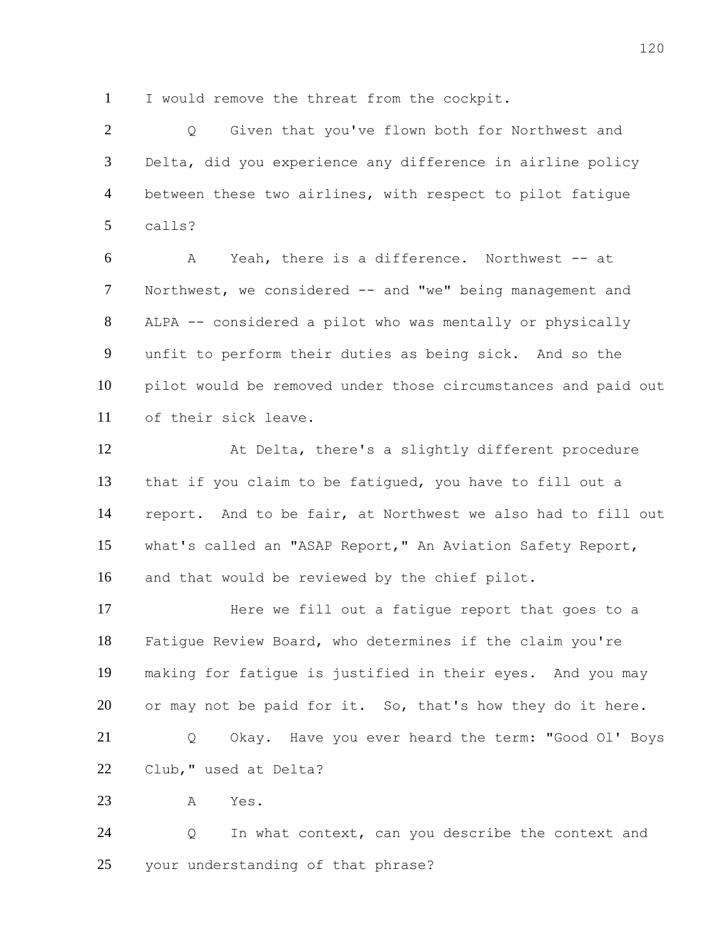I would remove the threat from the cockpit.

 Q Given that you've flown both for Northwest and Delta, did you experience any difference in airline policy between these two airlines, with respect to pilot fatigue calls?

 A Yeah, there is a difference. Northwest -- at Northwest, we considered -- and "we" being management and ALPA -- considered a pilot who was mentally or physically unfit to perform their duties as being sick. And so the pilot would be removed under those circumstances and paid out of their sick leave.

 At Delta, there's a slightly different procedure that if you claim to be fatigued, you have to fill out a report. And to be fair, at Northwest we also had to fill out what's called an "ASAP Report," An Aviation Safety Report, and that would be reviewed by the chief pilot.

 Here we fill out a fatigue report that goes to a Fatigue Review Board, who determines if the claim you're making for fatigue is justified in their eyes. And you may 20 or may not be paid for it. So, that's how they do it here. Q Okay. Have you ever heard the term: "Good Ol' Boys Club," used at Delta?

A Yes.

 Q In what context, can you describe the context and your understanding of that phrase?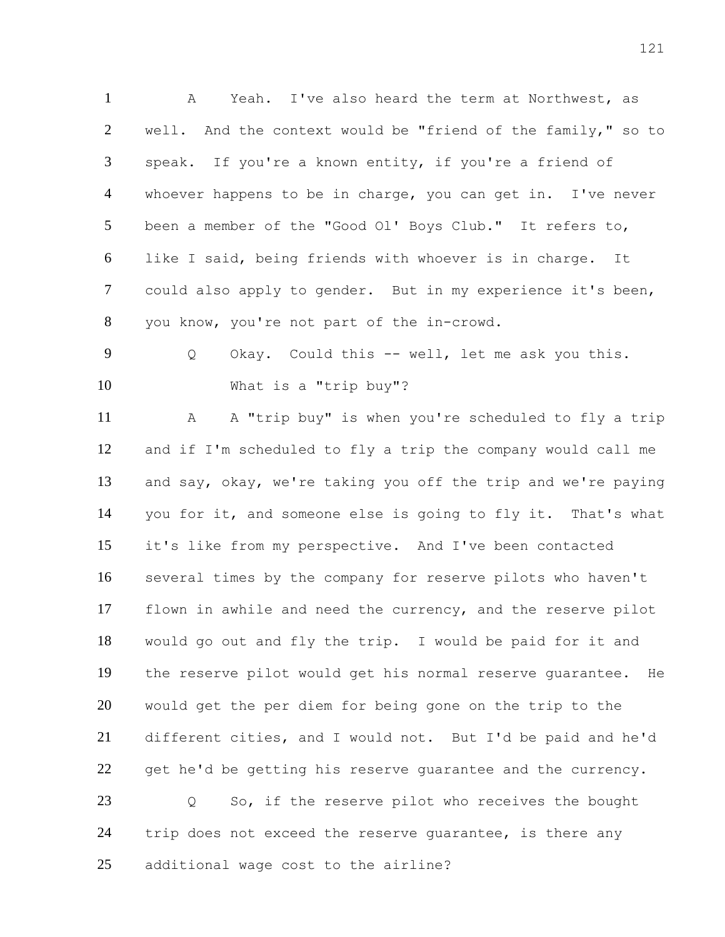A Yeah. I've also heard the term at Northwest, as well. And the context would be "friend of the family," so to speak. If you're a known entity, if you're a friend of whoever happens to be in charge, you can get in. I've never been a member of the "Good Ol' Boys Club." It refers to, like I said, being friends with whoever is in charge. It could also apply to gender. But in my experience it's been, you know, you're not part of the in-crowd. Q Okay. Could this -- well, let me ask you this. What is a "trip buy"?

 A A "trip buy" is when you're scheduled to fly a trip and if I'm scheduled to fly a trip the company would call me and say, okay, we're taking you off the trip and we're paying you for it, and someone else is going to fly it. That's what it's like from my perspective. And I've been contacted several times by the company for reserve pilots who haven't flown in awhile and need the currency, and the reserve pilot would go out and fly the trip. I would be paid for it and the reserve pilot would get his normal reserve guarantee. He would get the per diem for being gone on the trip to the different cities, and I would not. But I'd be paid and he'd 22 get he'd be getting his reserve quarantee and the currency. Q So, if the reserve pilot who receives the bought trip does not exceed the reserve guarantee, is there any additional wage cost to the airline?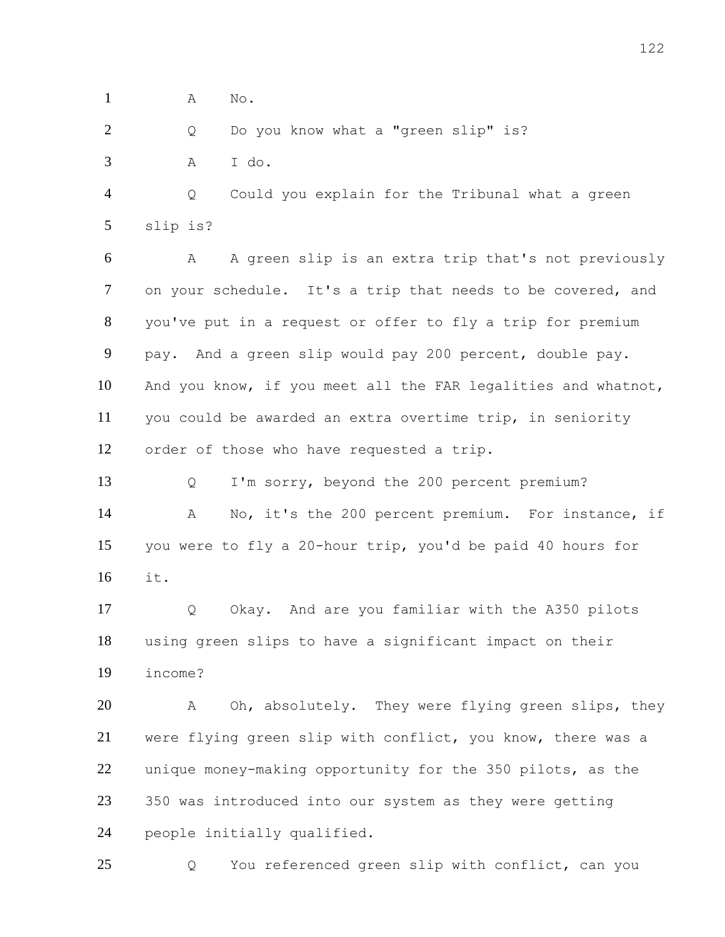A No.

2 Q Do you know what a "green slip" is?

A I do.

 Q Could you explain for the Tribunal what a green slip is?

 A A green slip is an extra trip that's not previously on your schedule. It's a trip that needs to be covered, and you've put in a request or offer to fly a trip for premium pay. And a green slip would pay 200 percent, double pay. And you know, if you meet all the FAR legalities and whatnot, you could be awarded an extra overtime trip, in seniority order of those who have requested a trip.

 Q I'm sorry, beyond the 200 percent premium? A No, it's the 200 percent premium. For instance, if you were to fly a 20-hour trip, you'd be paid 40 hours for it.

 Q Okay. And are you familiar with the A350 pilots using green slips to have a significant impact on their income?

 A Oh, absolutely. They were flying green slips, they 21 were flying green slip with conflict, you know, there was a unique money-making opportunity for the 350 pilots, as the 350 was introduced into our system as they were getting people initially qualified.

Q You referenced green slip with conflict, can you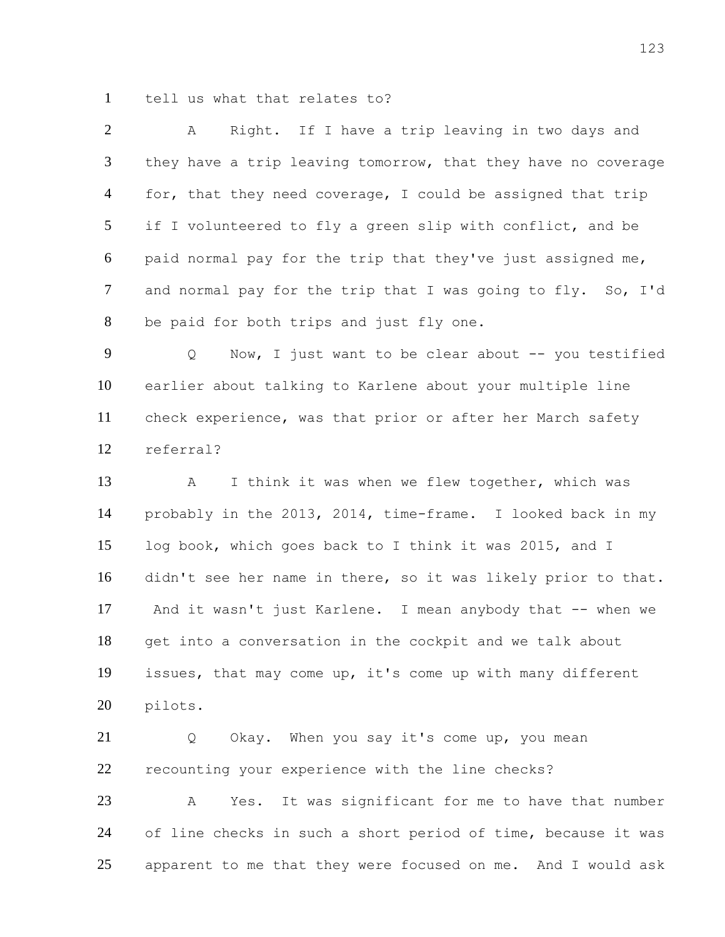tell us what that relates to?

 A Right. If I have a trip leaving in two days and they have a trip leaving tomorrow, that they have no coverage 4 for, that they need coverage, I could be assigned that trip if I volunteered to fly a green slip with conflict, and be paid normal pay for the trip that they've just assigned me, and normal pay for the trip that I was going to fly. So, I'd be paid for both trips and just fly one.

9 Q Now, I just want to be clear about -- you testified earlier about talking to Karlene about your multiple line check experience, was that prior or after her March safety referral?

13 A I think it was when we flew together, which was probably in the 2013, 2014, time-frame. I looked back in my log book, which goes back to I think it was 2015, and I didn't see her name in there, so it was likely prior to that. 17 And it wasn't just Karlene. I mean anybody that -- when we get into a conversation in the cockpit and we talk about issues, that may come up, it's come up with many different pilots.

21 Q Okay. When you say it's come up, you mean recounting your experience with the line checks?

 A Yes. It was significant for me to have that number of line checks in such a short period of time, because it was apparent to me that they were focused on me. And I would ask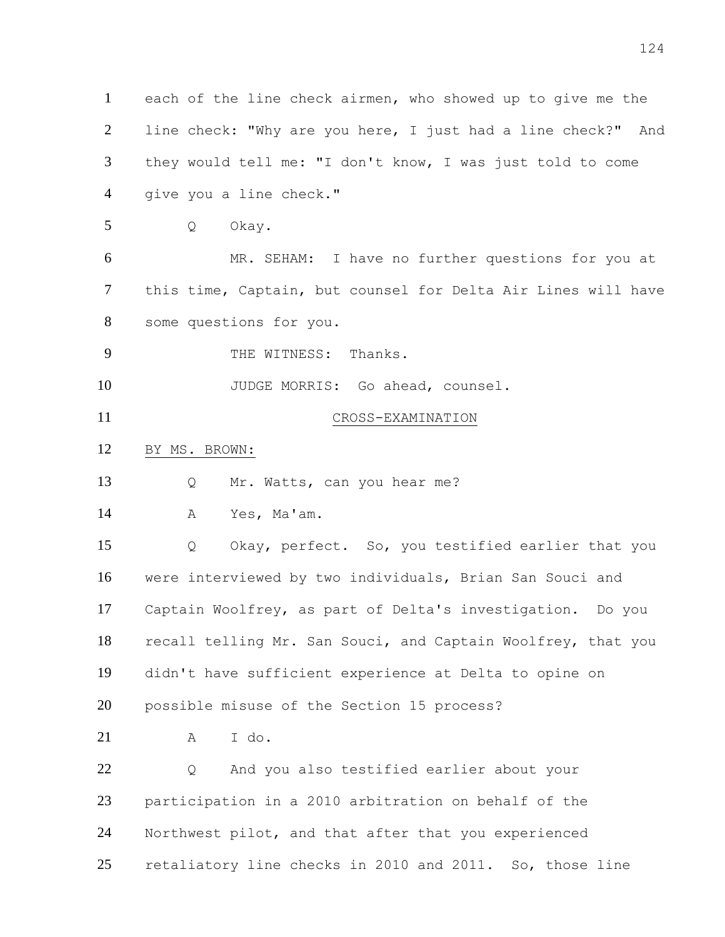each of the line check airmen, who showed up to give me the line check: "Why are you here, I just had a line check?" And they would tell me: "I don't know, I was just told to come give you a line check." Q Okay. MR. SEHAM: I have no further questions for you at this time, Captain, but counsel for Delta Air Lines will have some questions for you. THE WITNESS: Thanks. 10 JUDGE MORRIS: Go ahead, counsel. CROSS-EXAMINATION BY MS. BROWN: Q Mr. Watts, can you hear me? A Yes, Ma'am. Q Okay, perfect. So, you testified earlier that you possible misuse of the Section 15 process? A I do. Q And you also testified earlier about your participation in a 2010 arbitration on behalf of the Northwest pilot, and that after that you experienced retaliatory line checks in 2010 and 2011. So, those line

- 
- 

 were interviewed by two individuals, Brian San Souci and Captain Woolfrey, as part of Delta's investigation. Do you recall telling Mr. San Souci, and Captain Woolfrey, that you didn't have sufficient experience at Delta to opine on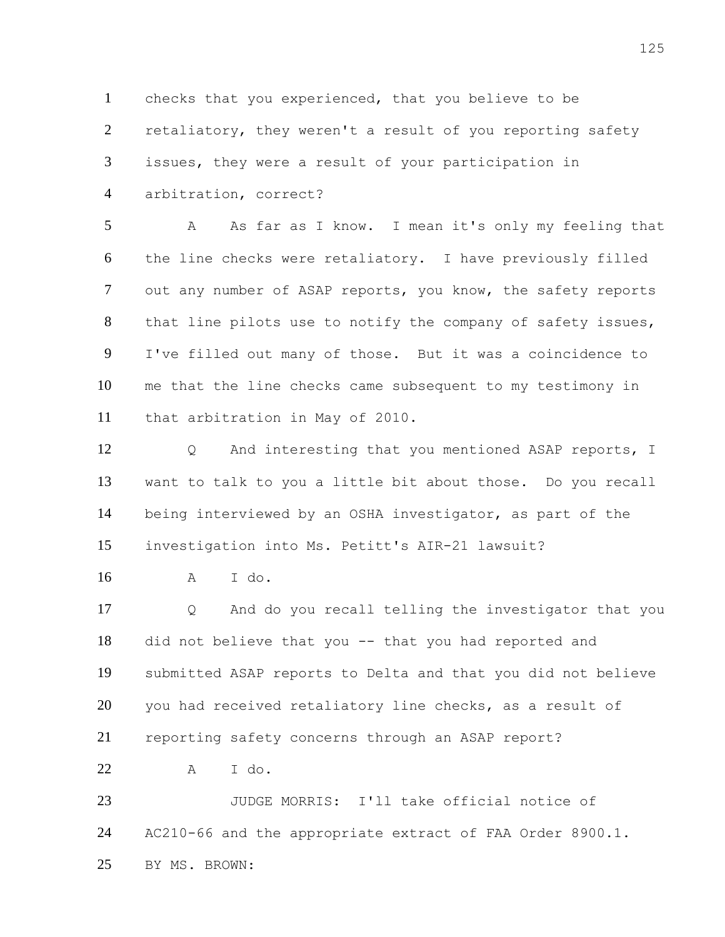checks that you experienced, that you believe to be retaliatory, they weren't a result of you reporting safety issues, they were a result of your participation in arbitration, correct?

 A As far as I know. I mean it's only my feeling that the line checks were retaliatory. I have previously filled out any number of ASAP reports, you know, the safety reports that line pilots use to notify the company of safety issues, I've filled out many of those. But it was a coincidence to me that the line checks came subsequent to my testimony in that arbitration in May of 2010.

12 O And interesting that you mentioned ASAP reports, I want to talk to you a little bit about those. Do you recall being interviewed by an OSHA investigator, as part of the investigation into Ms. Petitt's AIR-21 lawsuit?

A I do.

 Q And do you recall telling the investigator that you did not believe that you -- that you had reported and submitted ASAP reports to Delta and that you did not believe 20 you had received retaliatory line checks, as a result of reporting safety concerns through an ASAP report?

A I do.

 JUDGE MORRIS: I'll take official notice of AC210-66 and the appropriate extract of FAA Order 8900.1. BY MS. BROWN: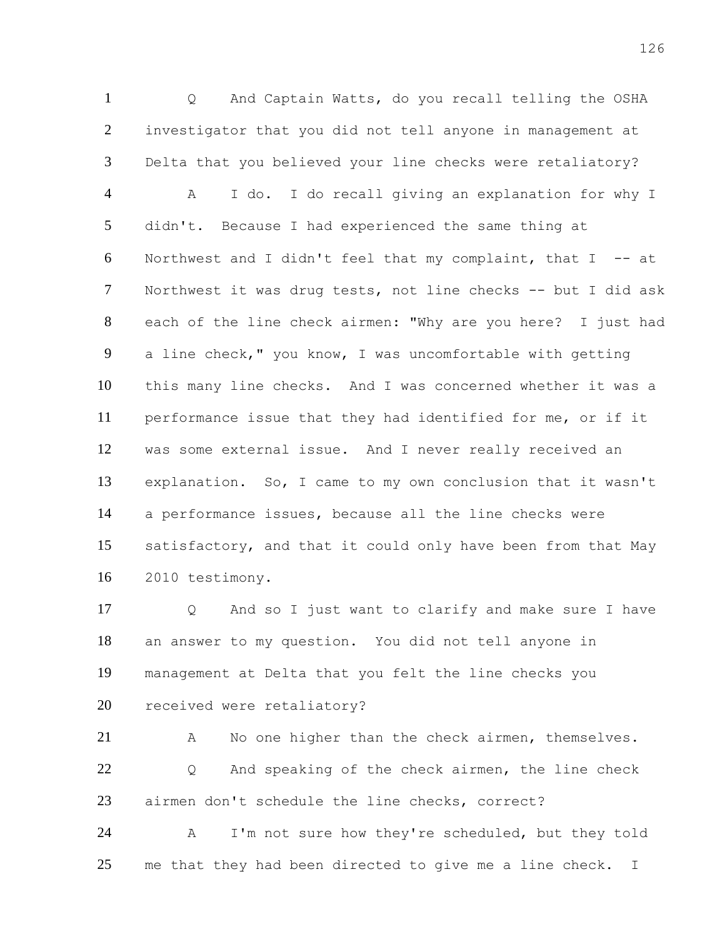Q And Captain Watts, do you recall telling the OSHA investigator that you did not tell anyone in management at Delta that you believed your line checks were retaliatory? A I do. I do recall giving an explanation for why I didn't. Because I had experienced the same thing at Northwest and I didn't feel that my complaint, that I -- at Northwest it was drug tests, not line checks -- but I did ask each of the line check airmen: "Why are you here? I just had a line check," you know, I was uncomfortable with getting this many line checks. And I was concerned whether it was a performance issue that they had identified for me, or if it was some external issue. And I never really received an explanation. So, I came to my own conclusion that it wasn't a performance issues, because all the line checks were satisfactory, and that it could only have been from that May 2010 testimony.

 Q And so I just want to clarify and make sure I have an answer to my question. You did not tell anyone in management at Delta that you felt the line checks you 20 received were retaliatory?

 A No one higher than the check airmen, themselves. Q And speaking of the check airmen, the line check airmen don't schedule the line checks, correct?

 A I'm not sure how they're scheduled, but they told 25 me that they had been directed to give me a line check. I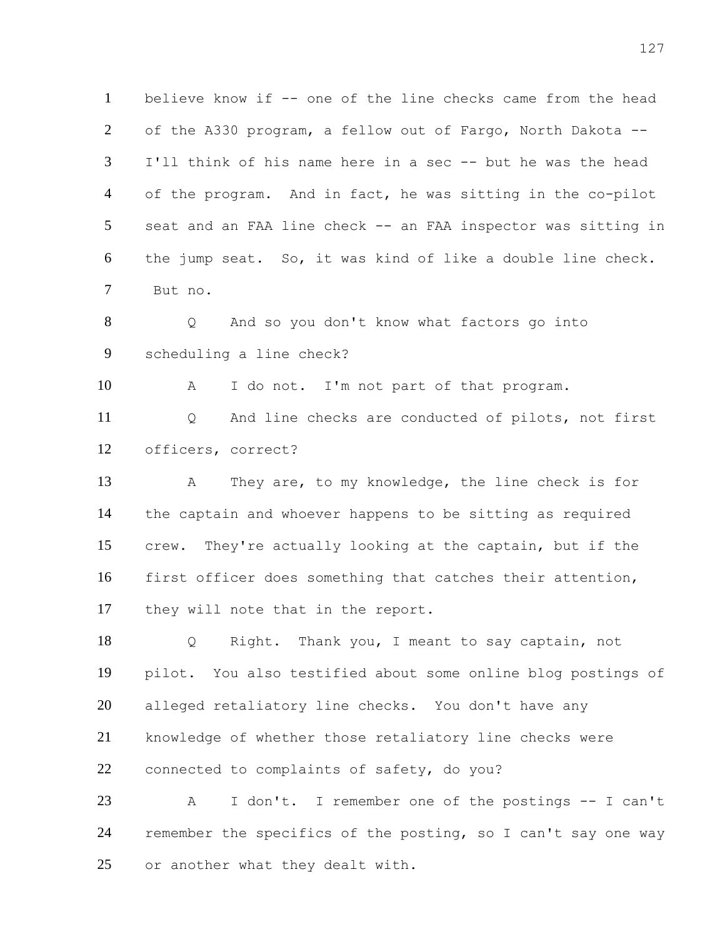1 believe know if -- one of the line checks came from the head of the A330 program, a fellow out of Fargo, North Dakota -- I'll think of his name here in a sec -- but he was the head of the program. And in fact, he was sitting in the co-pilot seat and an FAA line check -- an FAA inspector was sitting in the jump seat. So, it was kind of like a double line check. But no. Q And so you don't know what factors go into scheduling a line check? A I do not. I'm not part of that program. Q And line checks are conducted of pilots, not first officers, correct? A They are, to my knowledge, the line check is for

 the captain and whoever happens to be sitting as required crew. They're actually looking at the captain, but if the first officer does something that catches their attention, they will note that in the report.

 Q Right. Thank you, I meant to say captain, not pilot. You also testified about some online blog postings of alleged retaliatory line checks. You don't have any knowledge of whether those retaliatory line checks were connected to complaints of safety, do you?

 A I don't. I remember one of the postings -- I can't remember the specifics of the posting, so I can't say one way 25 or another what they dealt with.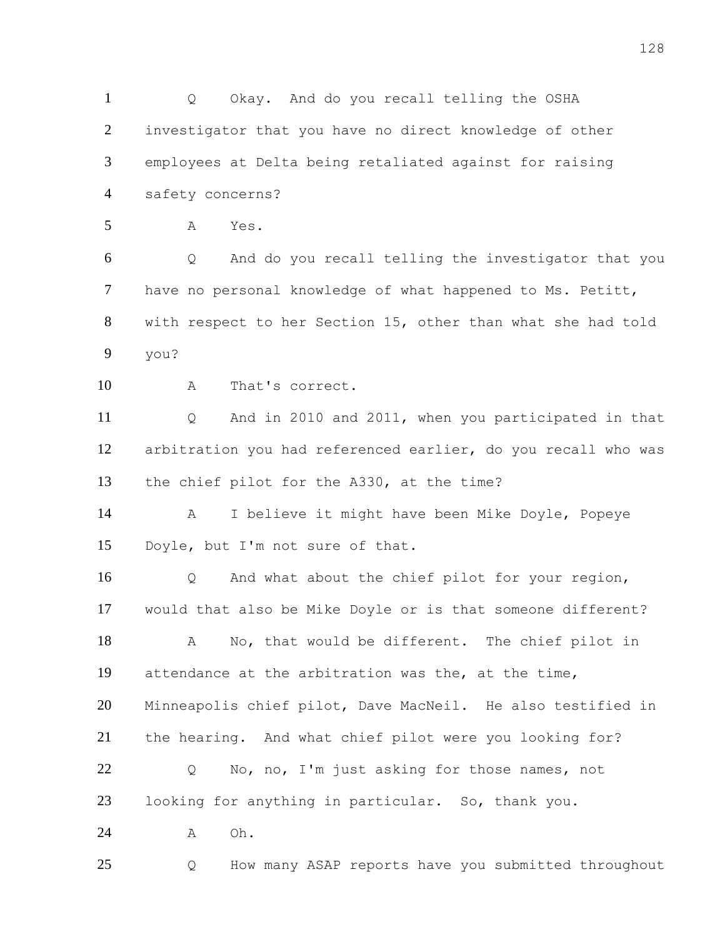Q Okay. And do you recall telling the OSHA investigator that you have no direct knowledge of other employees at Delta being retaliated against for raising safety concerns? A Yes. Q And do you recall telling the investigator that you have no personal knowledge of what happened to Ms. Petitt, with respect to her Section 15, other than what she had told you? A That's correct. Q And in 2010 and 2011, when you participated in that arbitration you had referenced earlier, do you recall who was the chief pilot for the A330, at the time? A I believe it might have been Mike Doyle, Popeye Doyle, but I'm not sure of that. Q And what about the chief pilot for your region, would that also be Mike Doyle or is that someone different? A No, that would be different. The chief pilot in attendance at the arbitration was the, at the time, Minneapolis chief pilot, Dave MacNeil. He also testified in the hearing. And what chief pilot were you looking for? Q No, no, I'm just asking for those names, not looking for anything in particular. So, thank you. A Oh. Q How many ASAP reports have you submitted throughout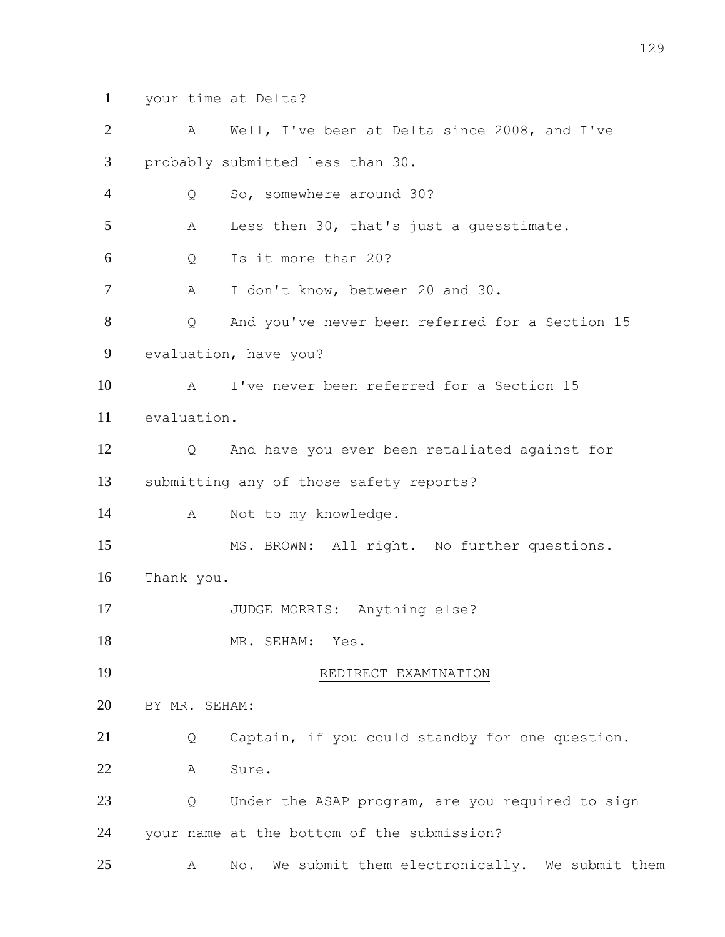your time at Delta?

| $\overline{2}$ | A             | Well, I've been at Delta since 2008, and I've        |
|----------------|---------------|------------------------------------------------------|
| 3              |               | probably submitted less than 30.                     |
| $\overline{4}$ | Q             | So, somewhere around 30?                             |
| 5              | Α             | Less then 30, that's just a guesstimate.             |
| 6              | Q             | Is it more than 20?                                  |
| 7              | Α             | I don't know, between 20 and 30.                     |
| 8              | Q             | And you've never been referred for a Section 15      |
| 9              |               | evaluation, have you?                                |
| 10             | A             | I've never been referred for a Section 15            |
| 11             | evaluation.   |                                                      |
| 12             | Q             | And have you ever been retaliated against for        |
| 13             |               | submitting any of those safety reports?              |
| 14             | A             | Not to my knowledge.                                 |
| 15             |               | MS. BROWN: All right. No further questions.          |
| 16             | Thank you.    |                                                      |
| 17             |               | JUDGE MORRIS: Anything else?                         |
| 18             |               | MR. SEHAM:<br>Yes.                                   |
| 19             |               | REDIRECT EXAMINATION                                 |
| 20             | BY MR. SEHAM: |                                                      |
| 21             | Q             | Captain, if you could standby for one question.      |
| 22             | Α             | Sure.                                                |
| 23             | Q             | Under the ASAP program, are you required to sign     |
| 24             |               | your name at the bottom of the submission?           |
| 25             | Α             | We submit them electronically. We submit them<br>No. |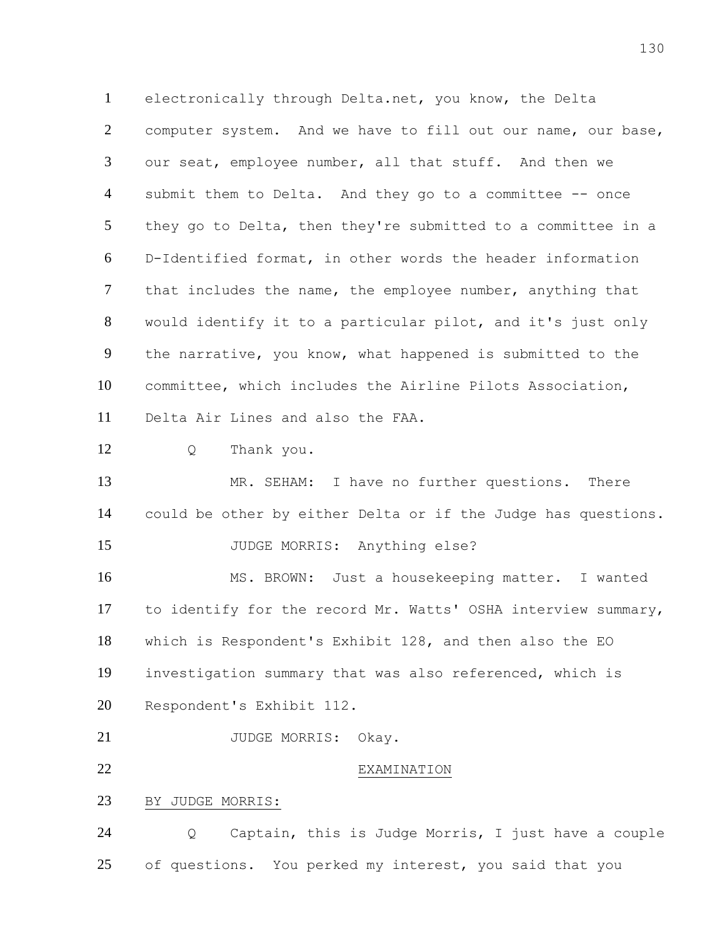electronically through Delta.net, you know, the Delta computer system. And we have to fill out our name, our base, our seat, employee number, all that stuff. And then we submit them to Delta. And they go to a committee -- once they go to Delta, then they're submitted to a committee in a D-Identified format, in other words the header information that includes the name, the employee number, anything that would identify it to a particular pilot, and it's just only the narrative, you know, what happened is submitted to the committee, which includes the Airline Pilots Association, Delta Air Lines and also the FAA. Q Thank you. 13 MR. SEHAM: I have no further questions. There could be other by either Delta or if the Judge has questions. 15 JUDGE MORRIS: Anything else? MS. BROWN: Just a housekeeping matter. I wanted to identify for the record Mr. Watts' OSHA interview summary, which is Respondent's Exhibit 128, and then also the EO investigation summary that was also referenced, which is Respondent's Exhibit 112. 21 JUDGE MORRIS: Okay. EXAMINATION

BY JUDGE MORRIS:

 Q Captain, this is Judge Morris, I just have a couple of questions. You perked my interest, you said that you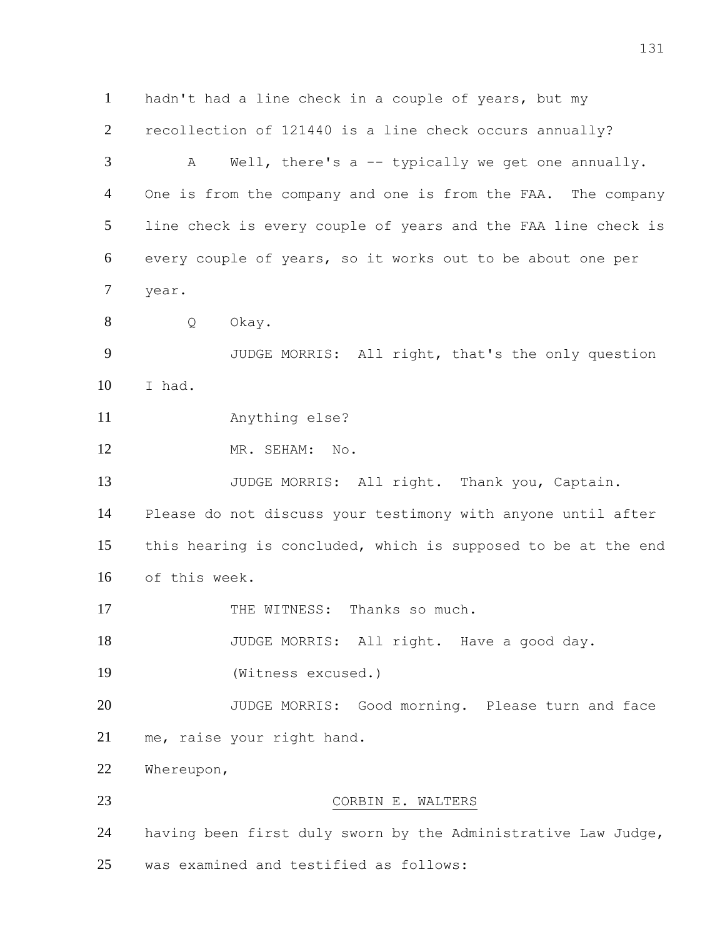hadn't had a line check in a couple of years, but my recollection of 121440 is a line check occurs annually? A Well, there's a -- typically we get one annually. 4 One is from the company and one is from the FAA. The company line check is every couple of years and the FAA line check is every couple of years, so it works out to be about one per year. Q Okay. JUDGE MORRIS: All right, that's the only question I had. Anything else? 12 MR. SEHAM: No. 13 JUDGE MORRIS: All right. Thank you, Captain. Please do not discuss your testimony with anyone until after this hearing is concluded, which is supposed to be at the end of this week. 17 THE WITNESS: Thanks so much. 18 JUDGE MORRIS: All right. Have a good day. (Witness excused.) 20 JUDGE MORRIS: Good morning. Please turn and face me, raise your right hand. Whereupon, CORBIN E. WALTERS having been first duly sworn by the Administrative Law Judge, was examined and testified as follows: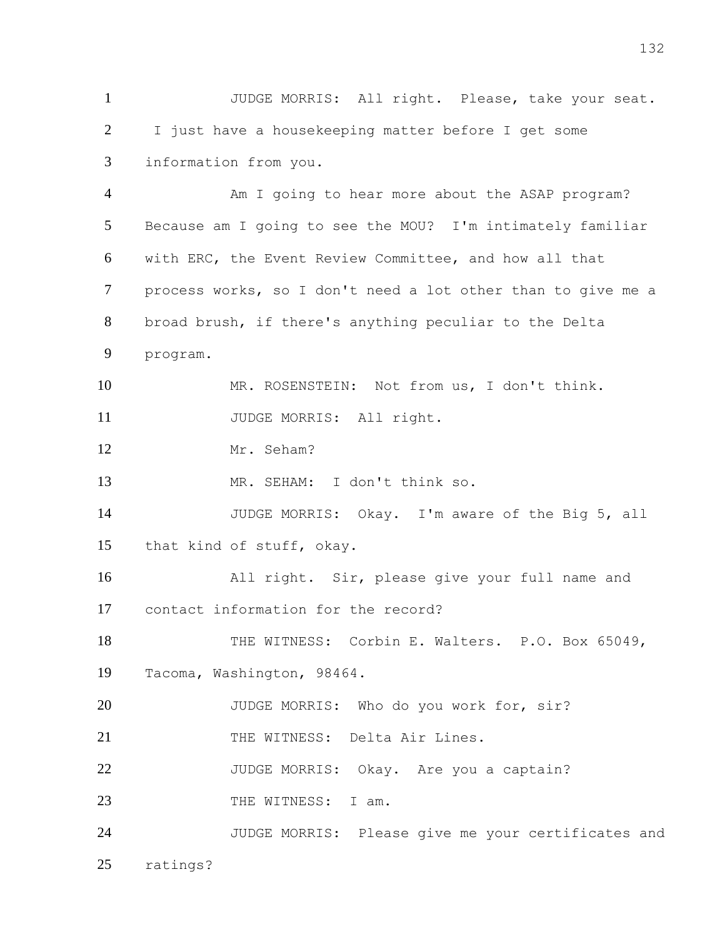JUDGE MORRIS: All right. Please, take your seat. I just have a housekeeping matter before I get some information from you.

 Am I going to hear more about the ASAP program? Because am I going to see the MOU? I'm intimately familiar with ERC, the Event Review Committee, and how all that process works, so I don't need a lot other than to give me a broad brush, if there's anything peculiar to the Delta program. MR. ROSENSTEIN: Not from us, I don't think. 11 JUDGE MORRIS: All right. Mr. Seham? MR. SEHAM: I don't think so. JUDGE MORRIS: Okay. I'm aware of the Big 5, all that kind of stuff, okay. All right. Sir, please give your full name and contact information for the record? THE WITNESS: Corbin E. Walters. P.O. Box 65049, Tacoma, Washington, 98464. 20 JUDGE MORRIS: Who do you work for, sir? 21 THE WITNESS: Delta Air Lines. 22 JUDGE MORRIS: Okay. Are you a captain? 23 THE WITNESS: I am. JUDGE MORRIS: Please give me your certificates and

ratings?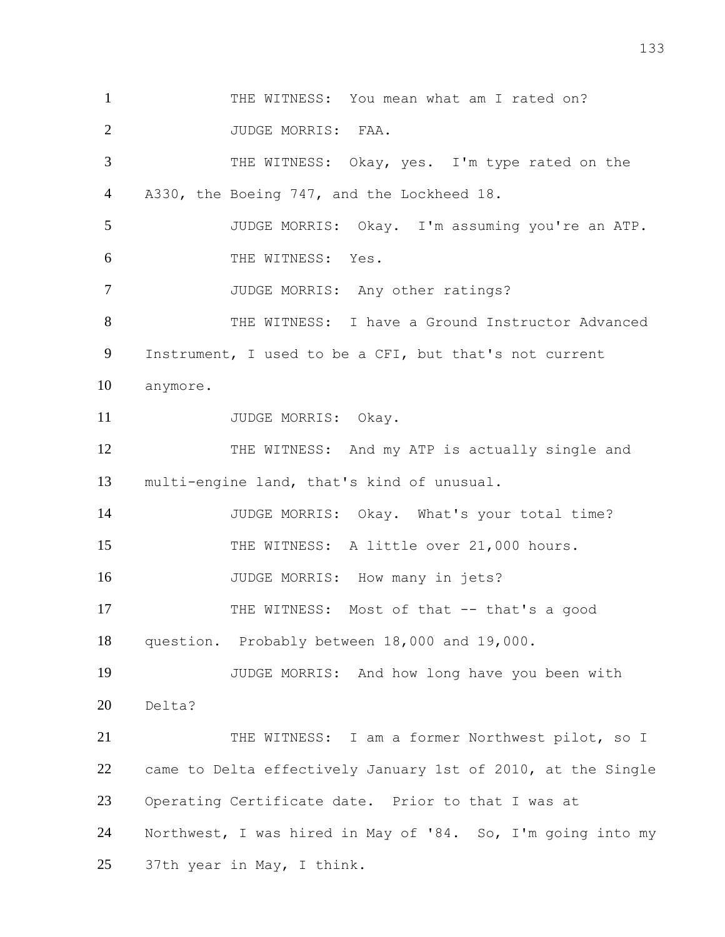1 THE WITNESS: You mean what am I rated on? 2 JUDGE MORRIS: FAA. THE WITNESS: Okay, yes. I'm type rated on the A330, the Boeing 747, and the Lockheed 18. JUDGE MORRIS: Okay. I'm assuming you're an ATP. THE WITNESS: Yes. 7 JUDGE MORRIS: Any other ratings? 8 THE WITNESS: I have a Ground Instructor Advanced Instrument, I used to be a CFI, but that's not current anymore. 11 JUDGE MORRIS: Okay. 12 THE WITNESS: And my ATP is actually single and multi-engine land, that's kind of unusual. JUDGE MORRIS: Okay. What's your total time? 15 THE WITNESS: A little over 21,000 hours. 16 JUDGE MORRIS: How many in jets? THE WITNESS: Most of that -- that's a good question. Probably between 18,000 and 19,000. JUDGE MORRIS: And how long have you been with Delta? 21 THE WITNESS: I am a former Northwest pilot, so I came to Delta effectively January 1st of 2010, at the Single Operating Certificate date. Prior to that I was at Northwest, I was hired in May of '84. So, I'm going into my 37th year in May, I think.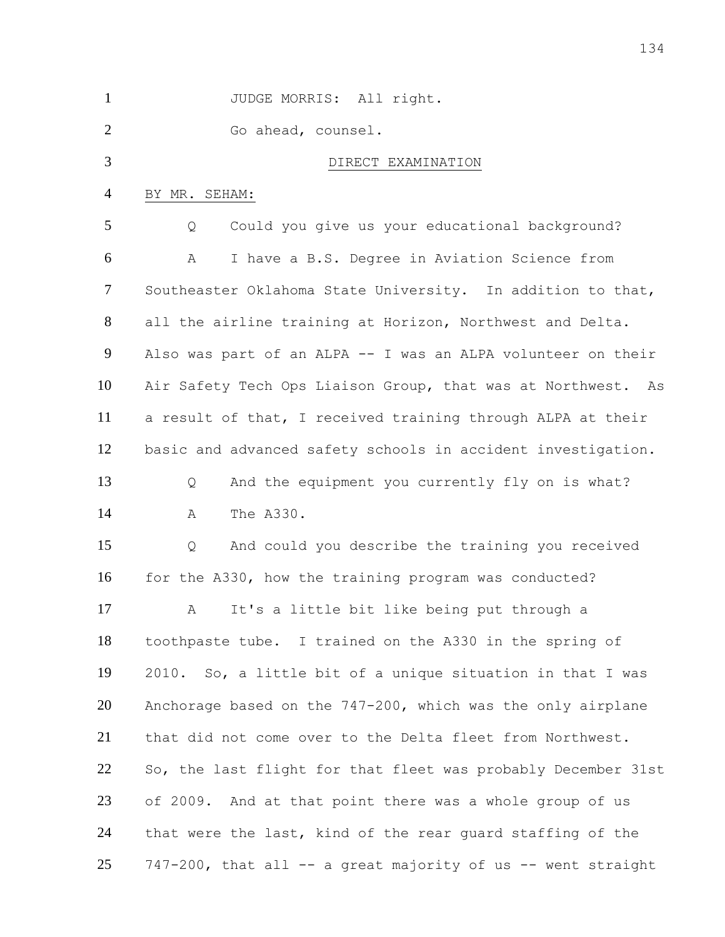| $\mathbf{1}$   | JUDGE MORRIS: All right.                                      |
|----------------|---------------------------------------------------------------|
| $\overline{2}$ | Go ahead, counsel.                                            |
| 3              | DIRECT EXAMINATION                                            |
| $\overline{4}$ | BY MR. SEHAM:                                                 |
| 5              | Could you give us your educational background?<br>Q           |
| 6              | I have a B.S. Degree in Aviation Science from<br>Α            |
| 7              | Southeaster Oklahoma State University. In addition to that,   |
| $8\phantom{1}$ | all the airline training at Horizon, Northwest and Delta.     |
| 9              | Also was part of an ALPA -- I was an ALPA volunteer on their  |
| 10             | Air Safety Tech Ops Liaison Group, that was at Northwest. As  |
| 11             | a result of that, I received training through ALPA at their   |
| 12             | basic and advanced safety schools in accident investigation.  |
| 13             | And the equipment you currently fly on is what?<br>Q          |
| 14             | The A330.<br>A                                                |
| 15             | And could you describe the training you received<br>Q         |
| 16             | for the A330, how the training program was conducted?         |
| 17             | A It's a little bit like being put through a                  |
| 18             | toothpaste tube. I trained on the A330 in the spring of       |
| 19             | 2010. So, a little bit of a unique situation in that I was    |
| 20             | Anchorage based on the 747-200, which was the only airplane   |
| 21             | that did not come over to the Delta fleet from Northwest.     |
| 22             | So, the last flight for that fleet was probably December 31st |
| 23             | of 2009. And at that point there was a whole group of us      |
| 24             | that were the last, kind of the rear guard staffing of the    |
| 25             | 747-200, that all -- a great majority of us -- went straight  |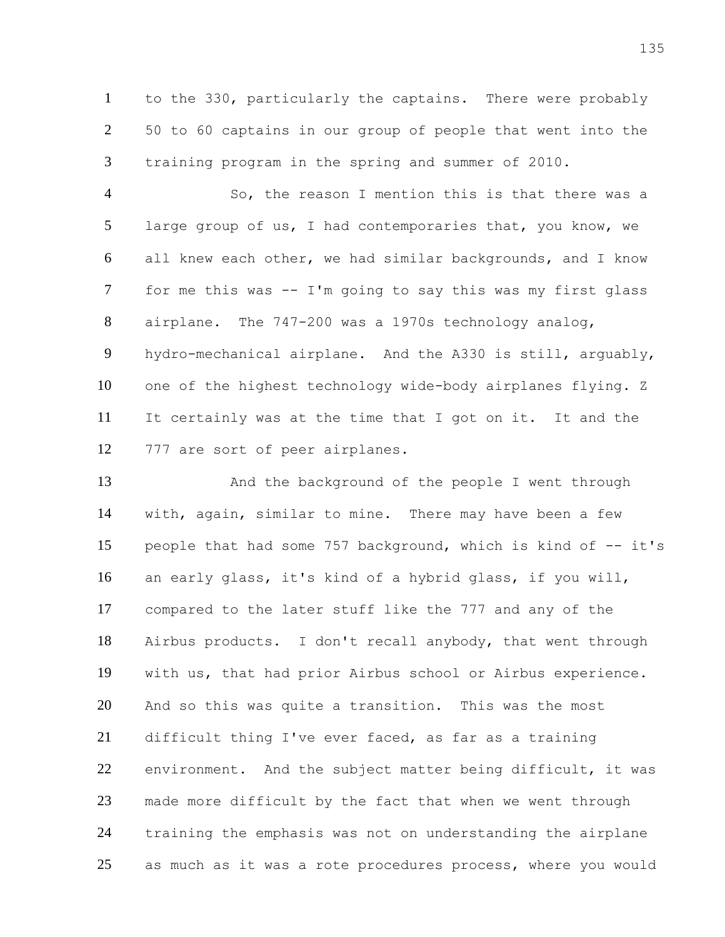to the 330, particularly the captains. There were probably 50 to 60 captains in our group of people that went into the training program in the spring and summer of 2010.

 So, the reason I mention this is that there was a large group of us, I had contemporaries that, you know, we all knew each other, we had similar backgrounds, and I know for me this was -- I'm going to say this was my first glass airplane. The 747-200 was a 1970s technology analog, hydro-mechanical airplane. And the A330 is still, arguably, one of the highest technology wide-body airplanes flying. Z It certainly was at the time that I got on it. It and the 777 are sort of peer airplanes.

13 And the background of the people I went through with, again, similar to mine. There may have been a few people that had some 757 background, which is kind of -- it's an early glass, it's kind of a hybrid glass, if you will, compared to the later stuff like the 777 and any of the Airbus products. I don't recall anybody, that went through with us, that had prior Airbus school or Airbus experience. And so this was quite a transition. This was the most difficult thing I've ever faced, as far as a training 22 environment. And the subject matter being difficult, it was made more difficult by the fact that when we went through training the emphasis was not on understanding the airplane 25 as much as it was a rote procedures process, where you would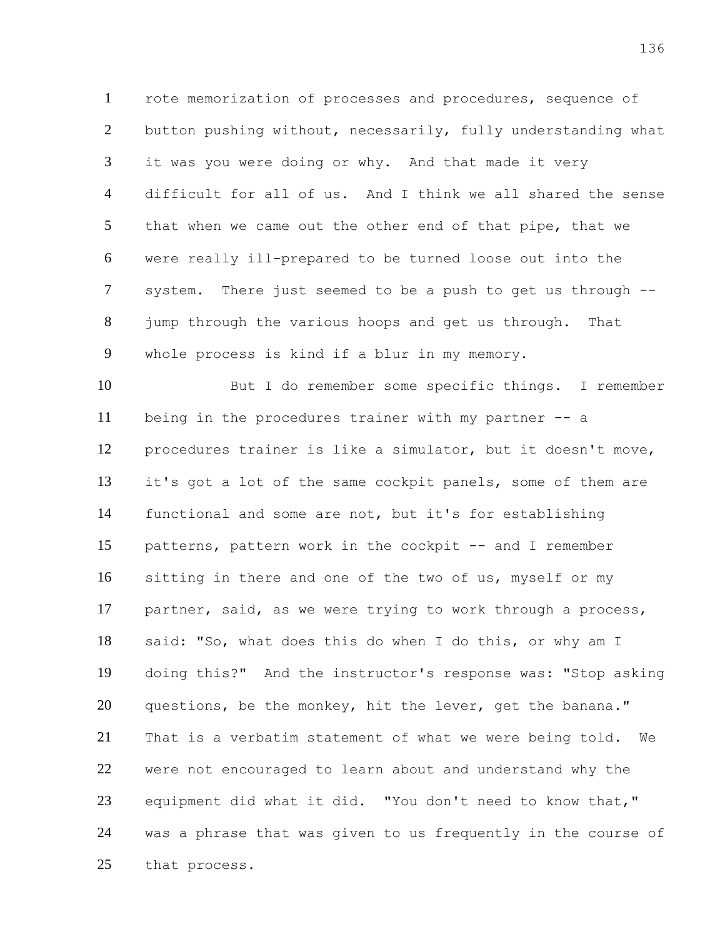rote memorization of processes and procedures, sequence of button pushing without, necessarily, fully understanding what it was you were doing or why. And that made it very difficult for all of us. And I think we all shared the sense that when we came out the other end of that pipe, that we were really ill-prepared to be turned loose out into the system. There just seemed to be a push to get us through -- jump through the various hoops and get us through. That whole process is kind if a blur in my memory.

 But I do remember some specific things. I remember being in the procedures trainer with my partner -- a procedures trainer is like a simulator, but it doesn't move, it's got a lot of the same cockpit panels, some of them are functional and some are not, but it's for establishing patterns, pattern work in the cockpit -- and I remember sitting in there and one of the two of us, myself or my partner, said, as we were trying to work through a process, said: "So, what does this do when I do this, or why am I doing this?" And the instructor's response was: "Stop asking questions, be the monkey, hit the lever, get the banana." That is a verbatim statement of what we were being told. We were not encouraged to learn about and understand why the equipment did what it did. "You don't need to know that," was a phrase that was given to us frequently in the course of that process.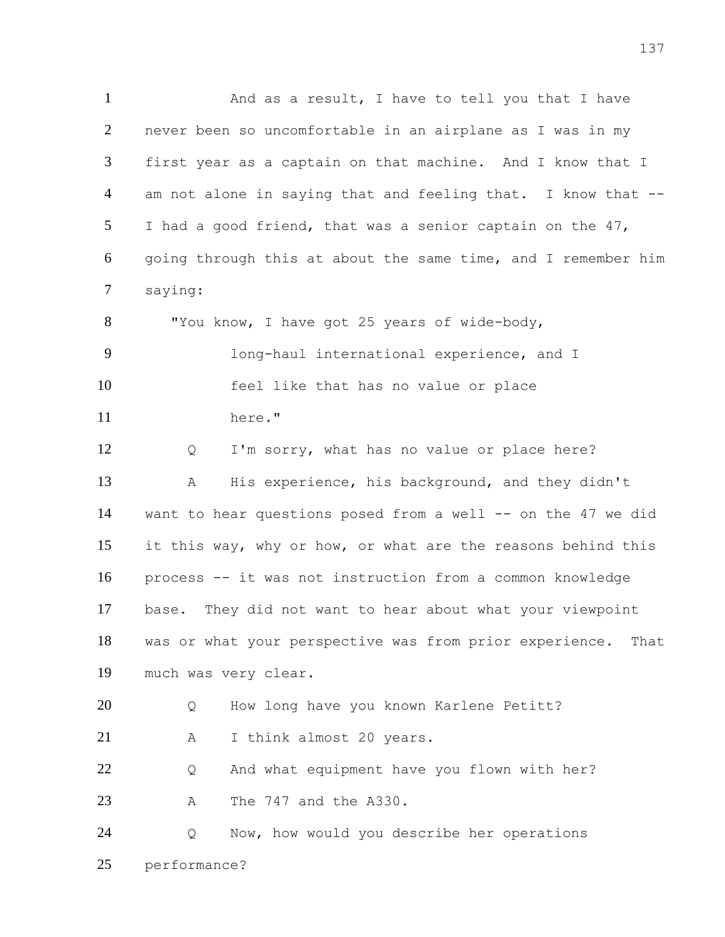1 And as a result, I have to tell you that I have never been so uncomfortable in an airplane as I was in my first year as a captain on that machine. And I know that I am not alone in saying that and feeling that. I know that -- I had a good friend, that was a senior captain on the 47, going through this at about the same time, and I remember him saying: 8 "You know, I have got 25 years of wide-body, long-haul international experience, and I feel like that has no value or place here." Q I'm sorry, what has no value or place here? A His experience, his background, and they didn't want to hear questions posed from a well -- on the 47 we did it this way, why or how, or what are the reasons behind this process -- it was not instruction from a common knowledge base. They did not want to hear about what your viewpoint was or what your perspective was from prior experience. That much was very clear. Q How long have you known Karlene Petitt? 21 A I think almost 20 years. Q And what equipment have you flown with her? A The 747 and the A330. Q Now, how would you describe her operations performance?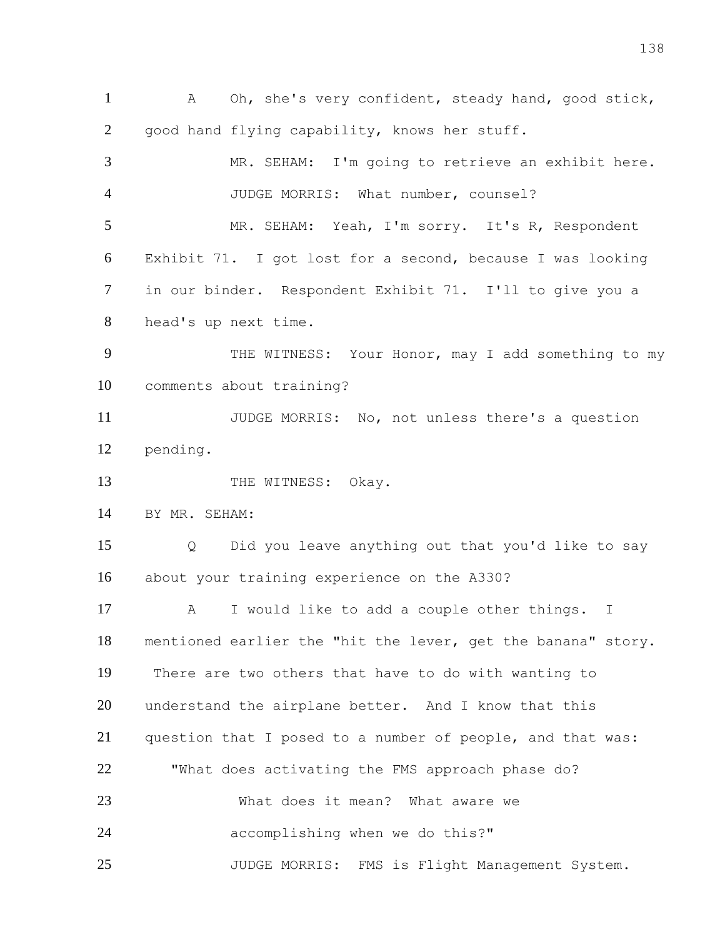A Oh, she's very confident, steady hand, good stick, good hand flying capability, knows her stuff. MR. SEHAM: I'm going to retrieve an exhibit here. JUDGE MORRIS: What number, counsel? MR. SEHAM: Yeah, I'm sorry. It's R, Respondent Exhibit 71. I got lost for a second, because I was looking in our binder. Respondent Exhibit 71. I'll to give you a head's up next time. 9 THE WITNESS: Your Honor, may I add something to my comments about training? JUDGE MORRIS: No, not unless there's a question pending. 13 THE WITNESS: Okay. BY MR. SEHAM: Q Did you leave anything out that you'd like to say about your training experience on the A330? A I would like to add a couple other things. I mentioned earlier the "hit the lever, get the banana" story. There are two others that have to do with wanting to understand the airplane better. And I know that this question that I posed to a number of people, and that was: "What does activating the FMS approach phase do? What does it mean? What aware we accomplishing when we do this?" JUDGE MORRIS: FMS is Flight Management System.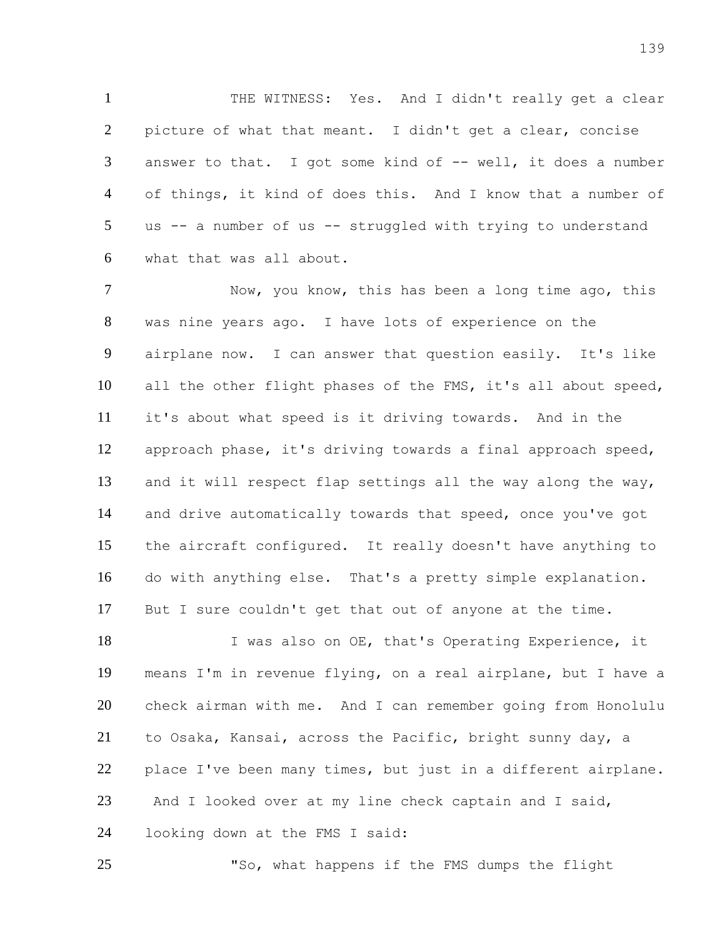THE WITNESS: Yes. And I didn't really get a clear picture of what that meant. I didn't get a clear, concise 3 answer to that. I got some kind of -- well, it does a number of things, it kind of does this. And I know that a number of us -- a number of us -- struggled with trying to understand what that was all about.

 Now, you know, this has been a long time ago, this was nine years ago. I have lots of experience on the airplane now. I can answer that question easily. It's like all the other flight phases of the FMS, it's all about speed, it's about what speed is it driving towards. And in the approach phase, it's driving towards a final approach speed, and it will respect flap settings all the way along the way, and drive automatically towards that speed, once you've got the aircraft configured. It really doesn't have anything to do with anything else. That's a pretty simple explanation. But I sure couldn't get that out of anyone at the time.

18 I was also on OE, that's Operating Experience, it means I'm in revenue flying, on a real airplane, but I have a check airman with me. And I can remember going from Honolulu to Osaka, Kansai, across the Pacific, bright sunny day, a place I've been many times, but just in a different airplane. And I looked over at my line check captain and I said, looking down at the FMS I said:

"So, what happens if the FMS dumps the flight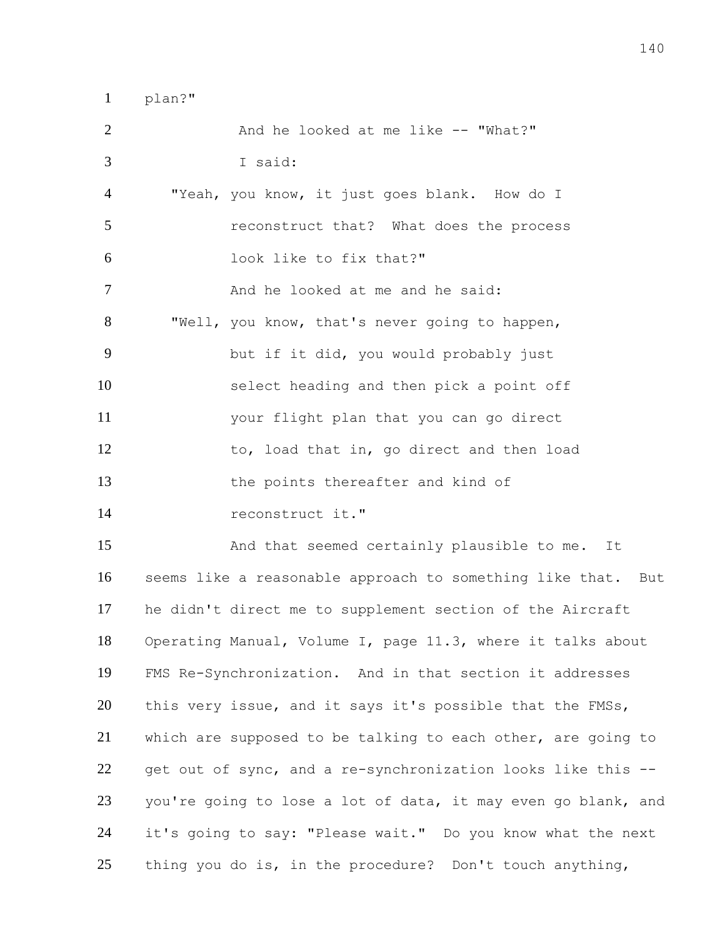plan?" 2 And he looked at me like -- "What?" I said: "Yeah, you know, it just goes blank. How do I reconstruct that? What does the process look like to fix that?" 7 And he looked at me and he said: "Well, you know, that's never going to happen, but if it did, you would probably just select heading and then pick a point off your flight plan that you can go direct 12 to, load that in, go direct and then load the points thereafter and kind of reconstruct it." And that seemed certainly plausible to me. It seems like a reasonable approach to something like that. But he didn't direct me to supplement section of the Aircraft Operating Manual, Volume I, page 11.3, where it talks about FMS Re-Synchronization. And in that section it addresses 20 this very issue, and it says it's possible that the FMSs, which are supposed to be talking to each other, are going to get out of sync, and a re-synchronization looks like this -- you're going to lose a lot of data, it may even go blank, and

thing you do is, in the procedure? Don't touch anything,

it's going to say: "Please wait." Do you know what the next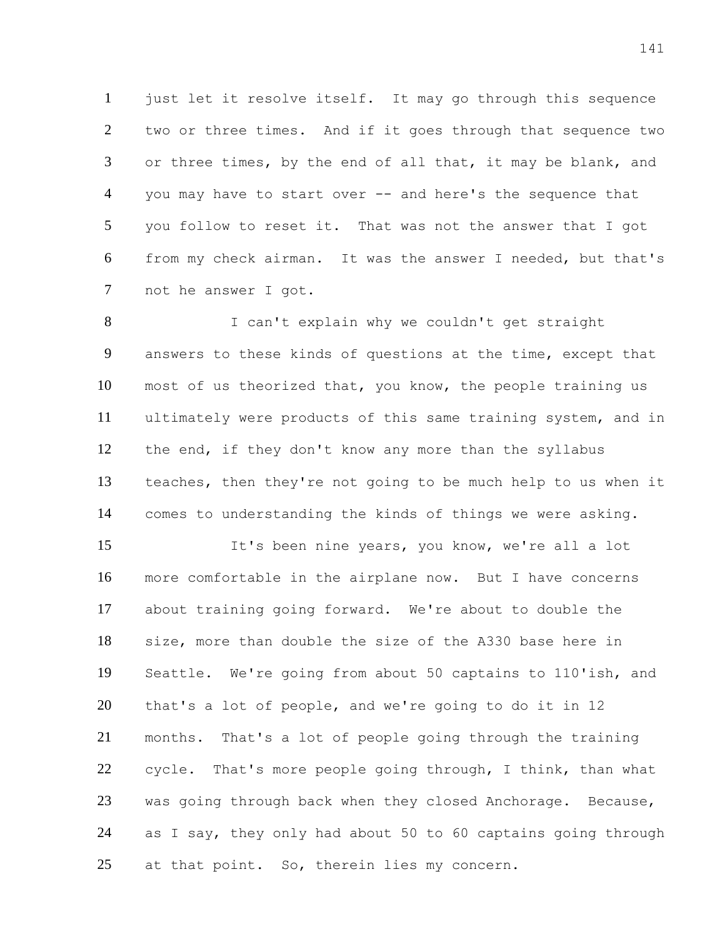just let it resolve itself. It may go through this sequence two or three times. And if it goes through that sequence two 3 or three times, by the end of all that, it may be blank, and you may have to start over -- and here's the sequence that you follow to reset it. That was not the answer that I got from my check airman. It was the answer I needed, but that's not he answer I got.

8 I can't explain why we couldn't get straight answers to these kinds of questions at the time, except that most of us theorized that, you know, the people training us ultimately were products of this same training system, and in the end, if they don't know any more than the syllabus teaches, then they're not going to be much help to us when it comes to understanding the kinds of things we were asking.

 It's been nine years, you know, we're all a lot more comfortable in the airplane now. But I have concerns about training going forward. We're about to double the size, more than double the size of the A330 base here in Seattle. We're going from about 50 captains to 110'ish, and that's a lot of people, and we're going to do it in 12 months. That's a lot of people going through the training 22 cycle. That's more people going through, I think, than what was going through back when they closed Anchorage. Because, as I say, they only had about 50 to 60 captains going through 25 at that point. So, therein lies my concern.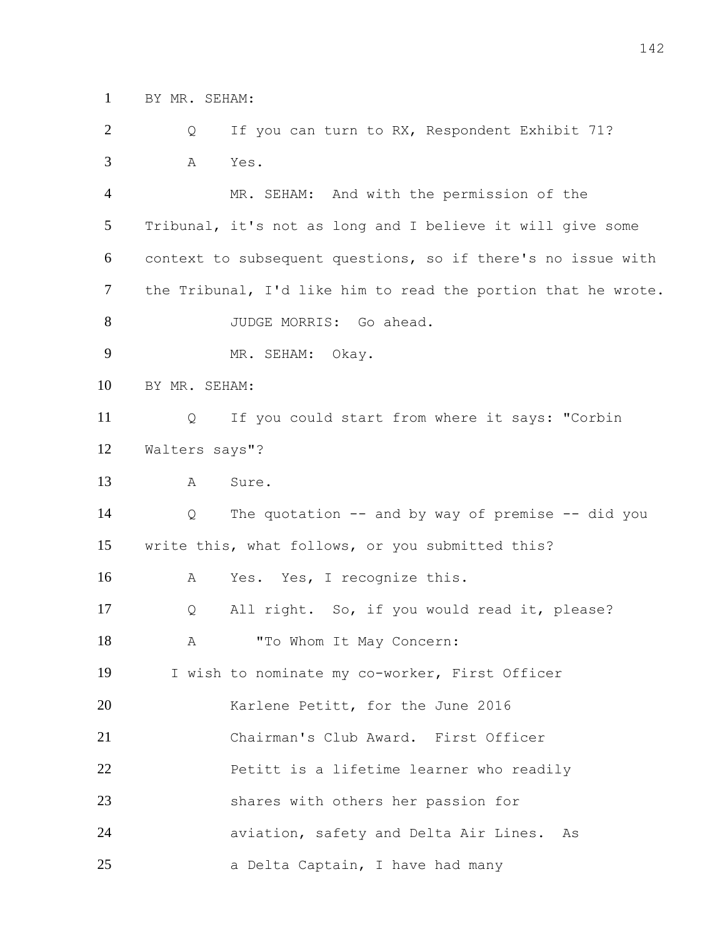BY MR. SEHAM:

2 Q If you can turn to RX, Respondent Exhibit 71? A Yes.

 MR. SEHAM: And with the permission of the Tribunal, it's not as long and I believe it will give some context to subsequent questions, so if there's no issue with the Tribunal, I'd like him to read the portion that he wrote. 8 JUDGE MORRIS: Go ahead. MR. SEHAM: Okay. BY MR. SEHAM: Q If you could start from where it says: "Corbin Walters says"? A Sure. Q The quotation -- and by way of premise -- did you write this, what follows, or you submitted this? A Yes. Yes, I recognize this. Q All right. So, if you would read it, please? 18 A "To Whom It May Concern: I wish to nominate my co-worker, First Officer 20 Karlene Petitt, for the June 2016 Chairman's Club Award. First Officer **Petitt is a lifetime learner who readily**  shares with others her passion for aviation, safety and Delta Air Lines. As a Delta Captain, I have had many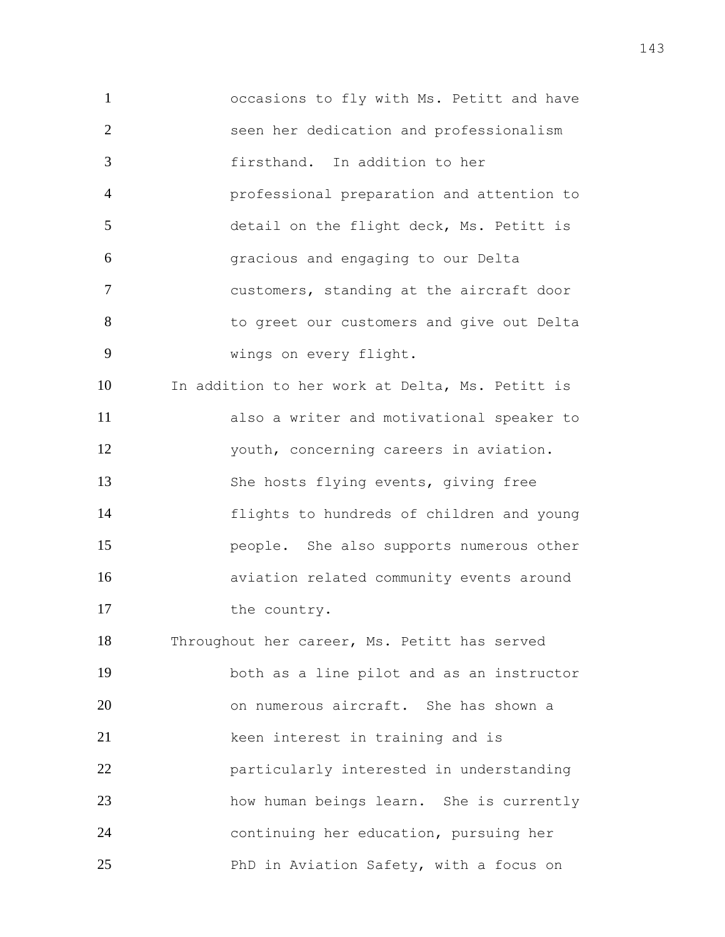occasions to fly with Ms. Petitt and have seen her dedication and professionalism firsthand. In addition to her professional preparation and attention to detail on the flight deck, Ms. Petitt is gracious and engaging to our Delta customers, standing at the aircraft door 8 6 to greet our customers and give out Delta wings on every flight. In addition to her work at Delta, Ms. Petitt is also a writer and motivational speaker to youth, concerning careers in aviation. She hosts flying events, giving free flights to hundreds of children and young people. She also supports numerous other aviation related community events around 17 the country. Throughout her career, Ms. Petitt has served both as a line pilot and as an instructor on numerous aircraft. She has shown a keen interest in training and is particularly interested in understanding how human beings learn. She is currently continuing her education, pursuing her

PhD in Aviation Safety, with a focus on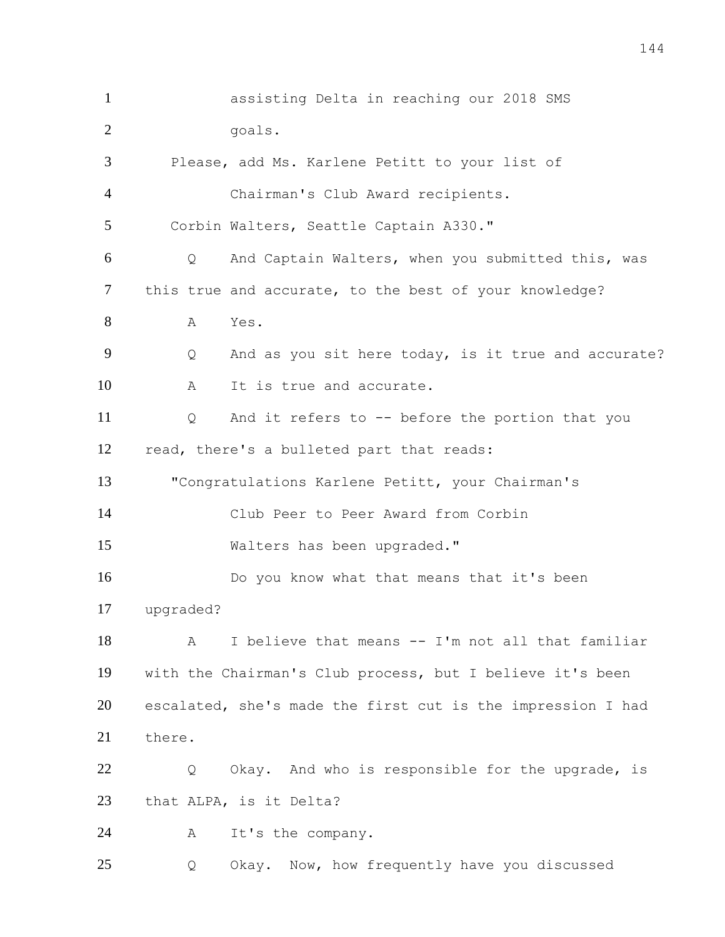assisting Delta in reaching our 2018 SMS 2 goals. Please, add Ms. Karlene Petitt to your list of Chairman's Club Award recipients. Corbin Walters, Seattle Captain A330." Q And Captain Walters, when you submitted this, was 7 this true and accurate, to the best of your knowledge? A Yes. 9 Q And as you sit here today, is it true and accurate? 10 A It is true and accurate. Q And it refers to -- before the portion that you read, there's a bulleted part that reads: "Congratulations Karlene Petitt, your Chairman's Club Peer to Peer Award from Corbin Walters has been upgraded." Do you know what that means that it's been upgraded? A I believe that means -- I'm not all that familiar with the Chairman's Club process, but I believe it's been escalated, she's made the first cut is the impression I had there. 22 Q Okay. And who is responsible for the upgrade, is that ALPA, is it Delta? A It's the company. Q Okay. Now, how frequently have you discussed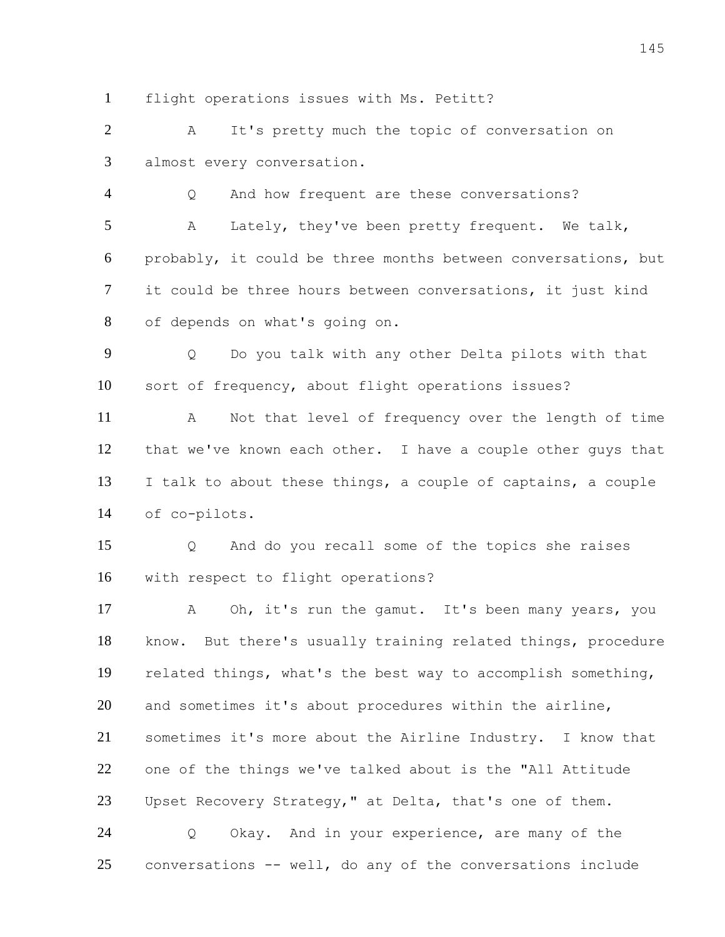flight operations issues with Ms. Petitt?

 A It's pretty much the topic of conversation on almost every conversation.

 Q And how frequent are these conversations? A Lately, they've been pretty frequent. We talk, probably, it could be three months between conversations, but it could be three hours between conversations, it just kind of depends on what's going on.

 Q Do you talk with any other Delta pilots with that sort of frequency, about flight operations issues?

 A Not that level of frequency over the length of time that we've known each other. I have a couple other guys that I talk to about these things, a couple of captains, a couple of co-pilots.

 Q And do you recall some of the topics she raises with respect to flight operations?

 A Oh, it's run the gamut. It's been many years, you know. But there's usually training related things, procedure related things, what's the best way to accomplish something, and sometimes it's about procedures within the airline, sometimes it's more about the Airline Industry. I know that one of the things we've talked about is the "All Attitude 23 Upset Recovery Strategy," at Delta, that's one of them. Q Okay. And in your experience, are many of the conversations -- well, do any of the conversations include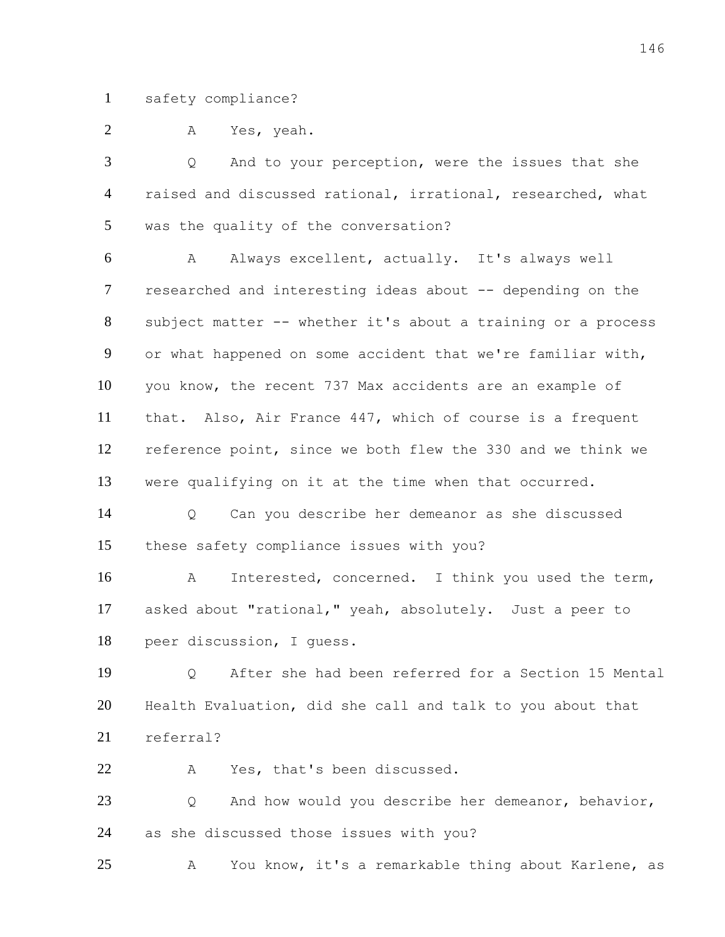safety compliance?

A Yes, yeah.

 Q And to your perception, were the issues that she raised and discussed rational, irrational, researched, what was the quality of the conversation?

 A Always excellent, actually. It's always well researched and interesting ideas about -- depending on the subject matter -- whether it's about a training or a process or what happened on some accident that we're familiar with, you know, the recent 737 Max accidents are an example of that. Also, Air France 447, which of course is a frequent reference point, since we both flew the 330 and we think we were qualifying on it at the time when that occurred.

 Q Can you describe her demeanor as she discussed these safety compliance issues with you?

 A Interested, concerned. I think you used the term, asked about "rational," yeah, absolutely. Just a peer to peer discussion, I guess.

 Q After she had been referred for a Section 15 Mental Health Evaluation, did she call and talk to you about that referral?

A Yes, that's been discussed.

 Q And how would you describe her demeanor, behavior, as she discussed those issues with you?

A You know, it's a remarkable thing about Karlene, as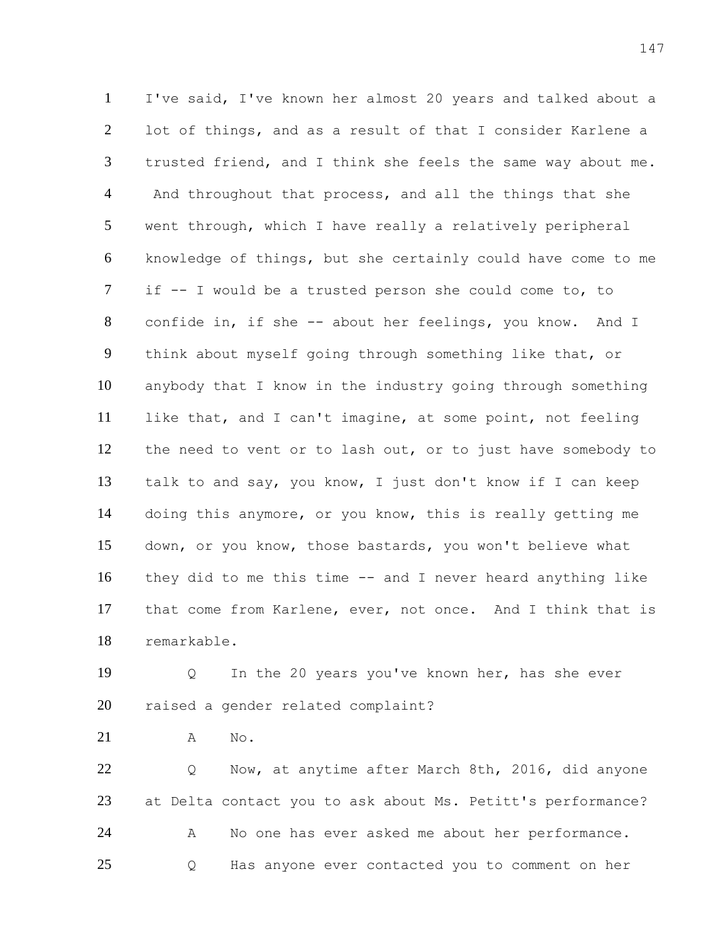I've said, I've known her almost 20 years and talked about a lot of things, and as a result of that I consider Karlene a trusted friend, and I think she feels the same way about me. 4 And throughout that process, and all the things that she went through, which I have really a relatively peripheral knowledge of things, but she certainly could have come to me if -- I would be a trusted person she could come to, to confide in, if she -- about her feelings, you know. And I think about myself going through something like that, or anybody that I know in the industry going through something like that, and I can't imagine, at some point, not feeling the need to vent or to lash out, or to just have somebody to talk to and say, you know, I just don't know if I can keep doing this anymore, or you know, this is really getting me down, or you know, those bastards, you won't believe what they did to me this time -- and I never heard anything like that come from Karlene, ever, not once. And I think that is remarkable.

 Q In the 20 years you've known her, has she ever raised a gender related complaint?

A No.

 Q Now, at anytime after March 8th, 2016, did anyone at Delta contact you to ask about Ms. Petitt's performance? 24 A No one has ever asked me about her performance. Q Has anyone ever contacted you to comment on her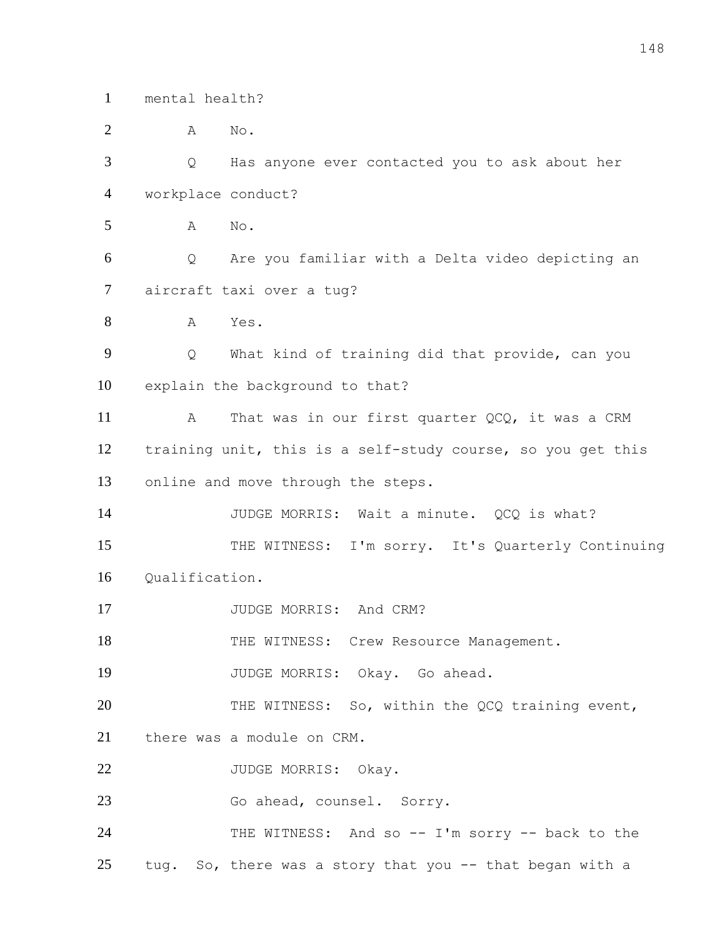mental health?

 A No. Q Has anyone ever contacted you to ask about her workplace conduct? A No. Q Are you familiar with a Delta video depicting an aircraft taxi over a tug? A Yes. Q What kind of training did that provide, can you explain the background to that? 11 A That was in our first quarter QCQ, it was a CRM training unit, this is a self-study course, so you get this online and move through the steps. 14 JUDGE MORRIS: Wait a minute. QCQ is what? 15 THE WITNESS: I'm sorry. It's Quarterly Continuing 16 Oualification. 17 JUDGE MORRIS: And CRM? 18 THE WITNESS: Crew Resource Management. JUDGE MORRIS: Okay. Go ahead. 20 THE WITNESS: So, within the QCQ training event, there was a module on CRM. 22 JUDGE MORRIS: Okay. 23 Go ahead, counsel. Sorry. THE WITNESS: And so -- I'm sorry -- back to the tug. So, there was a story that you -- that began with a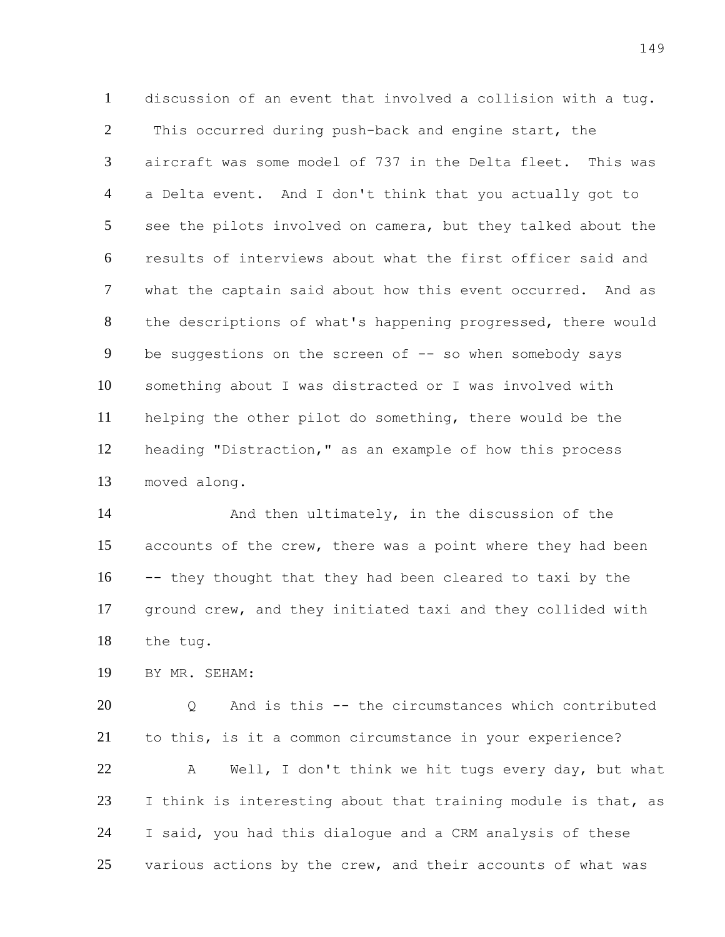discussion of an event that involved a collision with a tug. 2 This occurred during push-back and engine start, the aircraft was some model of 737 in the Delta fleet. This was a Delta event. And I don't think that you actually got to see the pilots involved on camera, but they talked about the results of interviews about what the first officer said and what the captain said about how this event occurred. And as the descriptions of what's happening progressed, there would 9 be suggestions on the screen of -- so when somebody says something about I was distracted or I was involved with helping the other pilot do something, there would be the heading "Distraction," as an example of how this process moved along.

 And then ultimately, in the discussion of the accounts of the crew, there was a point where they had been -- they thought that they had been cleared to taxi by the ground crew, and they initiated taxi and they collided with the tug.

BY MR. SEHAM:

 Q And is this -- the circumstances which contributed to this, is it a common circumstance in your experience? A Well, I don't think we hit tugs every day, but what I think is interesting about that training module is that, as I said, you had this dialogue and a CRM analysis of these various actions by the crew, and their accounts of what was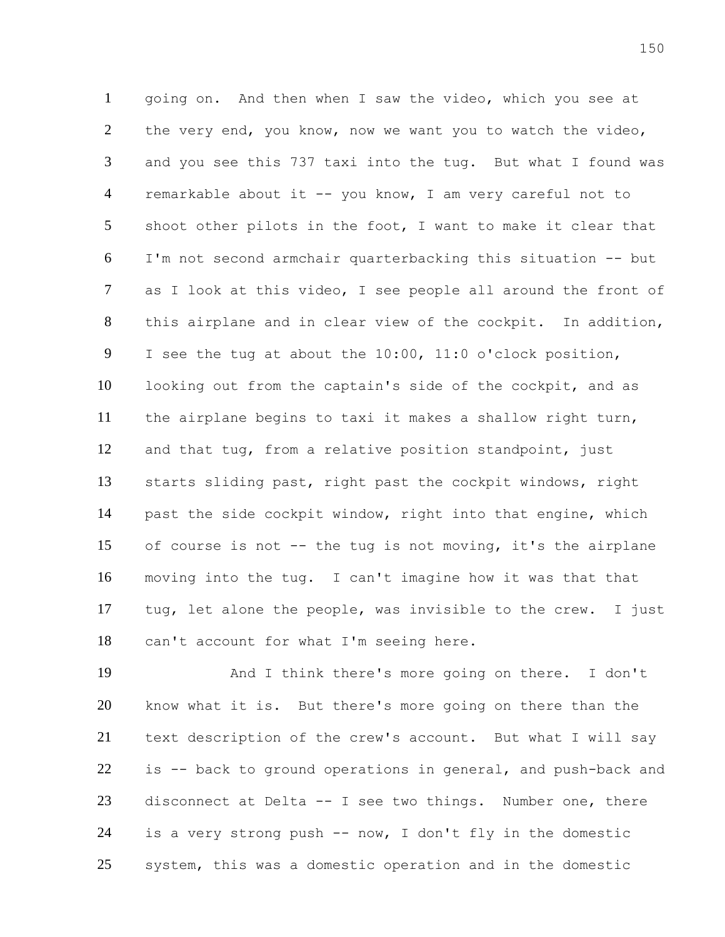going on. And then when I saw the video, which you see at the very end, you know, now we want you to watch the video, and you see this 737 taxi into the tug. But what I found was remarkable about it -- you know, I am very careful not to shoot other pilots in the foot, I want to make it clear that I'm not second armchair quarterbacking this situation -- but as I look at this video, I see people all around the front of this airplane and in clear view of the cockpit. In addition, I see the tug at about the 10:00, 11:0 o'clock position, looking out from the captain's side of the cockpit, and as the airplane begins to taxi it makes a shallow right turn, and that tug, from a relative position standpoint, just starts sliding past, right past the cockpit windows, right past the side cockpit window, right into that engine, which of course is not -- the tug is not moving, it's the airplane moving into the tug. I can't imagine how it was that that tug, let alone the people, was invisible to the crew. I just can't account for what I'm seeing here.

 And I think there's more going on there. I don't know what it is. But there's more going on there than the text description of the crew's account. But what I will say is -- back to ground operations in general, and push-back and disconnect at Delta -- I see two things. Number one, there is a very strong push -- now, I don't fly in the domestic system, this was a domestic operation and in the domestic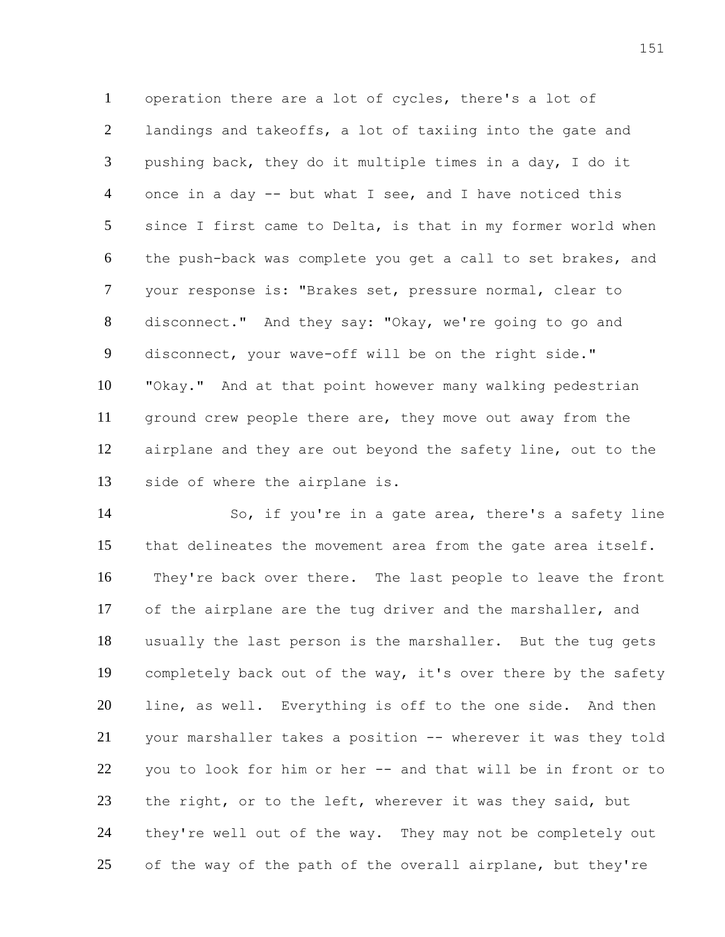operation there are a lot of cycles, there's a lot of landings and takeoffs, a lot of taxiing into the gate and pushing back, they do it multiple times in a day, I do it once in a day -- but what I see, and I have noticed this since I first came to Delta, is that in my former world when the push-back was complete you get a call to set brakes, and your response is: "Brakes set, pressure normal, clear to disconnect." And they say: "Okay, we're going to go and disconnect, your wave-off will be on the right side." "Okay." And at that point however many walking pedestrian ground crew people there are, they move out away from the airplane and they are out beyond the safety line, out to the side of where the airplane is.

 So, if you're in a gate area, there's a safety line that delineates the movement area from the gate area itself. They're back over there. The last people to leave the front of the airplane are the tug driver and the marshaller, and usually the last person is the marshaller. But the tug gets completely back out of the way, it's over there by the safety line, as well. Everything is off to the one side. And then your marshaller takes a position -- wherever it was they told you to look for him or her -- and that will be in front or to the right, or to the left, wherever it was they said, but they're well out of the way. They may not be completely out 25 of the way of the path of the overall airplane, but they're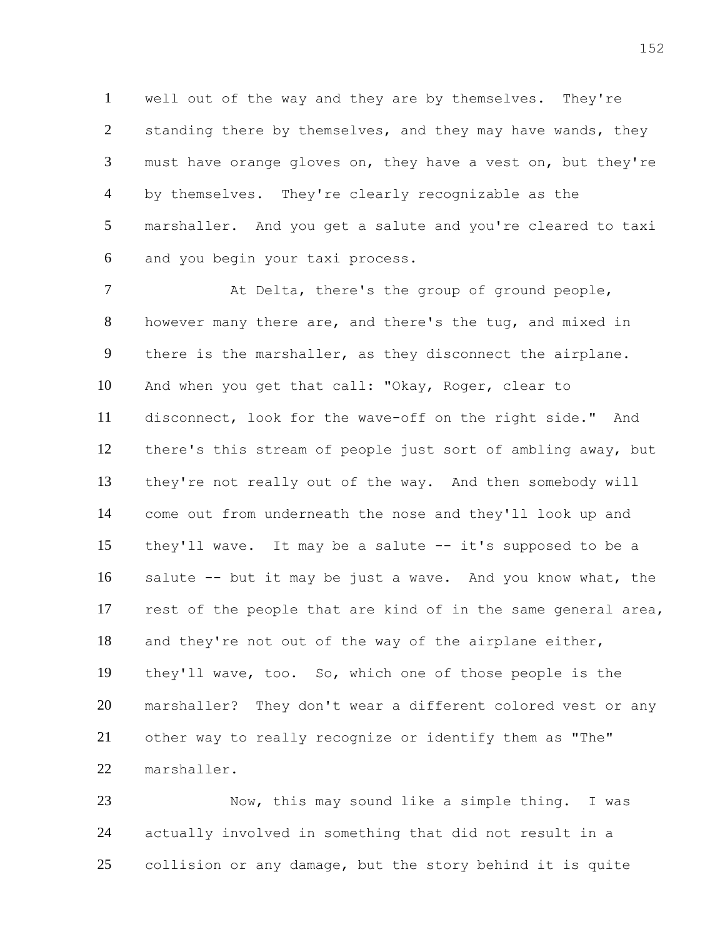well out of the way and they are by themselves. They're 2 standing there by themselves, and they may have wands, they must have orange gloves on, they have a vest on, but they're by themselves. They're clearly recognizable as the marshaller. And you get a salute and you're cleared to taxi and you begin your taxi process.

 At Delta, there's the group of ground people, however many there are, and there's the tug, and mixed in there is the marshaller, as they disconnect the airplane. And when you get that call: "Okay, Roger, clear to disconnect, look for the wave-off on the right side." And there's this stream of people just sort of ambling away, but they're not really out of the way. And then somebody will come out from underneath the nose and they'll look up and they'll wave. It may be a salute -- it's supposed to be a salute -- but it may be just a wave. And you know what, the rest of the people that are kind of in the same general area, and they're not out of the way of the airplane either, they'll wave, too. So, which one of those people is the marshaller? They don't wear a different colored vest or any other way to really recognize or identify them as "The" marshaller.

 Now, this may sound like a simple thing. I was actually involved in something that did not result in a collision or any damage, but the story behind it is quite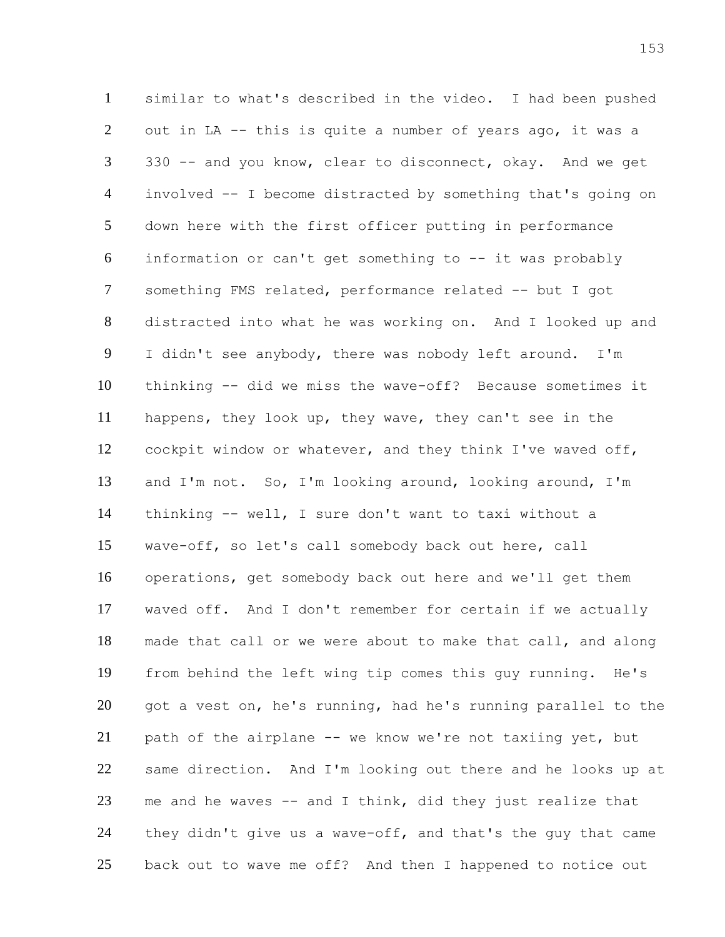similar to what's described in the video. I had been pushed out in LA -- this is quite a number of years ago, it was a 330 -- and you know, clear to disconnect, okay. And we get involved -- I become distracted by something that's going on down here with the first officer putting in performance information or can't get something to -- it was probably something FMS related, performance related -- but I got distracted into what he was working on. And I looked up and I didn't see anybody, there was nobody left around. I'm thinking -- did we miss the wave-off? Because sometimes it happens, they look up, they wave, they can't see in the cockpit window or whatever, and they think I've waved off, and I'm not. So, I'm looking around, looking around, I'm thinking -- well, I sure don't want to taxi without a wave-off, so let's call somebody back out here, call operations, get somebody back out here and we'll get them waved off. And I don't remember for certain if we actually made that call or we were about to make that call, and along from behind the left wing tip comes this guy running. He's got a vest on, he's running, had he's running parallel to the path of the airplane -- we know we're not taxiing yet, but same direction. And I'm looking out there and he looks up at me and he waves -- and I think, did they just realize that 24 they didn't give us a wave-off, and that's the guy that came back out to wave me off? And then I happened to notice out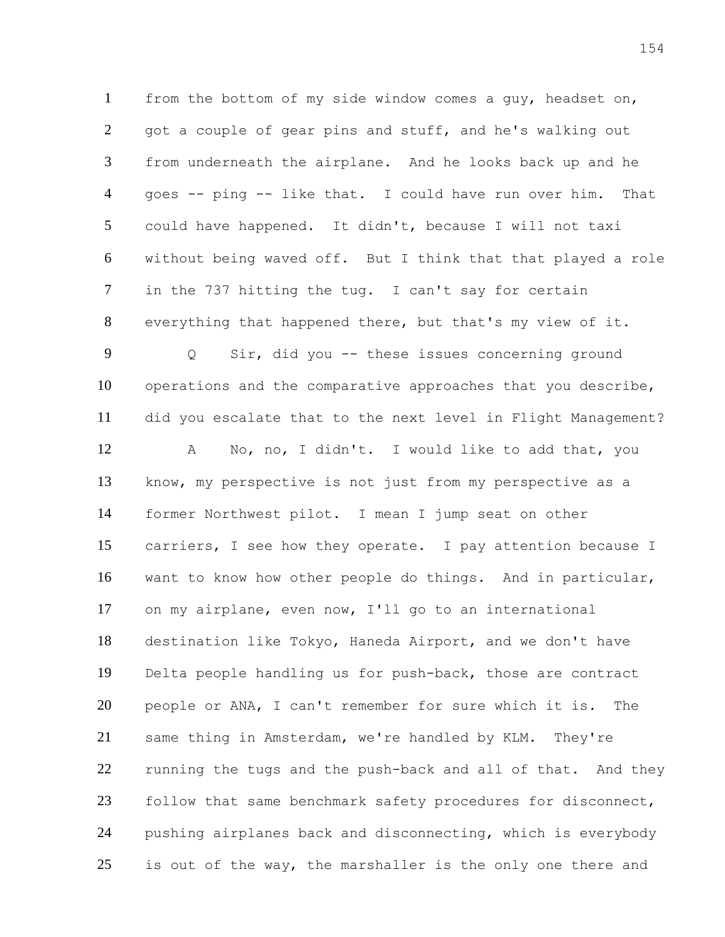from the bottom of my side window comes a guy, headset on, got a couple of gear pins and stuff, and he's walking out from underneath the airplane. And he looks back up and he goes -- ping -- like that. I could have run over him. That could have happened. It didn't, because I will not taxi without being waved off. But I think that that played a role in the 737 hitting the tug. I can't say for certain everything that happened there, but that's my view of it. Q Sir, did you -- these issues concerning ground operations and the comparative approaches that you describe, did you escalate that to the next level in Flight Management? A No, no, I didn't. I would like to add that, you know, my perspective is not just from my perspective as a former Northwest pilot. I mean I jump seat on other carriers, I see how they operate. I pay attention because I want to know how other people do things. And in particular, on my airplane, even now, I'll go to an international destination like Tokyo, Haneda Airport, and we don't have Delta people handling us for push-back, those are contract people or ANA, I can't remember for sure which it is. The same thing in Amsterdam, we're handled by KLM. They're 22 running the tugs and the push-back and all of that. And they follow that same benchmark safety procedures for disconnect, pushing airplanes back and disconnecting, which is everybody 25 is out of the way, the marshaller is the only one there and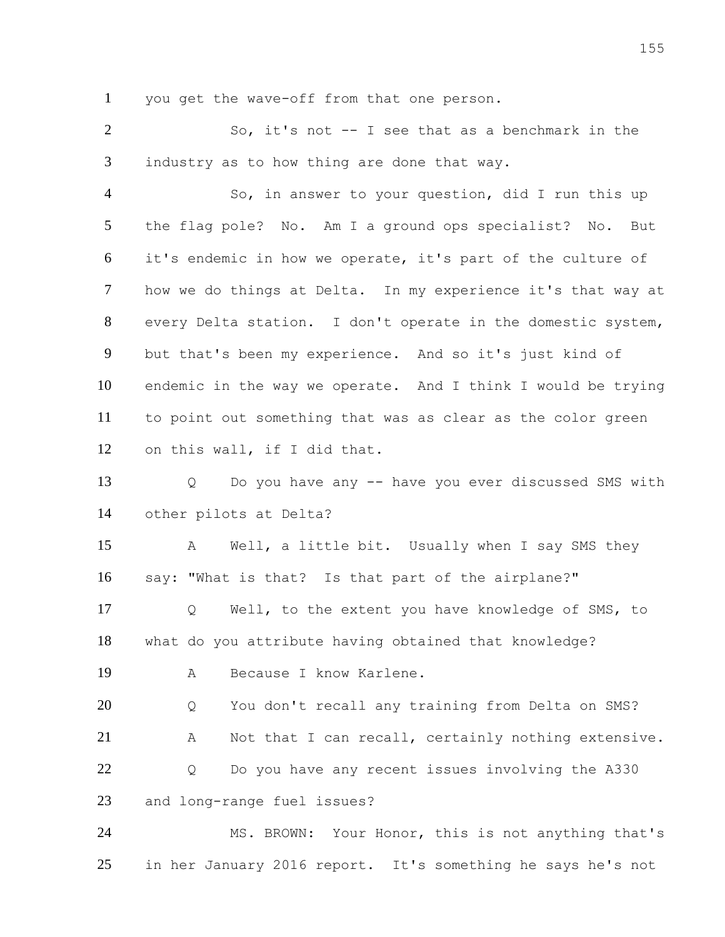you get the wave-off from that one person.

 So, it's not -- I see that as a benchmark in the industry as to how thing are done that way.

 So, in answer to your question, did I run this up the flag pole? No. Am I a ground ops specialist? No. But it's endemic in how we operate, it's part of the culture of how we do things at Delta. In my experience it's that way at every Delta station. I don't operate in the domestic system, but that's been my experience. And so it's just kind of endemic in the way we operate. And I think I would be trying to point out something that was as clear as the color green on this wall, if I did that.

 Q Do you have any -- have you ever discussed SMS with other pilots at Delta?

 A Well, a little bit. Usually when I say SMS they say: "What is that? Is that part of the airplane?"

 Q Well, to the extent you have knowledge of SMS, to what do you attribute having obtained that knowledge? A Because I know Karlene.

 Q You don't recall any training from Delta on SMS? A Not that I can recall, certainly nothing extensive. 22 O Do you have any recent issues involving the A330 and long-range fuel issues?

 MS. BROWN: Your Honor, this is not anything that's in her January 2016 report. It's something he says he's not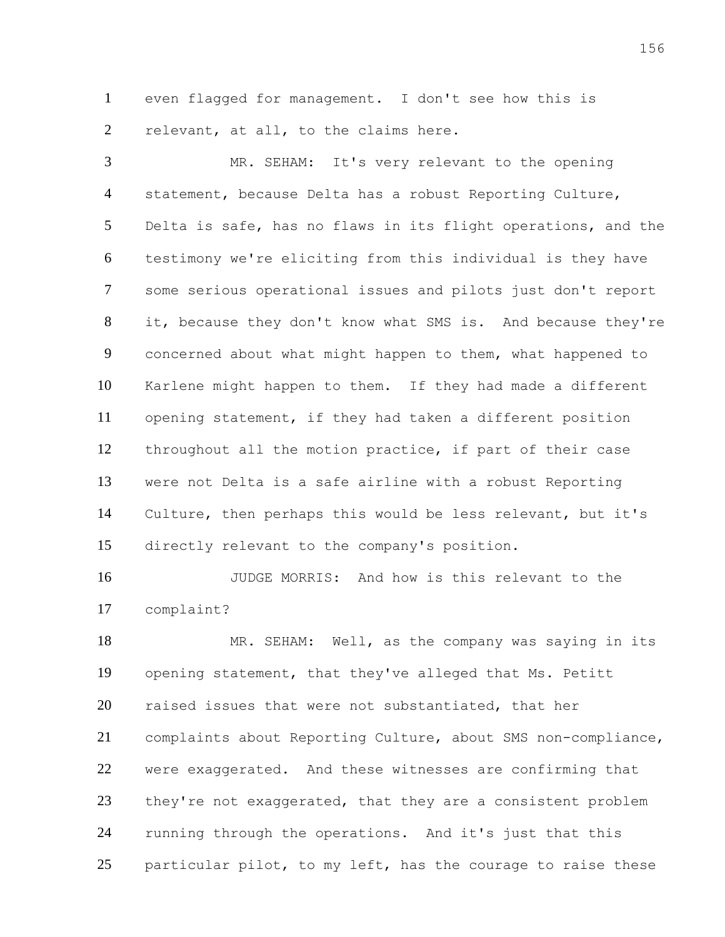even flagged for management. I don't see how this is relevant, at all, to the claims here.

 MR. SEHAM: It's very relevant to the opening statement, because Delta has a robust Reporting Culture, Delta is safe, has no flaws in its flight operations, and the testimony we're eliciting from this individual is they have some serious operational issues and pilots just don't report it, because they don't know what SMS is. And because they're concerned about what might happen to them, what happened to Karlene might happen to them. If they had made a different opening statement, if they had taken a different position throughout all the motion practice, if part of their case were not Delta is a safe airline with a robust Reporting Culture, then perhaps this would be less relevant, but it's directly relevant to the company's position.

 JUDGE MORRIS: And how is this relevant to the complaint?

18 MR. SEHAM: Well, as the company was saying in its opening statement, that they've alleged that Ms. Petitt raised issues that were not substantiated, that her complaints about Reporting Culture, about SMS non-compliance, were exaggerated. And these witnesses are confirming that 23 they're not exaggerated, that they are a consistent problem running through the operations. And it's just that this particular pilot, to my left, has the courage to raise these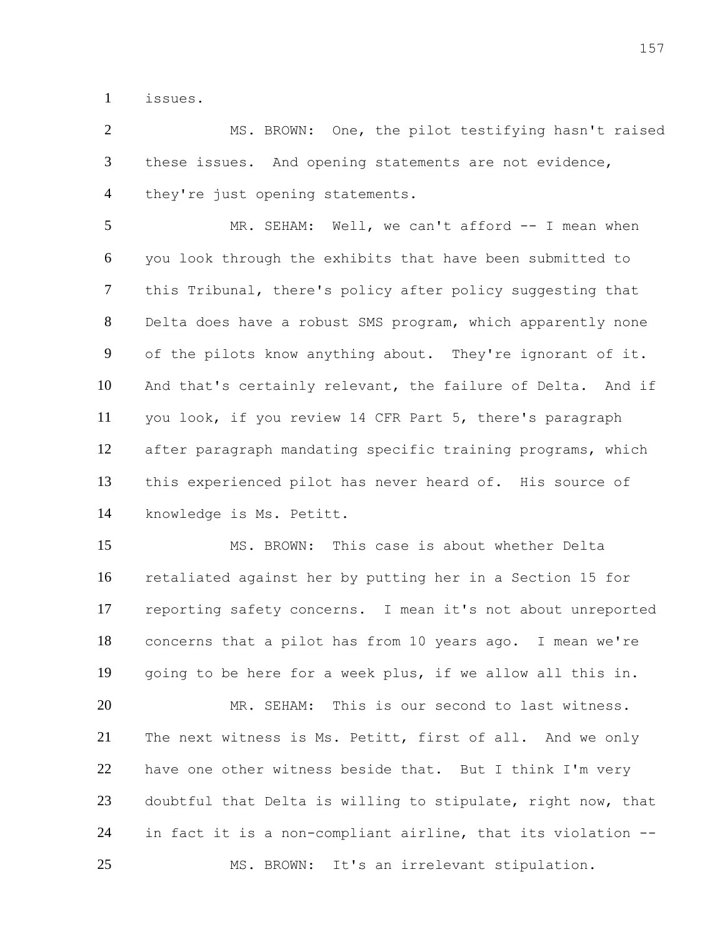issues.

 MS. BROWN: One, the pilot testifying hasn't raised these issues. And opening statements are not evidence, they're just opening statements.

5 MR. SEHAM: Well, we can't afford -- I mean when you look through the exhibits that have been submitted to this Tribunal, there's policy after policy suggesting that Delta does have a robust SMS program, which apparently none of the pilots know anything about. They're ignorant of it. And that's certainly relevant, the failure of Delta. And if you look, if you review 14 CFR Part 5, there's paragraph after paragraph mandating specific training programs, which this experienced pilot has never heard of. His source of knowledge is Ms. Petitt.

 MS. BROWN: This case is about whether Delta retaliated against her by putting her in a Section 15 for reporting safety concerns. I mean it's not about unreported concerns that a pilot has from 10 years ago. I mean we're going to be here for a week plus, if we allow all this in.

 MR. SEHAM: This is our second to last witness. The next witness is Ms. Petitt, first of all. And we only have one other witness beside that. But I think I'm very doubtful that Delta is willing to stipulate, right now, that in fact it is a non-compliant airline, that its violation -- MS. BROWN: It's an irrelevant stipulation.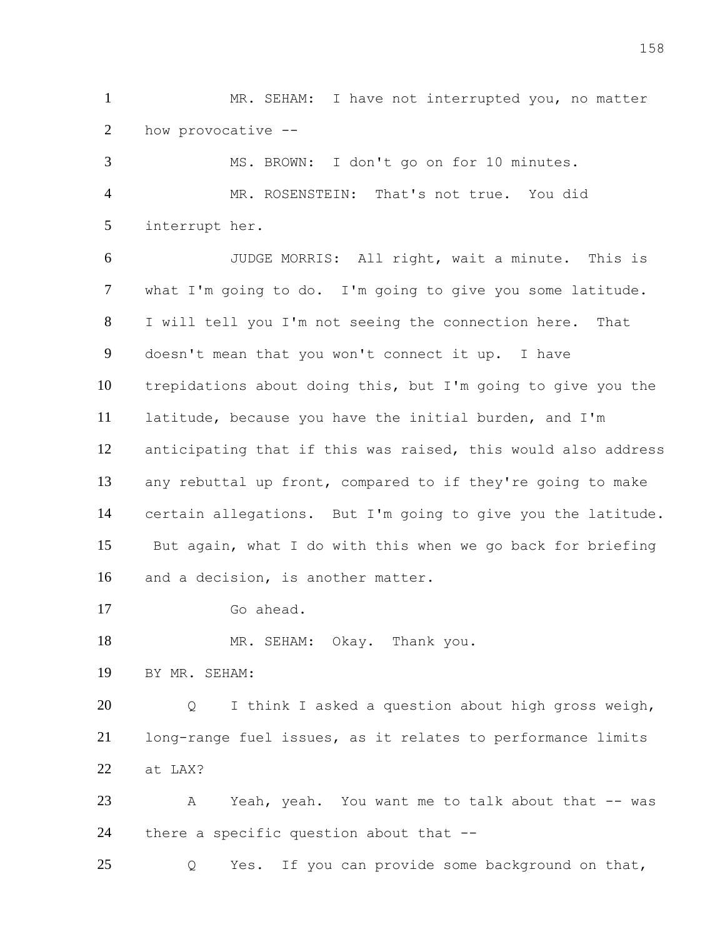MR. SEHAM: I have not interrupted you, no matter how provocative --

 MS. BROWN: I don't go on for 10 minutes. MR. ROSENSTEIN: That's not true. You did interrupt her. JUDGE MORRIS: All right, wait a minute. This is what I'm going to do. I'm going to give you some latitude. I will tell you I'm not seeing the connection here. That doesn't mean that you won't connect it up. I have trepidations about doing this, but I'm going to give you the latitude, because you have the initial burden, and I'm anticipating that if this was raised, this would also address any rebuttal up front, compared to if they're going to make certain allegations. But I'm going to give you the latitude. But again, what I do with this when we go back for briefing and a decision, is another matter. Go ahead. 18 MR. SEHAM: Okay. Thank you. BY MR. SEHAM: Q I think I asked a question about high gross weigh, long-range fuel issues, as it relates to performance limits at LAX? 23 A Yeah, yeah. You want me to talk about that -- was there a specific question about that --

Q Yes. If you can provide some background on that,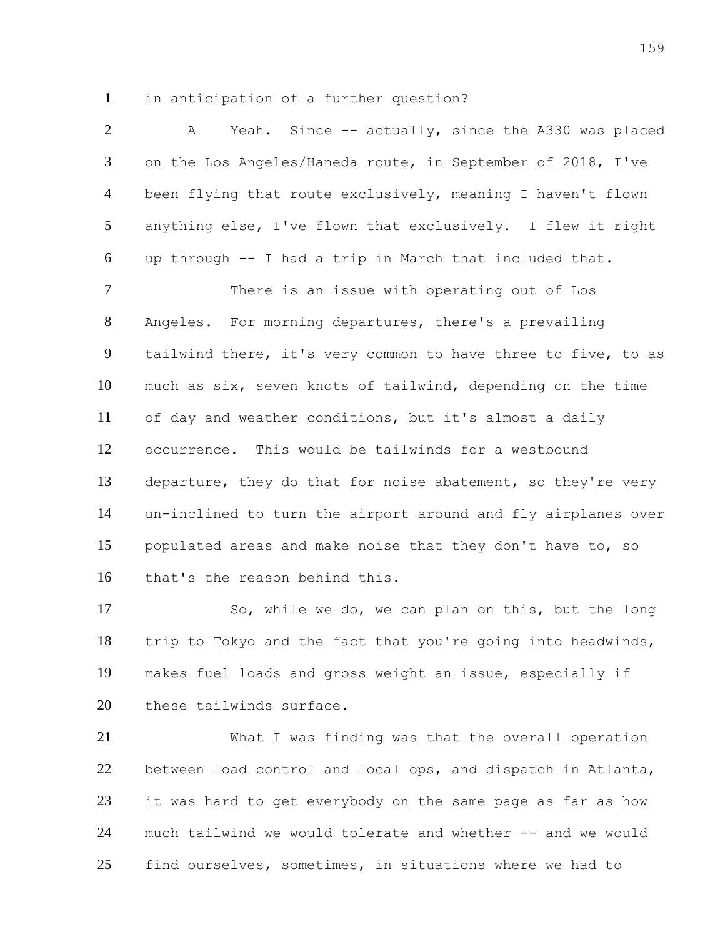in anticipation of a further question?

| $\overline{2}$ | Yeah. Since -- actually, since the A330 was placed<br>A       |
|----------------|---------------------------------------------------------------|
| 3              | on the Los Angeles/Haneda route, in September of 2018, I've   |
| $\overline{4}$ | been flying that route exclusively, meaning I haven't flown   |
| $\mathfrak{S}$ | anything else, I've flown that exclusively. I flew it right   |
| 6              | up through -- I had a trip in March that included that.       |
| $\overline{7}$ | There is an issue with operating out of Los                   |
| 8              | Angeles. For morning departures, there's a prevailing         |
| 9              | tailwind there, it's very common to have three to five, to as |
| 10             | much as six, seven knots of tailwind, depending on the time   |
| 11             | of day and weather conditions, but it's almost a daily        |
| 12             | occurrence. This would be tailwinds for a westbound           |
| 13             | departure, they do that for noise abatement, so they're very  |
| 14             | un-inclined to turn the airport around and fly airplanes over |
| 15             | populated areas and make noise that they don't have to, so    |
| 16             | that's the reason behind this.                                |

17 So, while we do, we can plan on this, but the long trip to Tokyo and the fact that you're going into headwinds, makes fuel loads and gross weight an issue, especially if 20 these tailwinds surface.

 What I was finding was that the overall operation between load control and local ops, and dispatch in Atlanta, it was hard to get everybody on the same page as far as how much tailwind we would tolerate and whether -- and we would find ourselves, sometimes, in situations where we had to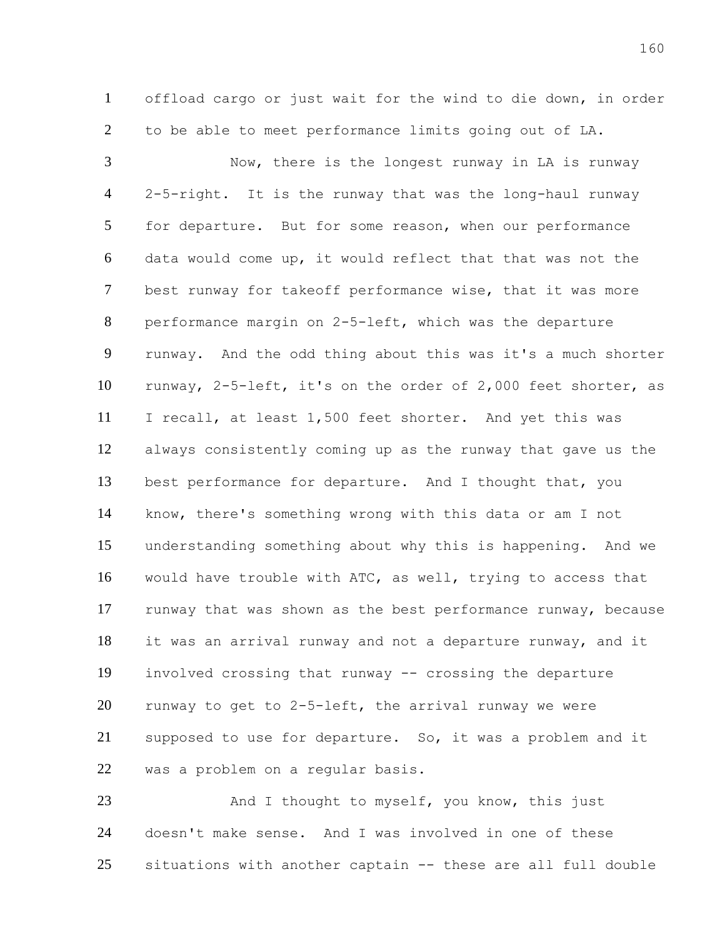offload cargo or just wait for the wind to die down, in order to be able to meet performance limits going out of LA.

 Now, there is the longest runway in LA is runway 2-5-right. It is the runway that was the long-haul runway for departure. But for some reason, when our performance data would come up, it would reflect that that was not the best runway for takeoff performance wise, that it was more performance margin on 2-5-left, which was the departure runway. And the odd thing about this was it's a much shorter runway, 2-5-left, it's on the order of 2,000 feet shorter, as I recall, at least 1,500 feet shorter. And yet this was always consistently coming up as the runway that gave us the best performance for departure. And I thought that, you know, there's something wrong with this data or am I not understanding something about why this is happening. And we would have trouble with ATC, as well, trying to access that runway that was shown as the best performance runway, because it was an arrival runway and not a departure runway, and it involved crossing that runway -- crossing the departure runway to get to 2-5-left, the arrival runway we were supposed to use for departure. So, it was a problem and it was a problem on a regular basis.

23 And I thought to myself, you know, this just doesn't make sense. And I was involved in one of these situations with another captain -- these are all full double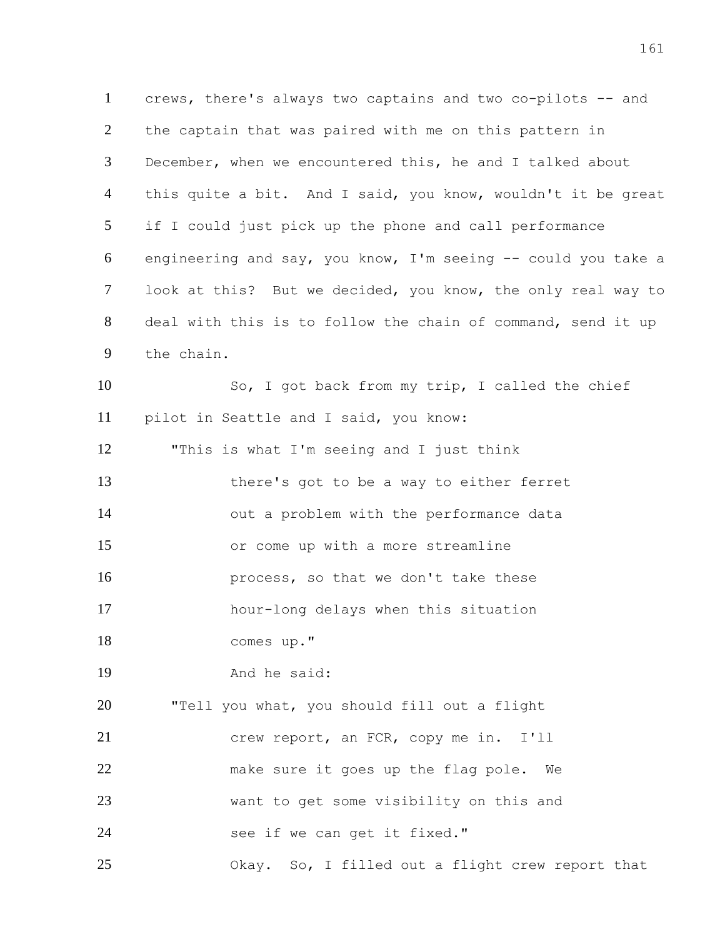crews, there's always two captains and two co-pilots -- and the captain that was paired with me on this pattern in December, when we encountered this, he and I talked about 4 this quite a bit. And I said, you know, wouldn't it be great if I could just pick up the phone and call performance engineering and say, you know, I'm seeing -- could you take a look at this? But we decided, you know, the only real way to deal with this is to follow the chain of command, send it up the chain.

 So, I got back from my trip, I called the chief pilot in Seattle and I said, you know:

 there's got to be a way to either ferret out a problem with the performance data or come up with a more streamline **process**, so that we don't take these

hour-long delays when this situation

"This is what I'm seeing and I just think

comes up."

And he said:

 "Tell you what, you should fill out a flight crew report, an FCR, copy me in. I'll make sure it goes up the flag pole. We want to get some visibility on this and 24 see if we can get it fixed."

Okay. So, I filled out a flight crew report that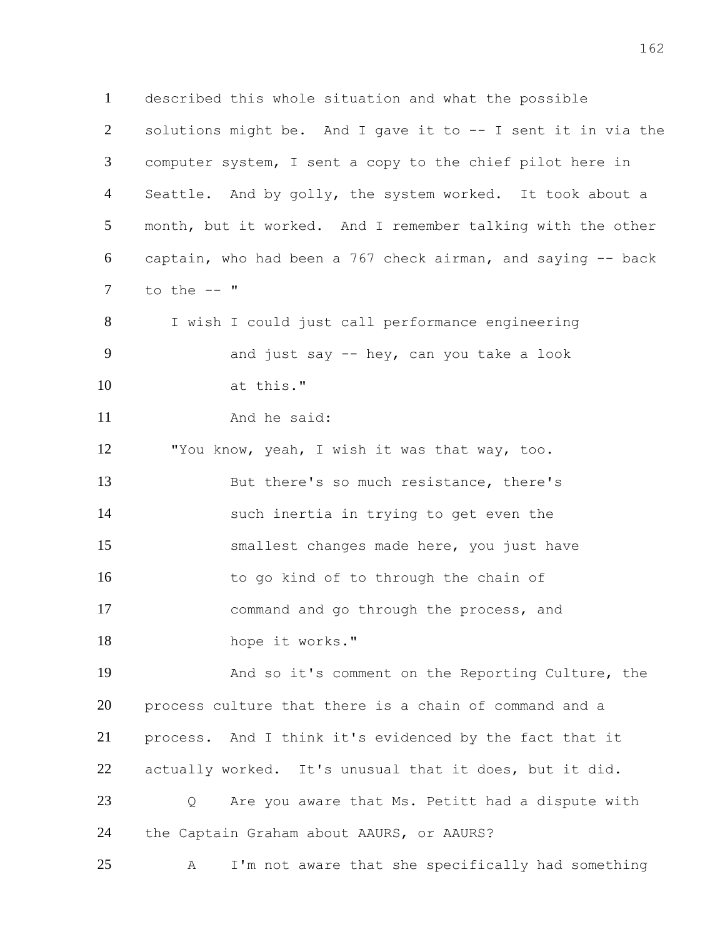described this whole situation and what the possible solutions might be. And I gave it to -- I sent it in via the computer system, I sent a copy to the chief pilot here in 4 Seattle. And by golly, the system worked. It took about a month, but it worked. And I remember talking with the other captain, who had been a 767 check airman, and saying -- back to the  $--$  " I wish I could just call performance engineering and just say -- hey, can you take a look at this." 11 And he said: "You know, yeah, I wish it was that way, too. But there's so much resistance, there's such inertia in trying to get even the smallest changes made here, you just have 16 to go kind of to through the chain of command and go through the process, and 18 hope it works." And so it's comment on the Reporting Culture, the process culture that there is a chain of command and a process. And I think it's evidenced by the fact that it actually worked. It's unusual that it does, but it did. Q Are you aware that Ms. Petitt had a dispute with the Captain Graham about AAURS, or AAURS? A I'm not aware that she specifically had something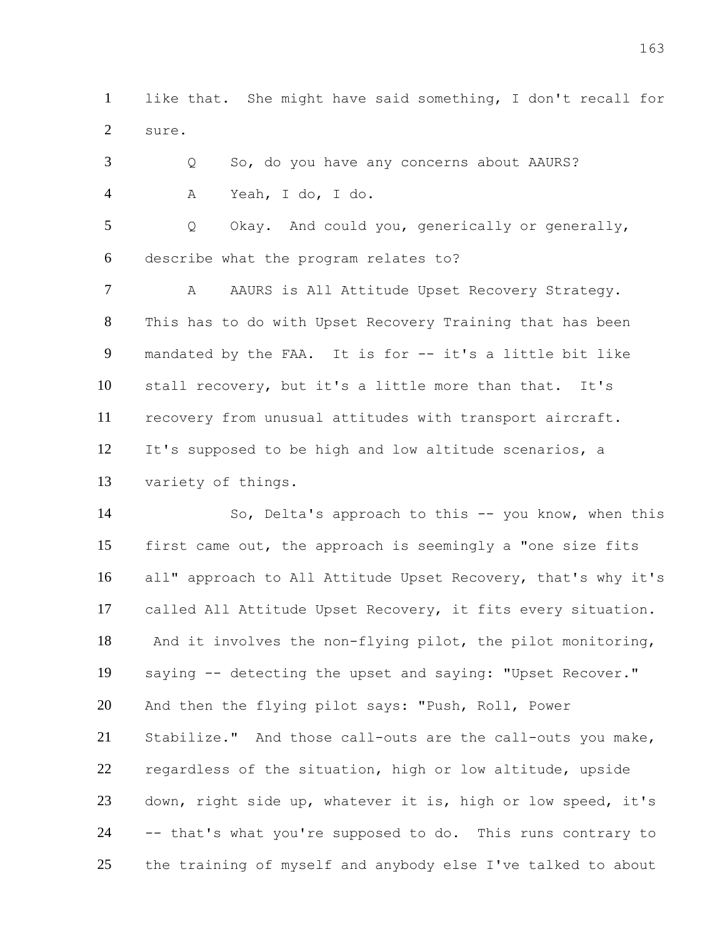like that. She might have said something, I don't recall for sure.

 Q So, do you have any concerns about AAURS? A Yeah, I do, I do.

 Q Okay. And could you, generically or generally, describe what the program relates to?

7 A AAURS is All Attitude Upset Recovery Strategy. This has to do with Upset Recovery Training that has been mandated by the FAA. It is for -- it's a little bit like stall recovery, but it's a little more than that. It's recovery from unusual attitudes with transport aircraft. It's supposed to be high and low altitude scenarios, a variety of things.

 So, Delta's approach to this -- you know, when this first came out, the approach is seemingly a "one size fits all" approach to All Attitude Upset Recovery, that's why it's called All Attitude Upset Recovery, it fits every situation. And it involves the non-flying pilot, the pilot monitoring, saying -- detecting the upset and saying: "Upset Recover." And then the flying pilot says: "Push, Roll, Power Stabilize." And those call-outs are the call-outs you make, regardless of the situation, high or low altitude, upside down, right side up, whatever it is, high or low speed, it's -- that's what you're supposed to do. This runs contrary to the training of myself and anybody else I've talked to about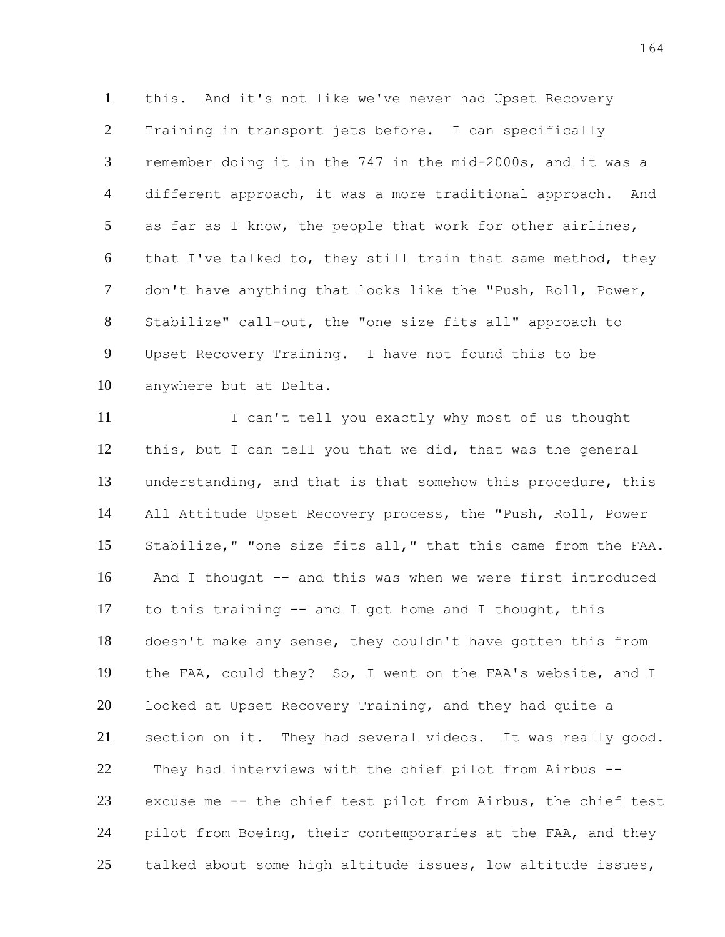this. And it's not like we've never had Upset Recovery Training in transport jets before. I can specifically remember doing it in the 747 in the mid-2000s, and it was a different approach, it was a more traditional approach. And as far as I know, the people that work for other airlines, that I've talked to, they still train that same method, they don't have anything that looks like the "Push, Roll, Power, Stabilize" call-out, the "one size fits all" approach to Upset Recovery Training. I have not found this to be anywhere but at Delta.

 I can't tell you exactly why most of us thought this, but I can tell you that we did, that was the general understanding, and that is that somehow this procedure, this All Attitude Upset Recovery process, the "Push, Roll, Power Stabilize," "one size fits all," that this came from the FAA. And I thought -- and this was when we were first introduced to this training -- and I got home and I thought, this doesn't make any sense, they couldn't have gotten this from the FAA, could they? So, I went on the FAA's website, and I looked at Upset Recovery Training, and they had quite a section on it. They had several videos. It was really good. They had interviews with the chief pilot from Airbus -- excuse me -- the chief test pilot from Airbus, the chief test pilot from Boeing, their contemporaries at the FAA, and they talked about some high altitude issues, low altitude issues,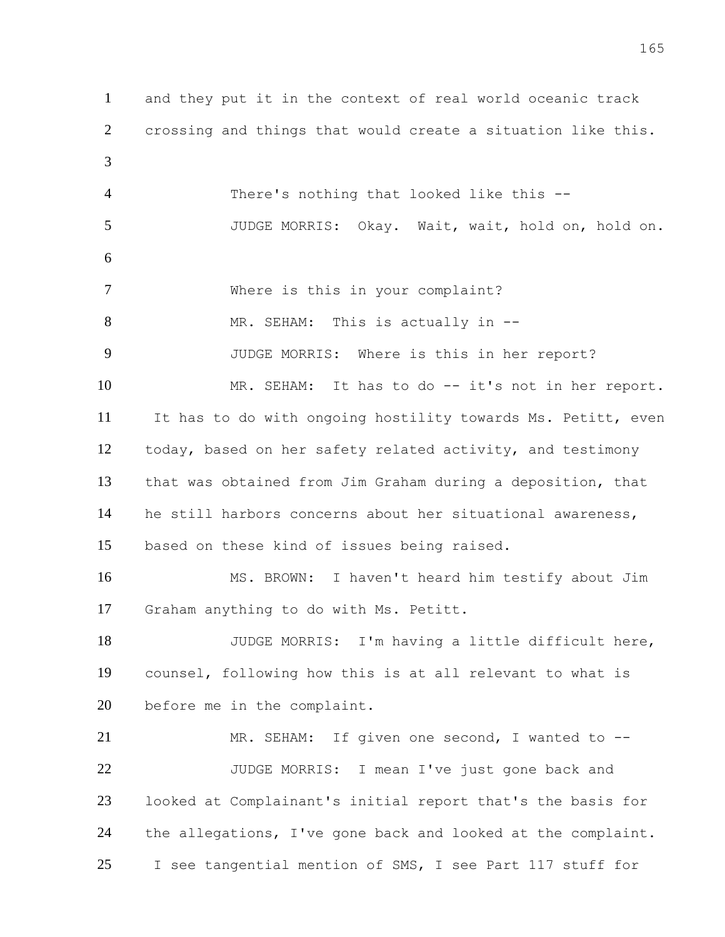and they put it in the context of real world oceanic track crossing and things that would create a situation like this. There's nothing that looked like this -- JUDGE MORRIS: Okay. Wait, wait, hold on, hold on. Where is this in your complaint? 8 MR. SEHAM: This is actually in -- JUDGE MORRIS: Where is this in her report? MR. SEHAM: It has to do -- it's not in her report. It has to do with ongoing hostility towards Ms. Petitt, even today, based on her safety related activity, and testimony that was obtained from Jim Graham during a deposition, that he still harbors concerns about her situational awareness, based on these kind of issues being raised. MS. BROWN: I haven't heard him testify about Jim Graham anything to do with Ms. Petitt. JUDGE MORRIS: I'm having a little difficult here, counsel, following how this is at all relevant to what is before me in the complaint. 21 MR. SEHAM: If given one second, I wanted to -- JUDGE MORRIS: I mean I've just gone back and looked at Complainant's initial report that's the basis for the allegations, I've gone back and looked at the complaint. I see tangential mention of SMS, I see Part 117 stuff for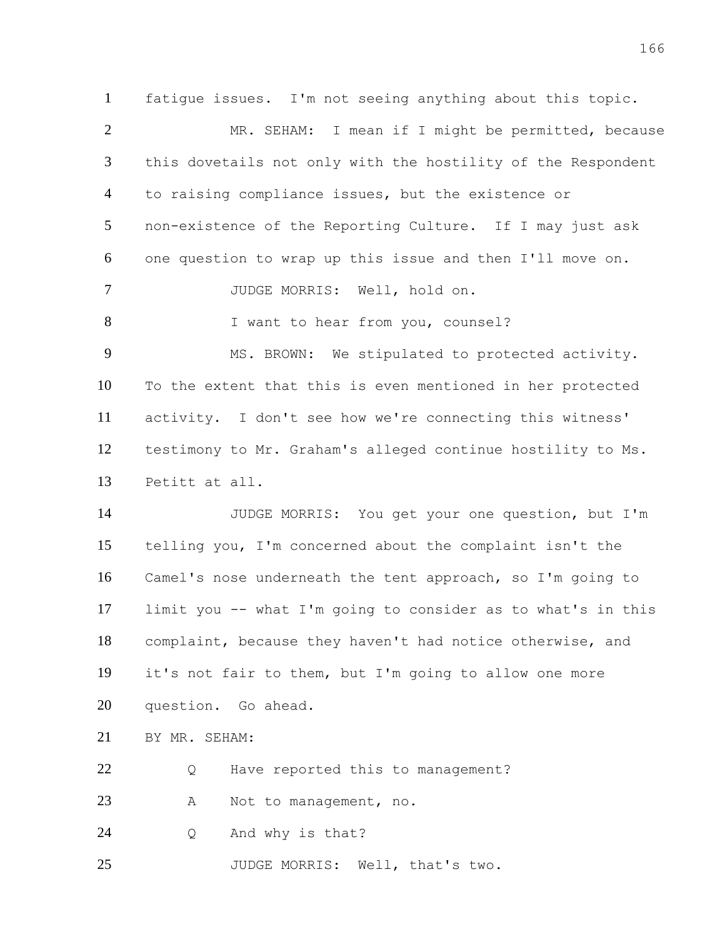fatigue issues. I'm not seeing anything about this topic. MR. SEHAM: I mean if I might be permitted, because this dovetails not only with the hostility of the Respondent to raising compliance issues, but the existence or non-existence of the Reporting Culture. If I may just ask one question to wrap up this issue and then I'll move on. JUDGE MORRIS: Well, hold on. 8 I want to hear from you, counsel? 9 MS. BROWN: We stipulated to protected activity. To the extent that this is even mentioned in her protected activity. I don't see how we're connecting this witness' testimony to Mr. Graham's alleged continue hostility to Ms. Petitt at all. JUDGE MORRIS: You get your one question, but I'm telling you, I'm concerned about the complaint isn't the Camel's nose underneath the tent approach, so I'm going to limit you -- what I'm going to consider as to what's in this complaint, because they haven't had notice otherwise, and it's not fair to them, but I'm going to allow one more question. Go ahead. BY MR. SEHAM:

Q Have reported this to management?

23 A Not to management, no.

Q And why is that?

JUDGE MORRIS: Well, that's two.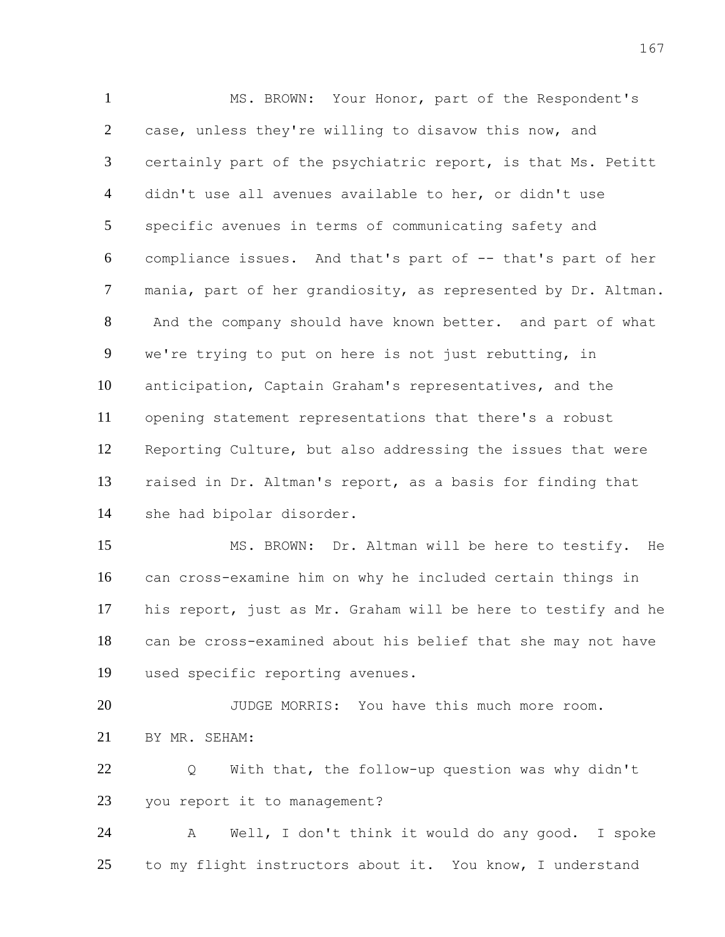MS. BROWN: Your Honor, part of the Respondent's 2 case, unless they're willing to disavow this now, and certainly part of the psychiatric report, is that Ms. Petitt didn't use all avenues available to her, or didn't use specific avenues in terms of communicating safety and compliance issues. And that's part of -- that's part of her mania, part of her grandiosity, as represented by Dr. Altman. And the company should have known better. and part of what we're trying to put on here is not just rebutting, in anticipation, Captain Graham's representatives, and the opening statement representations that there's a robust Reporting Culture, but also addressing the issues that were raised in Dr. Altman's report, as a basis for finding that she had bipolar disorder.

 MS. BROWN: Dr. Altman will be here to testify. He can cross-examine him on why he included certain things in his report, just as Mr. Graham will be here to testify and he can be cross-examined about his belief that she may not have used specific reporting avenues.

 JUDGE MORRIS: You have this much more room. BY MR. SEHAM:

 Q With that, the follow-up question was why didn't you report it to management?

 A Well, I don't think it would do any good. I spoke to my flight instructors about it. You know, I understand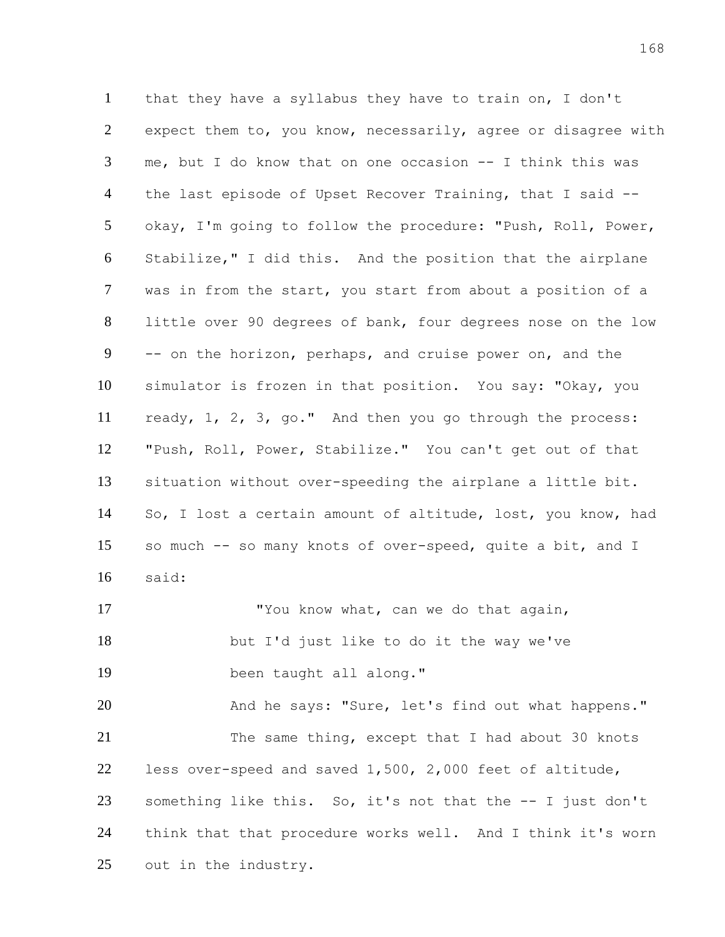that they have a syllabus they have to train on, I don't expect them to, you know, necessarily, agree or disagree with me, but I do know that on one occasion -- I think this was the last episode of Upset Recover Training, that I said -- okay, I'm going to follow the procedure: "Push, Roll, Power, Stabilize," I did this. And the position that the airplane was in from the start, you start from about a position of a little over 90 degrees of bank, four degrees nose on the low -- on the horizon, perhaps, and cruise power on, and the simulator is frozen in that position. You say: "Okay, you ready, 1, 2, 3, go." And then you go through the process: "Push, Roll, Power, Stabilize." You can't get out of that situation without over-speeding the airplane a little bit. So, I lost a certain amount of altitude, lost, you know, had so much -- so many knots of over-speed, quite a bit, and I said: 17 TYOU know what, can we do that again, but I'd just like to do it the way we've been taught all along."

20 And he says: "Sure, let's find out what happens." 21 The same thing, except that I had about 30 knots less over-speed and saved 1,500, 2,000 feet of altitude, something like this. So, it's not that the -- I just don't think that that procedure works well. And I think it's worn out in the industry.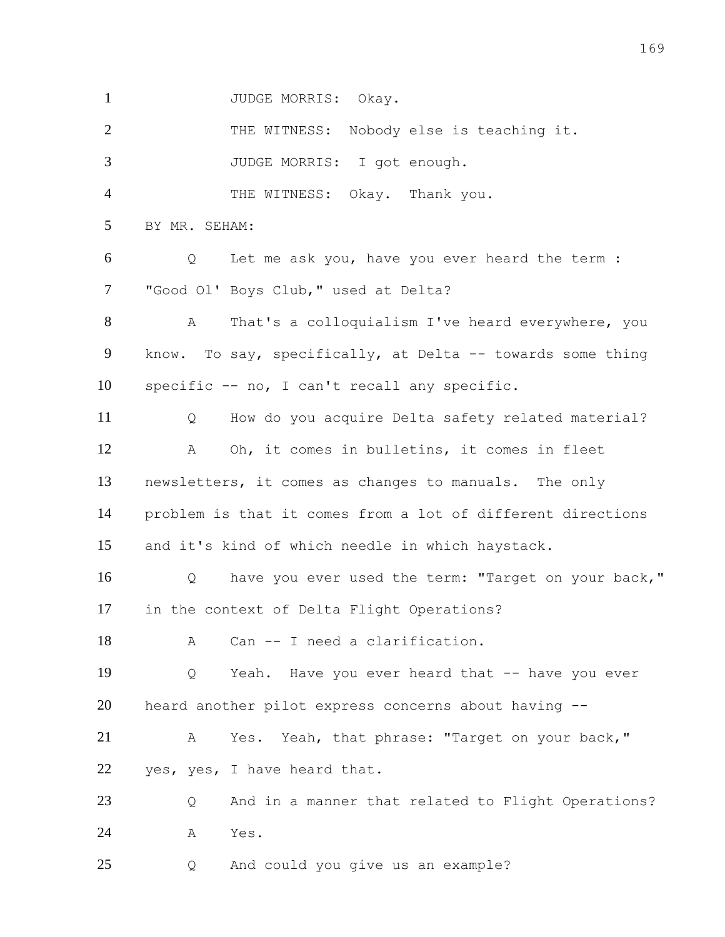1 JUDGE MORRIS: Okay.

 THE WITNESS: Nobody else is teaching it. JUDGE MORRIS: I got enough. THE WITNESS: Okay. Thank you. BY MR. SEHAM: Q Let me ask you, have you ever heard the term : "Good Ol' Boys Club," used at Delta? A That's a colloquialism I've heard everywhere, you know. To say, specifically, at Delta -- towards some thing specific -- no, I can't recall any specific. Q How do you acquire Delta safety related material? A Oh, it comes in bulletins, it comes in fleet newsletters, it comes as changes to manuals. The only problem is that it comes from a lot of different directions and it's kind of which needle in which haystack. Q have you ever used the term: "Target on your back," in the context of Delta Flight Operations? 18 A Can -- I need a clarification. Q Yeah. Have you ever heard that -- have you ever heard another pilot express concerns about having -- A Yes. Yeah, that phrase: "Target on your back," 22 yes, yes, I have heard that. Q And in a manner that related to Flight Operations? A Yes. Q And could you give us an example?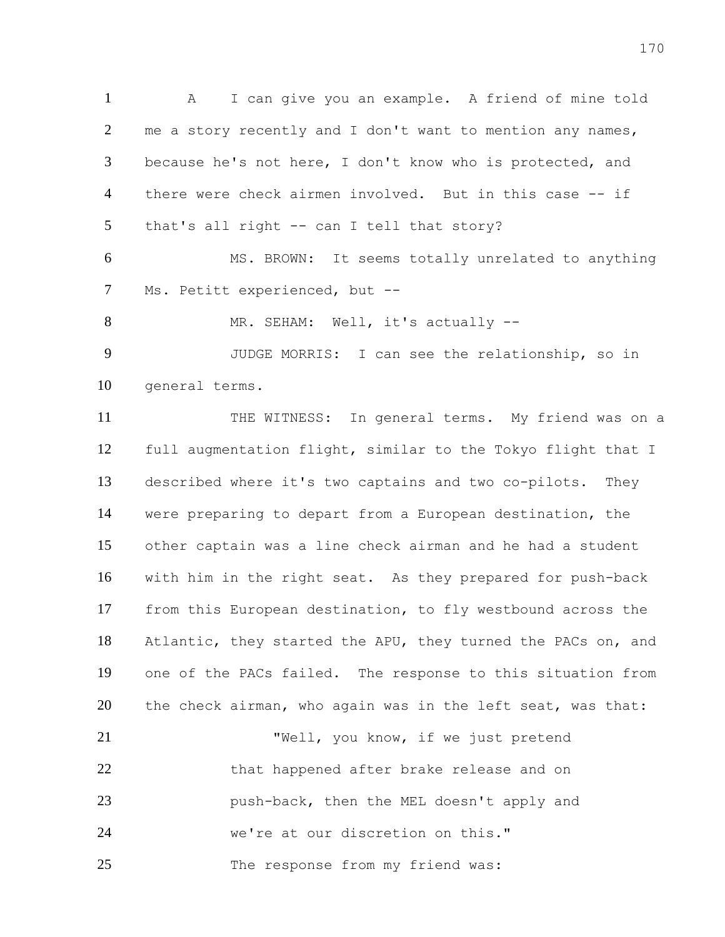A I can give you an example. A friend of mine told 2 me a story recently and I don't want to mention any names, because he's not here, I don't know who is protected, and there were check airmen involved. But in this case -- if that's all right -- can I tell that story?

 MS. BROWN: It seems totally unrelated to anything Ms. Petitt experienced, but --

8 MR. SEHAM: Well, it's actually --

 JUDGE MORRIS: I can see the relationship, so in general terms.

11 THE WITNESS: In general terms. My friend was on a full augmentation flight, similar to the Tokyo flight that I described where it's two captains and two co-pilots. They were preparing to depart from a European destination, the other captain was a line check airman and he had a student with him in the right seat. As they prepared for push-back from this European destination, to fly westbound across the Atlantic, they started the APU, they turned the PACs on, and one of the PACs failed. The response to this situation from 20 the check airman, who again was in the left seat, was that: "Well, you know, if we just pretend

22 that happened after brake release and on push-back, then the MEL doesn't apply and we're at our discretion on this."

25 The response from my friend was: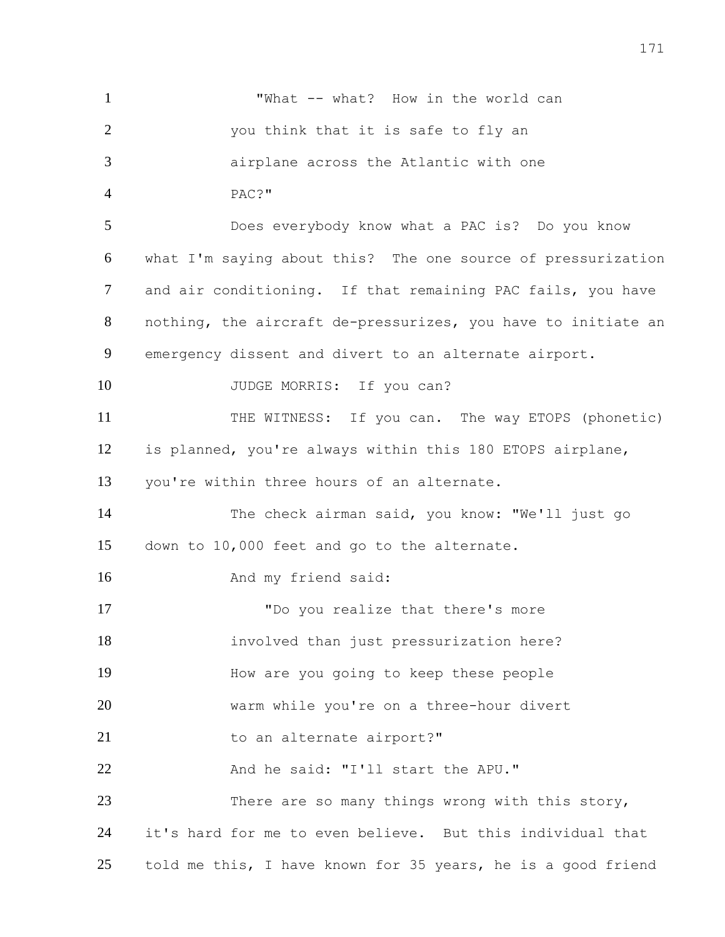| $\mathbf{1}$   | "What -- what? How in the world can                           |
|----------------|---------------------------------------------------------------|
| $\overline{2}$ | you think that it is safe to fly an                           |
| 3              | airplane across the Atlantic with one                         |
| $\overline{4}$ | PAC?"                                                         |
| 5              | Does everybody know what a PAC is? Do you know                |
| 6              | what I'm saying about this? The one source of pressurization  |
| 7              | and air conditioning. If that remaining PAC fails, you have   |
| 8              | nothing, the aircraft de-pressurizes, you have to initiate an |
| 9              | emergency dissent and divert to an alternate airport.         |
| 10             | JUDGE MORRIS: If you can?                                     |
| 11             | THE WITNESS: If you can. The way ETOPS (phonetic)             |
| 12             | is planned, you're always within this 180 ETOPS airplane,     |
| 13             | you're within three hours of an alternate.                    |
| 14             | The check airman said, you know: "We'll just go               |
| 15             | down to 10,000 feet and go to the alternate.                  |
| 16             | And my friend said:                                           |
| 17             | "Do you realize that there's more                             |
| 18             | involved than just pressurization here?                       |
| 19             | How are you going to keep these people                        |
| 20             | warm while you're on a three-hour divert                      |
| 21             | to an alternate airport?"                                     |
| 22             | And he said: "I'll start the APU."                            |
| 23             | There are so many things wrong with this story,               |
| 24             | it's hard for me to even believe. But this individual that    |
| 25             | told me this, I have known for 35 years, he is a good friend  |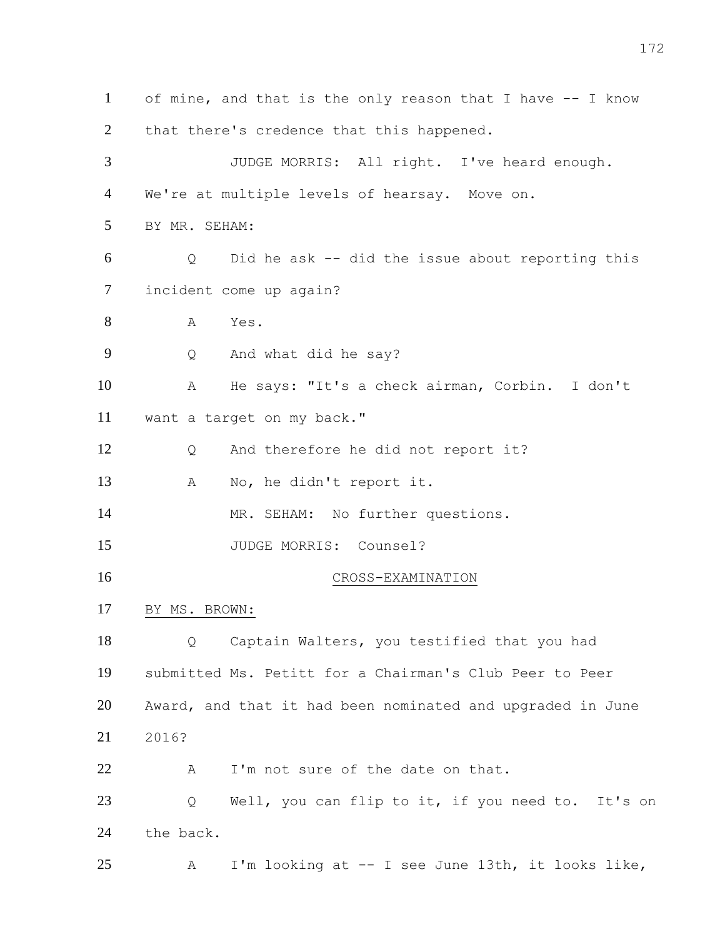of mine, and that is the only reason that I have -- I know 2 that there's credence that this happened. JUDGE MORRIS: All right. I've heard enough. We're at multiple levels of hearsay. Move on. BY MR. SEHAM: Q Did he ask -- did the issue about reporting this incident come up again? A Yes. Q And what did he say? A He says: "It's a check airman, Corbin. I don't want a target on my back." Q And therefore he did not report it? A No, he didn't report it. 14 MR. SEHAM: No further questions. 15 JUDGE MORRIS: Counsel? CROSS-EXAMINATION BY MS. BROWN: Q Captain Walters, you testified that you had submitted Ms. Petitt for a Chairman's Club Peer to Peer Award, and that it had been nominated and upgraded in June 2016? 22 A I'm not sure of the date on that. Q Well, you can flip to it, if you need to. It's on the back. A I'm looking at -- I see June 13th, it looks like,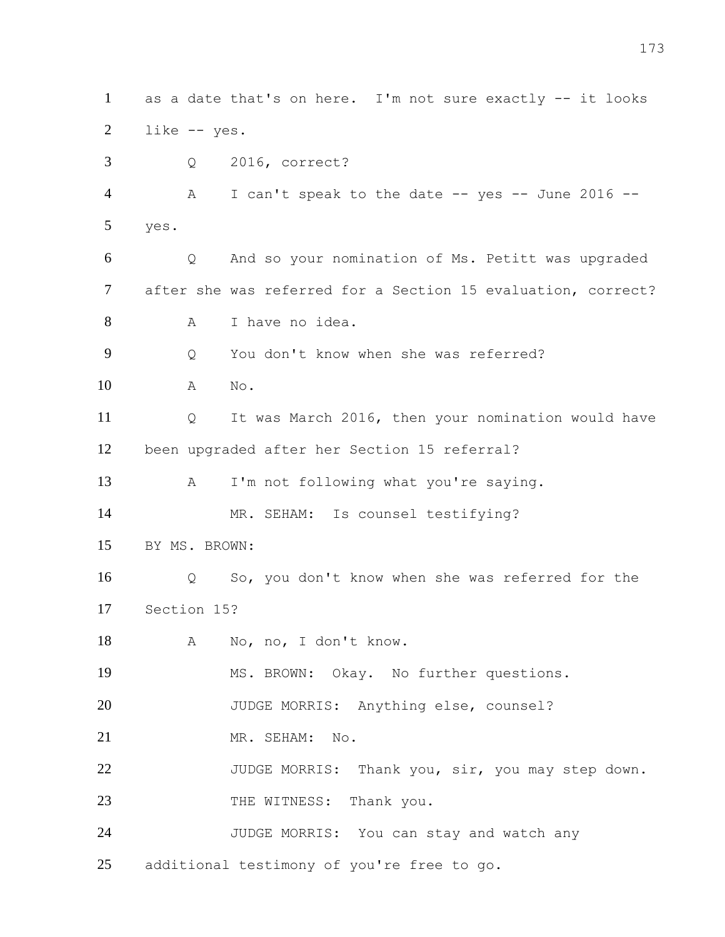as a date that's on here. I'm not sure exactly -- it looks like -- yes. Q 2016, correct? A I can't speak to the date -- yes -- June 2016 -- yes. Q And so your nomination of Ms. Petitt was upgraded after she was referred for a Section 15 evaluation, correct? A I have no idea. Q You don't know when she was referred? A No. Q It was March 2016, then your nomination would have been upgraded after her Section 15 referral? A I'm not following what you're saying. 14 MR. SEHAM: Is counsel testifying? BY MS. BROWN: Q So, you don't know when she was referred for the Section 15? A No, no, I don't know. MS. BROWN: Okay. No further questions. JUDGE MORRIS: Anything else, counsel? MR. SEHAM: No. 22 JUDGE MORRIS: Thank you, sir, you may step down. 23 THE WITNESS: Thank you. JUDGE MORRIS: You can stay and watch any additional testimony of you're free to go.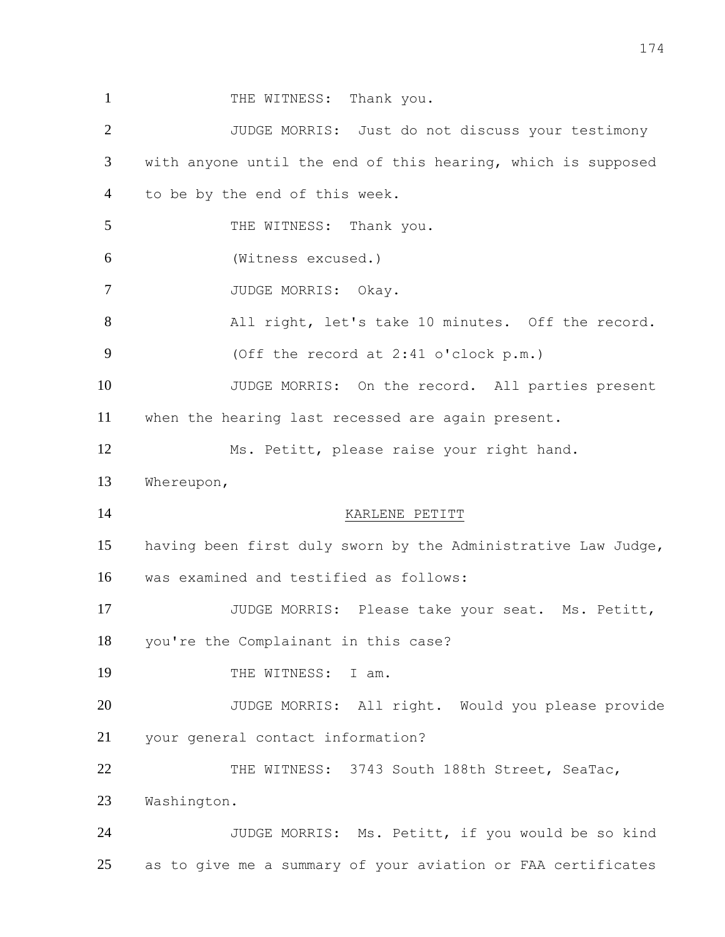1 THE WITNESS: Thank you. JUDGE MORRIS: Just do not discuss your testimony with anyone until the end of this hearing, which is supposed to be by the end of this week. 5 THE WITNESS: Thank you. (Witness excused.) 7 JUDGE MORRIS: Okay. All right, let's take 10 minutes. Off the record. (Off the record at 2:41 o'clock p.m.) JUDGE MORRIS: On the record. All parties present when the hearing last recessed are again present. Ms. Petitt, please raise your right hand. Whereupon, 14 KARLENE PETITT having been first duly sworn by the Administrative Law Judge, was examined and testified as follows: JUDGE MORRIS: Please take your seat. Ms. Petitt, you're the Complainant in this case? 19 THE WITNESS: T am. JUDGE MORRIS: All right. Would you please provide your general contact information? THE WITNESS: 3743 South 188th Street, SeaTac, Washington. JUDGE MORRIS: Ms. Petitt, if you would be so kind as to give me a summary of your aviation or FAA certificates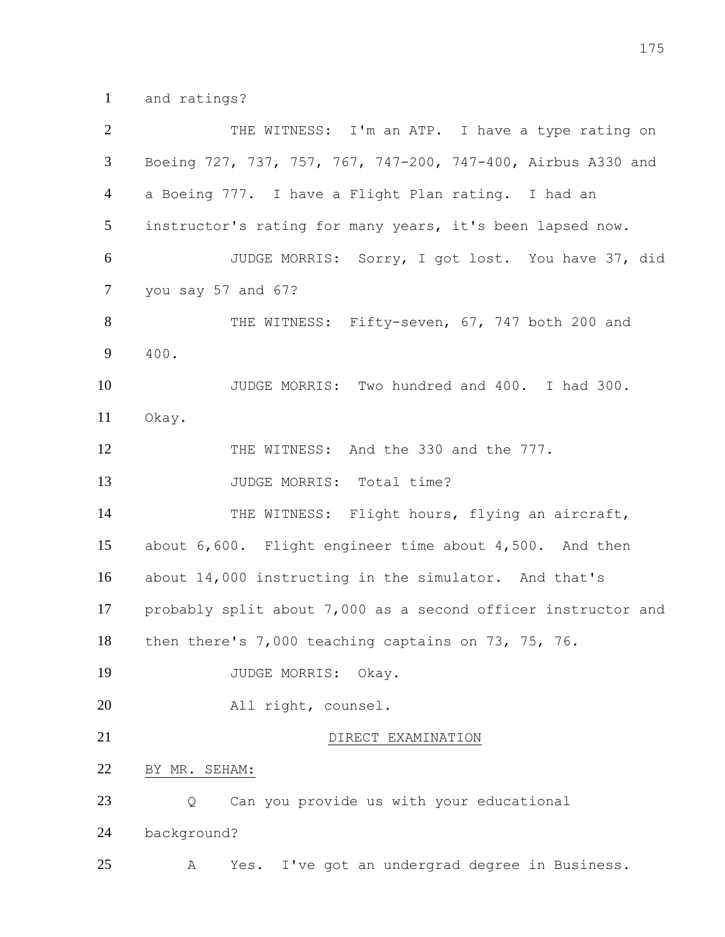and ratings?

| $\overline{2}$ | THE WITNESS: I'm an ATP. I have a type rating on              |
|----------------|---------------------------------------------------------------|
| 3              | Boeing 727, 737, 757, 767, 747-200, 747-400, Airbus A330 and  |
| $\overline{4}$ | a Boeing 777. I have a Flight Plan rating. I had an           |
| 5              | instructor's rating for many years, it's been lapsed now.     |
| 6              | JUDGE MORRIS: Sorry, I got lost. You have 37, did             |
| $\tau$         | you say 57 and 67?                                            |
| 8              | THE WITNESS: Fifty-seven, 67, 747 both 200 and                |
| 9              | 400.                                                          |
| 10             | JUDGE MORRIS: Two hundred and 400. I had 300.                 |
| 11             | Okay.                                                         |
| 12             | THE WITNESS: And the 330 and the 777.                         |
| 13             | JUDGE MORRIS: Total time?                                     |
| 14             | THE WITNESS: Flight hours, flying an aircraft,                |
| 15             | about 6,600. Flight engineer time about 4,500. And then       |
| 16             | about 14,000 instructing in the simulator. And that's         |
| 17             | probably split about 7,000 as a second officer instructor and |
| 18             | then there's 7,000 teaching captains on 73, 75, 76.           |
| 19             | JUDGE MORRIS:<br>Okay.                                        |
| 20             | All right, counsel.                                           |
| 21             | DIRECT EXAMINATION                                            |
| 22             | BY MR. SEHAM:                                                 |
| 23             | Can you provide us with your educational<br>Q                 |
| 24             | background?                                                   |
| 25             | I've got an undergrad degree in Business.<br>Yes.<br>Α        |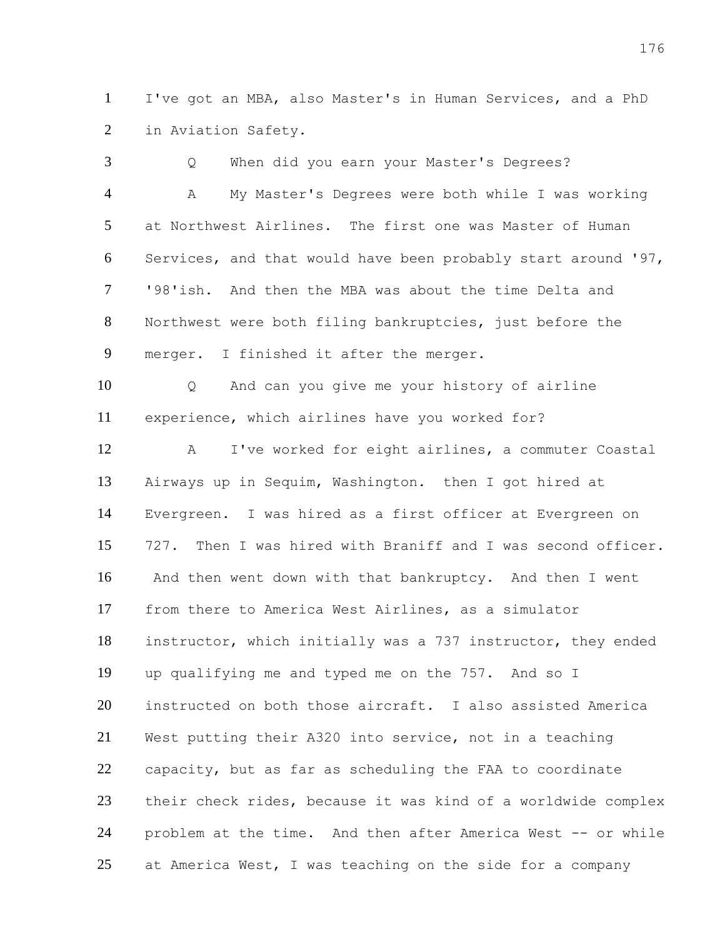I've got an MBA, also Master's in Human Services, and a PhD in Aviation Safety.

 Q When did you earn your Master's Degrees? A My Master's Degrees were both while I was working at Northwest Airlines. The first one was Master of Human Services, and that would have been probably start around '97, '98'ish. And then the MBA was about the time Delta and Northwest were both filing bankruptcies, just before the merger. I finished it after the merger. Q And can you give me your history of airline experience, which airlines have you worked for? A I've worked for eight airlines, a commuter Coastal Airways up in Sequim, Washington. then I got hired at Evergreen. I was hired as a first officer at Evergreen on 727. Then I was hired with Braniff and I was second officer. And then went down with that bankruptcy. And then I went from there to America West Airlines, as a simulator instructor, which initially was a 737 instructor, they ended up qualifying me and typed me on the 757. And so I instructed on both those aircraft. I also assisted America West putting their A320 into service, not in a teaching capacity, but as far as scheduling the FAA to coordinate their check rides, because it was kind of a worldwide complex problem at the time. And then after America West -- or while at America West, I was teaching on the side for a company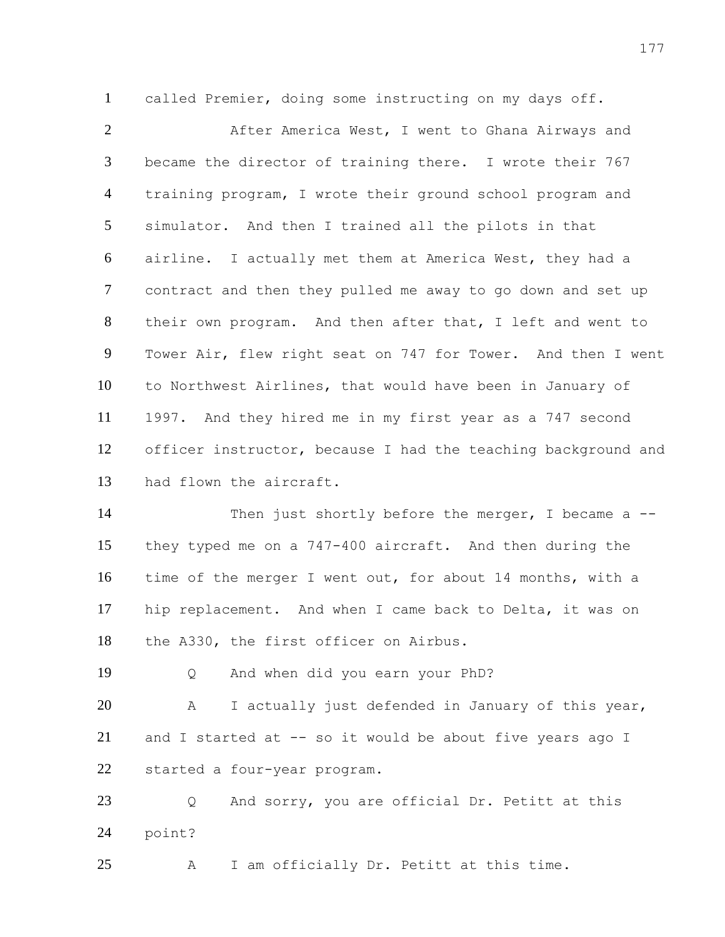called Premier, doing some instructing on my days off.

 After America West, I went to Ghana Airways and became the director of training there. I wrote their 767 training program, I wrote their ground school program and simulator. And then I trained all the pilots in that airline. I actually met them at America West, they had a contract and then they pulled me away to go down and set up their own program. And then after that, I left and went to Tower Air, flew right seat on 747 for Tower. And then I went to Northwest Airlines, that would have been in January of 1997. And they hired me in my first year as a 747 second officer instructor, because I had the teaching background and had flown the aircraft.

14 Then just shortly before the merger, I became a -- they typed me on a 747-400 aircraft. And then during the time of the merger I went out, for about 14 months, with a hip replacement. And when I came back to Delta, it was on the A330, the first officer on Airbus.

Q And when did you earn your PhD?

 A I actually just defended in January of this year, and I started at -- so it would be about five years ago I started a four-year program.

 Q And sorry, you are official Dr. Petitt at this point?

A I am officially Dr. Petitt at this time.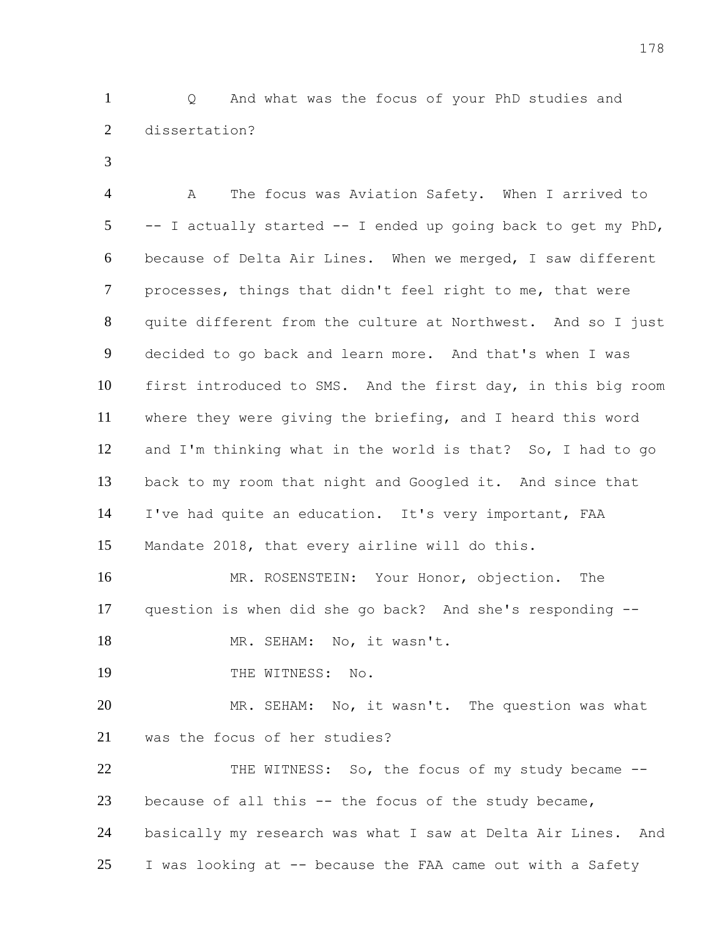Q And what was the focus of your PhD studies and dissertation?

 A The focus was Aviation Safety. When I arrived to -- I actually started -- I ended up going back to get my PhD, because of Delta Air Lines. When we merged, I saw different processes, things that didn't feel right to me, that were quite different from the culture at Northwest. And so I just decided to go back and learn more. And that's when I was first introduced to SMS. And the first day, in this big room where they were giving the briefing, and I heard this word and I'm thinking what in the world is that? So, I had to go back to my room that night and Googled it. And since that I've had quite an education. It's very important, FAA Mandate 2018, that every airline will do this. MR. ROSENSTEIN: Your Honor, objection. The question is when did she go back? And she's responding -- 18 MR. SEHAM: No, it wasn't.

19 THE WITNESS: No.

 MR. SEHAM: No, it wasn't. The question was what was the focus of her studies?

22 THE WITNESS: So, the focus of my study became -- because of all this -- the focus of the study became, basically my research was what I saw at Delta Air Lines. And I was looking at -- because the FAA came out with a Safety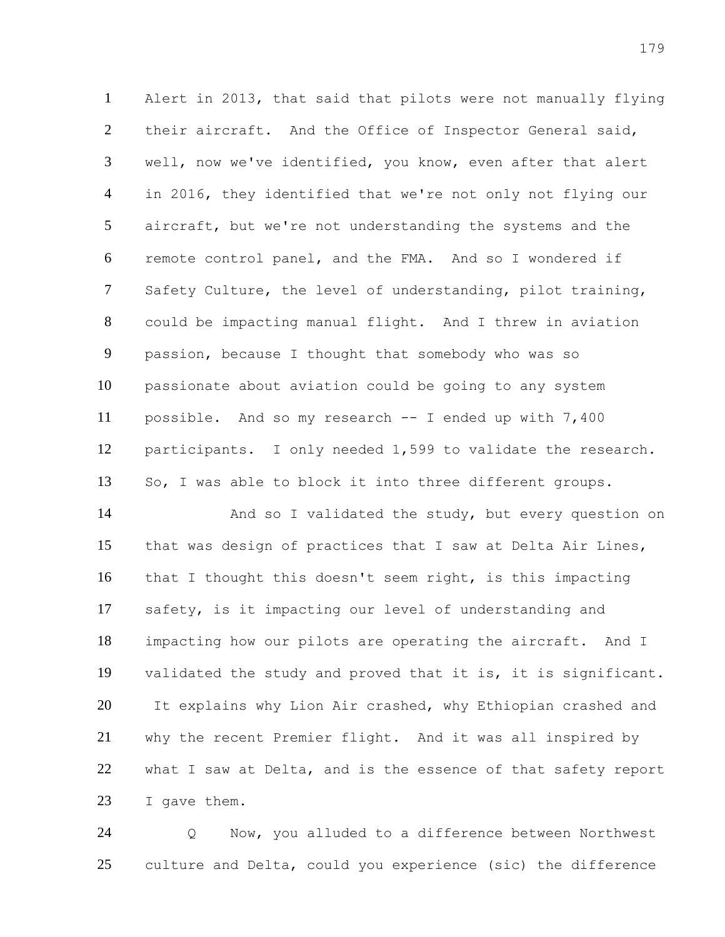Alert in 2013, that said that pilots were not manually flying their aircraft. And the Office of Inspector General said, well, now we've identified, you know, even after that alert in 2016, they identified that we're not only not flying our aircraft, but we're not understanding the systems and the remote control panel, and the FMA. And so I wondered if Safety Culture, the level of understanding, pilot training, could be impacting manual flight. And I threw in aviation passion, because I thought that somebody who was so passionate about aviation could be going to any system possible. And so my research -- I ended up with 7,400 participants. I only needed 1,599 to validate the research. So, I was able to block it into three different groups.

14 And so I validated the study, but every question on that was design of practices that I saw at Delta Air Lines, that I thought this doesn't seem right, is this impacting safety, is it impacting our level of understanding and impacting how our pilots are operating the aircraft. And I validated the study and proved that it is, it is significant. It explains why Lion Air crashed, why Ethiopian crashed and why the recent Premier flight. And it was all inspired by what I saw at Delta, and is the essence of that safety report I gave them.

 Q Now, you alluded to a difference between Northwest culture and Delta, could you experience (sic) the difference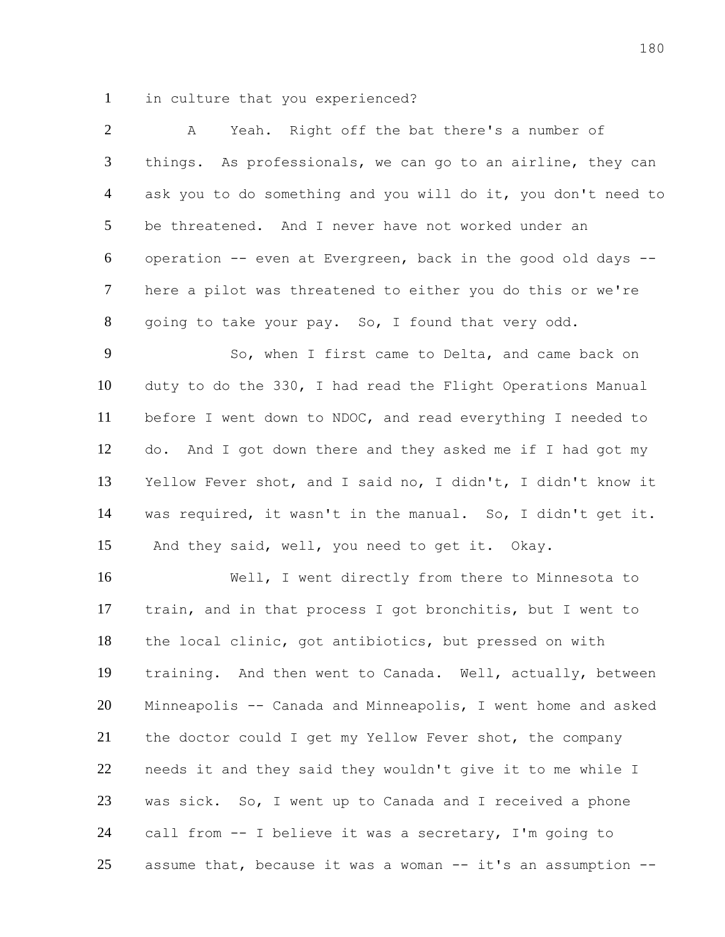in culture that you experienced?

 A Yeah. Right off the bat there's a number of things. As professionals, we can go to an airline, they can ask you to do something and you will do it, you don't need to be threatened. And I never have not worked under an operation -- even at Evergreen, back in the good old days -- here a pilot was threatened to either you do this or we're going to take your pay. So, I found that very odd.

 So, when I first came to Delta, and came back on duty to do the 330, I had read the Flight Operations Manual before I went down to NDOC, and read everything I needed to do. And I got down there and they asked me if I had got my Yellow Fever shot, and I said no, I didn't, I didn't know it was required, it wasn't in the manual. So, I didn't get it. And they said, well, you need to get it. Okay.

 Well, I went directly from there to Minnesota to train, and in that process I got bronchitis, but I went to the local clinic, got antibiotics, but pressed on with training. And then went to Canada. Well, actually, between Minneapolis -- Canada and Minneapolis, I went home and asked the doctor could I get my Yellow Fever shot, the company needs it and they said they wouldn't give it to me while I was sick. So, I went up to Canada and I received a phone call from -- I believe it was a secretary, I'm going to 25 assume that, because it was a woman  $--$  it's an assumption  $--$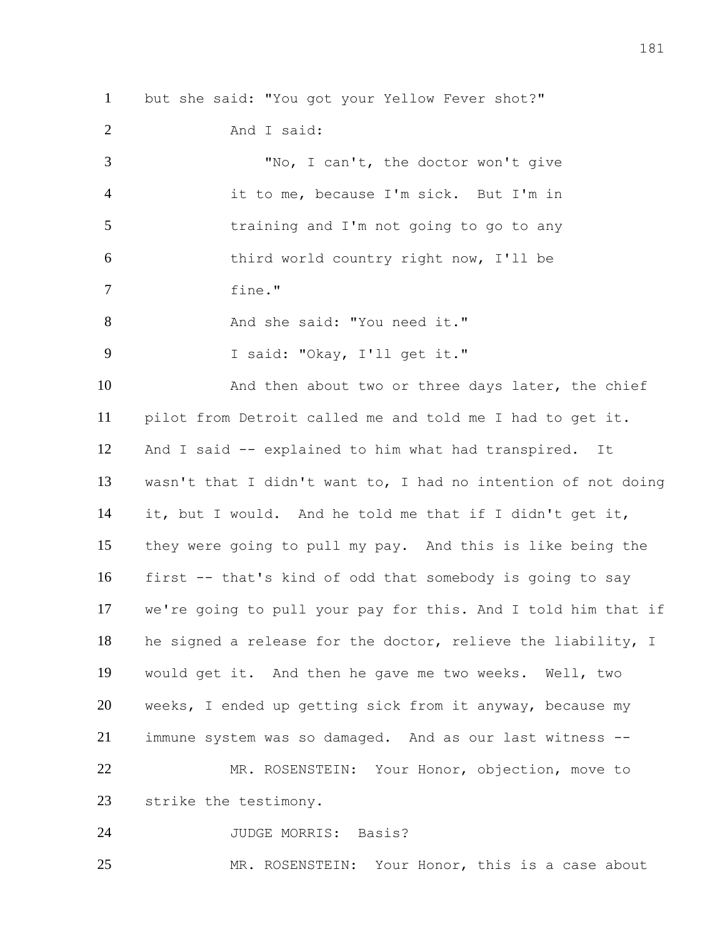but she said: "You got your Yellow Fever shot?" And I said: "No, I can't, the doctor won't give it to me, because I'm sick. But I'm in training and I'm not going to go to any third world country right now, I'll be fine." 8 And she said: "You need it." I said: "Okay, I'll get it." 10 And then about two or three days later, the chief pilot from Detroit called me and told me I had to get it. And I said -- explained to him what had transpired. It wasn't that I didn't want to, I had no intention of not doing it, but I would. And he told me that if I didn't get it, they were going to pull my pay. And this is like being the first -- that's kind of odd that somebody is going to say we're going to pull your pay for this. And I told him that if he signed a release for the doctor, relieve the liability, I would get it. And then he gave me two weeks. Well, two weeks, I ended up getting sick from it anyway, because my immune system was so damaged. And as our last witness -- MR. ROSENSTEIN: Your Honor, objection, move to strike the testimony. JUDGE MORRIS: Basis?

MR. ROSENSTEIN: Your Honor, this is a case about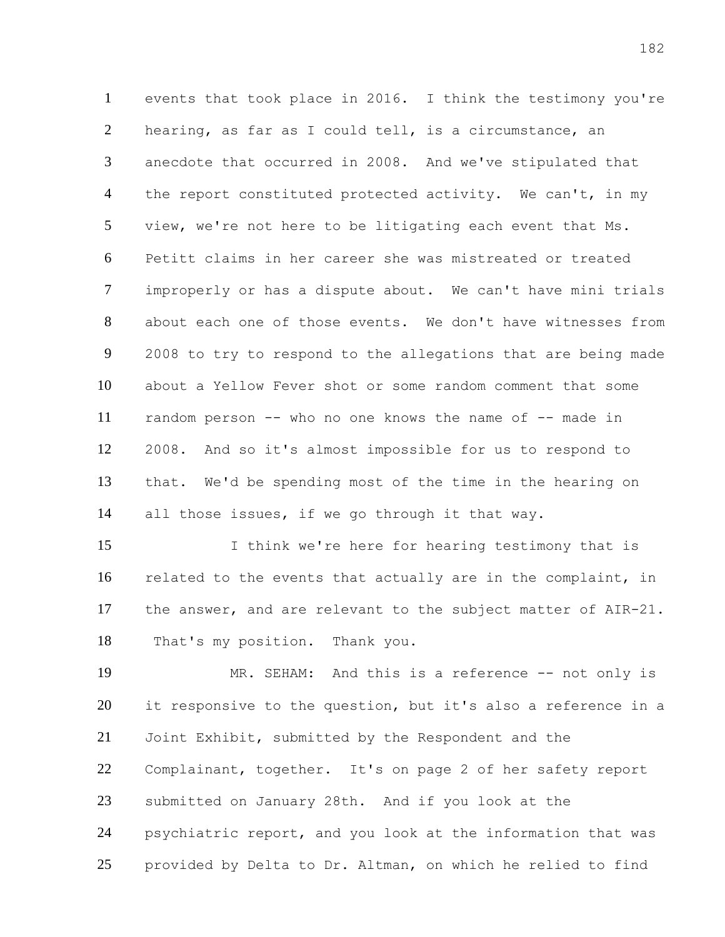events that took place in 2016. I think the testimony you're hearing, as far as I could tell, is a circumstance, an anecdote that occurred in 2008. And we've stipulated that 4 the report constituted protected activity. We can't, in my view, we're not here to be litigating each event that Ms. Petitt claims in her career she was mistreated or treated improperly or has a dispute about. We can't have mini trials about each one of those events. We don't have witnesses from 2008 to try to respond to the allegations that are being made about a Yellow Fever shot or some random comment that some random person -- who no one knows the name of -- made in 2008. And so it's almost impossible for us to respond to that. We'd be spending most of the time in the hearing on all those issues, if we go through it that way.

15 I think we're here for hearing testimony that is related to the events that actually are in the complaint, in the answer, and are relevant to the subject matter of AIR-21. That's my position. Thank you.

 MR. SEHAM: And this is a reference -- not only is it responsive to the question, but it's also a reference in a Joint Exhibit, submitted by the Respondent and the Complainant, together. It's on page 2 of her safety report submitted on January 28th. And if you look at the psychiatric report, and you look at the information that was provided by Delta to Dr. Altman, on which he relied to find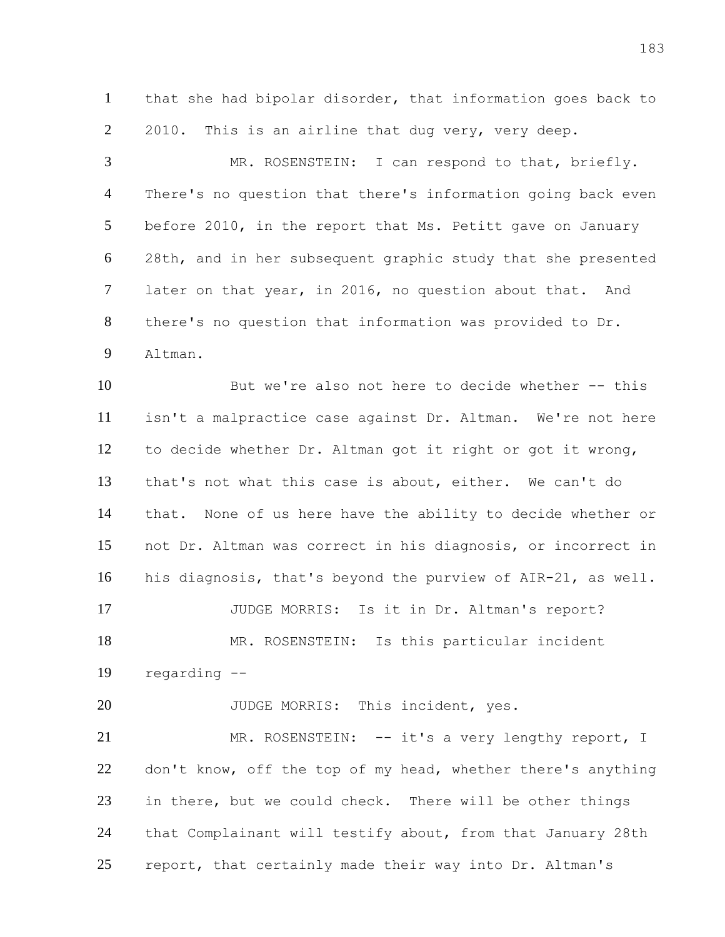that she had bipolar disorder, that information goes back to 2010. This is an airline that dug very, very deep.

 MR. ROSENSTEIN: I can respond to that, briefly. There's no question that there's information going back even before 2010, in the report that Ms. Petitt gave on January 28th, and in her subsequent graphic study that she presented later on that year, in 2016, no question about that. And there's no question that information was provided to Dr. Altman.

 But we're also not here to decide whether -- this isn't a malpractice case against Dr. Altman. We're not here to decide whether Dr. Altman got it right or got it wrong, that's not what this case is about, either. We can't do that. None of us here have the ability to decide whether or not Dr. Altman was correct in his diagnosis, or incorrect in his diagnosis, that's beyond the purview of AIR-21, as well. JUDGE MORRIS: Is it in Dr. Altman's report? MR. ROSENSTEIN: Is this particular incident regarding --

20 JUDGE MORRIS: This incident, yes.

21 MR. ROSENSTEIN: -- it's a very lengthy report, I 22 don't know, off the top of my head, whether there's anything in there, but we could check. There will be other things that Complainant will testify about, from that January 28th report, that certainly made their way into Dr. Altman's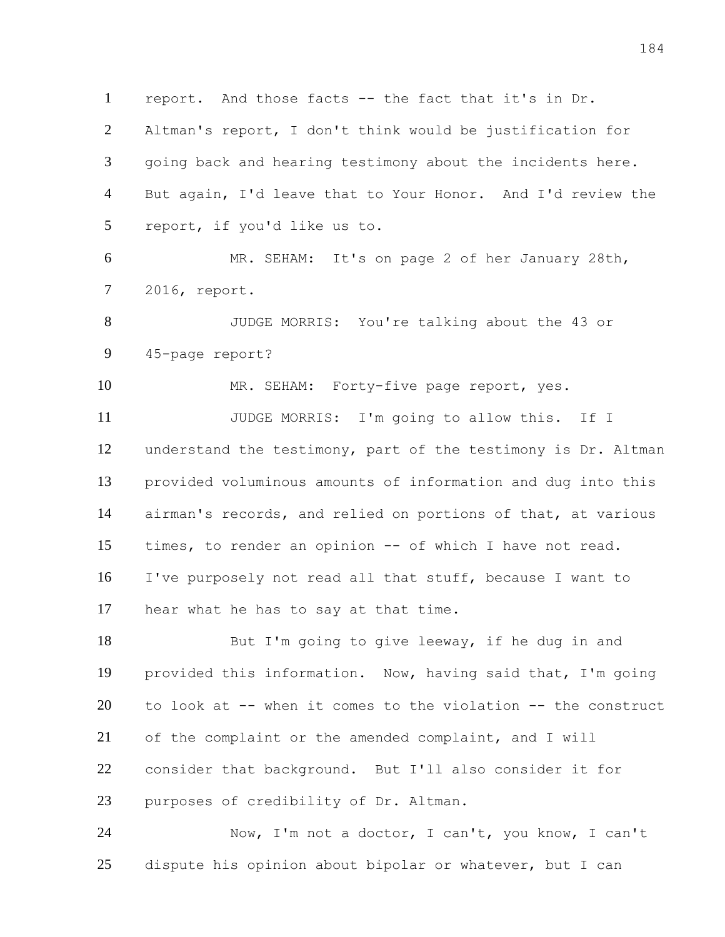report. And those facts -- the fact that it's in Dr.

 Altman's report, I don't think would be justification for going back and hearing testimony about the incidents here. But again, I'd leave that to Your Honor. And I'd review the report, if you'd like us to.

 MR. SEHAM: It's on page 2 of her January 28th, 2016, report.

 JUDGE MORRIS: You're talking about the 43 or 45-page report?

MR. SEHAM: Forty-five page report, yes.

 JUDGE MORRIS: I'm going to allow this. If I understand the testimony, part of the testimony is Dr. Altman provided voluminous amounts of information and dug into this airman's records, and relied on portions of that, at various times, to render an opinion -- of which I have not read. I've purposely not read all that stuff, because I want to hear what he has to say at that time.

18 But I'm going to give leeway, if he dug in and provided this information. Now, having said that, I'm going to look at -- when it comes to the violation -- the construct of the complaint or the amended complaint, and I will consider that background. But I'll also consider it for purposes of credibility of Dr. Altman.

 Now, I'm not a doctor, I can't, you know, I can't dispute his opinion about bipolar or whatever, but I can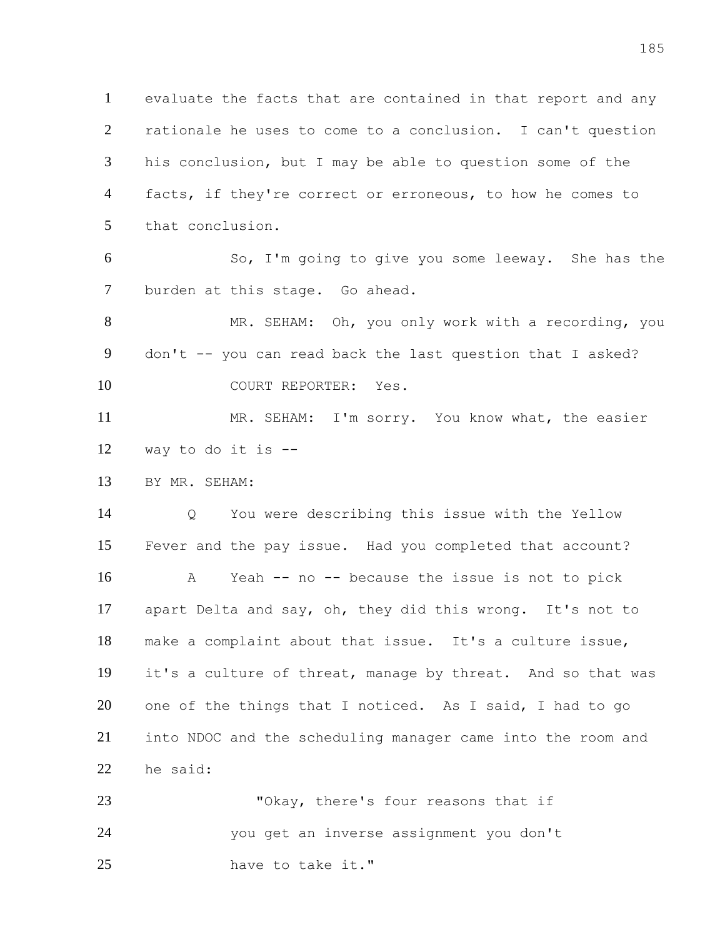evaluate the facts that are contained in that report and any rationale he uses to come to a conclusion. I can't question his conclusion, but I may be able to question some of the 4 facts, if they're correct or erroneous, to how he comes to that conclusion.

 So, I'm going to give you some leeway. She has the burden at this stage. Go ahead.

 MR. SEHAM: Oh, you only work with a recording, you don't -- you can read back the last question that I asked? 10 COURT REPORTER: Yes.

11 MR. SEHAM: I'm sorry. You know what, the easier way to do it is --

BY MR. SEHAM:

 Q You were describing this issue with the Yellow Fever and the pay issue. Had you completed that account? A Yeah -- no -- because the issue is not to pick apart Delta and say, oh, they did this wrong. It's not to make a complaint about that issue. It's a culture issue, it's a culture of threat, manage by threat. And so that was one of the things that I noticed. As I said, I had to go into NDOC and the scheduling manager came into the room and he said:

23 "Okay, there's four reasons that if you get an inverse assignment you don't have to take it."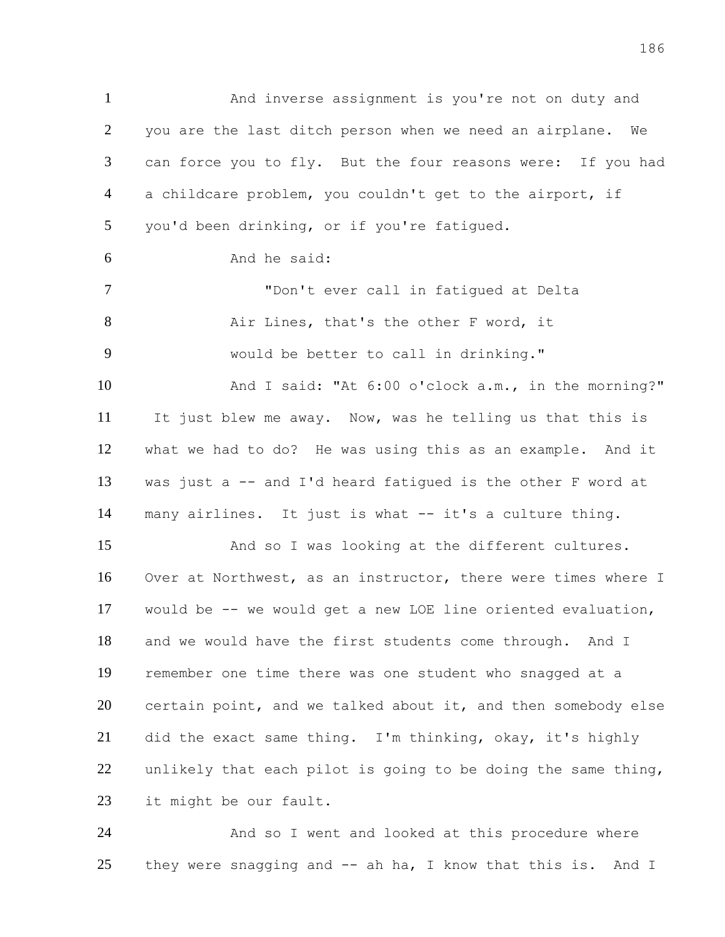And inverse assignment is you're not on duty and you are the last ditch person when we need an airplane. We can force you to fly. But the four reasons were: If you had a childcare problem, you couldn't get to the airport, if you'd been drinking, or if you're fatigued. And he said: "Don't ever call in fatigued at Delta Air Lines, that's the other F word, it would be better to call in drinking." And I said: "At 6:00 o'clock a.m., in the morning?" It just blew me away. Now, was he telling us that this is what we had to do? He was using this as an example. And it was just a -- and I'd heard fatigued is the other F word at many airlines. It just is what -- it's a culture thing. And so I was looking at the different cultures. Over at Northwest, as an instructor, there were times where I would be -- we would get a new LOE line oriented evaluation, and we would have the first students come through. And I remember one time there was one student who snagged at a certain point, and we talked about it, and then somebody else did the exact same thing. I'm thinking, okay, it's highly 22 unlikely that each pilot is going to be doing the same thing, it might be our fault.

 And so I went and looked at this procedure where they were snagging and -- ah ha, I know that this is. And I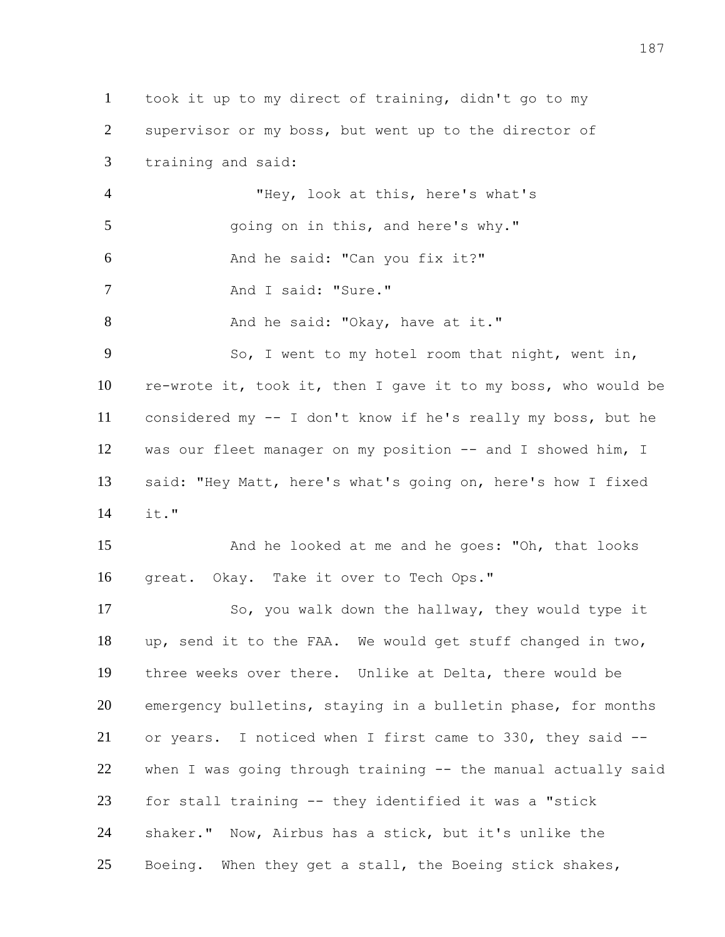took it up to my direct of training, didn't go to my supervisor or my boss, but went up to the director of training and said: "Hey, look at this, here's what's going on in this, and here's why." And he said: "Can you fix it?" 7 And I said: "Sure." 8 And he said: "Okay, have at it." So, I went to my hotel room that night, went in, re-wrote it, took it, then I gave it to my boss, who would be considered my -- I don't know if he's really my boss, but he was our fleet manager on my position -- and I showed him, I said: "Hey Matt, here's what's going on, here's how I fixed it." And he looked at me and he goes: "Oh, that looks great. Okay. Take it over to Tech Ops." 17 So, you walk down the hallway, they would type it up, send it to the FAA. We would get stuff changed in two, three weeks over there. Unlike at Delta, there would be emergency bulletins, staying in a bulletin phase, for months or years. I noticed when I first came to 330, they said -- when I was going through training -- the manual actually said for stall training -- they identified it was a "stick shaker." Now, Airbus has a stick, but it's unlike the Boeing. When they get a stall, the Boeing stick shakes,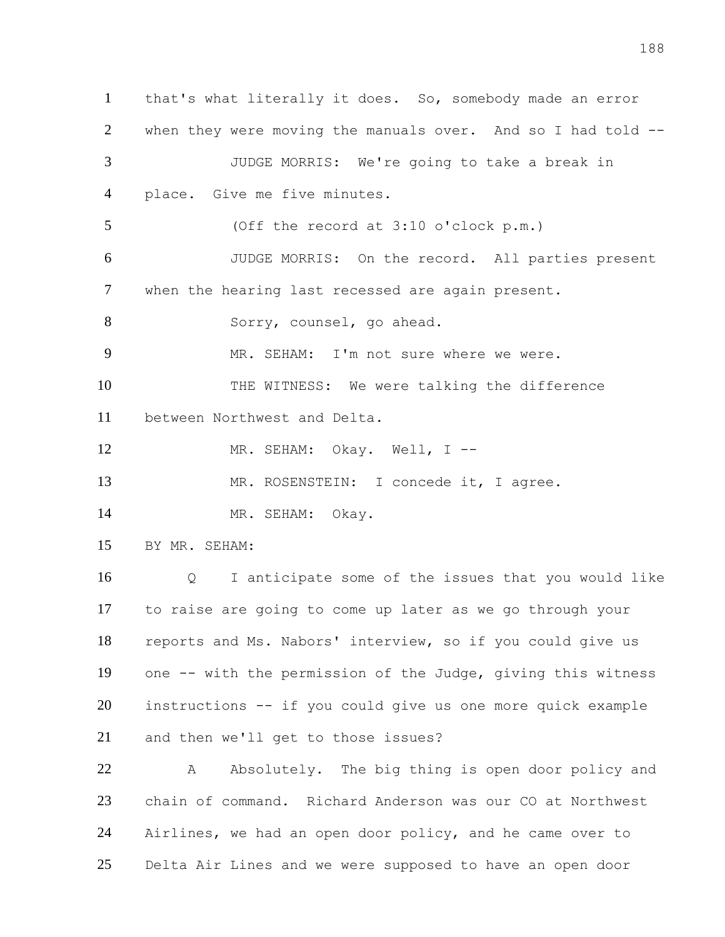that's what literally it does. So, somebody made an error when they were moving the manuals over. And so I had told -- JUDGE MORRIS: We're going to take a break in 4 place. Give me five minutes. (Off the record at 3:10 o'clock p.m.) JUDGE MORRIS: On the record. All parties present when the hearing last recessed are again present. 8 Sorry, counsel, go ahead. MR. SEHAM: I'm not sure where we were. THE WITNESS: We were talking the difference between Northwest and Delta. 12 MR. SEHAM: Okay. Well, I --13 MR. ROSENSTEIN: I concede it, I agree. 14 MR. SEHAM: Okay. BY MR. SEHAM: Q I anticipate some of the issues that you would like to raise are going to come up later as we go through your reports and Ms. Nabors' interview, so if you could give us one -- with the permission of the Judge, giving this witness instructions -- if you could give us one more quick example and then we'll get to those issues? 22 A Absolutely. The big thing is open door policy and chain of command. Richard Anderson was our CO at Northwest Airlines, we had an open door policy, and he came over to Delta Air Lines and we were supposed to have an open door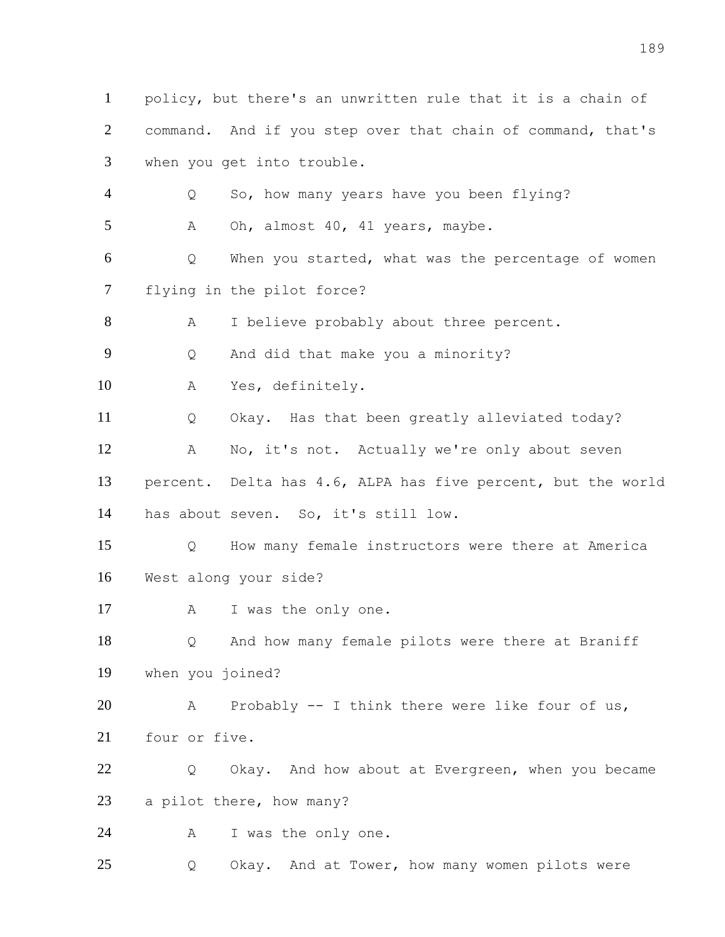1 policy, but there's an unwritten rule that it is a chain of command. And if you step over that chain of command, that's when you get into trouble. Q So, how many years have you been flying? 5 A Oh, almost 40, 41 years, maybe. Q When you started, what was the percentage of women flying in the pilot force? 8 A I believe probably about three percent. Q And did that make you a minority? A Yes, definitely. Q Okay. Has that been greatly alleviated today? A No, it's not. Actually we're only about seven percent. Delta has 4.6, ALPA has five percent, but the world has about seven. So, it's still low. Q How many female instructors were there at America West along your side? 17 A I was the only one. Q And how many female pilots were there at Braniff when you joined? A Probably -- I think there were like four of us, four or five. 22 Q Okay. And how about at Evergreen, when you became a pilot there, how many? A I was the only one. Q Okay. And at Tower, how many women pilots were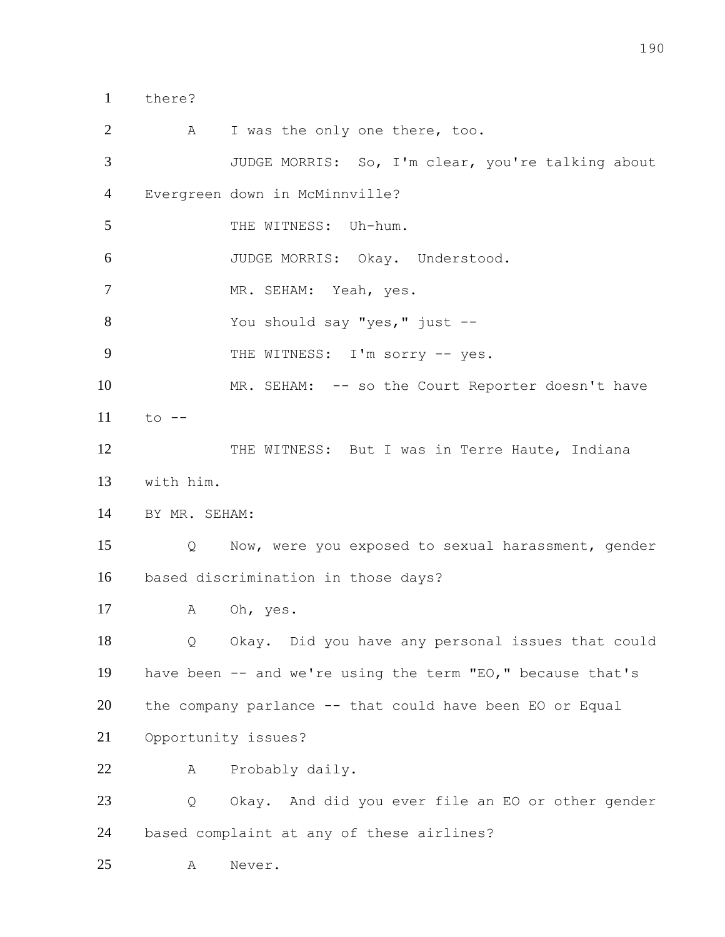there?

2 A I was the only one there, too. JUDGE MORRIS: So, I'm clear, you're talking about Evergreen down in McMinnville? 5 THE WITNESS: Uh-hum. JUDGE MORRIS: Okay. Understood. MR. SEHAM: Yeah, yes. You should say "yes," just -- 9 THE WITNESS: I'm sorry -- yes. 10 MR. SEHAM: -- so the Court Reporter doesn't have to -- 12 THE WITNESS: But I was in Terre Haute, Indiana with him. BY MR. SEHAM: Q Now, were you exposed to sexual harassment, gender based discrimination in those days? 17 A Oh, yes. Q Okay. Did you have any personal issues that could have been -- and we're using the term "EO," because that's the company parlance -- that could have been EO or Equal Opportunity issues? A Probably daily. Q Okay. And did you ever file an EO or other gender based complaint at any of these airlines? A Never.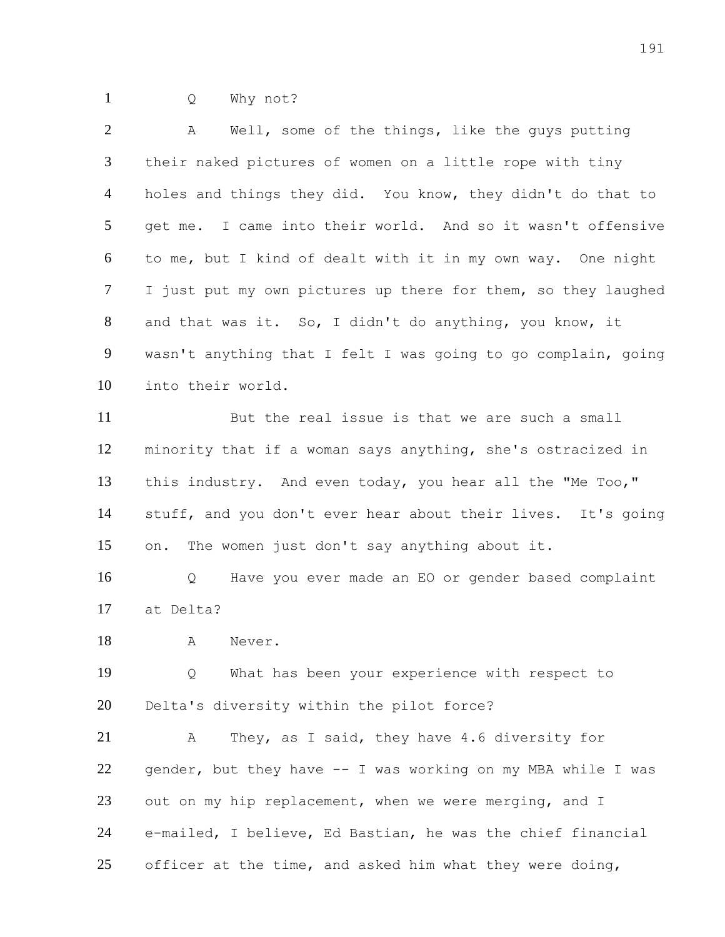Q Why not?

| $\overline{2}$ | Well, some of the things, like the guys putting<br>A          |
|----------------|---------------------------------------------------------------|
| 3              | their naked pictures of women on a little rope with tiny      |
| $\overline{4}$ | holes and things they did. You know, they didn't do that to   |
| 5              | get me. I came into their world. And so it wasn't offensive   |
| 6              | to me, but I kind of dealt with it in my own way. One night   |
| $\tau$         | I just put my own pictures up there for them, so they laughed |
| 8              | and that was it. So, I didn't do anything, you know, it       |
| 9              | wasn't anything that I felt I was going to go complain, going |
| 10             | into their world.                                             |
| 11             | But the real issue is that we are such a small                |
| 12             | minority that if a woman says anything, she's ostracized in   |
| 13             | this industry. And even today, you hear all the "Me Too,"     |
| 14             | stuff, and you don't ever hear about their lives. It's going  |
| 15             | The women just don't say anything about it.<br>on.            |
| 16             | Have you ever made an EO or gender based complaint<br>Q       |
| 17             | at Delta?                                                     |
| 18             | $\mathbb A$<br>Never.                                         |
| 19             | What has been your experience with respect to<br>Q            |
| 20             | Delta's diversity within the pilot force?                     |
| 21             | They, as I said, they have 4.6 diversity for<br>Α             |
| 22             | gender, but they have -- I was working on my MBA while I was  |
| 23             | out on my hip replacement, when we were merging, and I        |
| 24             | e-mailed, I believe, Ed Bastian, he was the chief financial   |
| 25             | officer at the time, and asked him what they were doing,      |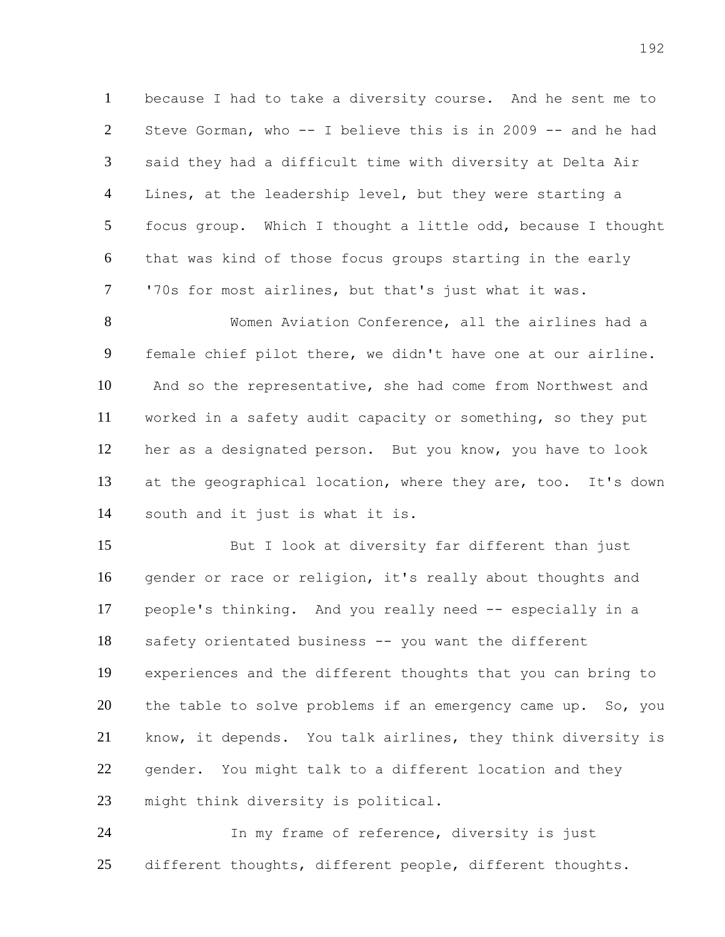because I had to take a diversity course. And he sent me to Steve Gorman, who -- I believe this is in 2009 -- and he had said they had a difficult time with diversity at Delta Air Lines, at the leadership level, but they were starting a focus group. Which I thought a little odd, because I thought that was kind of those focus groups starting in the early '70s for most airlines, but that's just what it was.

 Women Aviation Conference, all the airlines had a female chief pilot there, we didn't have one at our airline. And so the representative, she had come from Northwest and worked in a safety audit capacity or something, so they put her as a designated person. But you know, you have to look at the geographical location, where they are, too. It's down south and it just is what it is.

 But I look at diversity far different than just gender or race or religion, it's really about thoughts and people's thinking. And you really need -- especially in a safety orientated business -- you want the different experiences and the different thoughts that you can bring to 20 the table to solve problems if an emergency came up. So, you know, it depends. You talk airlines, they think diversity is gender. You might talk to a different location and they might think diversity is political.

 In my frame of reference, diversity is just 25 different thoughts, different people, different thoughts.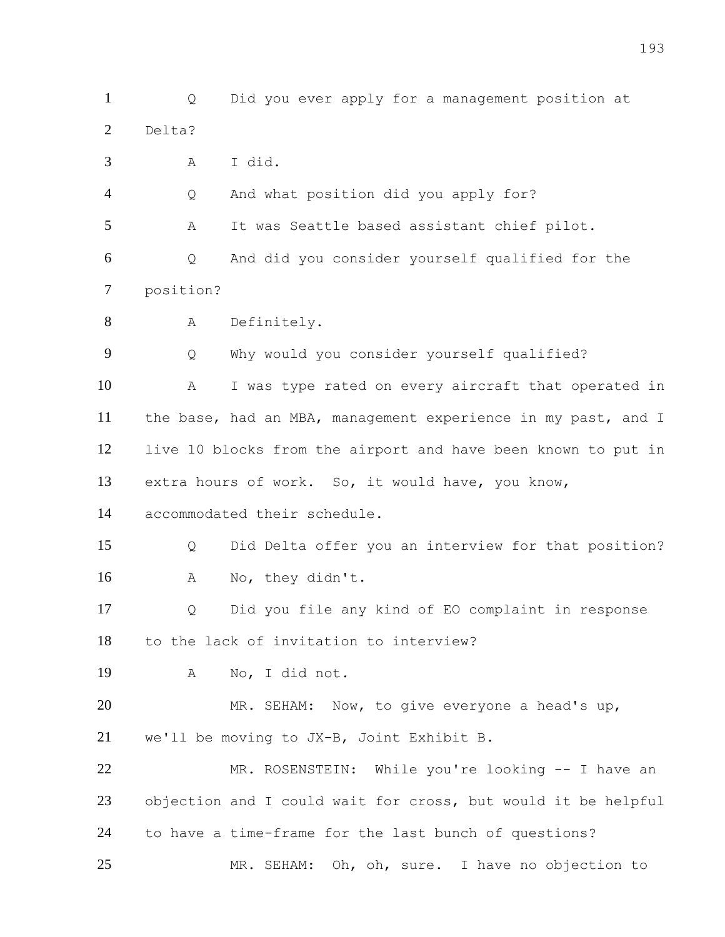Delta? A I did. Q And what position did you apply for? A It was Seattle based assistant chief pilot. Q And did you consider yourself qualified for the position? 8 A Definitely. Q Why would you consider yourself qualified? A I was type rated on every aircraft that operated in the base, had an MBA, management experience in my past, and I live 10 blocks from the airport and have been known to put in extra hours of work. So, it would have, you know, accommodated their schedule. Q Did Delta offer you an interview for that position? A No, they didn't. Q Did you file any kind of EO complaint in response to the lack of invitation to interview? A No, I did not. MR. SEHAM: Now, to give everyone a head's up, we'll be moving to JX-B, Joint Exhibit B. MR. ROSENSTEIN: While you're looking -- I have an objection and I could wait for cross, but would it be helpful to have a time-frame for the last bunch of questions? MR. SEHAM: Oh, oh, sure. I have no objection to

Q Did you ever apply for a management position at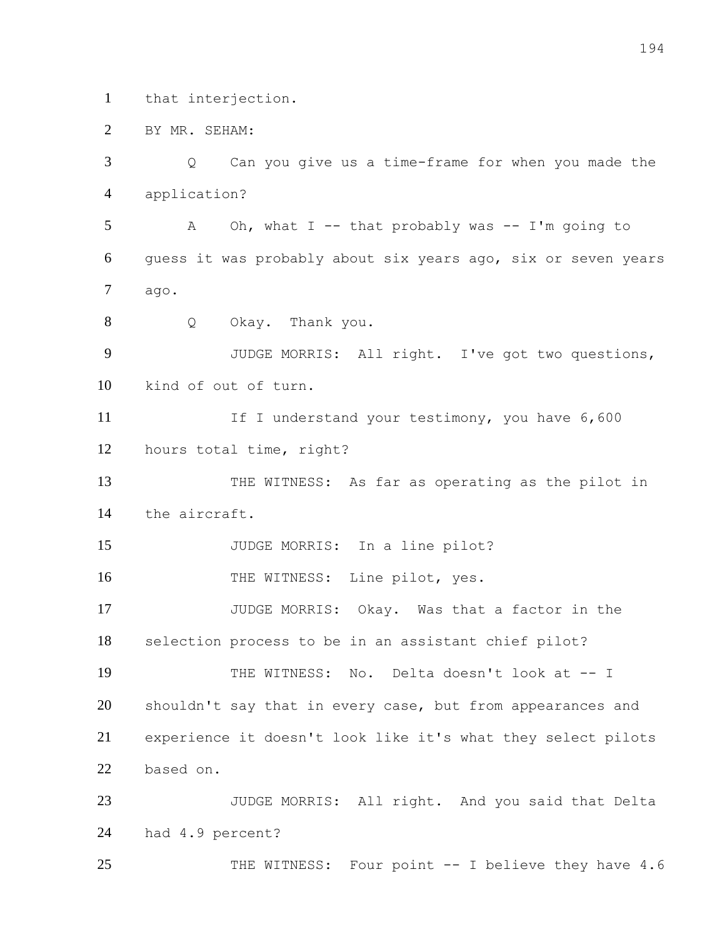that interjection.

BY MR. SEHAM:

 Q Can you give us a time-frame for when you made the application? A Oh, what I -- that probably was -- I'm going to guess it was probably about six years ago, six or seven years ago. Q Okay. Thank you. JUDGE MORRIS: All right. I've got two questions, kind of out of turn. 11 If I understand your testimony, you have 6,600 hours total time, right? THE WITNESS: As far as operating as the pilot in the aircraft. 15 JUDGE MORRIS: In a line pilot? 16 THE WITNESS: Line pilot, yes. JUDGE MORRIS: Okay. Was that a factor in the selection process to be in an assistant chief pilot? THE WITNESS: No. Delta doesn't look at -- I 20 shouldn't say that in every case, but from appearances and experience it doesn't look like it's what they select pilots based on. JUDGE MORRIS: All right. And you said that Delta had 4.9 percent?

25 THE WITNESS: Four point -- I believe they have 4.6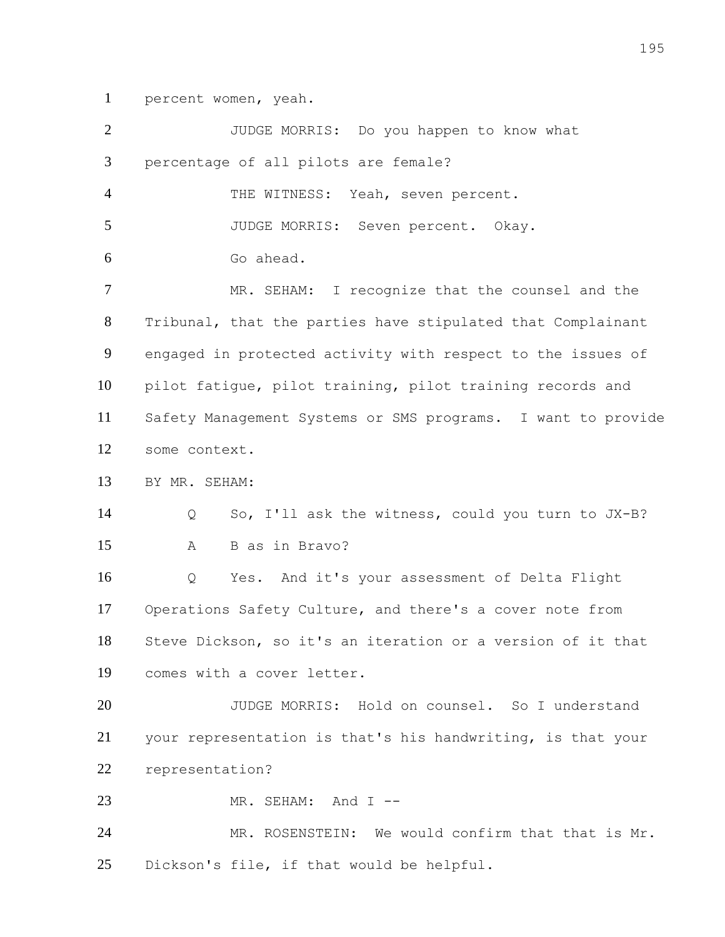percent women, yeah.

| $\overline{2}$ | JUDGE MORRIS: Do you happen to know what                     |
|----------------|--------------------------------------------------------------|
| 3              | percentage of all pilots are female?                         |
| $\overline{4}$ | THE WITNESS: Yeah, seven percent.                            |
| 5              | JUDGE MORRIS: Seven percent. Okay.                           |
| 6              | Go ahead.                                                    |
| $\overline{7}$ | MR. SEHAM: I recognize that the counsel and the              |
| 8              | Tribunal, that the parties have stipulated that Complainant  |
| 9              | engaged in protected activity with respect to the issues of  |
| 10             | pilot fatique, pilot training, pilot training records and    |
| 11             | Safety Management Systems or SMS programs. I want to provide |
| 12             | some context.                                                |
| 13             | BY MR. SEHAM:                                                |
| 14             | So, I'll ask the witness, could you turn to JX-B?<br>Q       |
| 15             | B as in Bravo?<br>A                                          |
| 16             | Yes. And it's your assessment of Delta Flight<br>Q           |
| 17             | Operations Safety Culture, and there's a cover note from     |
| 18             | Steve Dickson, so it's an iteration or a version of it that  |
| 19             | comes with a cover letter.                                   |
| 20             | JUDGE MORRIS: Hold on counsel. So I understand               |
| 21             | your representation is that's his handwriting, is that your  |
| 22             | representation?                                              |
| 23             | MR. SEHAM: And I --                                          |
| 24             | MR. ROSENSTEIN: We would confirm that that is Mr.            |
| 25             | Dickson's file, if that would be helpful.                    |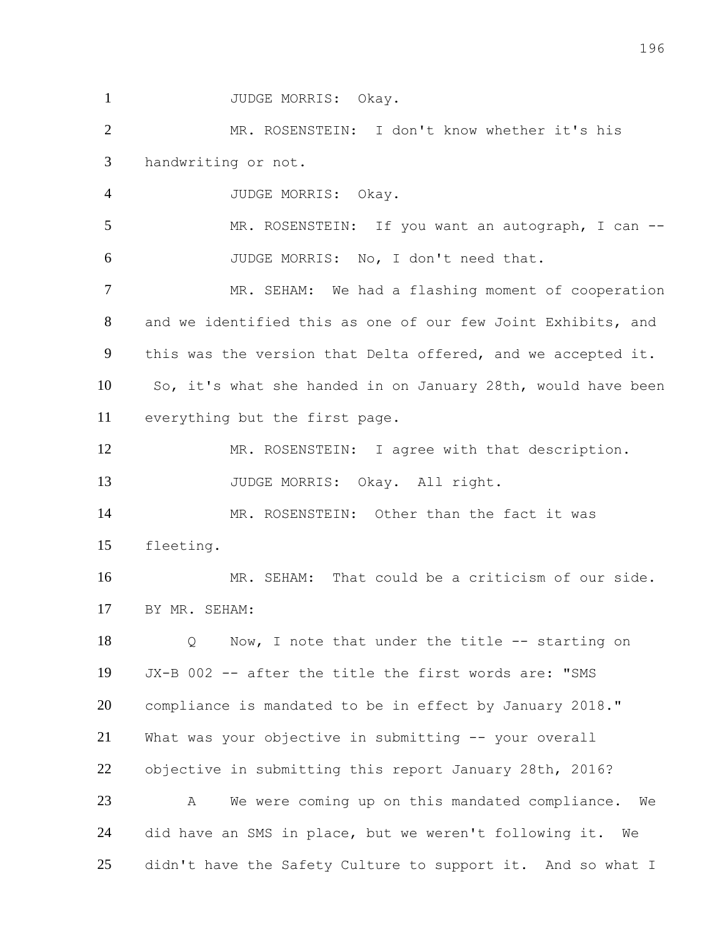1 JUDGE MORRIS: Okay. MR. ROSENSTEIN: I don't know whether it's his handwriting or not. JUDGE MORRIS: Okay. MR. ROSENSTEIN: If you want an autograph, I can -- JUDGE MORRIS: No, I don't need that. MR. SEHAM: We had a flashing moment of cooperation and we identified this as one of our few Joint Exhibits, and this was the version that Delta offered, and we accepted it. So, it's what she handed in on January 28th, would have been everything but the first page. 12 MR. ROSENSTEIN: I agree with that description. 13 JUDGE MORRIS: Okay. All right. MR. ROSENSTEIN: Other than the fact it was fleeting. MR. SEHAM: That could be a criticism of our side. BY MR. SEHAM: 18 Q Now, I note that under the title -- starting on JX-B 002 -- after the title the first words are: "SMS compliance is mandated to be in effect by January 2018." What was your objective in submitting -- your overall objective in submitting this report January 28th, 2016? A We were coming up on this mandated compliance. We did have an SMS in place, but we weren't following it. We

25 didn't have the Safety Culture to support it. And so what I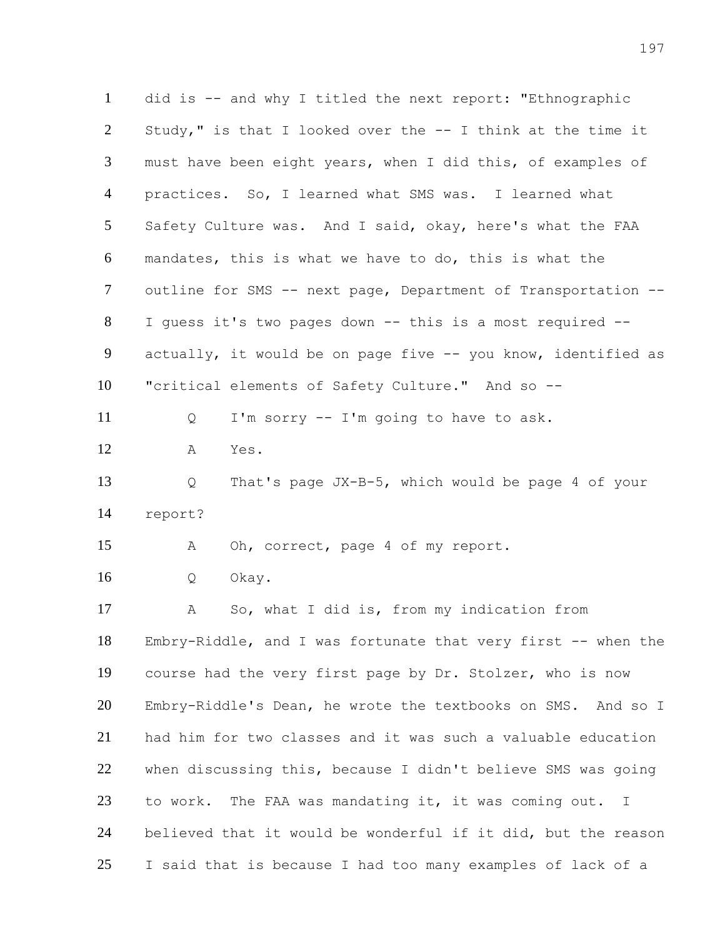did is -- and why I titled the next report: "Ethnographic Study," is that I looked over the -- I think at the time it must have been eight years, when I did this, of examples of practices. So, I learned what SMS was. I learned what Safety Culture was. And I said, okay, here's what the FAA mandates, this is what we have to do, this is what the outline for SMS -- next page, Department of Transportation -- I guess it's two pages down -- this is a most required -- 9 actually, it would be on page five -- you know, identified as "critical elements of Safety Culture." And so -- Q I'm sorry -- I'm going to have to ask. A Yes. Q That's page JX-B-5, which would be page 4 of your report? A Oh, correct, page 4 of my report. Q Okay. A So, what I did is, from my indication from Embry-Riddle, and I was fortunate that very first -- when the course had the very first page by Dr. Stolzer, who is now Embry-Riddle's Dean, he wrote the textbooks on SMS. And so I had him for two classes and it was such a valuable education when discussing this, because I didn't believe SMS was going to work. The FAA was mandating it, it was coming out. I believed that it would be wonderful if it did, but the reason I said that is because I had too many examples of lack of a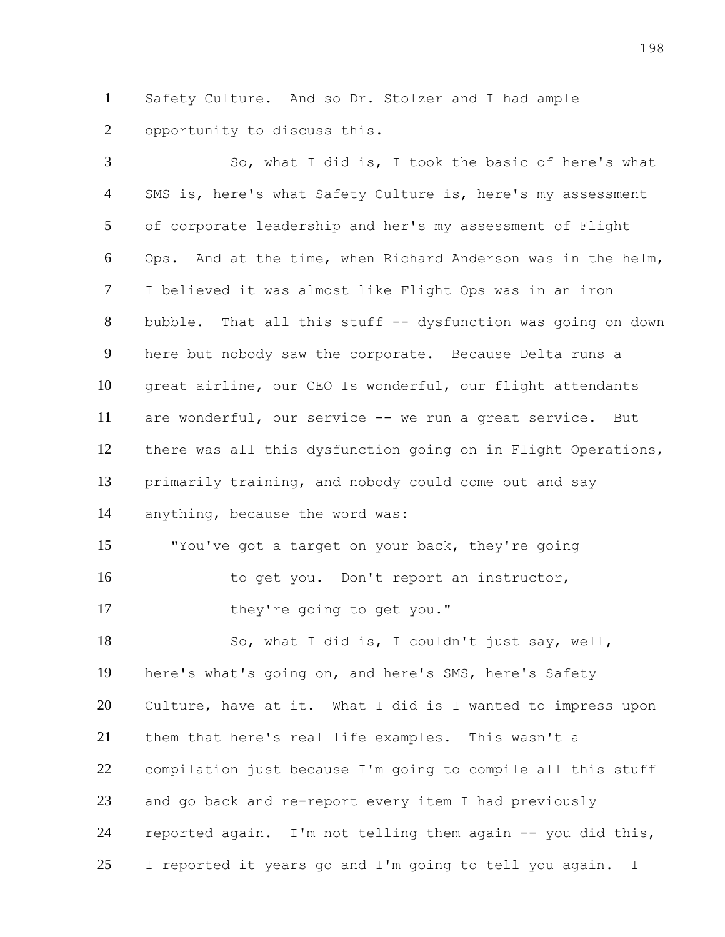Safety Culture. And so Dr. Stolzer and I had ample opportunity to discuss this.

 So, what I did is, I took the basic of here's what 4 SMS is, here's what Safety Culture is, here's my assessment of corporate leadership and her's my assessment of Flight Ops. And at the time, when Richard Anderson was in the helm, I believed it was almost like Flight Ops was in an iron 8 bubble. That all this stuff -- dysfunction was going on down here but nobody saw the corporate. Because Delta runs a great airline, our CEO Is wonderful, our flight attendants are wonderful, our service -- we run a great service. But there was all this dysfunction going on in Flight Operations, primarily training, and nobody could come out and say anything, because the word was: "You've got a target on your back, they're going 16 to get you. Don't report an instructor, 17 they're going to get you." So, what I did is, I couldn't just say, well, here's what's going on, and here's SMS, here's Safety Culture, have at it. What I did is I wanted to impress upon them that here's real life examples. This wasn't a compilation just because I'm going to compile all this stuff and go back and re-report every item I had previously reported again. I'm not telling them again -- you did this, 25 I reported it years go and I'm going to tell you again. I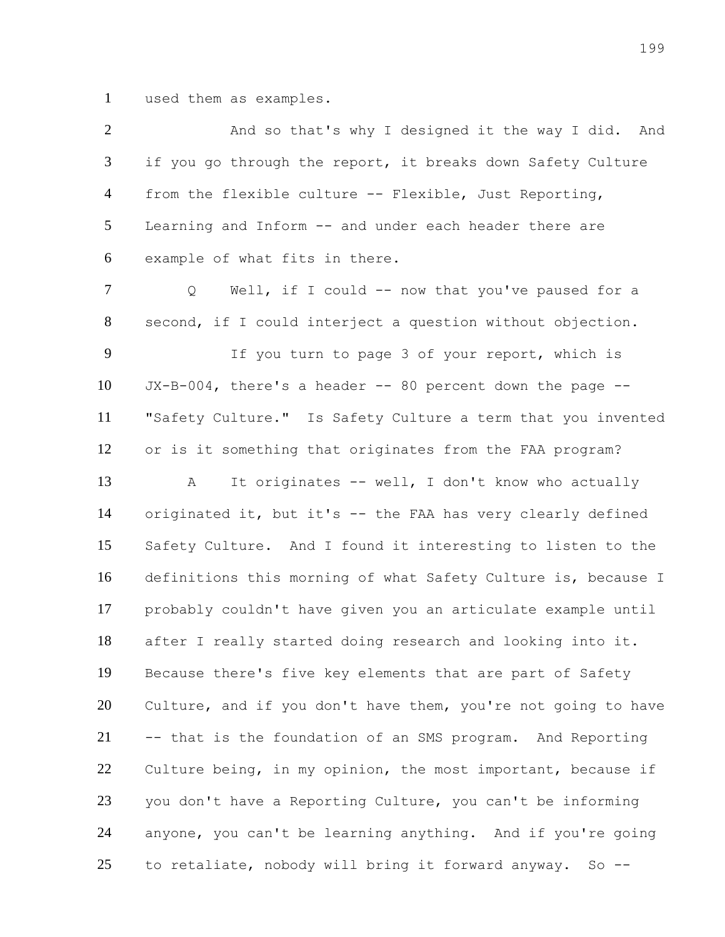used them as examples.

| $\overline{2}$ | And so that's why I designed it the way I did. And            |
|----------------|---------------------------------------------------------------|
| $\mathfrak{Z}$ | if you go through the report, it breaks down Safety Culture   |
| $\overline{4}$ | from the flexible culture -- Flexible, Just Reporting,        |
| 5              | Learning and Inform -- and under each header there are        |
| 6              | example of what fits in there.                                |
| $\tau$         | Well, if I could -- now that you've paused for a<br>Q         |
| 8              | second, if I could interject a question without objection.    |
| 9              | If you turn to page 3 of your report, which is                |
| 10             | $JX-B-004$ , there's a header -- 80 percent down the page --  |
| 11             | "Safety Culture." Is Safety Culture a term that you invented  |
| 12             | or is it something that originates from the FAA program?      |
| 13             | It originates -- well, I don't know who actually<br>А         |
| 14             | originated it, but it's -- the FAA has very clearly defined   |
| 15             | Safety Culture. And I found it interesting to listen to the   |
| 16             | definitions this morning of what Safety Culture is, because I |
| 17             | probably couldn't have given you an articulate example until  |
| 18             | after I really started doing research and looking into it.    |
| 19             | Because there's five key elements that are part of Safety     |
| 20             | Culture, and if you don't have them, you're not going to have |
| 21             | -- that is the foundation of an SMS program. And Reporting    |
| 22             | Culture being, in my opinion, the most important, because if  |
| 23             | you don't have a Reporting Culture, you can't be informing    |
| 24             | anyone, you can't be learning anything. And if you're going   |
| 25             | to retaliate, nobody will bring it forward anyway.<br>$So$ -- |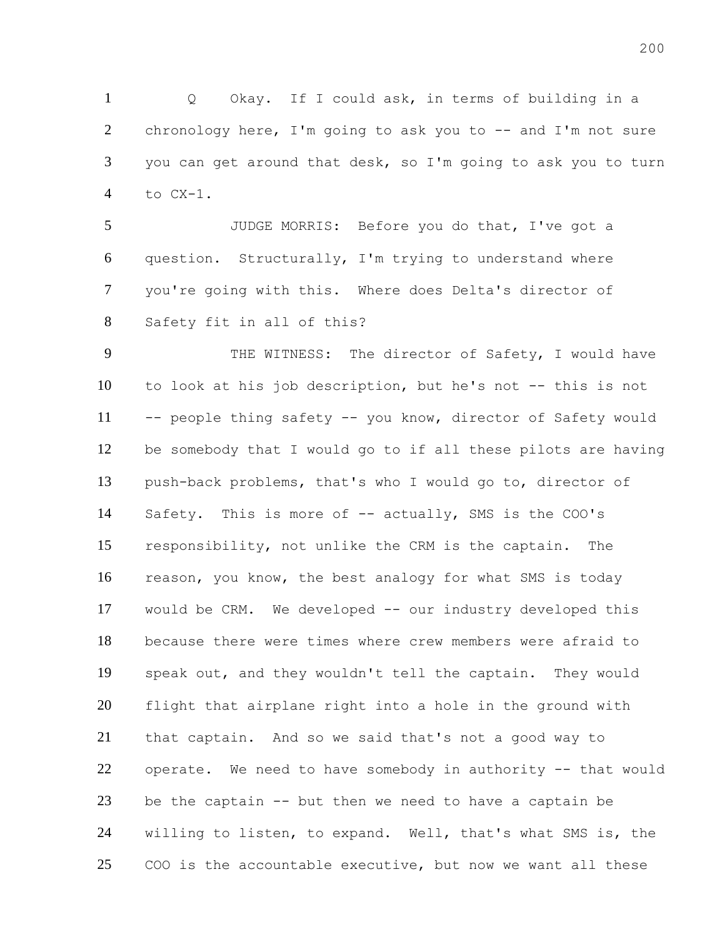Q Okay. If I could ask, in terms of building in a 2 chronology here, I'm going to ask you to -- and I'm not sure you can get around that desk, so I'm going to ask you to turn to CX-1.

 JUDGE MORRIS: Before you do that, I've got a question. Structurally, I'm trying to understand where you're going with this. Where does Delta's director of Safety fit in all of this?

 THE WITNESS: The director of Safety, I would have to look at his job description, but he's not -- this is not -- people thing safety -- you know, director of Safety would be somebody that I would go to if all these pilots are having push-back problems, that's who I would go to, director of 14 Safety. This is more of -- actually, SMS is the COO's responsibility, not unlike the CRM is the captain. The reason, you know, the best analogy for what SMS is today would be CRM. We developed -- our industry developed this because there were times where crew members were afraid to speak out, and they wouldn't tell the captain. They would flight that airplane right into a hole in the ground with that captain. And so we said that's not a good way to operate. We need to have somebody in authority -- that would be the captain -- but then we need to have a captain be willing to listen, to expand. Well, that's what SMS is, the COO is the accountable executive, but now we want all these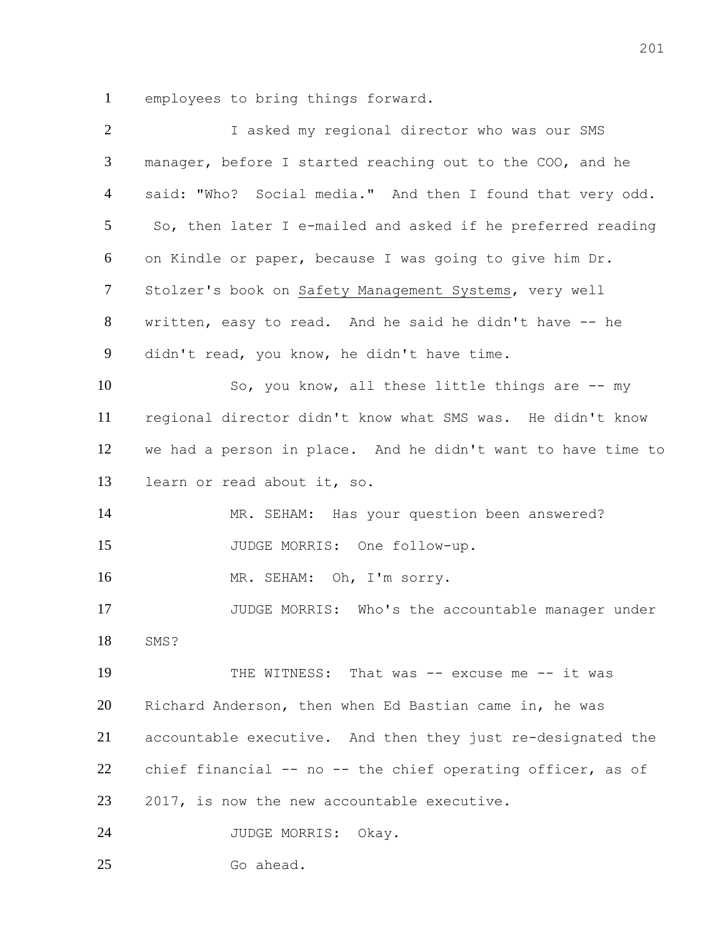employees to bring things forward.

| $\overline{2}$ | I asked my regional director who was our SMS                 |
|----------------|--------------------------------------------------------------|
| 3              | manager, before I started reaching out to the COO, and he    |
| $\overline{4}$ | said: "Who? Social media." And then I found that very odd.   |
| 5              | So, then later I e-mailed and asked if he preferred reading  |
| 6              | on Kindle or paper, because I was going to give him Dr.      |
| $\tau$         | Stolzer's book on Safety Management Systems, very well       |
| 8              | written, easy to read. And he said he didn't have -- he      |
| 9              | didn't read, you know, he didn't have time.                  |
| 10             | So, you know, all these little things are -- my              |
| 11             | regional director didn't know what SMS was. He didn't know   |
| 12             | we had a person in place. And he didn't want to have time to |
| 13             | learn or read about it, so.                                  |
| 14             | MR. SEHAM: Has your question been answered?                  |
| 15             | JUDGE MORRIS: One follow-up.                                 |
| 16             | MR. SEHAM: Oh, I'm sorry.                                    |
| 17             | JUDGE MORRIS: Who's the accountable manager under            |
| 18             | SMS?                                                         |
| 19             | THE WITNESS: That was -- excuse me -- it was                 |
| 20             | Richard Anderson, then when Ed Bastian came in, he was       |
| 21             | accountable executive. And then they just re-designated the  |
| 22             | chief financial -- no -- the chief operating officer, as of  |
| 23             | 2017, is now the new accountable executive.                  |
| 24             | JUDGE MORRIS: Okay.                                          |
| 25             | Go ahead.                                                    |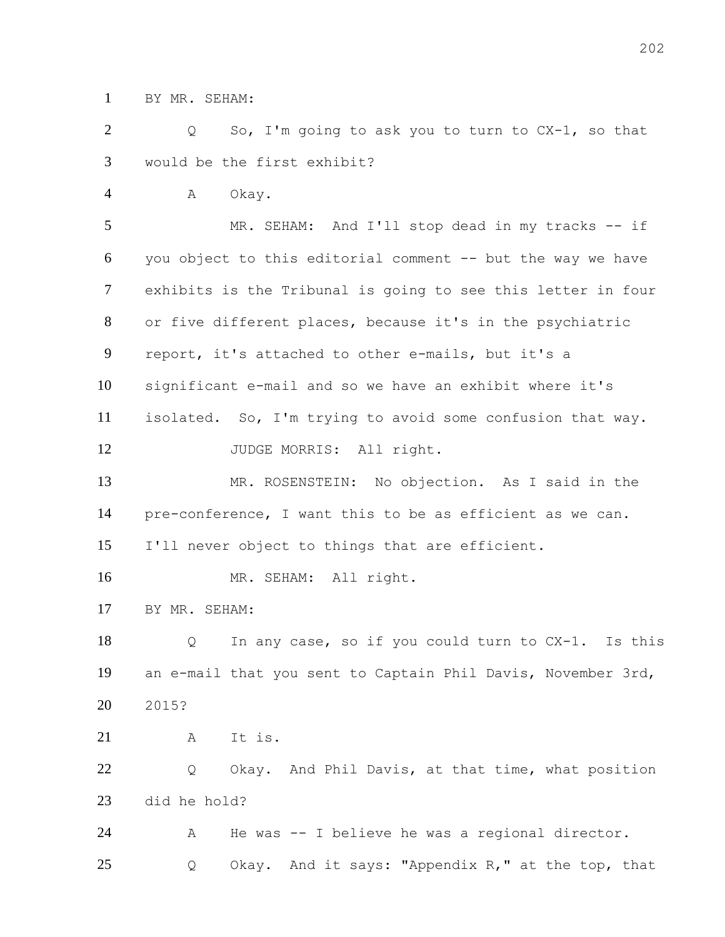BY MR. SEHAM:

 Q So, I'm going to ask you to turn to CX-1, so that would be the first exhibit?

A Okay.

 MR. SEHAM: And I'll stop dead in my tracks -- if you object to this editorial comment -- but the way we have exhibits is the Tribunal is going to see this letter in four or five different places, because it's in the psychiatric report, it's attached to other e-mails, but it's a significant e-mail and so we have an exhibit where it's isolated. So, I'm trying to avoid some confusion that way. 12 JUDGE MORRIS: All right. MR. ROSENSTEIN: No objection. As I said in the pre-conference, I want this to be as efficient as we can.

I'll never object to things that are efficient.

MR. SEHAM: All right.

BY MR. SEHAM:

 Q In any case, so if you could turn to CX-1. Is this an e-mail that you sent to Captain Phil Davis, November 3rd, 2015?

A It is.

22 Q Okay. And Phil Davis, at that time, what position did he hold?

 A He was -- I believe he was a regional director. Q Okay. And it says: "Appendix R," at the top, that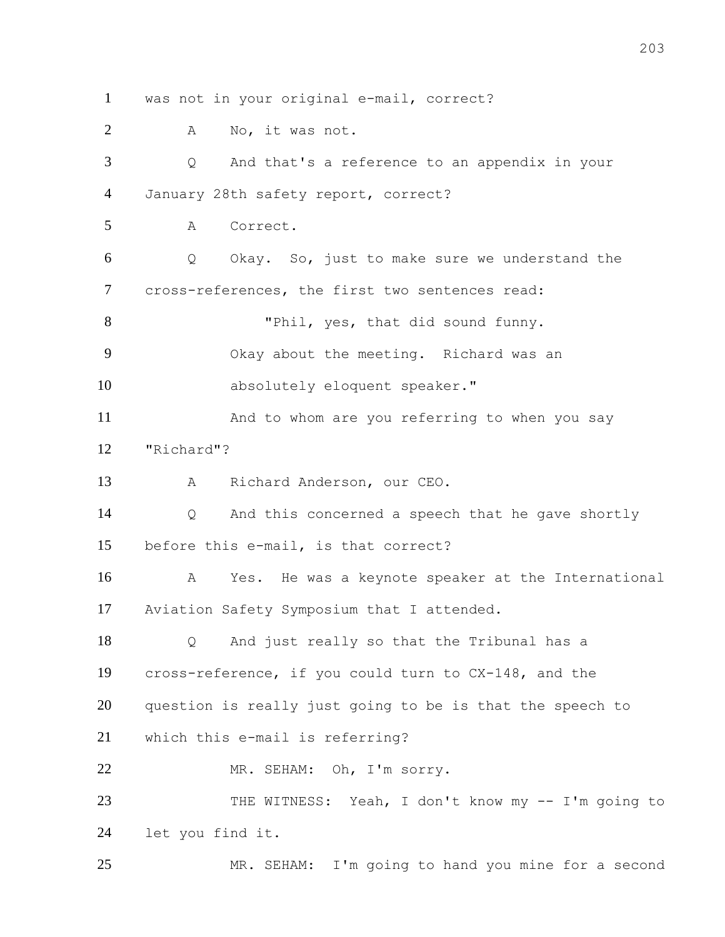was not in your original e-mail, correct?

A No, it was not.

 Q And that's a reference to an appendix in your January 28th safety report, correct? A Correct. Q Okay. So, just to make sure we understand the cross-references, the first two sentences read: 8 "Phil, yes, that did sound funny. Okay about the meeting. Richard was an 10 absolutely eloquent speaker." And to whom are you referring to when you say "Richard"? A Richard Anderson, our CEO. Q And this concerned a speech that he gave shortly before this e-mail, is that correct? A Yes. He was a keynote speaker at the International Aviation Safety Symposium that I attended. Q And just really so that the Tribunal has a cross-reference, if you could turn to CX-148, and the question is really just going to be is that the speech to which this e-mail is referring? MR. SEHAM: Oh, I'm sorry. 23 THE WITNESS: Yeah, I don't know my -- I'm going to let you find it. MR. SEHAM: I'm going to hand you mine for a second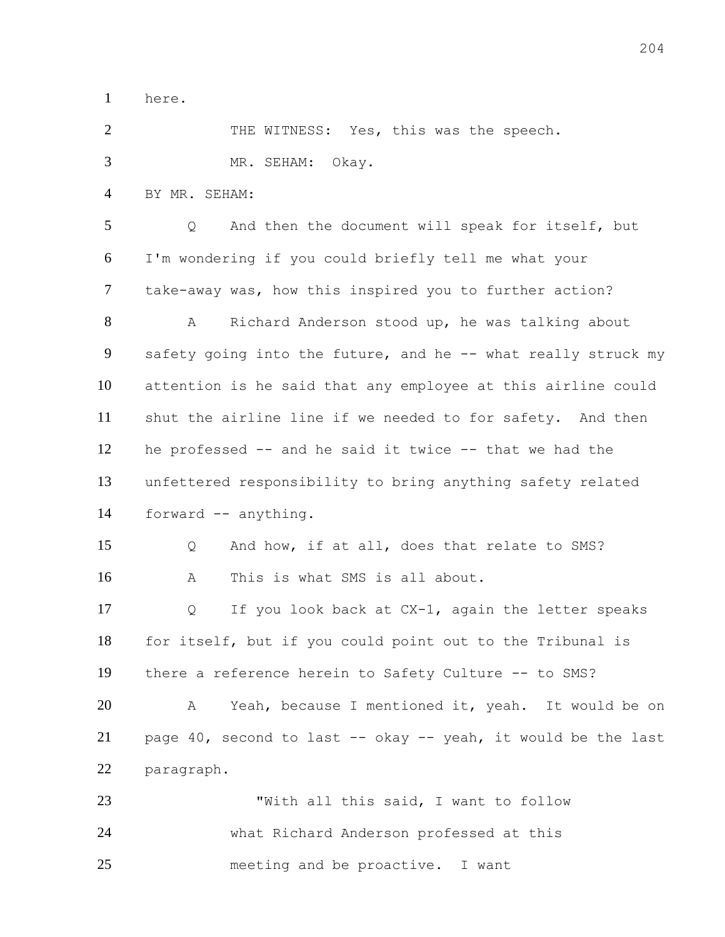here.

2 THE WITNESS: Yes, this was the speech. MR. SEHAM: Okay. BY MR. SEHAM: Q And then the document will speak for itself, but I'm wondering if you could briefly tell me what your take-away was, how this inspired you to further action? A Richard Anderson stood up, he was talking about 9 safety going into the future, and he -- what really struck my attention is he said that any employee at this airline could shut the airline line if we needed to for safety. And then he professed -- and he said it twice -- that we had the unfettered responsibility to bring anything safety related forward -- anything. Q And how, if at all, does that relate to SMS? A This is what SMS is all about. Q If you look back at CX-1, again the letter speaks for itself, but if you could point out to the Tribunal is there a reference herein to Safety Culture -- to SMS? A Yeah, because I mentioned it, yeah. It would be on page 40, second to last -- okay -- yeah, it would be the last paragraph. "With all this said, I want to follow what Richard Anderson professed at this meeting and be proactive. I want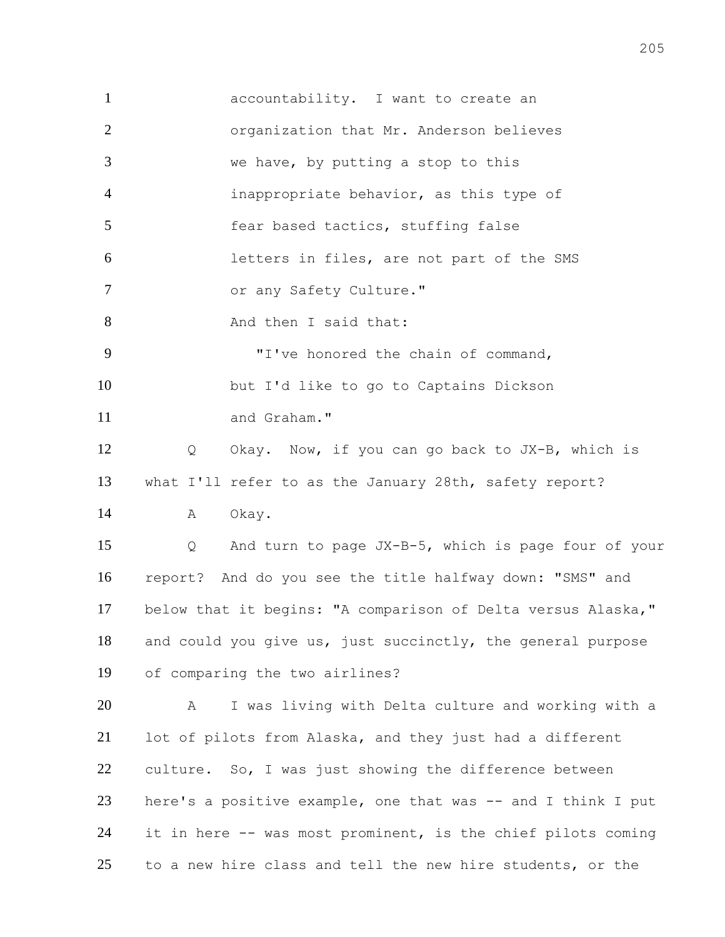accountability. I want to create an organization that Mr. Anderson believes we have, by putting a stop to this inappropriate behavior, as this type of 5 fear based tactics, stuffing false letters in files, are not part of the SMS 7 or any Safety Culture." 8 And then I said that: "I've honored the chain of command, but I'd like to go to Captains Dickson 11 and Graham." Q Okay. Now, if you can go back to JX-B, which is what I'll refer to as the January 28th, safety report? 14 A Okay. Q And turn to page JX-B-5, which is page four of your report? And do you see the title halfway down: "SMS" and below that it begins: "A comparison of Delta versus Alaska," and could you give us, just succinctly, the general purpose of comparing the two airlines? A I was living with Delta culture and working with a lot of pilots from Alaska, and they just had a different culture. So, I was just showing the difference between here's a positive example, one that was -- and I think I put it in here -- was most prominent, is the chief pilots coming to a new hire class and tell the new hire students, or the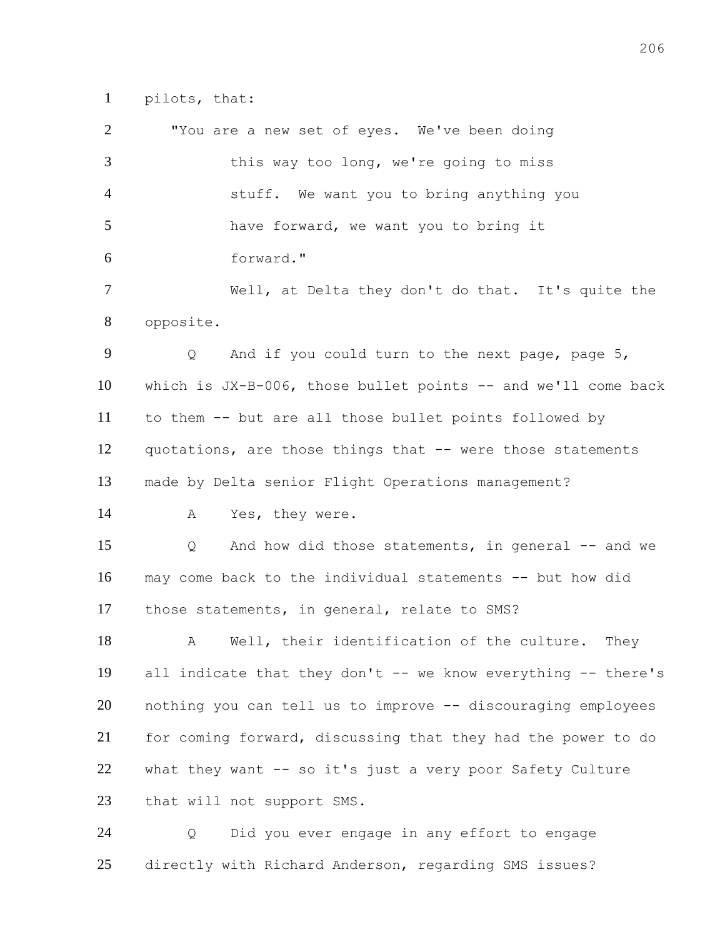pilots, that:

 "You are a new set of eyes. We've been doing 3 this way too long, we're going to miss stuff. We want you to bring anything you have forward, we want you to bring it forward." Well, at Delta they don't do that. It's quite the opposite. Q And if you could turn to the next page, page 5, which is JX-B-006, those bullet points -- and we'll come back to them -- but are all those bullet points followed by quotations, are those things that -- were those statements made by Delta senior Flight Operations management? A Yes, they were. Q And how did those statements, in general -- and we may come back to the individual statements -- but how did those statements, in general, relate to SMS? A Well, their identification of the culture. They all indicate that they don't -- we know everything -- there's nothing you can tell us to improve -- discouraging employees for coming forward, discussing that they had the power to do what they want -- so it's just a very poor Safety Culture 23 that will not support SMS. Q Did you ever engage in any effort to engage

directly with Richard Anderson, regarding SMS issues?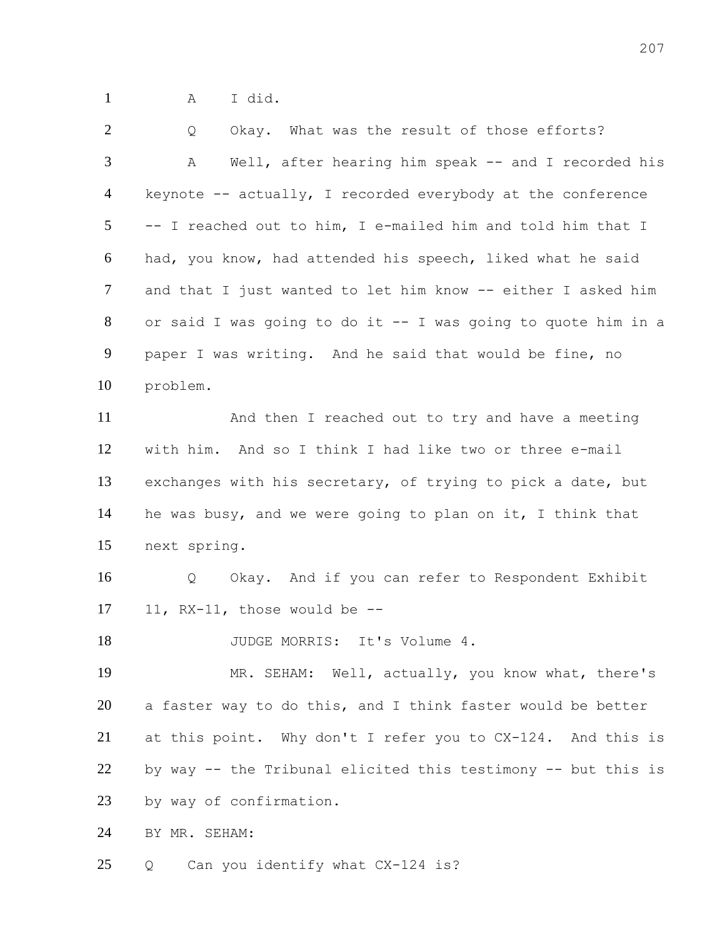A I did.

| $\overline{2}$ | Okay. What was the result of those efforts?<br>Q              |
|----------------|---------------------------------------------------------------|
| 3              | Well, after hearing him speak -- and I recorded his<br>А      |
| 4              | keynote $--$ actually, I recorded everybody at the conference |
| 5 <sup>5</sup> | -- I reached out to him, I e-mailed him and told him that I   |
| 6              | had, you know, had attended his speech, liked what he said    |
| $\tau$         | and that I just wanted to let him know -- either I asked him  |
| 8              | or said I was going to do it -- I was going to quote him in a |
| 9              | paper I was writing. And he said that would be fine, no       |
| 10             | problem.                                                      |
| 11             | And then I reached out to try and have a meeting              |
| 12             | with him. And so I think I had like two or three e-mail       |
| 13             | exchanges with his secretary, of trying to pick a date, but   |
| 14             | he was busy, and we were going to plan on it, I think that    |
| 15             | next spring.                                                  |
| 16             | Okay. And if you can refer to Respondent Exhibit<br>Q         |
| 17             | 11, $RX-11$ , those would be $-$                              |
| 18             | JUDGE MORRIS: It's Volume 4.                                  |
| 19             | MR. SEHAM: Well, actually, you know what, there's             |
| 20             | a faster way to do this, and I think faster would be better   |
| 21             | at this point. Why don't I refer you to CX-124. And this is   |
| 22             | by way -- the Tribunal elicited this testimony -- but this is |
| 23             | by way of confirmation.                                       |
| 24             | BY MR. SEHAM:                                                 |
| 25             | Can you identify what CX-124 is?<br>Q                         |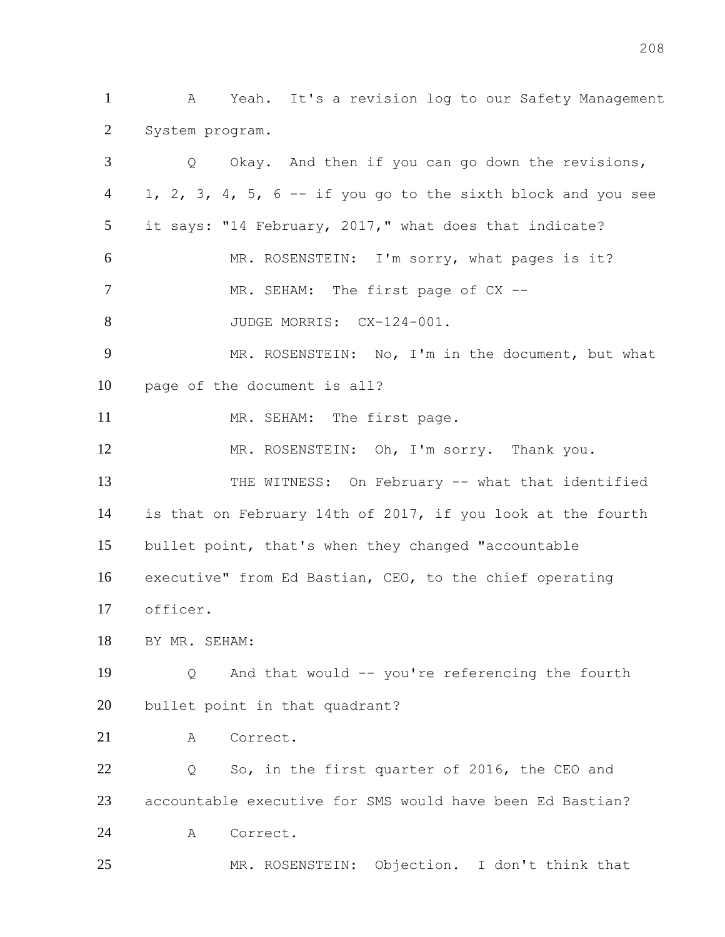A Yeah. It's a revision log to our Safety Management System program.

| 3              | Okay. And then if you can go down the revisions,<br>$Q \qquad$ |
|----------------|----------------------------------------------------------------|
| $\overline{4}$ | 1, 2, 3, 4, 5, 6 -- if you go to the sixth block and you see   |
| 5 <sup>5</sup> | it says: "14 February, 2017," what does that indicate?         |
| 6              | MR. ROSENSTEIN: I'm sorry, what pages is it?                   |
| $\overline{7}$ | MR. SEHAM: The first page of CX --                             |
| 8              | JUDGE MORRIS: CX-124-001.                                      |
| 9              | MR. ROSENSTEIN: No, I'm in the document, but what              |
| 10             | page of the document is all?                                   |
| 11             | MR. SEHAM: The first page.                                     |
| 12             | MR. ROSENSTEIN: Oh, I'm sorry. Thank you.                      |
| 13             | THE WITNESS: On February -- what that identified               |
| 14             | is that on February 14th of 2017, if you look at the fourth    |
| 15             | bullet point, that's when they changed "accountable            |
| 16             | executive" from Ed Bastian, CEO, to the chief operating        |
| 17             | officer.                                                       |
| 18             | BY MR. SEHAM:                                                  |
| 19             | And that would -- you're referencing the fourth<br>Q           |
| 20             | bullet point in that quadrant?                                 |
| 21             | Correct.<br>A                                                  |
| 22             | So, in the first quarter of 2016, the CEO and<br>Q             |
| 23             | accountable executive for SMS would have been Ed Bastian?      |
| 24             | Correct.<br>A                                                  |
| 25             | MR. ROSENSTEIN: Objection. I don't think that                  |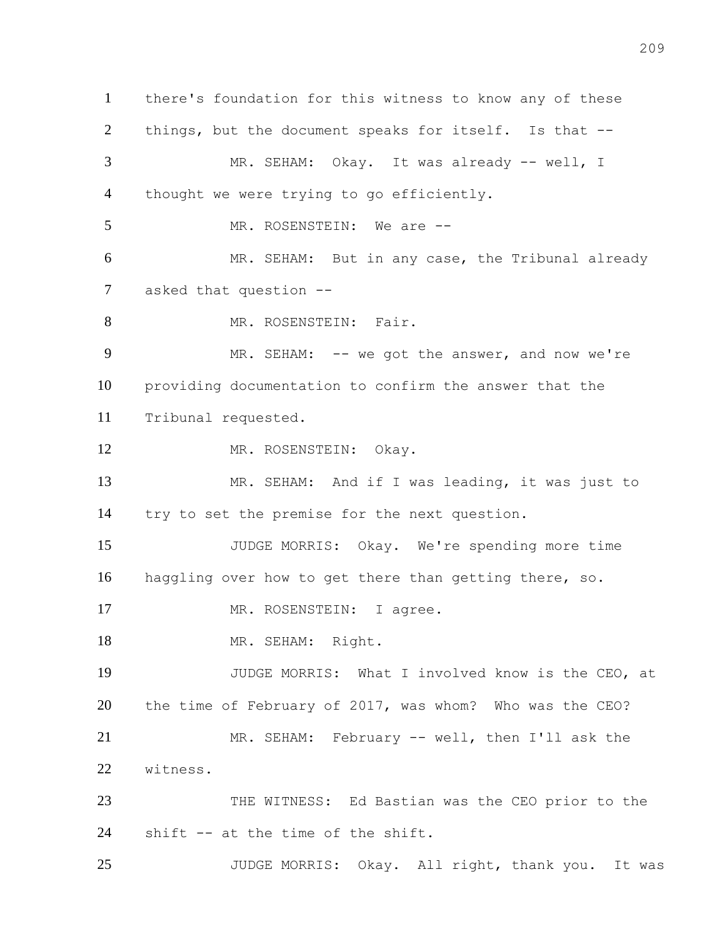there's foundation for this witness to know any of these things, but the document speaks for itself. Is that -- 3 MR. SEHAM: Okay. It was already -- well, I thought we were trying to go efficiently. 5 MR. ROSENSTEIN: We are -- MR. SEHAM: But in any case, the Tribunal already asked that question -- 8 MR. ROSENSTEIN: Fair. 9 MR. SEHAM: -- we got the answer, and now we're providing documentation to confirm the answer that the Tribunal requested. 12 MR. ROSENSTEIN: Okay. MR. SEHAM: And if I was leading, it was just to try to set the premise for the next question. JUDGE MORRIS: Okay. We're spending more time haggling over how to get there than getting there, so. 17 MR. ROSENSTEIN: I agree. 18 MR. SEHAM: Right. JUDGE MORRIS: What I involved know is the CEO, at the time of February of 2017, was whom? Who was the CEO? MR. SEHAM: February -- well, then I'll ask the witness. THE WITNESS: Ed Bastian was the CEO prior to the shift -- at the time of the shift. JUDGE MORRIS: Okay. All right, thank you. It was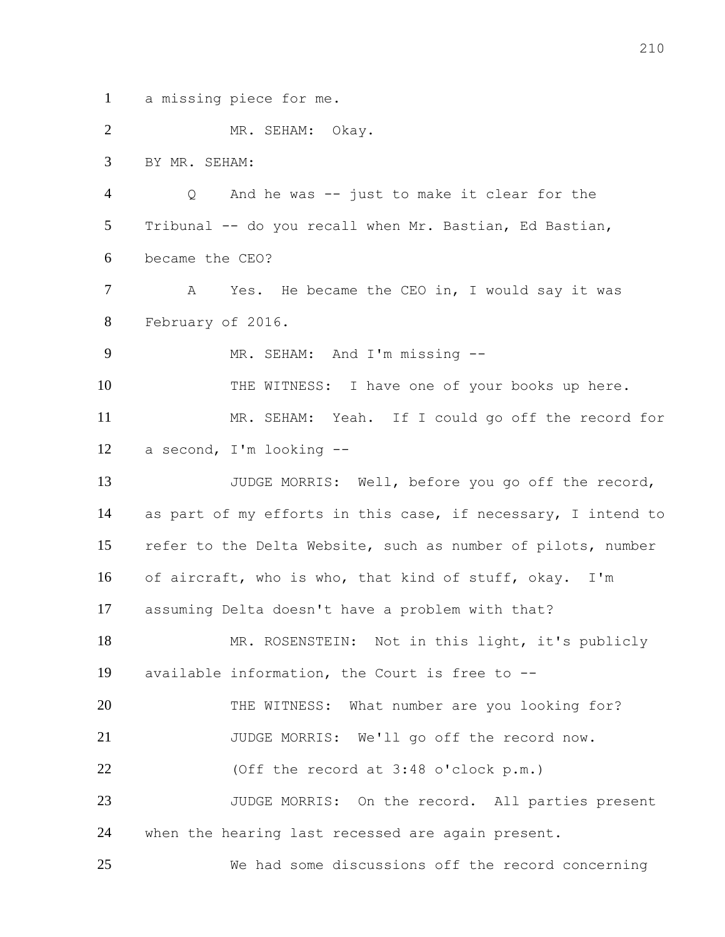a missing piece for me.

 MR. SEHAM: Okay. BY MR. SEHAM: Q And he was -- just to make it clear for the Tribunal -- do you recall when Mr. Bastian, Ed Bastian, became the CEO? 7 A Yes. He became the CEO in, I would say it was February of 2016. 9 MR. SEHAM: And I'm missing --10 THE WITNESS: I have one of your books up here. MR. SEHAM: Yeah. If I could go off the record for a second, I'm looking -- JUDGE MORRIS: Well, before you go off the record, as part of my efforts in this case, if necessary, I intend to refer to the Delta Website, such as number of pilots, number of aircraft, who is who, that kind of stuff, okay. I'm assuming Delta doesn't have a problem with that? 18 MR. ROSENSTEIN: Not in this light, it's publicly available information, the Court is free to -- 20 THE WITNESS: What number are you looking for? JUDGE MORRIS: We'll go off the record now. (Off the record at 3:48 o'clock p.m.) 23 JUDGE MORRIS: On the record. All parties present when the hearing last recessed are again present. We had some discussions off the record concerning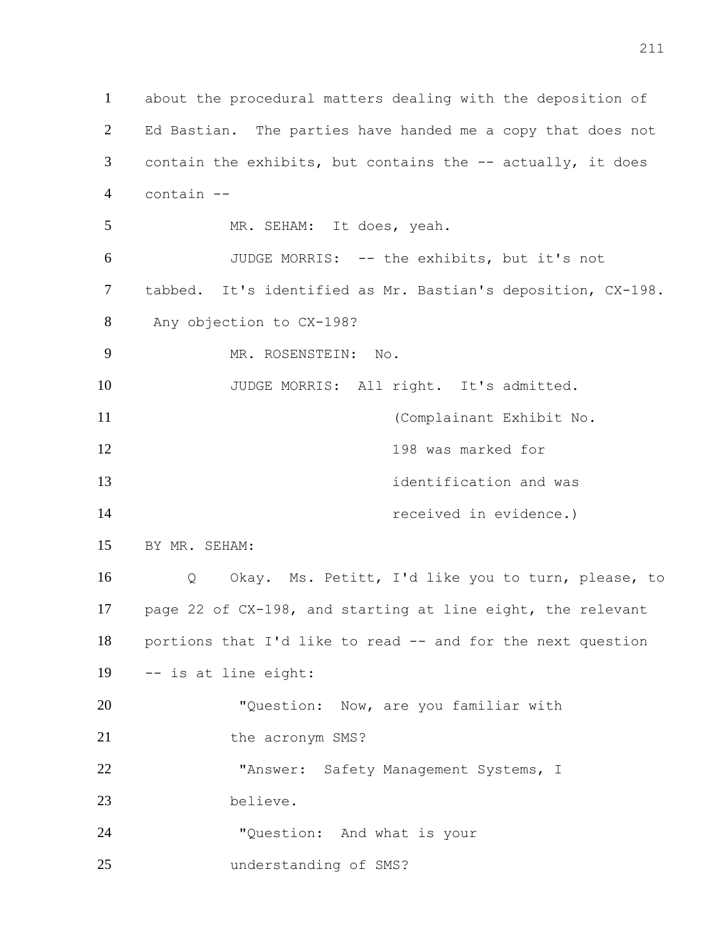about the procedural matters dealing with the deposition of Ed Bastian. The parties have handed me a copy that does not 3 contain the exhibits, but contains the -- actually, it does contain -- MR. SEHAM: It does, yeah. JUDGE MORRIS: -- the exhibits, but it's not tabbed. It's identified as Mr. Bastian's deposition, CX-198. Any objection to CX-198? MR. ROSENSTEIN: No. 10 JUDGE MORRIS: All right. It's admitted. (Complainant Exhibit No. 198 was marked for **13 identification** and was received in evidence.) BY MR. SEHAM: Q Okay. Ms. Petitt, I'd like you to turn, please, to page 22 of CX-198, and starting at line eight, the relevant portions that I'd like to read -- and for the next question -- is at line eight: 20 "Question: Now, are you familiar with 21 the acronym SMS? "Answer: Safety Management Systems, I believe. "Question: And what is your understanding of SMS?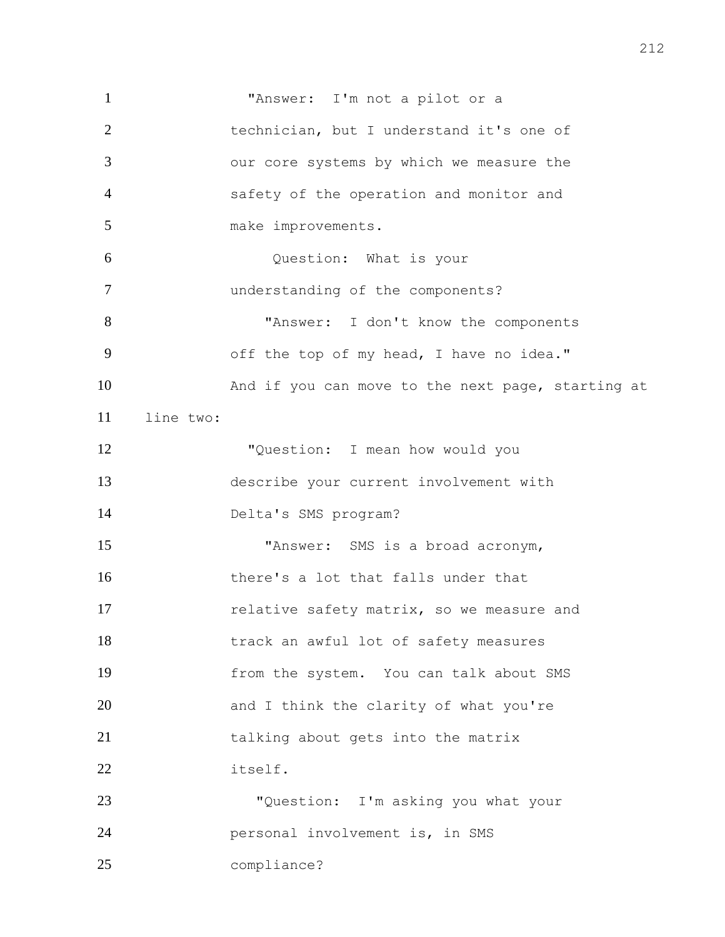"Answer: I'm not a pilot or a technician, but I understand it's one of our core systems by which we measure the safety of the operation and monitor and 5 make improvements. Question: What is your understanding of the components? "Answer: I don't know the components off the top of my head, I have no idea." And if you can move to the next page, starting at line two: "Question: I mean how would you describe your current involvement with Delta's SMS program? "Answer: SMS is a broad acronym, there's a lot that falls under that **17** relative safety matrix, so we measure and track an awful lot of safety measures from the system. You can talk about SMS 20 and I think the clarity of what you're 21 talking about gets into the matrix itself. "Question: I'm asking you what your personal involvement is, in SMS compliance?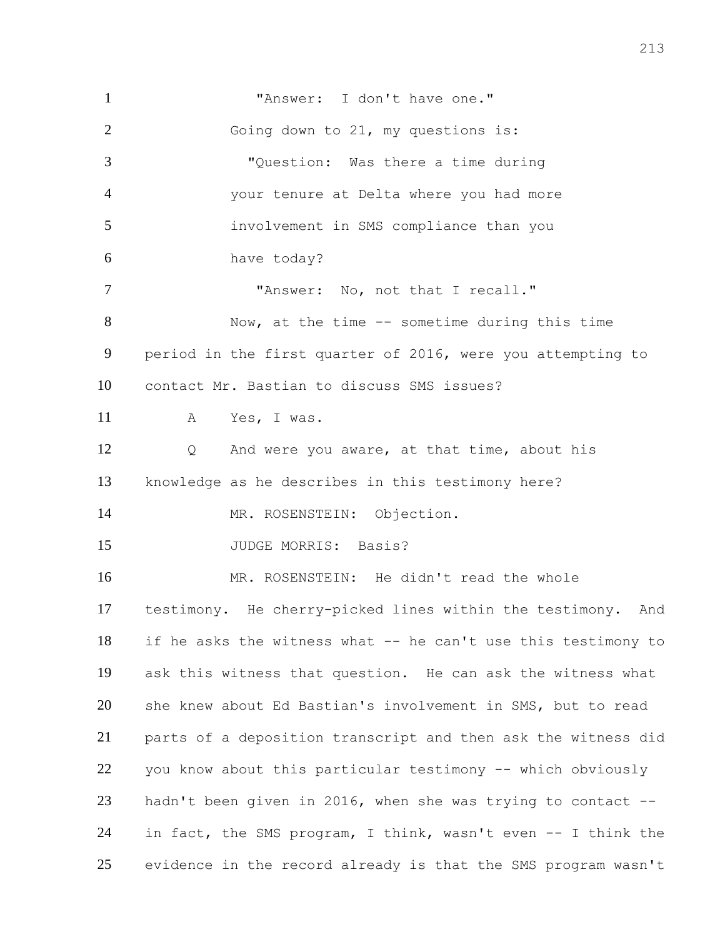**"Answer:** I don't have one." 2 Going down to 21, my questions is: "Question: Was there a time during your tenure at Delta where you had more involvement in SMS compliance than you have today? "Answer: No, not that I recall." Now, at the time -- sometime during this time period in the first quarter of 2016, were you attempting to contact Mr. Bastian to discuss SMS issues? A Yes, I was. Q And were you aware, at that time, about his knowledge as he describes in this testimony here? 14 MR. ROSENSTEIN: Objection. 15 JUDGE MORRIS: Basis? MR. ROSENSTEIN: He didn't read the whole testimony. He cherry-picked lines within the testimony. And if he asks the witness what -- he can't use this testimony to ask this witness that question. He can ask the witness what she knew about Ed Bastian's involvement in SMS, but to read parts of a deposition transcript and then ask the witness did you know about this particular testimony -- which obviously hadn't been given in 2016, when she was trying to contact -- in fact, the SMS program, I think, wasn't even -- I think the evidence in the record already is that the SMS program wasn't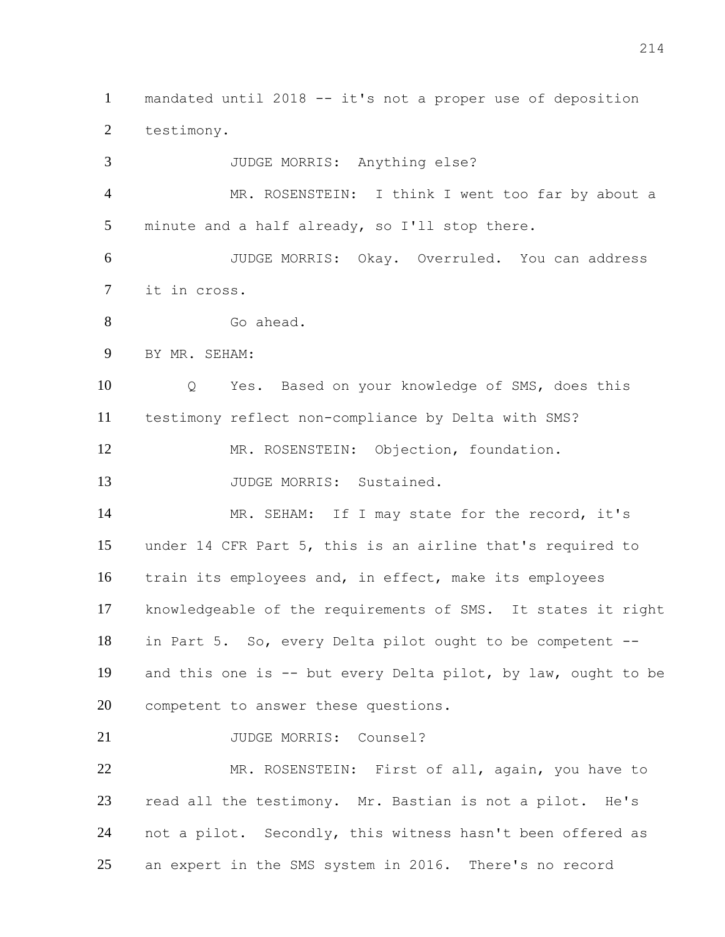mandated until 2018 -- it's not a proper use of deposition testimony.

 JUDGE MORRIS: Anything else? MR. ROSENSTEIN: I think I went too far by about a minute and a half already, so I'll stop there. JUDGE MORRIS: Okay. Overruled. You can address it in cross. Go ahead. BY MR. SEHAM: Q Yes. Based on your knowledge of SMS, does this testimony reflect non-compliance by Delta with SMS? MR. ROSENSTEIN: Objection, foundation. 13 JUDGE MORRIS: Sustained. 14 MR. SEHAM: If I may state for the record, it's under 14 CFR Part 5, this is an airline that's required to train its employees and, in effect, make its employees knowledgeable of the requirements of SMS. It states it right in Part 5. So, every Delta pilot ought to be competent -- and this one is -- but every Delta pilot, by law, ought to be competent to answer these questions. 21 JUDGE MORRIS: Counsel? MR. ROSENSTEIN: First of all, again, you have to read all the testimony. Mr. Bastian is not a pilot. He's not a pilot. Secondly, this witness hasn't been offered as an expert in the SMS system in 2016. There's no record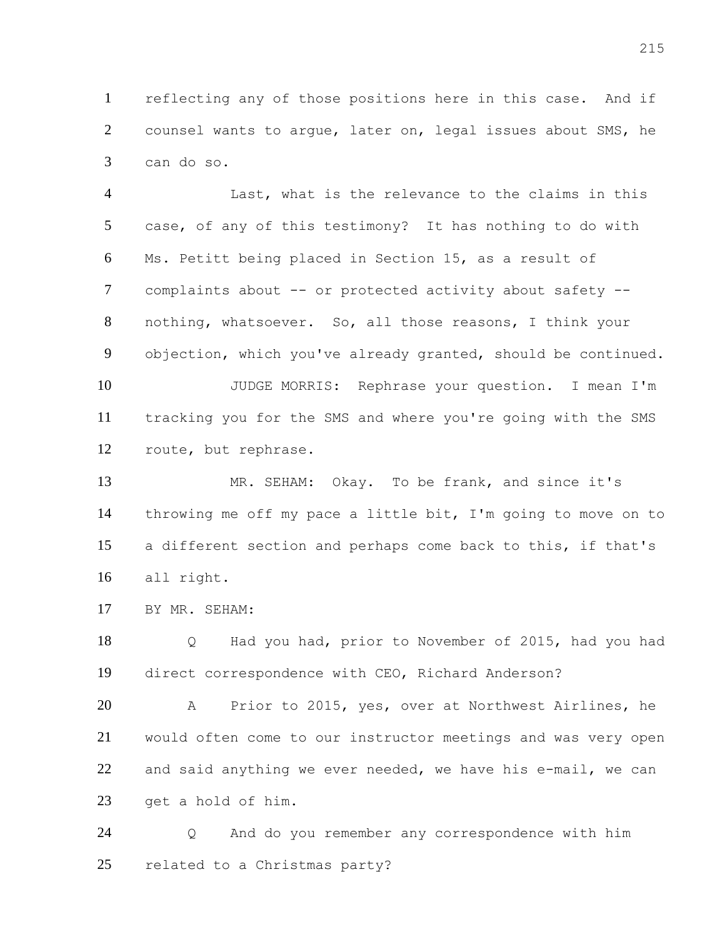reflecting any of those positions here in this case. And if counsel wants to argue, later on, legal issues about SMS, he can do so.

 Last, what is the relevance to the claims in this case, of any of this testimony? It has nothing to do with Ms. Petitt being placed in Section 15, as a result of complaints about -- or protected activity about safety -- nothing, whatsoever. So, all those reasons, I think your objection, which you've already granted, should be continued. JUDGE MORRIS: Rephrase your question. I mean I'm tracking you for the SMS and where you're going with the SMS route, but rephrase.

 MR. SEHAM: Okay. To be frank, and since it's throwing me off my pace a little bit, I'm going to move on to a different section and perhaps come back to this, if that's all right.

BY MR. SEHAM:

 Q Had you had, prior to November of 2015, had you had direct correspondence with CEO, Richard Anderson?

 A Prior to 2015, yes, over at Northwest Airlines, he would often come to our instructor meetings and was very open and said anything we ever needed, we have his e-mail, we can get a hold of him.

 Q And do you remember any correspondence with him related to a Christmas party?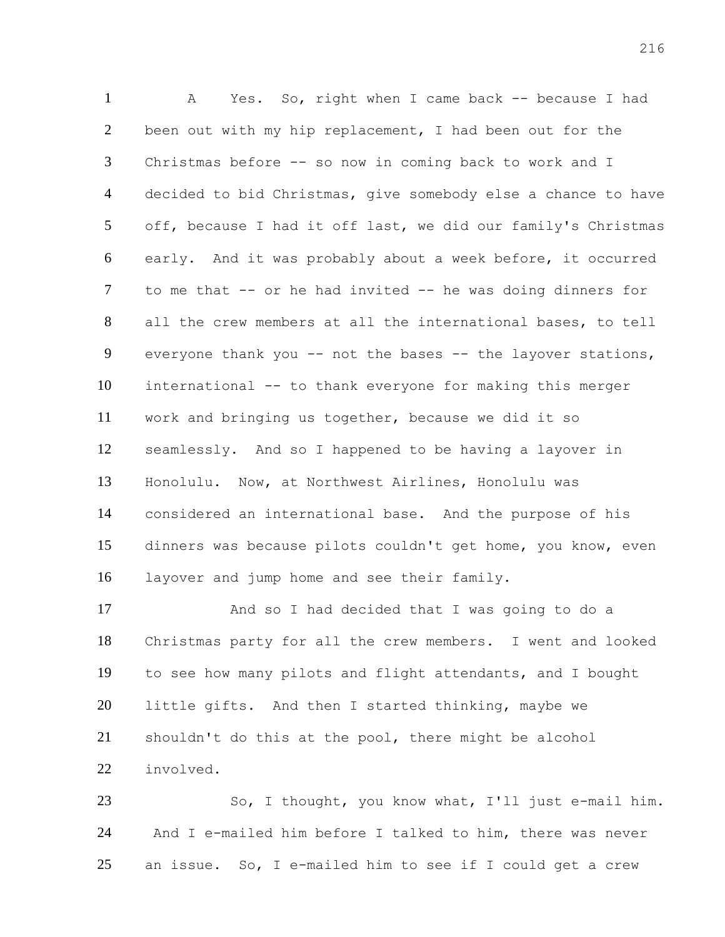A Yes. So, right when I came back -- because I had been out with my hip replacement, I had been out for the Christmas before -- so now in coming back to work and I decided to bid Christmas, give somebody else a chance to have off, because I had it off last, we did our family's Christmas early. And it was probably about a week before, it occurred to me that -- or he had invited -- he was doing dinners for all the crew members at all the international bases, to tell everyone thank you -- not the bases -- the layover stations, international -- to thank everyone for making this merger work and bringing us together, because we did it so seamlessly. And so I happened to be having a layover in Honolulu. Now, at Northwest Airlines, Honolulu was considered an international base. And the purpose of his dinners was because pilots couldn't get home, you know, even layover and jump home and see their family.

 And so I had decided that I was going to do a Christmas party for all the crew members. I went and looked to see how many pilots and flight attendants, and I bought little gifts. And then I started thinking, maybe we shouldn't do this at the pool, there might be alcohol involved.

 So, I thought, you know what, I'll just e-mail him. And I e-mailed him before I talked to him, there was never an issue. So, I e-mailed him to see if I could get a crew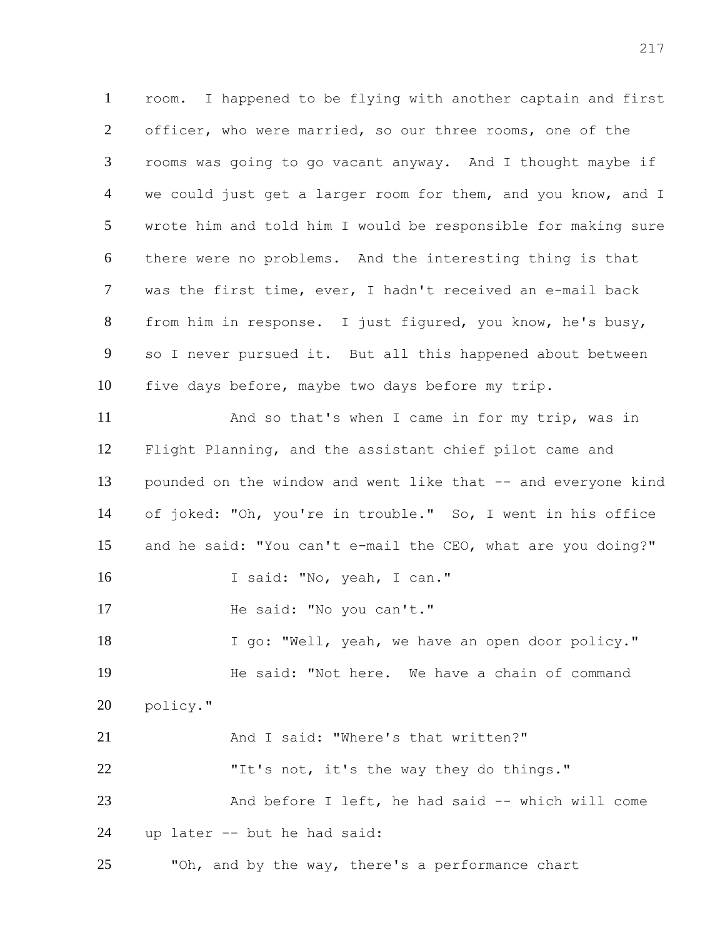room. I happened to be flying with another captain and first officer, who were married, so our three rooms, one of the rooms was going to go vacant anyway. And I thought maybe if 4 we could just get a larger room for them, and you know, and I wrote him and told him I would be responsible for making sure there were no problems. And the interesting thing is that was the first time, ever, I hadn't received an e-mail back from him in response. I just figured, you know, he's busy, so I never pursued it. But all this happened about between five days before, maybe two days before my trip.

 And so that's when I came in for my trip, was in Flight Planning, and the assistant chief pilot came and pounded on the window and went like that -- and everyone kind of joked: "Oh, you're in trouble." So, I went in his office and he said: "You can't e-mail the CEO, what are you doing?" 16 I said: "No, yeah, I can." 17 He said: "No you can't." I go: "Well, yeah, we have an open door policy." He said: "Not here. We have a chain of command policy." 21 And I said: "Where's that written?" "It's not, it's the way they do things." And before I left, he had said -- which will come up later -- but he had said: "Oh, and by the way, there's a performance chart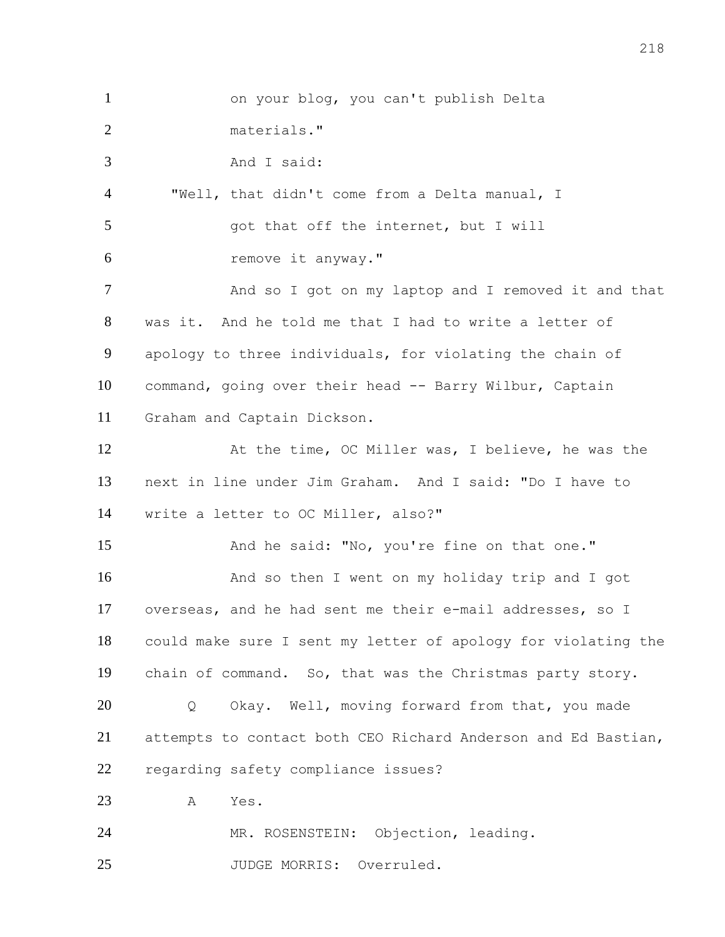on your blog, you can't publish Delta materials." And I said: "Well, that didn't come from a Delta manual, I 5 got that off the internet, but I will remove it anyway." 7 And so I got on my laptop and I removed it and that was it. And he told me that I had to write a letter of apology to three individuals, for violating the chain of command, going over their head -- Barry Wilbur, Captain Graham and Captain Dickson. At the time, OC Miller was, I believe, he was the next in line under Jim Graham. And I said: "Do I have to write a letter to OC Miller, also?" 15 And he said: "No, you're fine on that one." And so then I went on my holiday trip and I got overseas, and he had sent me their e-mail addresses, so I could make sure I sent my letter of apology for violating the chain of command. So, that was the Christmas party story. Q Okay. Well, moving forward from that, you made attempts to contact both CEO Richard Anderson and Ed Bastian, regarding safety compliance issues? A Yes. MR. ROSENSTEIN: Objection, leading. 25 JUDGE MORRIS: Overruled.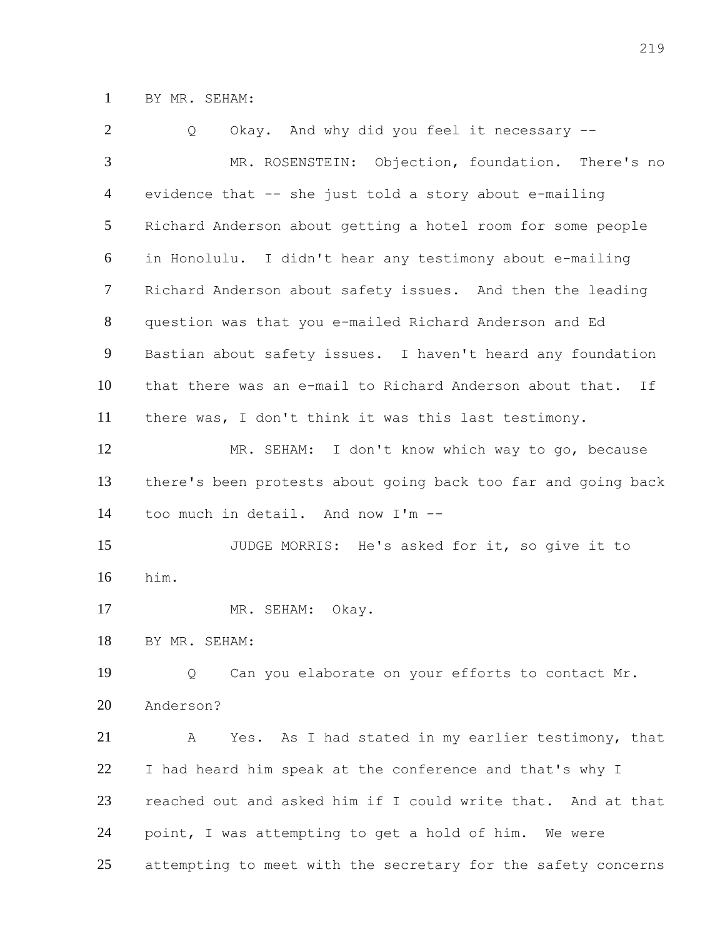BY MR. SEHAM:

| 2      | Okay. And why did you feel it necessary --<br>Q                |
|--------|----------------------------------------------------------------|
| 3      | MR. ROSENSTEIN: Objection, foundation. There's no              |
| 4      | evidence that -- she just told a story about e-mailing         |
| 5      | Richard Anderson about getting a hotel room for some people    |
| 6      | in Honolulu. I didn't hear any testimony about e-mailing       |
| $\tau$ | Richard Anderson about safety issues. And then the leading     |
| 8      | question was that you e-mailed Richard Anderson and Ed         |
| 9      | Bastian about safety issues. I haven't heard any foundation    |
| 10     | that there was an e-mail to Richard Anderson about that.<br>If |
| 11     | there was, I don't think it was this last testimony.           |
| 12     | MR. SEHAM: I don't know which way to go, because               |
| 13     | there's been protests about going back too far and going back  |
| 14     | too much in detail. And now I'm --                             |
| 15     | JUDGE MORRIS: He's asked for it, so give it to                 |
| 16     | him.                                                           |
| 17     | MR. SEHAM:<br>Okay.                                            |
| 18     | BY MR. SEHAM:                                                  |
| 19     | Can you elaborate on your efforts to contact Mr.<br>Q          |
| 20     | Anderson?                                                      |
| 21     | Yes. As I had stated in my earlier testimony, that<br>A        |
| 22     | I had heard him speak at the conference and that's why I       |
| 23     | reached out and asked him if I could write that. And at that   |
| 24     | point, I was attempting to get a hold of him. We were          |
| 25     | attempting to meet with the secretary for the safety concerns  |
|        |                                                                |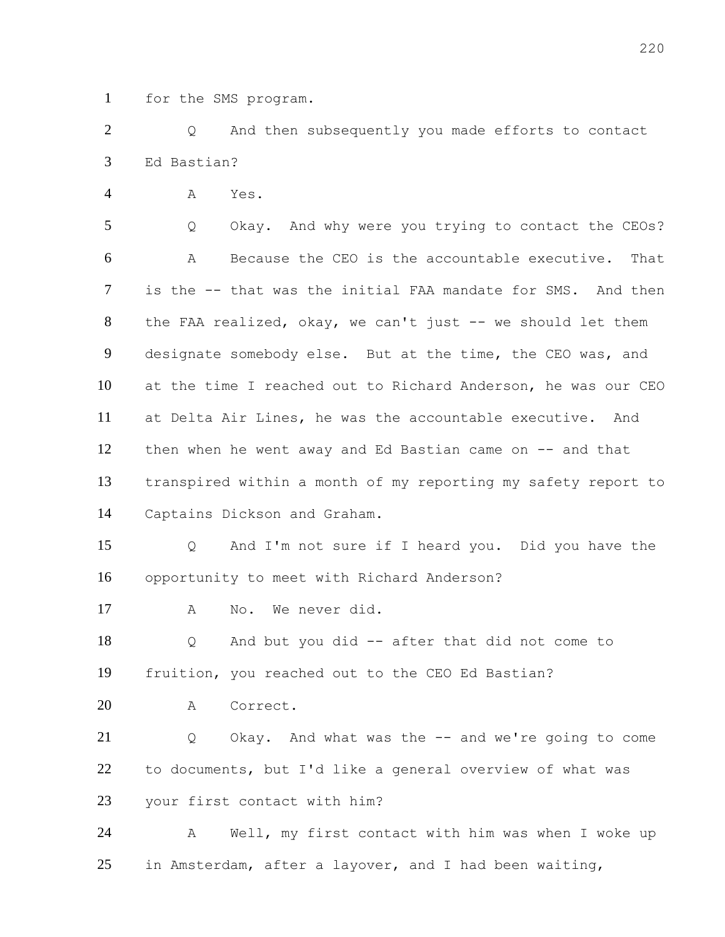for the SMS program.

 Q And then subsequently you made efforts to contact Ed Bastian?

A Yes.

 Q Okay. And why were you trying to contact the CEOs? A Because the CEO is the accountable executive. That is the -- that was the initial FAA mandate for SMS. And then 8 the FAA realized, okay, we can't just -- we should let them designate somebody else. But at the time, the CEO was, and at the time I reached out to Richard Anderson, he was our CEO at Delta Air Lines, he was the accountable executive. And then when he went away and Ed Bastian came on -- and that transpired within a month of my reporting my safety report to Captains Dickson and Graham.

 Q And I'm not sure if I heard you. Did you have the opportunity to meet with Richard Anderson?

A No. We never did.

 Q And but you did -- after that did not come to fruition, you reached out to the CEO Ed Bastian?

A Correct.

 Q Okay. And what was the -- and we're going to come to documents, but I'd like a general overview of what was your first contact with him?

 A Well, my first contact with him was when I woke up 25 in Amsterdam, after a layover, and I had been waiting,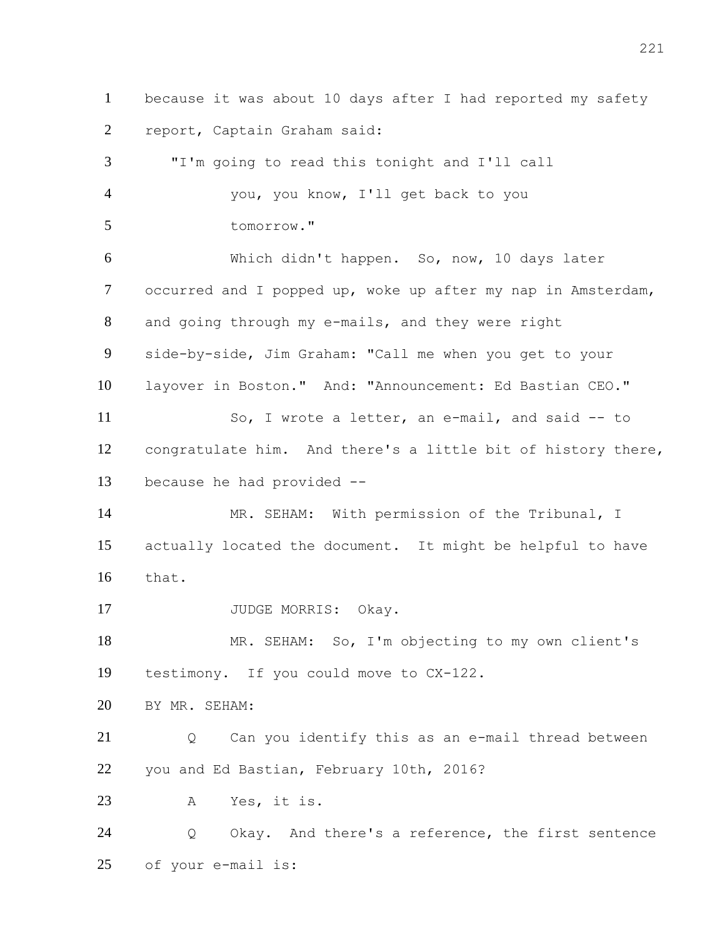because it was about 10 days after I had reported my safety report, Captain Graham said:

 "I'm going to read this tonight and I'll call you, you know, I'll get back to you tomorrow." Which didn't happen. So, now, 10 days later occurred and I popped up, woke up after my nap in Amsterdam, and going through my e-mails, and they were right side-by-side, Jim Graham: "Call me when you get to your layover in Boston." And: "Announcement: Ed Bastian CEO." So, I wrote a letter, an e-mail, and said -- to congratulate him. And there's a little bit of history there, because he had provided -- 14 MR. SEHAM: With permission of the Tribunal, I actually located the document. It might be helpful to have that. 17 JUDGE MORRIS: Okay. MR. SEHAM: So, I'm objecting to my own client's testimony. If you could move to CX-122. BY MR. SEHAM: Q Can you identify this as an e-mail thread between you and Ed Bastian, February 10th, 2016? A Yes, it is. Q Okay. And there's a reference, the first sentence of your e-mail is: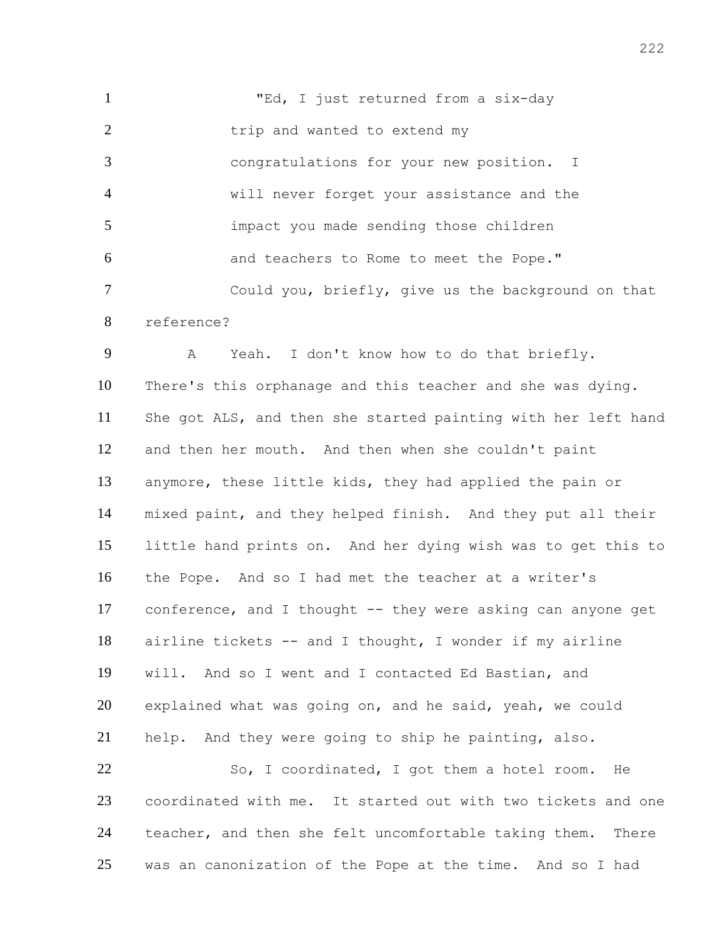1 TEd, I just returned from a six-day 2 trip and wanted to extend my congratulations for your new position. I will never forget your assistance and the impact you made sending those children and teachers to Rome to meet the Pope." Could you, briefly, give us the background on that reference?

 A Yeah. I don't know how to do that briefly. There's this orphanage and this teacher and she was dying. She got ALS, and then she started painting with her left hand and then her mouth. And then when she couldn't paint anymore, these little kids, they had applied the pain or mixed paint, and they helped finish. And they put all their little hand prints on. And her dying wish was to get this to the Pope. And so I had met the teacher at a writer's conference, and I thought -- they were asking can anyone get airline tickets -- and I thought, I wonder if my airline will. And so I went and I contacted Ed Bastian, and explained what was going on, and he said, yeah, we could help. And they were going to ship he painting, also.

22 So, I coordinated, I got them a hotel room. He coordinated with me. It started out with two tickets and one 24 teacher, and then she felt uncomfortable taking them. There was an canonization of the Pope at the time. And so I had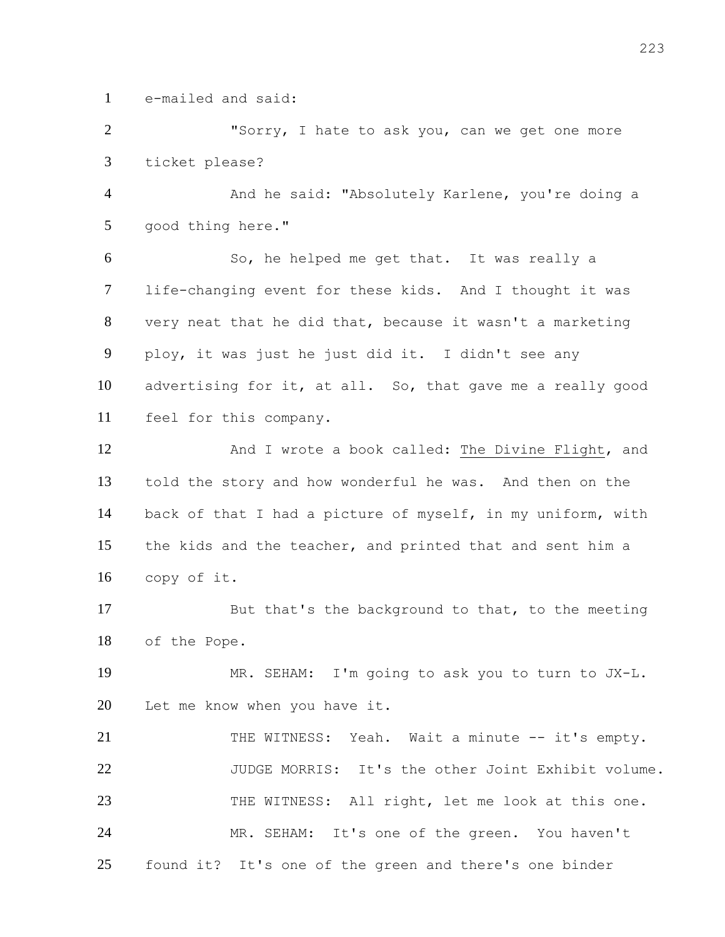e-mailed and said:

 "Sorry, I hate to ask you, can we get one more ticket please?

4 And he said: "Absolutely Karlene, you're doing a good thing here."

 So, he helped me get that. It was really a life-changing event for these kids. And I thought it was very neat that he did that, because it wasn't a marketing ploy, it was just he just did it. I didn't see any advertising for it, at all. So, that gave me a really good feel for this company.

 And I wrote a book called: The Divine Flight, and told the story and how wonderful he was. And then on the back of that I had a picture of myself, in my uniform, with the kids and the teacher, and printed that and sent him a copy of it.

 But that's the background to that, to the meeting of the Pope.

 MR. SEHAM: I'm going to ask you to turn to JX-L. 20 Let me know when you have it.

 THE WITNESS: Yeah. Wait a minute -- it's empty. JUDGE MORRIS: It's the other Joint Exhibit volume. THE WITNESS: All right, let me look at this one. MR. SEHAM: It's one of the green. You haven't found it? It's one of the green and there's one binder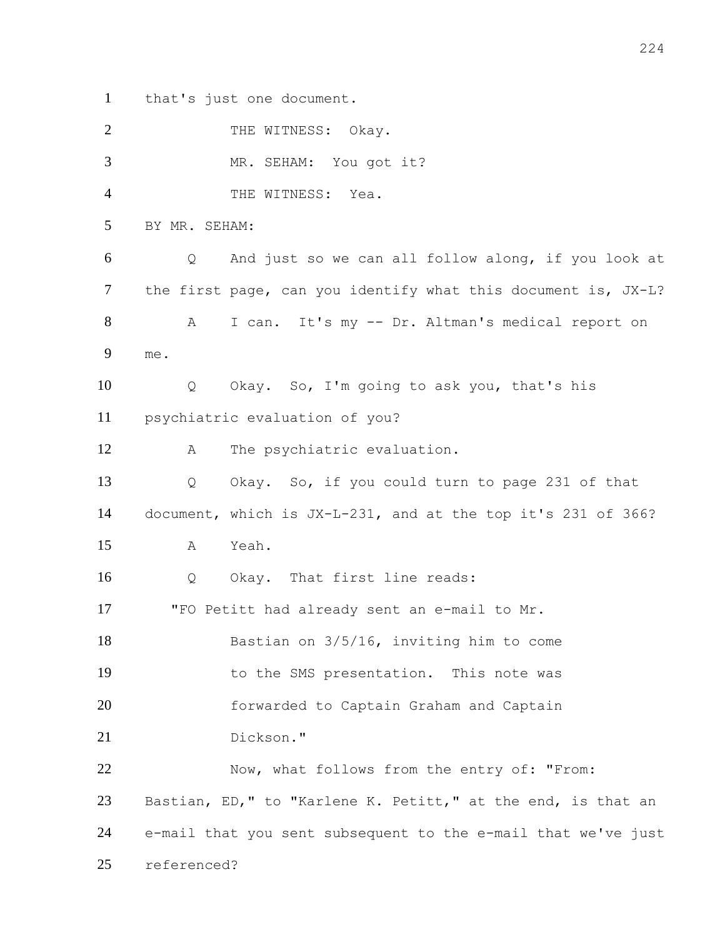that's just one document.

| $\overline{2}$ |               | THE WITNESS: Okay.                                            |
|----------------|---------------|---------------------------------------------------------------|
| 3              |               | MR. SEHAM: You got it?                                        |
| $\overline{4}$ |               | THE WITNESS: Yea.                                             |
| 5              | BY MR. SEHAM: |                                                               |
| 6              | Q             | And just so we can all follow along, if you look at           |
| 7              |               | the first page, can you identify what this document is, JX-L? |
| $8\phantom{.}$ | Α             | I can. It's my -- Dr. Altman's medical report on              |
| 9              | me.           |                                                               |
| 10             | Q             | Okay. So, I'm going to ask you, that's his                    |
| 11             |               | psychiatric evaluation of you?                                |
| 12             | А             | The psychiatric evaluation.                                   |
| 13             | Q             | Okay. So, if you could turn to page 231 of that               |
| 14             |               | document, which is JX-L-231, and at the top it's 231 of 366?  |
| 15             | A             | Yeah.                                                         |
| 16             | Q             | Okay. That first line reads:                                  |
| 17             |               | "FO Petitt had already sent an e-mail to Mr.                  |
| 18             |               | Bastian on 3/5/16, inviting him to come                       |
| 19             |               | to the SMS presentation. This note was                        |
| 20             |               | forwarded to Captain Graham and Captain                       |
| 21             |               | Dickson."                                                     |
| 22             |               | Now, what follows from the entry of: "From:                   |
| 23             |               | Bastian, ED," to "Karlene K. Petitt," at the end, is that an  |
| 24             |               | e-mail that you sent subsequent to the e-mail that we've just |
| 25             | referenced?   |                                                               |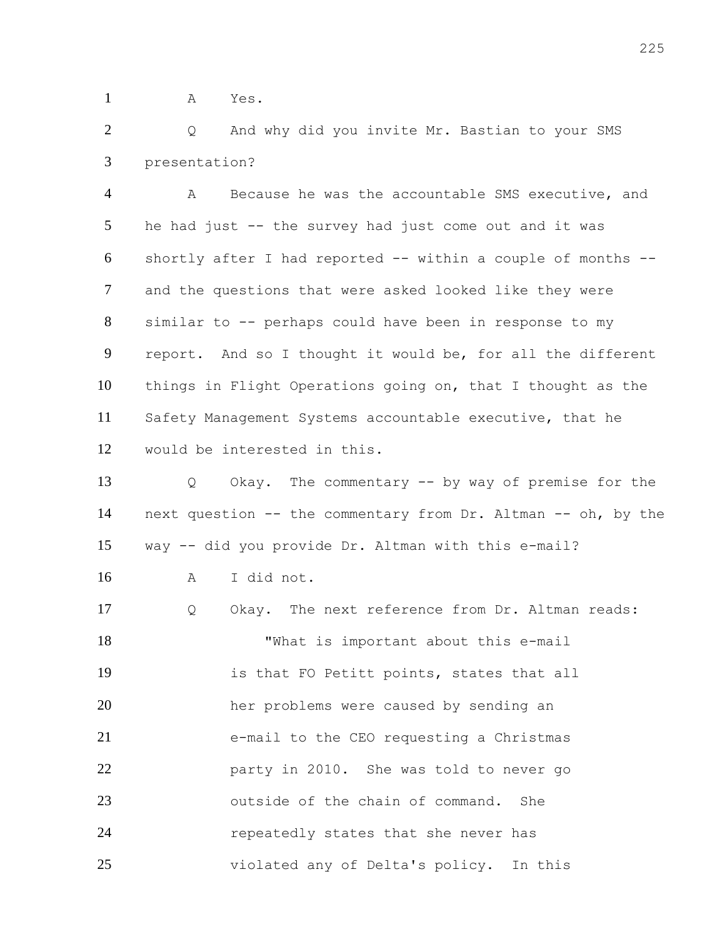A Yes.

 Q And why did you invite Mr. Bastian to your SMS presentation?

 A Because he was the accountable SMS executive, and he had just -- the survey had just come out and it was shortly after I had reported -- within a couple of months -- and the questions that were asked looked like they were similar to -- perhaps could have been in response to my report. And so I thought it would be, for all the different things in Flight Operations going on, that I thought as the Safety Management Systems accountable executive, that he would be interested in this.

 Q Okay. The commentary -- by way of premise for the next question -- the commentary from Dr. Altman -- oh, by the way -- did you provide Dr. Altman with this e-mail? A I did not. Q Okay. The next reference from Dr. Altman reads: "What is important about this e-mail is that FO Petitt points, states that all her problems were caused by sending an e-mail to the CEO requesting a Christmas

 party in 2010. She was told to never go **b** outside of the chain of command. She repeatedly states that she never has violated any of Delta's policy. In this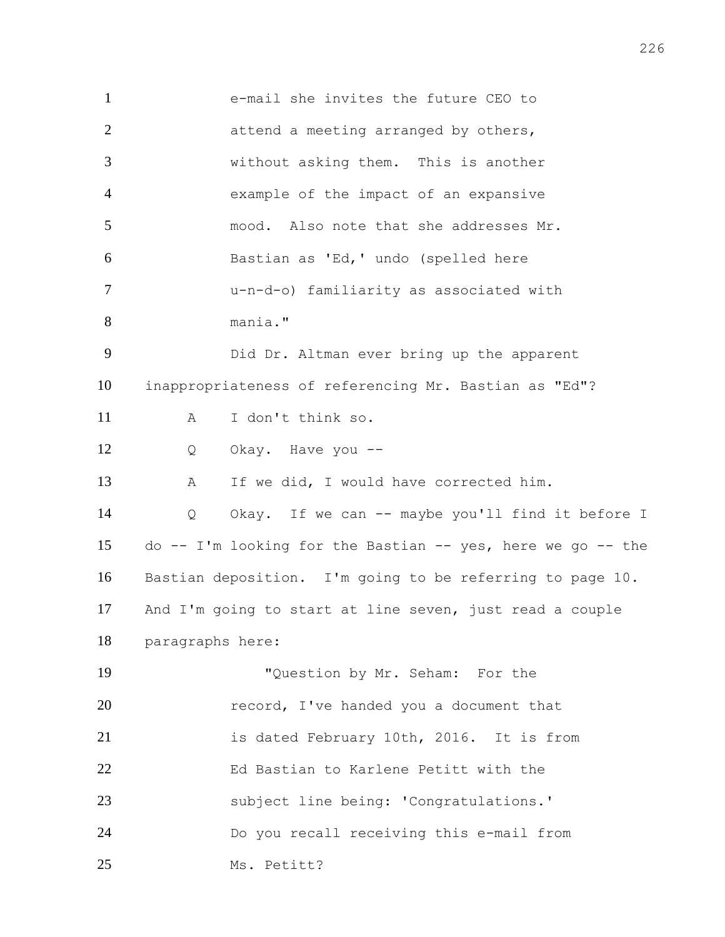e-mail she invites the future CEO to 2 attend a meeting arranged by others, without asking them. This is another example of the impact of an expansive mood. Also note that she addresses Mr. Bastian as 'Ed,' undo (spelled here u-n-d-o) familiarity as associated with mania." Did Dr. Altman ever bring up the apparent inappropriateness of referencing Mr. Bastian as "Ed"? A I don't think so. Q Okay. Have you -- A If we did, I would have corrected him. Q Okay. If we can -- maybe you'll find it before I do -- I'm looking for the Bastian -- yes, here we go -- the Bastian deposition. I'm going to be referring to page 10. And I'm going to start at line seven, just read a couple paragraphs here: "Question by Mr. Seham: For the **record, I've handed you a document that**  is dated February 10th, 2016. It is from Ed Bastian to Karlene Petitt with the subject line being: 'Congratulations.' Do you recall receiving this e-mail from Ms. Petitt?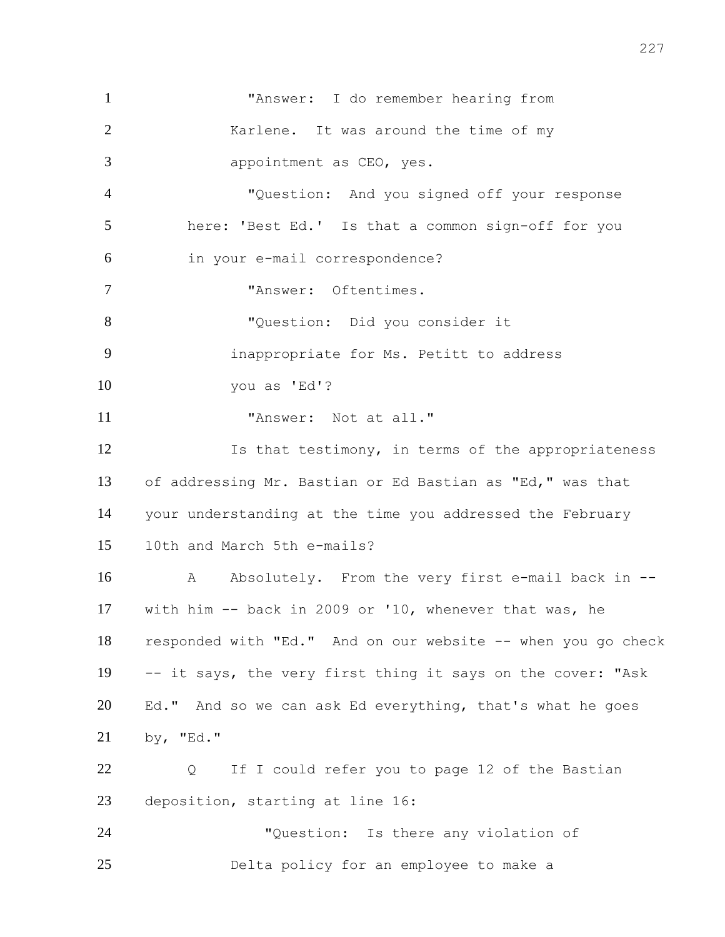"Answer: I do remember hearing from 2 Karlene. It was around the time of my appointment as CEO, yes. "Question: And you signed off your response here: 'Best Ed.' Is that a common sign-off for you in your e-mail correspondence? "Answer: Oftentimes. "Question: Did you consider it inappropriate for Ms. Petitt to address you as 'Ed'? 11 Thiswer: Not at all." 12 Is that testimony, in terms of the appropriateness of addressing Mr. Bastian or Ed Bastian as "Ed," was that your understanding at the time you addressed the February 10th and March 5th e-mails? 16 A Absolutely. From the very first e-mail back in -- with him -- back in 2009 or '10, whenever that was, he responded with "Ed." And on our website -- when you go check -- it says, the very first thing it says on the cover: "Ask Ed." And so we can ask Ed everything, that's what he goes by, "Ed." Q If I could refer you to page 12 of the Bastian deposition, starting at line 16: "Question: Is there any violation of Delta policy for an employee to make a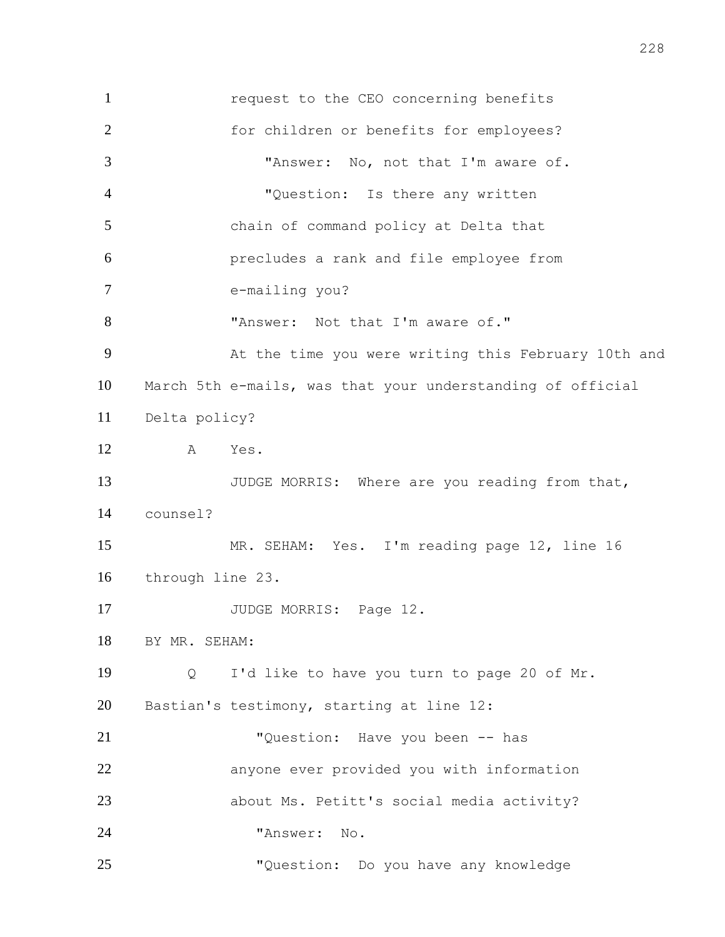request to the CEO concerning benefits for children or benefits for employees? "Answer: No, not that I'm aware of. "Question: Is there any written chain of command policy at Delta that precludes a rank and file employee from e-mailing you? 8 "Answer: Not that I'm aware of." At the time you were writing this February 10th and March 5th e-mails, was that your understanding of official Delta policy? A Yes. 13 JUDGE MORRIS: Where are you reading from that, counsel? MR. SEHAM: Yes. I'm reading page 12, line 16 through line 23. 17 JUDGE MORRIS: Page 12. BY MR. SEHAM: Q I'd like to have you turn to page 20 of Mr. Bastian's testimony, starting at line 12: "Question: Have you been -- has anyone ever provided you with information about Ms. Petitt's social media activity? "Answer: No. "Question: Do you have any knowledge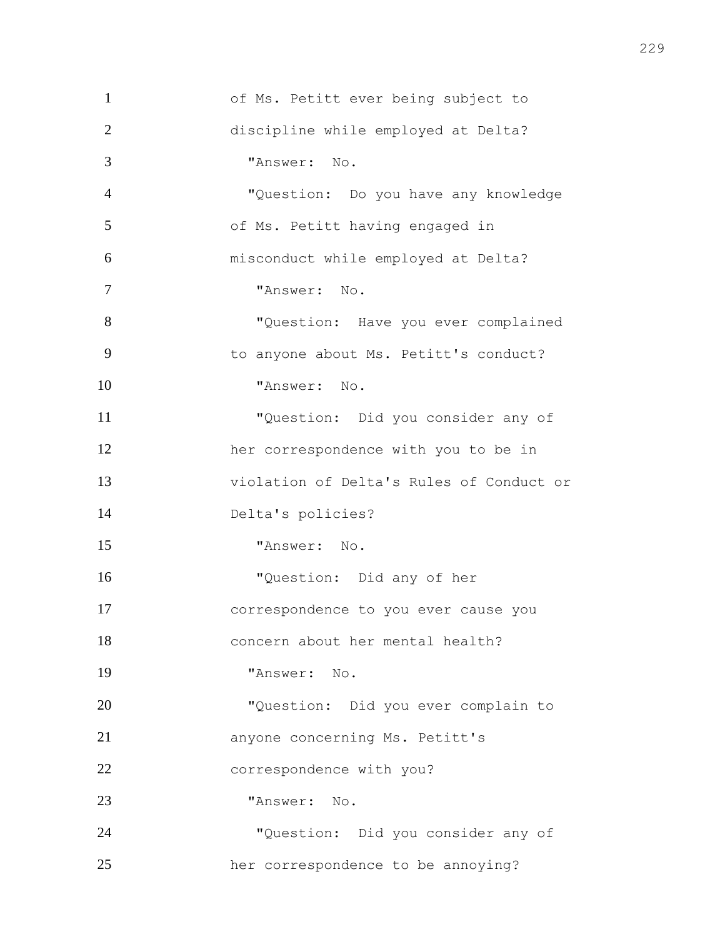of Ms. Petitt ever being subject to discipline while employed at Delta? "Answer: No. "Question: Do you have any knowledge of Ms. Petitt having engaged in misconduct while employed at Delta? "Answer: No. 8 "Question: Have you ever complained to anyone about Ms. Petitt's conduct? "Answer: No. "Question: Did you consider any of her correspondence with you to be in violation of Delta's Rules of Conduct or Delta's policies? "Answer: No. "Question: Did any of her correspondence to you ever cause you concern about her mental health? "Answer: No. "Question: Did you ever complain to anyone concerning Ms. Petitt's 22 correspondence with you? "Answer: No. "Question: Did you consider any of her correspondence to be annoying?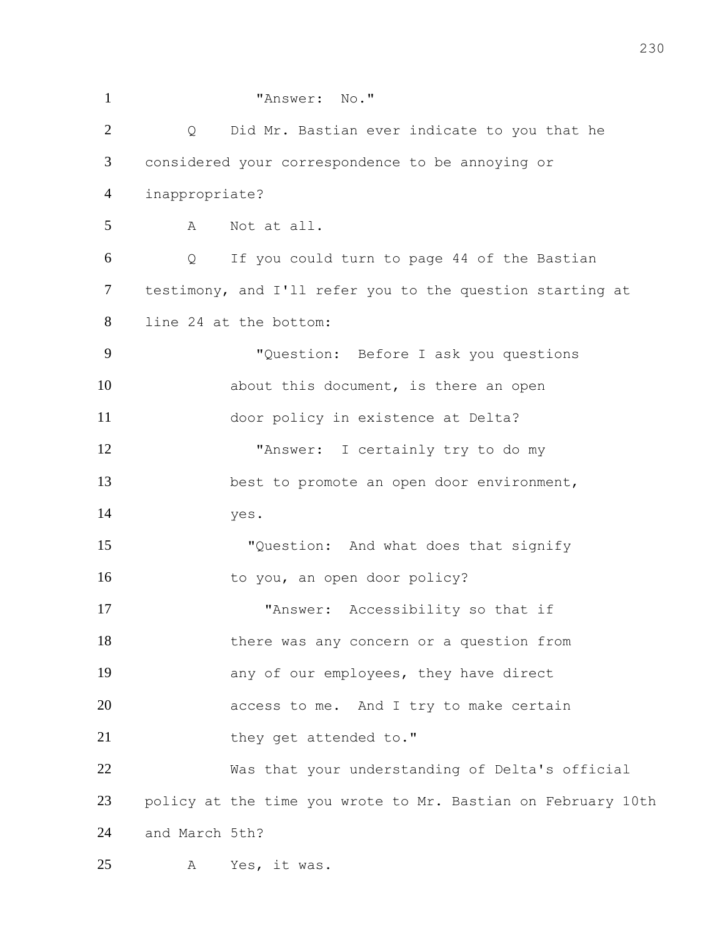| $\mathbf{1}$   |                | "Answer: No."                                                |
|----------------|----------------|--------------------------------------------------------------|
| $\overline{2}$ | Q              | Did Mr. Bastian ever indicate to you that he                 |
| 3              |                | considered your correspondence to be annoying or             |
| $\overline{4}$ | inappropriate? |                                                              |
| 5              | A              | Not at all.                                                  |
| 6              | Q              | If you could turn to page 44 of the Bastian                  |
| $\tau$         |                | testimony, and I'll refer you to the question starting at    |
| 8              |                | line 24 at the bottom:                                       |
| 9              |                | "Question: Before I ask you questions                        |
| 10             |                | about this document, is there an open                        |
| 11             |                | door policy in existence at Delta?                           |
| 12             |                | "Answer: I certainly try to do my                            |
| 13             |                | best to promote an open door environment,                    |
| 14             |                | yes.                                                         |
| 15             |                | "Question: And what does that signify                        |
| 16             |                | to you, an open door policy?                                 |
| 17             |                | "Answer: Accessibility so that if                            |
| 18             |                | there was any concern or a question from                     |
| 19             |                | any of our employees, they have direct                       |
| 20             |                | access to me. And I try to make certain                      |
| 21             |                | they get attended to."                                       |
| 22             |                | Was that your understanding of Delta's official              |
| 23             |                | policy at the time you wrote to Mr. Bastian on February 10th |
| 24             | and March 5th? |                                                              |
| 25             | A              | Yes, it was.                                                 |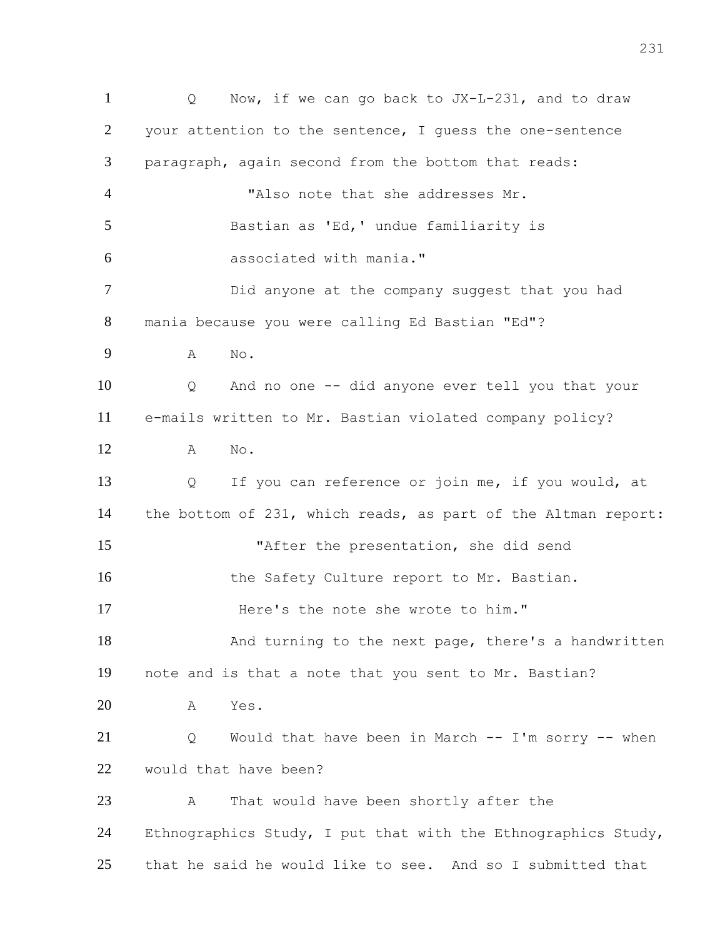Q Now, if we can go back to JX-L-231, and to draw your attention to the sentence, I guess the one-sentence paragraph, again second from the bottom that reads: "Also note that she addresses Mr. Bastian as 'Ed,' undue familiarity is associated with mania." Did anyone at the company suggest that you had mania because you were calling Ed Bastian "Ed"? A No. Q And no one -- did anyone ever tell you that your e-mails written to Mr. Bastian violated company policy? A No. Q If you can reference or join me, if you would, at the bottom of 231, which reads, as part of the Altman report: "After the presentation, she did send 16 the Safety Culture report to Mr. Bastian. Here's the note she wrote to him." 18 And turning to the next page, there's a handwritten note and is that a note that you sent to Mr. Bastian? A Yes. Q Would that have been in March -- I'm sorry -- when would that have been? A That would have been shortly after the Ethnographics Study, I put that with the Ethnographics Study, that he said he would like to see. And so I submitted that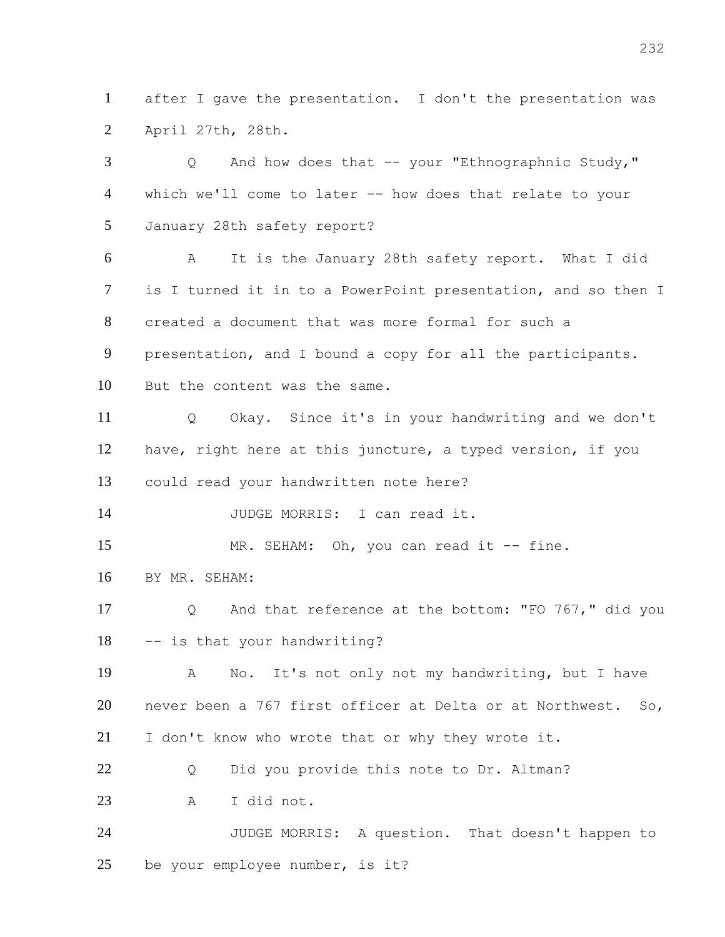after I gave the presentation. I don't the presentation was April 27th, 28th.

 Q And how does that -- your "Ethnographnic Study," which we'll come to later -- how does that relate to your January 28th safety report? A It is the January 28th safety report. What I did is I turned it in to a PowerPoint presentation, and so then I created a document that was more formal for such a presentation, and I bound a copy for all the participants. But the content was the same. Q Okay. Since it's in your handwriting and we don't have, right here at this juncture, a typed version, if you could read your handwritten note here? 14 JUDGE MORRIS: I can read it. 15 MR. SEHAM: Oh, you can read it -- fine. BY MR. SEHAM: Q And that reference at the bottom: "FO 767," did you -- is that your handwriting? A No. It's not only not my handwriting, but I have never been a 767 first officer at Delta or at Northwest. So, I don't know who wrote that or why they wrote it. 22 O Did you provide this note to Dr. Altman? A I did not. JUDGE MORRIS: A question. That doesn't happen to be your employee number, is it?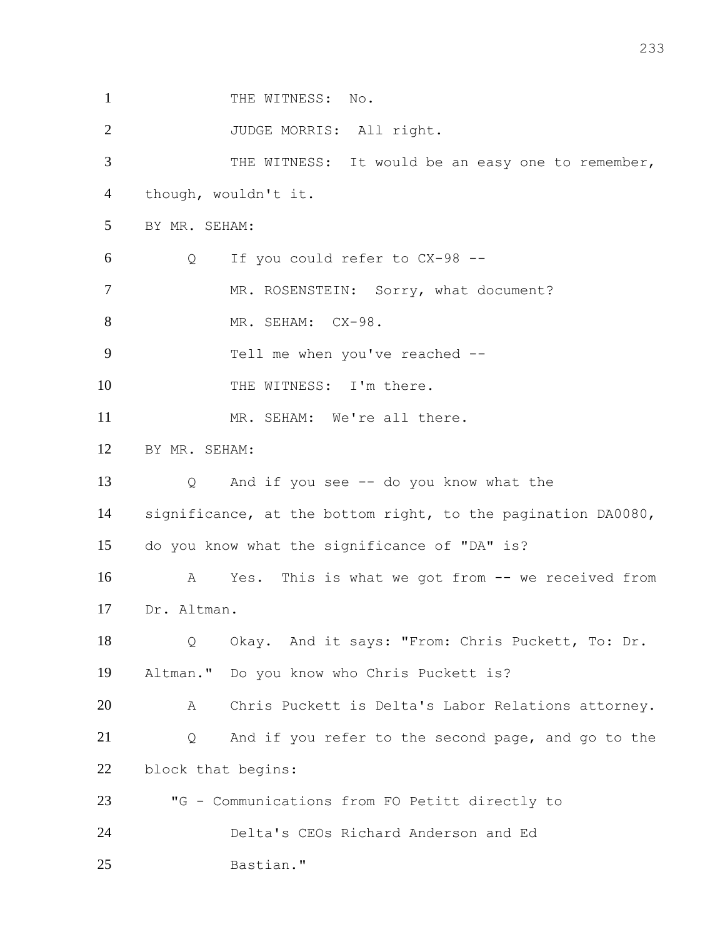| $\mathbf{1}$   |                    | THE WITNESS: No.                                             |
|----------------|--------------------|--------------------------------------------------------------|
| $\overline{2}$ |                    | JUDGE MORRIS: All right.                                     |
| 3              |                    | THE WITNESS: It would be an easy one to remember,            |
| 4              |                    | though, wouldn't it.                                         |
| 5              | BY MR. SEHAM:      |                                                              |
| 6              | Q                  | If you could refer to CX-98 --                               |
| $\overline{7}$ |                    | MR. ROSENSTEIN: Sorry, what document?                        |
| 8              |                    | MR. SEHAM: CX-98.                                            |
| 9              |                    | Tell me when you've reached --                               |
| 10             |                    | THE WITNESS: I'm there.                                      |
| 11             |                    | MR. SEHAM: We're all there.                                  |
| 12             | BY MR. SEHAM:      |                                                              |
| 13             | Q                  | And if you see -- do you know what the                       |
| 14             |                    | significance, at the bottom right, to the pagination DA0080, |
| 15             |                    | do you know what the significance of "DA" is?                |
| 16             | A                  | Yes. This is what we got from -- we received from            |
| 17             | Dr. Altman.        |                                                              |
| 18             | Q                  | Okay. And it says: "From: Chris Puckett, To: Dr.             |
| 19             |                    | Altman." Do you know who Chris Puckett is?                   |
| 20             | A                  | Chris Puckett is Delta's Labor Relations attorney.           |
| 21             | Q                  | And if you refer to the second page, and go to the           |
| 22             | block that begins: |                                                              |
| 23             |                    | "G - Communications from FO Petitt directly to               |
| 24             |                    | Delta's CEOs Richard Anderson and Ed                         |
| 25             |                    | Bastian."                                                    |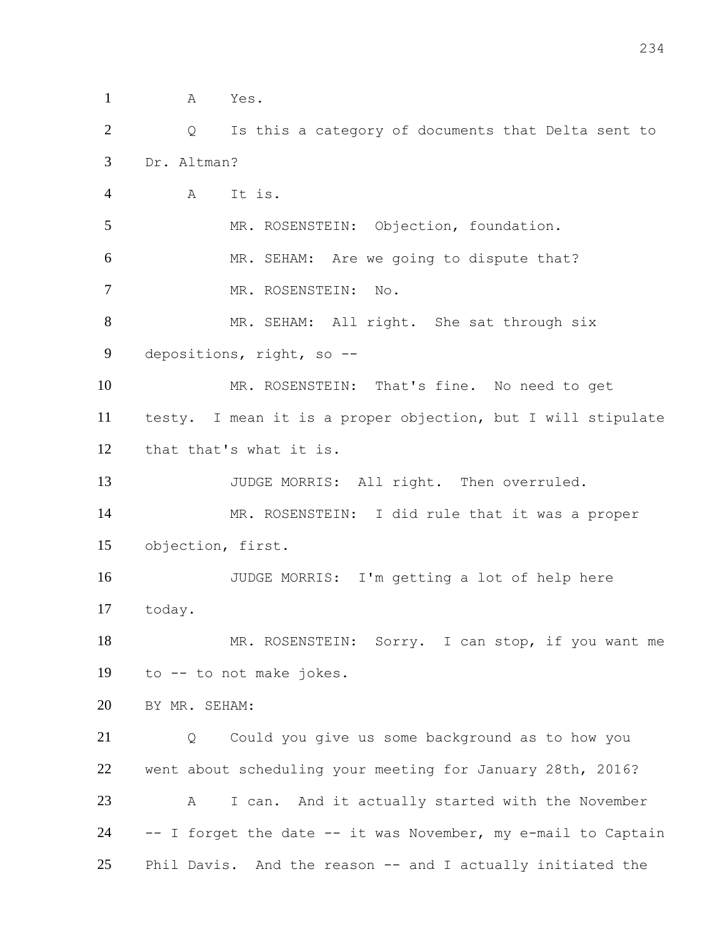A Yes. Q Is this a category of documents that Delta sent to Dr. Altman? A It is. MR. ROSENSTEIN: Objection, foundation. MR. SEHAM: Are we going to dispute that? 7 MR. ROSENSTEIN: No. 8 MR. SEHAM: All right. She sat through six depositions, right, so -- MR. ROSENSTEIN: That's fine. No need to get testy. I mean it is a proper objection, but I will stipulate that that's what it is. 13 JUDGE MORRIS: All right. Then overruled. MR. ROSENSTEIN: I did rule that it was a proper objection, first. JUDGE MORRIS: I'm getting a lot of help here today. 18 MR. ROSENSTEIN: Sorry. I can stop, if you want me to -- to not make jokes. BY MR. SEHAM: Q Could you give us some background as to how you went about scheduling your meeting for January 28th, 2016? A I can. And it actually started with the November -- I forget the date -- it was November, my e-mail to Captain Phil Davis. And the reason -- and I actually initiated the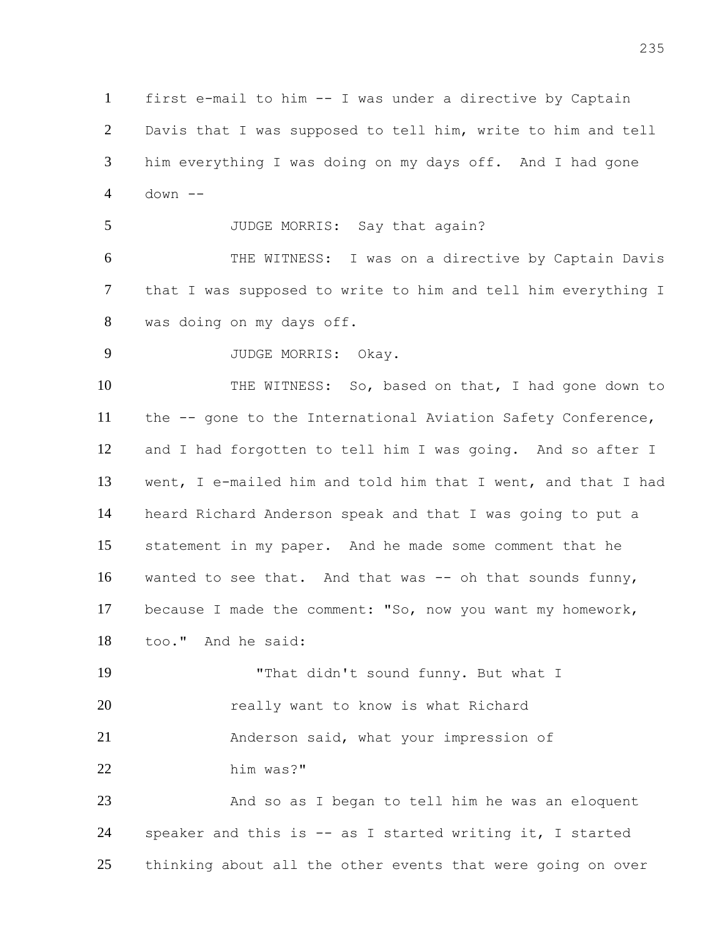first e-mail to him -- I was under a directive by Captain Davis that I was supposed to tell him, write to him and tell him everything I was doing on my days off. And I had gone down -- 5 JUDGE MORRIS: Say that again? THE WITNESS: I was on a directive by Captain Davis that I was supposed to write to him and tell him everything I was doing on my days off. JUDGE MORRIS: Okay. THE WITNESS: So, based on that, I had gone down to the -- gone to the International Aviation Safety Conference, and I had forgotten to tell him I was going. And so after I went, I e-mailed him and told him that I went, and that I had heard Richard Anderson speak and that I was going to put a statement in my paper. And he made some comment that he 16 wanted to see that. And that was -- oh that sounds funny, because I made the comment: "So, now you want my homework, too." And he said: "That didn't sound funny. But what I **20** really want to know is what Richard Anderson said, what your impression of him was?" 23 And so as I began to tell him he was an eloquent speaker and this is -- as I started writing it, I started thinking about all the other events that were going on over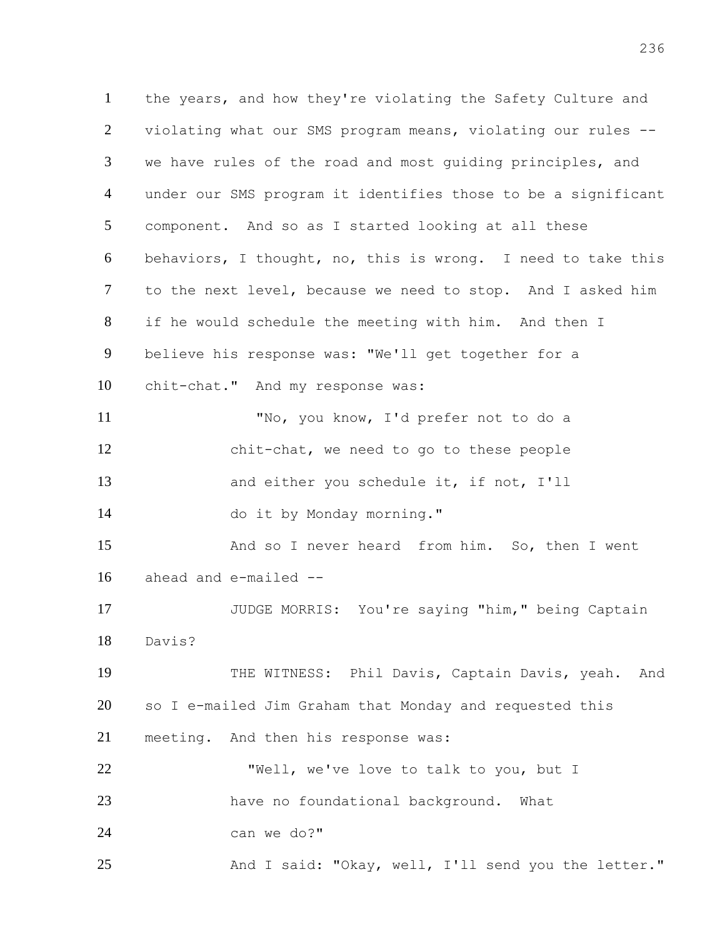the years, and how they're violating the Safety Culture and violating what our SMS program means, violating our rules -- we have rules of the road and most guiding principles, and under our SMS program it identifies those to be a significant component. And so as I started looking at all these behaviors, I thought, no, this is wrong. I need to take this to the next level, because we need to stop. And I asked him if he would schedule the meeting with him. And then I believe his response was: "We'll get together for a chit-chat." And my response was: "No, you know, I'd prefer not to do a chit-chat, we need to go to these people 13 and either you schedule it, if not, I'll do it by Monday morning." And so I never heard from him. So, then I went ahead and e-mailed -- JUDGE MORRIS: You're saying "him," being Captain Davis? 19 THE WITNESS: Phil Davis, Captain Davis, yeah. And so I e-mailed Jim Graham that Monday and requested this meeting. And then his response was: "Well, we've love to talk to you, but I have no foundational background. What can we do?" And I said: "Okay, well, I'll send you the letter."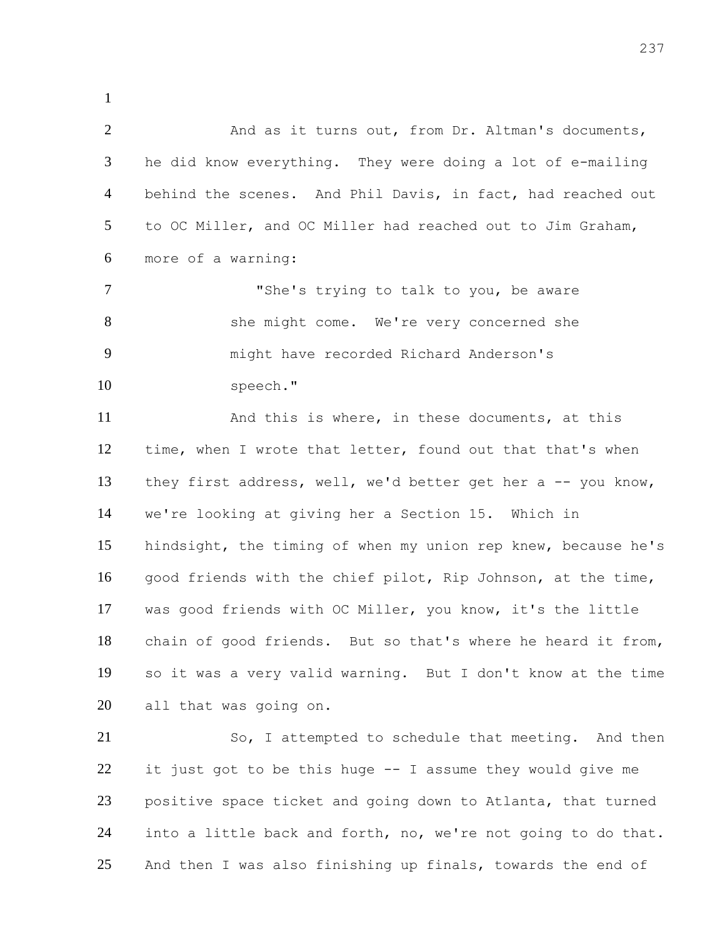2 And as it turns out, from Dr. Altman's documents, he did know everything. They were doing a lot of e-mailing behind the scenes. And Phil Davis, in fact, had reached out to OC Miller, and OC Miller had reached out to Jim Graham, more of a warning: 7 The's trying to talk to you, be aware 8 she might come. We're very concerned she might have recorded Richard Anderson's 10 speech." And this is where, in these documents, at this 12 time, when I wrote that letter, found out that that's when 13 they first address, well, we'd better get her a -- you know, we're looking at giving her a Section 15. Which in hindsight, the timing of when my union rep knew, because he's good friends with the chief pilot, Rip Johnson, at the time, was good friends with OC Miller, you know, it's the little

 chain of good friends. But so that's where he heard it from, so it was a very valid warning. But I don't know at the time all that was going on.

21 So, I attempted to schedule that meeting. And then it just got to be this huge -- I assume they would give me positive space ticket and going down to Atlanta, that turned into a little back and forth, no, we're not going to do that. And then I was also finishing up finals, towards the end of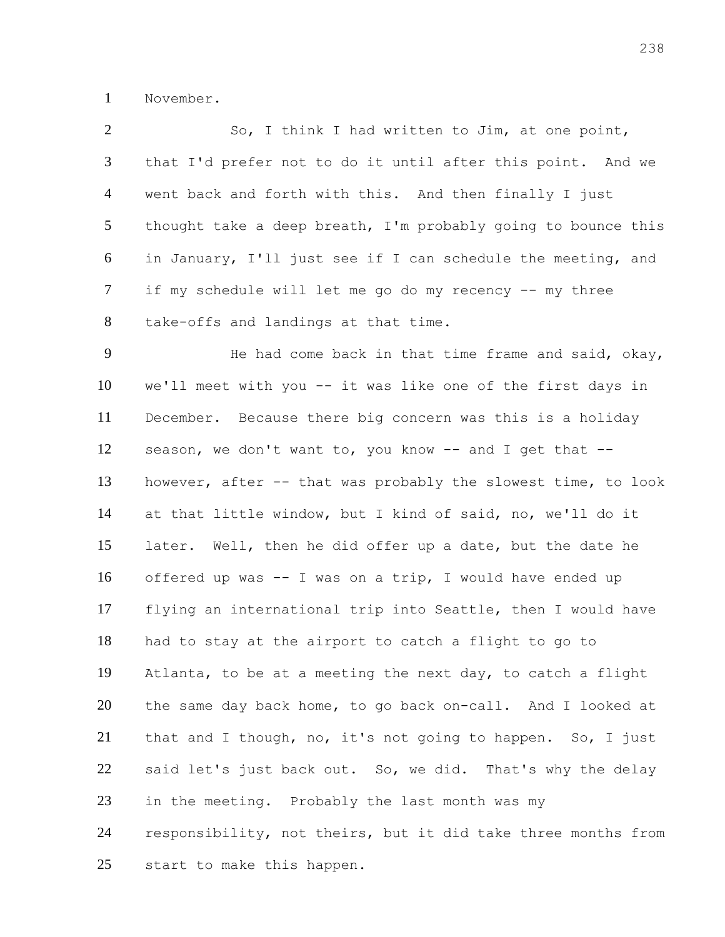November.

| $\overline{2}$ | So, I think I had written to Jim, at one point,               |
|----------------|---------------------------------------------------------------|
| 3              | that I'd prefer not to do it until after this point. And we   |
| $\overline{4}$ | went back and forth with this. And then finally I just        |
| 5              | thought take a deep breath, I'm probably going to bounce this |
| 6              | in January, I'll just see if I can schedule the meeting, and  |
| $\tau$         | if my schedule will let me go do my recency -- my three       |
| 8              | take-offs and landings at that time.                          |
| 9              | He had come back in that time frame and said, okay,           |
| 10             | we'll meet with you -- it was like one of the first days in   |
| 11             | December. Because there big concern was this is a holiday     |
| 12             | season, we don't want to, you know -- and I get that --       |
| 13             | however, after -- that was probably the slowest time, to look |
| 14             | at that little window, but I kind of said, no, we'll do it    |
| 15             | later. Well, then he did offer up a date, but the date he     |
| 16             | offered up was -- I was on a trip, I would have ended up      |
| 17             | flying an international trip into Seattle, then I would have  |
| 18             | had to stay at the airport to catch a flight to go to         |
| 19             | Atlanta, to be at a meeting the next day, to catch a flight   |
| 20             | the same day back home, to go back on-call. And I looked at   |
| 21             | that and I though, no, it's not going to happen. So, I just   |
| 22             | said let's just back out. So, we did. That's why the delay    |
| 23             | in the meeting. Probably the last month was my                |
| 24             | responsibility, not theirs, but it did take three months from |
| 25             | start to make this happen.                                    |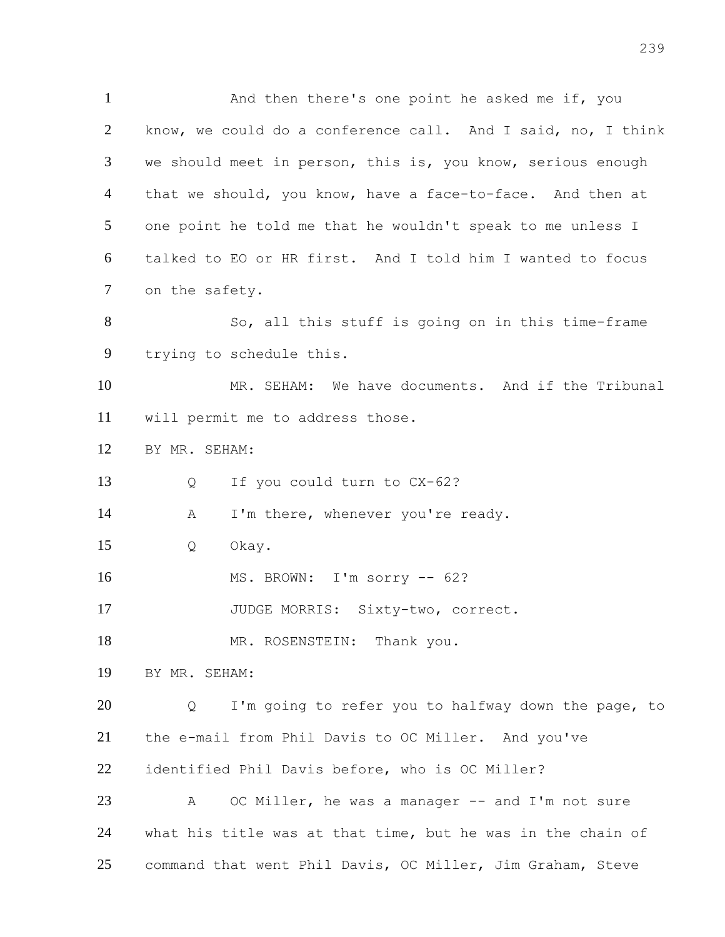And then there's one point he asked me if, you know, we could do a conference call. And I said, no, I think we should meet in person, this is, you know, serious enough 4 that we should, you know, have a face-to-face. And then at one point he told me that he wouldn't speak to me unless I talked to EO or HR first. And I told him I wanted to focus on the safety. So, all this stuff is going on in this time-frame trying to schedule this. MR. SEHAM: We have documents. And if the Tribunal will permit me to address those. BY MR. SEHAM: Q If you could turn to CX-62? 14 A I'm there, whenever you're ready. Q Okay. MS. BROWN: I'm sorry -- 62? 17 JUDGE MORRIS: Sixty-two, correct. 18 MR. ROSENSTEIN: Thank you. BY MR. SEHAM: Q I'm going to refer you to halfway down the page, to the e-mail from Phil Davis to OC Miller. And you've identified Phil Davis before, who is OC Miller?

23 A OC Miller, he was a manager -- and I'm not sure what his title was at that time, but he was in the chain of command that went Phil Davis, OC Miller, Jim Graham, Steve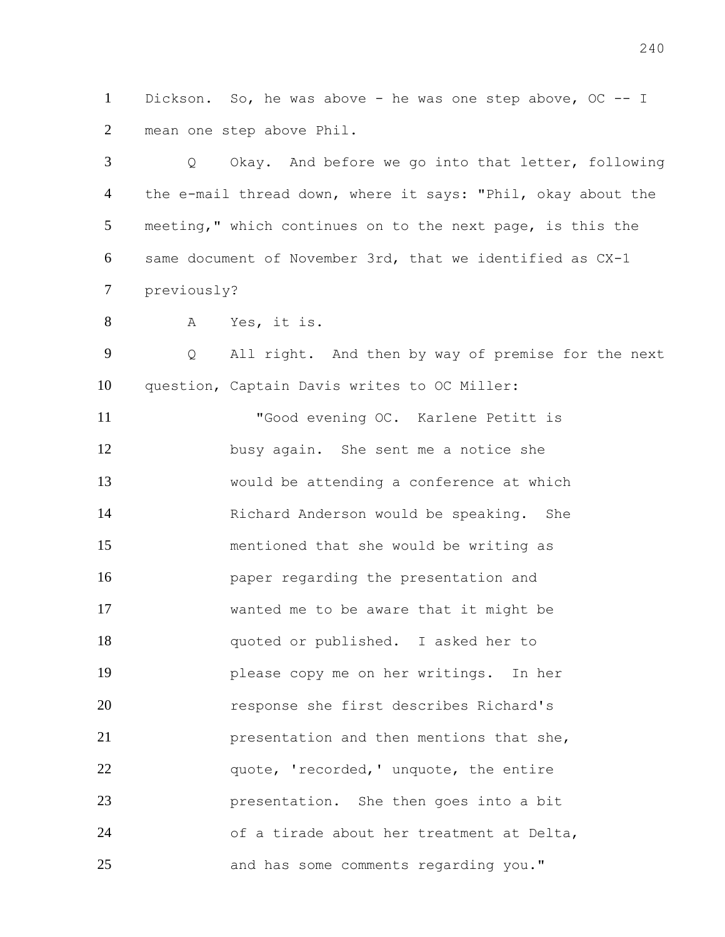Dickson. So, he was above - he was one step above, OC -- I mean one step above Phil.

 Q Okay. And before we go into that letter, following 4 the e-mail thread down, where it says: "Phil, okay about the meeting," which continues on to the next page, is this the same document of November 3rd, that we identified as CX-1 previously?

A Yes, it is.

 Q All right. And then by way of premise for the next question, Captain Davis writes to OC Miller:

 "Good evening OC. Karlene Petitt is busy again. She sent me a notice she would be attending a conference at which Richard Anderson would be speaking. She mentioned that she would be writing as paper regarding the presentation and wanted me to be aware that it might be quoted or published. I asked her to please copy me on her writings. In her response she first describes Richard's presentation and then mentions that she, 22 quote, 'recorded,' unquote, the entire presentation. She then goes into a bit of a tirade about her treatment at Delta, and has some comments regarding you."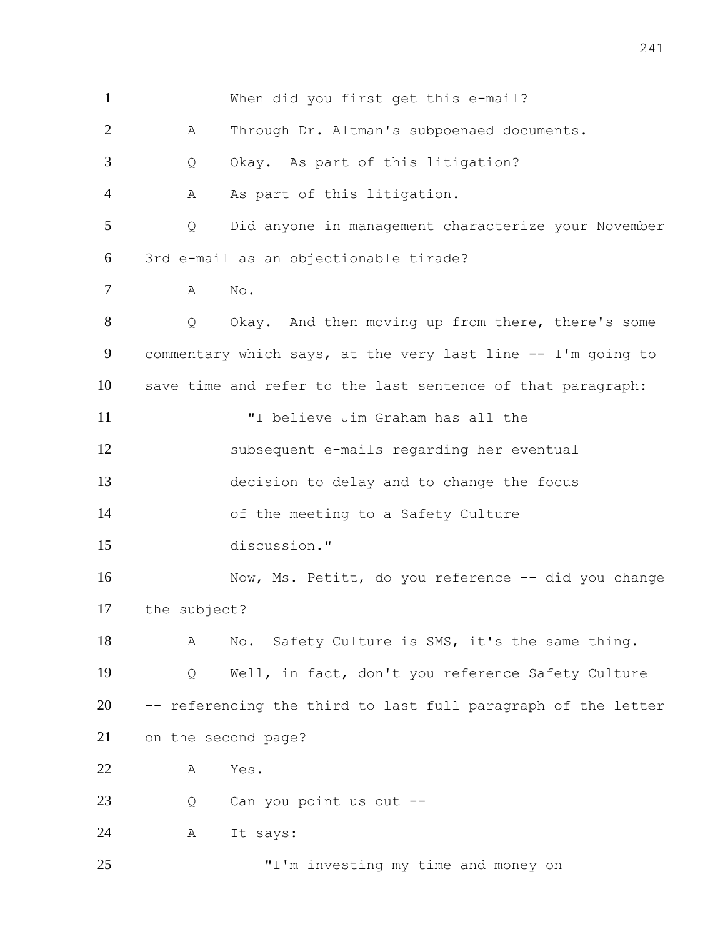When did you first get this e-mail? A Through Dr. Altman's subpoenaed documents. Q Okay. As part of this litigation? 4 A As part of this litigation. Q Did anyone in management characterize your November 3rd e-mail as an objectionable tirade? A No. Q Okay. And then moving up from there, there's some commentary which says, at the very last line -- I'm going to save time and refer to the last sentence of that paragraph: "I believe Jim Graham has all the subsequent e-mails regarding her eventual decision to delay and to change the focus of the meeting to a Safety Culture discussion." 16 Now, Ms. Petitt, do you reference -- did you change the subject? 18 A No. Safety Culture is SMS, it's the same thing. Q Well, in fact, don't you reference Safety Culture -- referencing the third to last full paragraph of the letter on the second page? A Yes. 23 Q Can you point us out -- A It says: 25 T'm investing my time and money on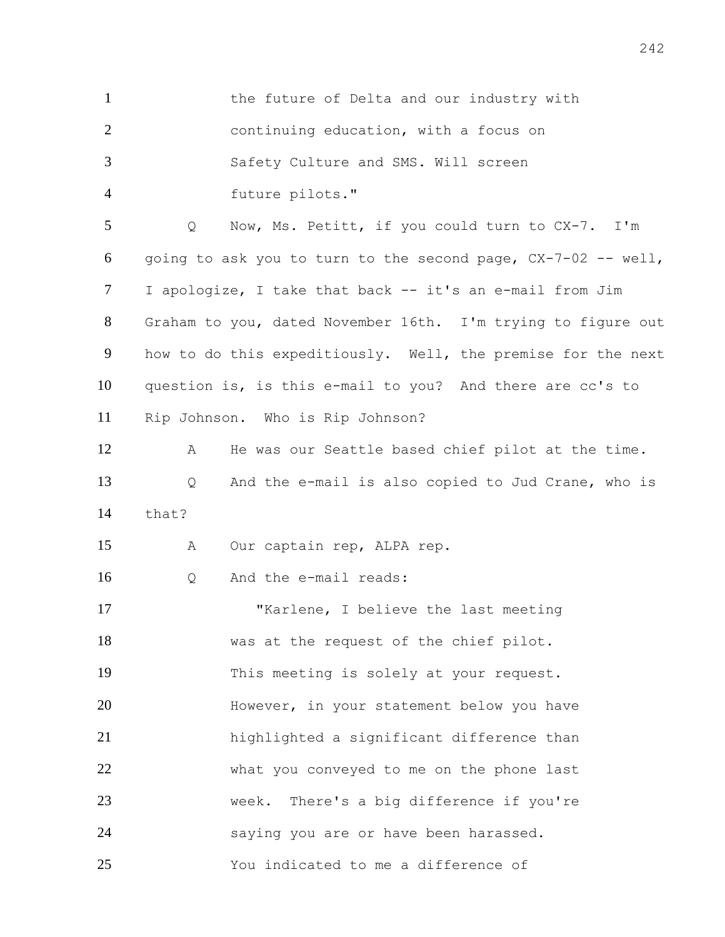| $\mathbf{1}$   | the future of Delta and our industry with                     |
|----------------|---------------------------------------------------------------|
| $\overline{2}$ | continuing education, with a focus on                         |
| 3              | Safety Culture and SMS. Will screen                           |
| $\overline{4}$ | future pilots."                                               |
| 5              | Now, Ms. Petitt, if you could turn to CX-7. I'm<br>Q          |
| 6              | going to ask you to turn to the second page, CX-7-02 -- well, |
| $\tau$         | I apologize, I take that back -- it's an e-mail from Jim      |
| 8              | Graham to you, dated November 16th. I'm trying to figure out  |
| 9              | how to do this expeditiously. Well, the premise for the next  |
| 10             | question is, is this e-mail to you? And there are cc's to     |
| 11             | Rip Johnson. Who is Rip Johnson?                              |
| 12             | He was our Seattle based chief pilot at the time.<br>Α        |
| 13             | And the e-mail is also copied to Jud Crane, who is<br>Q       |
| 14             | that?                                                         |
| 15             | Our captain rep, ALPA rep.<br>Α                               |
| 16             | And the e-mail reads:<br>Q                                    |
| 17             | "Karlene, I believe the last meeting                          |
| 18             | was at the request of the chief pilot.                        |
| 19             | This meeting is solely at your request.                       |
| 20             | However, in your statement below you have                     |
| 21             | highlighted a significant difference than                     |
| 22             | what you conveyed to me on the phone last                     |
| 23             | week. There's a big difference if you're                      |
| 24             | saying you are or have been harassed.                         |
| 25             | You indicated to me a difference of                           |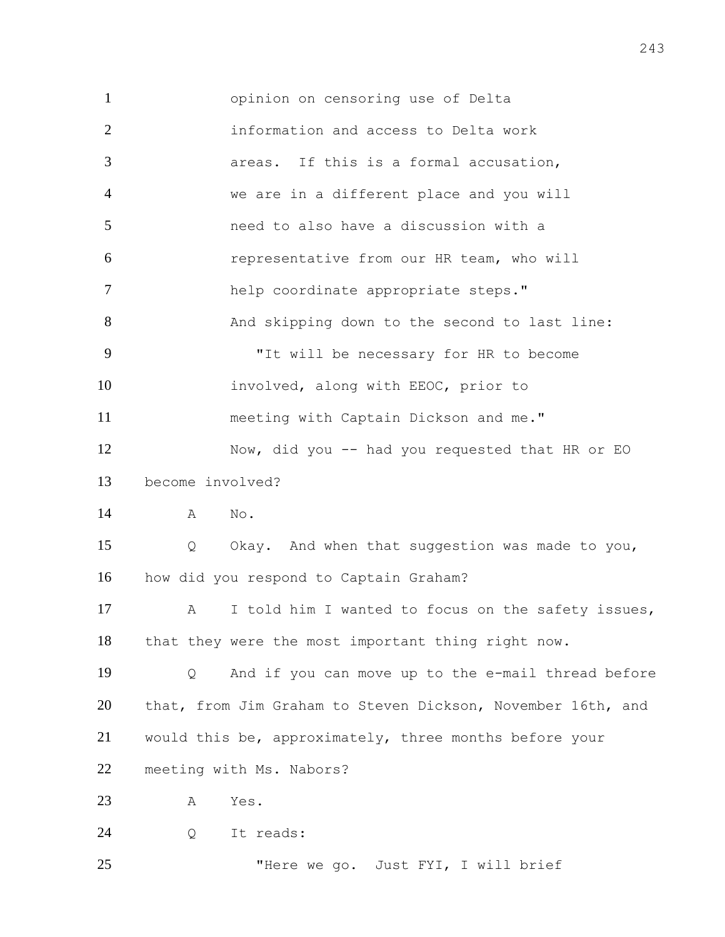opinion on censoring use of Delta information and access to Delta work areas. If this is a formal accusation, we are in a different place and you will need to also have a discussion with a representative from our HR team, who will help coordinate appropriate steps." 8 And skipping down to the second to last line: "It will be necessary for HR to become involved, along with EEOC, prior to meeting with Captain Dickson and me." Now, did you -- had you requested that HR or EO become involved? A No. Q Okay. And when that suggestion was made to you, how did you respond to Captain Graham? 17 A I told him I wanted to focus on the safety issues, that they were the most important thing right now. Q And if you can move up to the e-mail thread before that, from Jim Graham to Steven Dickson, November 16th, and would this be, approximately, three months before your meeting with Ms. Nabors? A Yes. Q It reads: 25 THere we go. Just FYI, I will brief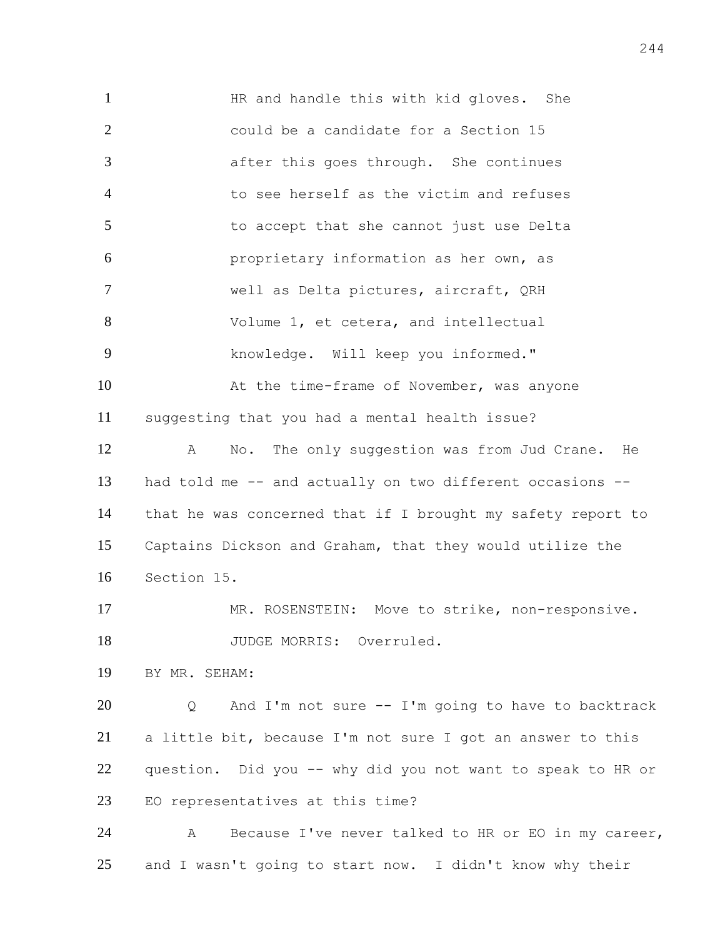HR and handle this with kid gloves. She could be a candidate for a Section 15 after this goes through. She continues to see herself as the victim and refuses to accept that she cannot just use Delta proprietary information as her own, as well as Delta pictures, aircraft, QRH Volume 1, et cetera, and intellectual knowledge. Will keep you informed." 10 At the time-frame of November, was anyone suggesting that you had a mental health issue? A No. The only suggestion was from Jud Crane. He had told me -- and actually on two different occasions -- that he was concerned that if I brought my safety report to Captains Dickson and Graham, that they would utilize the Section 15. 17 MR. ROSENSTEIN: Move to strike, non-responsive. 18 JUDGE MORRIS: Overruled. BY MR. SEHAM: Q And I'm not sure -- I'm going to have to backtrack a little bit, because I'm not sure I got an answer to this question. Did you -- why did you not want to speak to HR or EO representatives at this time? A Because I've never talked to HR or EO in my career, and I wasn't going to start now. I didn't know why their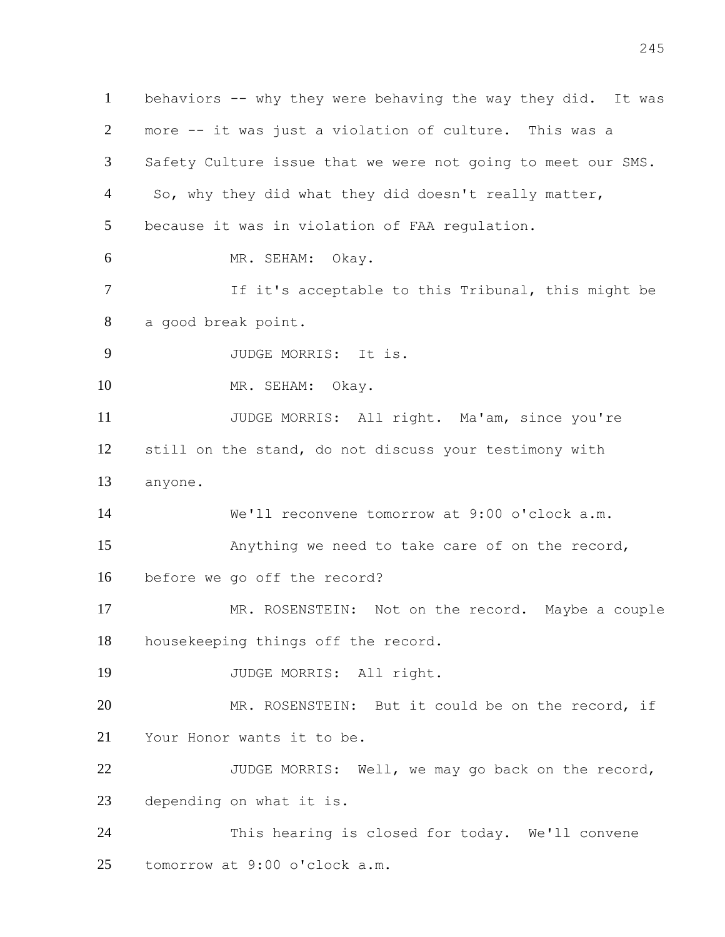behaviors -- why they were behaving the way they did. It was more -- it was just a violation of culture. This was a Safety Culture issue that we were not going to meet our SMS. 4 So, why they did what they did doesn't really matter, because it was in violation of FAA regulation. MR. SEHAM: Okay. If it's acceptable to this Tribunal, this might be a good break point. JUDGE MORRIS: It is. MR. SEHAM: Okay. JUDGE MORRIS: All right. Ma'am, since you're still on the stand, do not discuss your testimony with anyone. We'll reconvene tomorrow at 9:00 o'clock a.m. Anything we need to take care of on the record, before we go off the record? MR. ROSENSTEIN: Not on the record. Maybe a couple housekeeping things off the record. JUDGE MORRIS: All right. 20 MR. ROSENSTEIN: But it could be on the record, if Your Honor wants it to be. JUDGE MORRIS: Well, we may go back on the record, depending on what it is. This hearing is closed for today. We'll convene tomorrow at 9:00 o'clock a.m.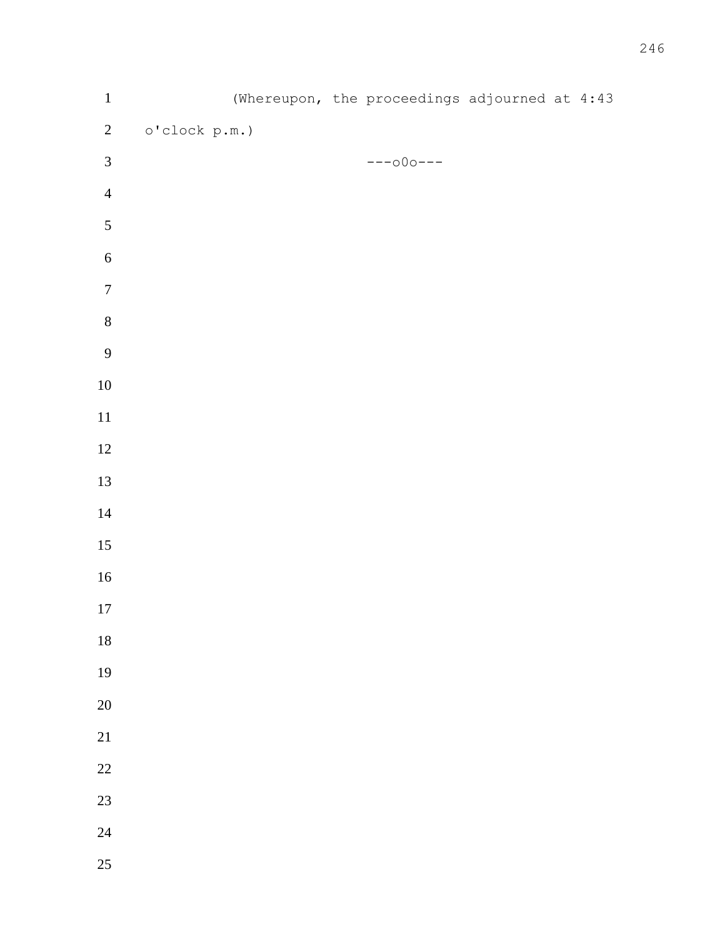| $\mathbf 1$      |               | (Whereupon, the proceedings adjourned at 4:43 |  |  |
|------------------|---------------|-----------------------------------------------|--|--|
| $\overline{c}$   | o'clock p.m.) |                                               |  |  |
| $\mathfrak{Z}$   |               | $---000---$                                   |  |  |
| $\overline{4}$   |               |                                               |  |  |
| $\sqrt{5}$       |               |                                               |  |  |
| $\sqrt{6}$       |               |                                               |  |  |
| $\boldsymbol{7}$ |               |                                               |  |  |
| $\,8\,$          |               |                                               |  |  |
| 9                |               |                                               |  |  |
| $10\,$           |               |                                               |  |  |
| $11\,$           |               |                                               |  |  |
| $12\,$           |               |                                               |  |  |
| 13               |               |                                               |  |  |
| $14\,$           |               |                                               |  |  |
| 15               |               |                                               |  |  |
| $16\,$           |               |                                               |  |  |
| 17               |               |                                               |  |  |
| $18\,$           |               |                                               |  |  |
| 19               |               |                                               |  |  |
| $20\,$           |               |                                               |  |  |
| 21               |               |                                               |  |  |
| $22\,$           |               |                                               |  |  |
| 23               |               |                                               |  |  |
| 24               |               |                                               |  |  |
| 25               |               |                                               |  |  |